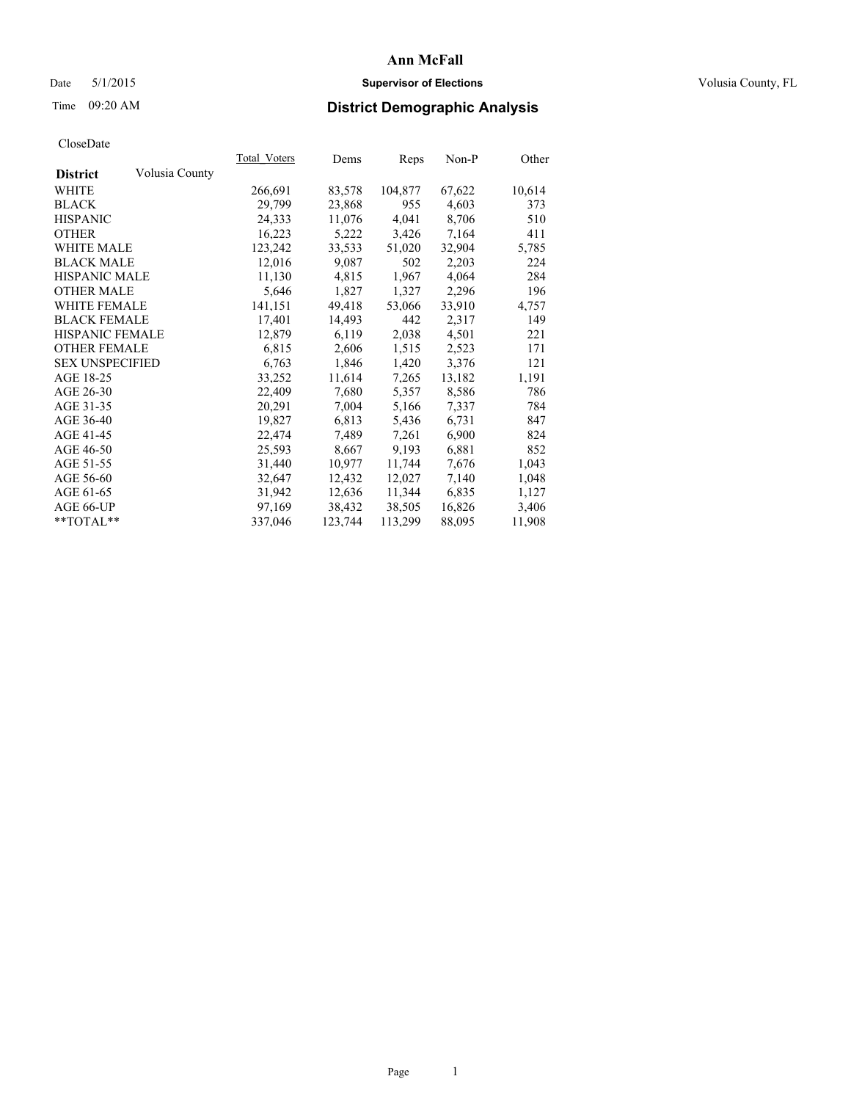# Date 5/1/2015 **Supervisor of Elections Supervisor of Elections** Volusia County, FL

# Time 09:20 AM **District Demographic Analysis**

|                        |                | <b>Total Voters</b> | Dems    | Reps    | Non-P  | Other  |
|------------------------|----------------|---------------------|---------|---------|--------|--------|
| <b>District</b>        | Volusia County |                     |         |         |        |        |
| WHITE                  |                | 266,691             | 83,578  | 104,877 | 67,622 | 10,614 |
| <b>BLACK</b>           |                | 29,799              | 23,868  | 955     | 4,603  | 373    |
| <b>HISPANIC</b>        |                | 24,333              | 11,076  | 4,041   | 8,706  | 510    |
| <b>OTHER</b>           |                | 16,223              | 5,222   | 3,426   | 7,164  | 411    |
| <b>WHITE MALE</b>      |                | 123,242             | 33,533  | 51,020  | 32,904 | 5,785  |
| <b>BLACK MALE</b>      |                | 12,016              | 9,087   | 502     | 2,203  | 224    |
| <b>HISPANIC MALE</b>   |                | 11,130              | 4,815   | 1,967   | 4,064  | 284    |
| <b>OTHER MALE</b>      |                | 5,646               | 1,827   | 1,327   | 2,296  | 196    |
| <b>WHITE FEMALE</b>    |                | 141,151             | 49,418  | 53,066  | 33,910 | 4,757  |
| <b>BLACK FEMALE</b>    |                | 17,401              | 14,493  | 442     | 2,317  | 149    |
| <b>HISPANIC FEMALE</b> |                | 12,879              | 6,119   | 2,038   | 4,501  | 221    |
| <b>OTHER FEMALE</b>    |                | 6,815               | 2,606   | 1,515   | 2,523  | 171    |
| <b>SEX UNSPECIFIED</b> |                | 6,763               | 1,846   | 1,420   | 3,376  | 121    |
| AGE 18-25              |                | 33,252              | 11,614  | 7,265   | 13,182 | 1,191  |
| AGE 26-30              |                | 22,409              | 7,680   | 5,357   | 8,586  | 786    |
| AGE 31-35              |                | 20,291              | 7,004   | 5,166   | 7,337  | 784    |
| AGE 36-40              |                | 19,827              | 6,813   | 5,436   | 6,731  | 847    |
| AGE 41-45              |                | 22,474              | 7,489   | 7,261   | 6,900  | 824    |
| AGE 46-50              |                | 25,593              | 8,667   | 9,193   | 6,881  | 852    |
| AGE 51-55              |                | 31,440              | 10,977  | 11,744  | 7,676  | 1,043  |
| AGE 56-60              |                | 32,647              | 12,432  | 12,027  | 7,140  | 1,048  |
| AGE 61-65              |                | 31,942              | 12,636  | 11,344  | 6,835  | 1,127  |
| AGE 66-UP              |                | 97,169              | 38,432  | 38,505  | 16,826 | 3,406  |
| $*$ $TOTAI.**$         |                | 337,046             | 123,744 | 113,299 | 88,095 | 11,908 |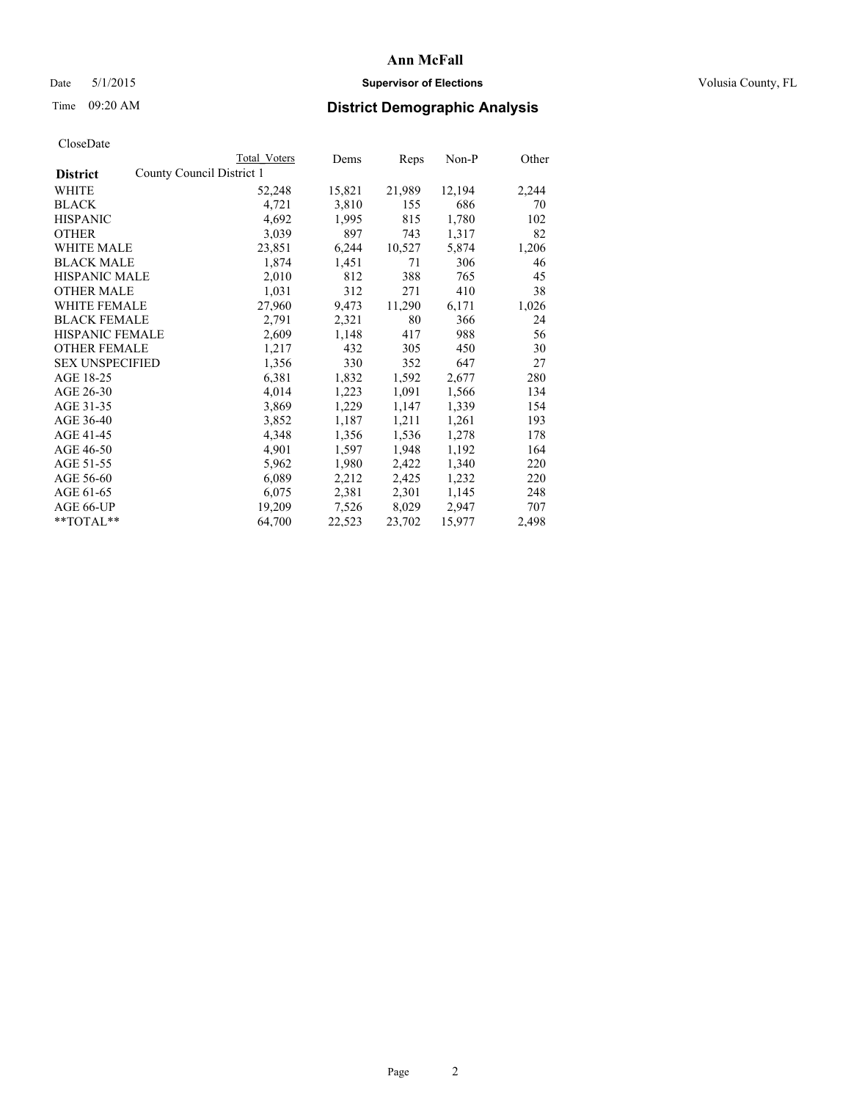# Date 5/1/2015 **Supervisor of Elections Supervisor of Elections** Volusia County, FL

|                                              | <b>Total Voters</b> | Dems   | Reps   | $Non-P$ | Other |
|----------------------------------------------|---------------------|--------|--------|---------|-------|
| County Council District 1<br><b>District</b> |                     |        |        |         |       |
| WHITE                                        | 52,248              | 15,821 | 21,989 | 12,194  | 2,244 |
| <b>BLACK</b>                                 | 4,721               | 3,810  | 155    | 686     | 70    |
| <b>HISPANIC</b>                              | 4,692               | 1,995  | 815    | 1,780   | 102   |
| <b>OTHER</b>                                 | 3,039               | 897    | 743    | 1,317   | 82    |
| WHITE MALE                                   | 23,851              | 6,244  | 10,527 | 5,874   | 1,206 |
| <b>BLACK MALE</b>                            | 1,874               | 1,451  | 71     | 306     | 46    |
| <b>HISPANIC MALE</b>                         | 2,010               | 812    | 388    | 765     | 45    |
| <b>OTHER MALE</b>                            | 1,031               | 312    | 271    | 410     | 38    |
| WHITE FEMALE                                 | 27,960              | 9,473  | 11,290 | 6,171   | 1,026 |
| <b>BLACK FEMALE</b>                          | 2,791               | 2,321  | 80     | 366     | 24    |
| HISPANIC FEMALE                              | 2,609               | 1,148  | 417    | 988     | 56    |
| <b>OTHER FEMALE</b>                          | 1,217               | 432    | 305    | 450     | 30    |
| <b>SEX UNSPECIFIED</b>                       | 1,356               | 330    | 352    | 647     | 27    |
| AGE 18-25                                    | 6,381               | 1,832  | 1,592  | 2,677   | 280   |
| AGE 26-30                                    | 4,014               | 1,223  | 1,091  | 1,566   | 134   |
| AGE 31-35                                    | 3,869               | 1,229  | 1,147  | 1,339   | 154   |
| AGE 36-40                                    | 3,852               | 1,187  | 1,211  | 1,261   | 193   |
| AGE 41-45                                    | 4,348               | 1,356  | 1,536  | 1,278   | 178   |
| AGE 46-50                                    | 4,901               | 1,597  | 1,948  | 1,192   | 164   |
| AGE 51-55                                    | 5,962               | 1,980  | 2,422  | 1,340   | 220   |
| AGE 56-60                                    | 6,089               | 2,212  | 2,425  | 1,232   | 220   |
| AGE 61-65                                    | 6,075               | 2,381  | 2,301  | 1,145   | 248   |
| AGE 66-UP                                    | 19,209              | 7,526  | 8,029  | 2,947   | 707   |
| $*$ TOTAL $*$                                | 64,700              | 22,523 | 23,702 | 15,977  | 2,498 |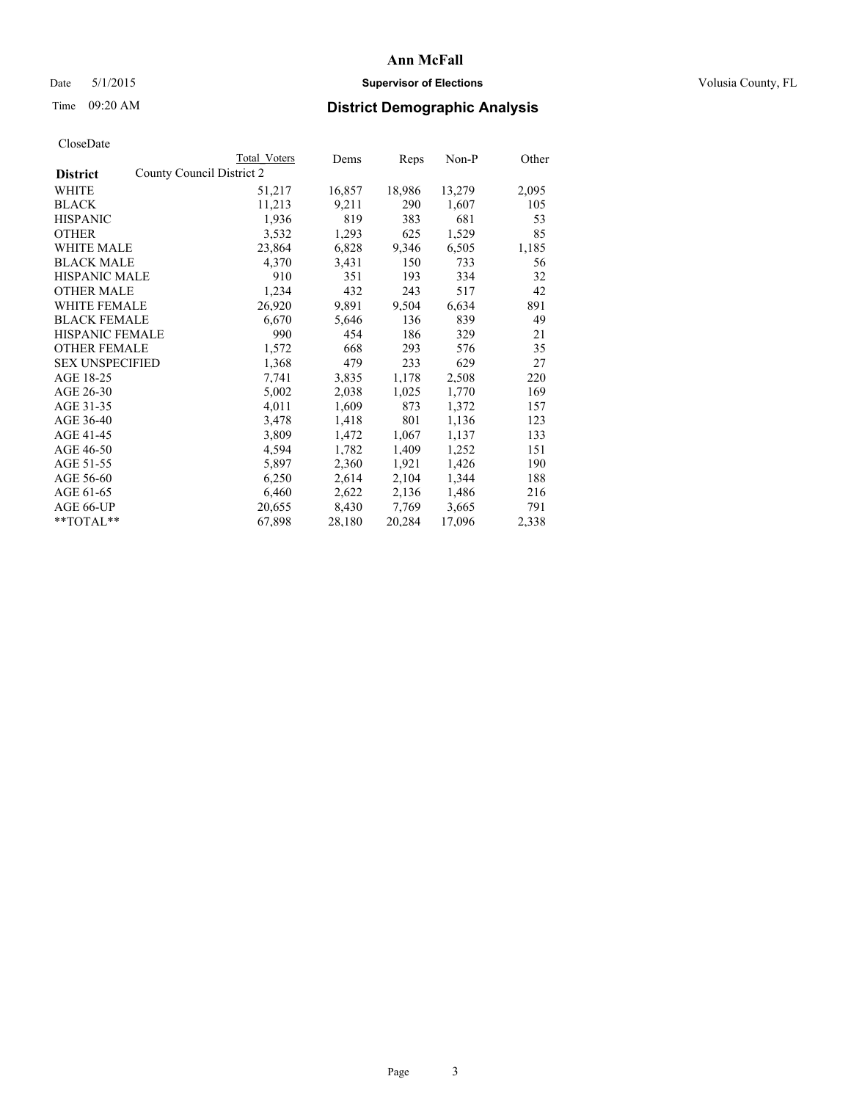# Date 5/1/2015 **Supervisor of Elections Supervisor of Elections** Volusia County, FL

|                                              | Total Voters | Dems   | <b>Reps</b> | $Non-P$ | Other |
|----------------------------------------------|--------------|--------|-------------|---------|-------|
| County Council District 2<br><b>District</b> |              |        |             |         |       |
| WHITE                                        | 51,217       | 16,857 | 18,986      | 13,279  | 2,095 |
| <b>BLACK</b>                                 | 11,213       | 9,211  | 290         | 1,607   | 105   |
| <b>HISPANIC</b>                              | 1,936        | 819    | 383         | 681     | 53    |
| <b>OTHER</b>                                 | 3,532        | 1,293  | 625         | 1,529   | 85    |
| WHITE MALE                                   | 23,864       | 6,828  | 9,346       | 6,505   | 1,185 |
| <b>BLACK MALE</b>                            | 4,370        | 3,431  | 150         | 733     | 56    |
| <b>HISPANIC MALE</b>                         | 910          | 351    | 193         | 334     | 32    |
| <b>OTHER MALE</b>                            | 1,234        | 432    | 243         | 517     | 42    |
| <b>WHITE FEMALE</b>                          | 26,920       | 9,891  | 9,504       | 6,634   | 891   |
| <b>BLACK FEMALE</b>                          | 6,670        | 5,646  | 136         | 839     | 49    |
| HISPANIC FEMALE                              | 990          | 454    | 186         | 329     | 21    |
| <b>OTHER FEMALE</b>                          | 1,572        | 668    | 293         | 576     | 35    |
| <b>SEX UNSPECIFIED</b>                       | 1,368        | 479    | 233         | 629     | 27    |
| AGE 18-25                                    | 7,741        | 3,835  | 1,178       | 2,508   | 220   |
| AGE 26-30                                    | 5,002        | 2,038  | 1,025       | 1,770   | 169   |
| AGE 31-35                                    | 4,011        | 1,609  | 873         | 1,372   | 157   |
| AGE 36-40                                    | 3,478        | 1,418  | 801         | 1,136   | 123   |
| AGE 41-45                                    | 3,809        | 1,472  | 1,067       | 1,137   | 133   |
| AGE 46-50                                    | 4,594        | 1,782  | 1,409       | 1,252   | 151   |
| AGE 51-55                                    | 5,897        | 2,360  | 1,921       | 1,426   | 190   |
| AGE 56-60                                    | 6,250        | 2,614  | 2,104       | 1,344   | 188   |
| AGE 61-65                                    | 6,460        | 2,622  | 2,136       | 1,486   | 216   |
| AGE 66-UP                                    | 20,655       | 8,430  | 7.769       | 3,665   | 791   |
| $*$ TOTAL $*$                                | 67,898       | 28,180 | 20,284      | 17,096  | 2,338 |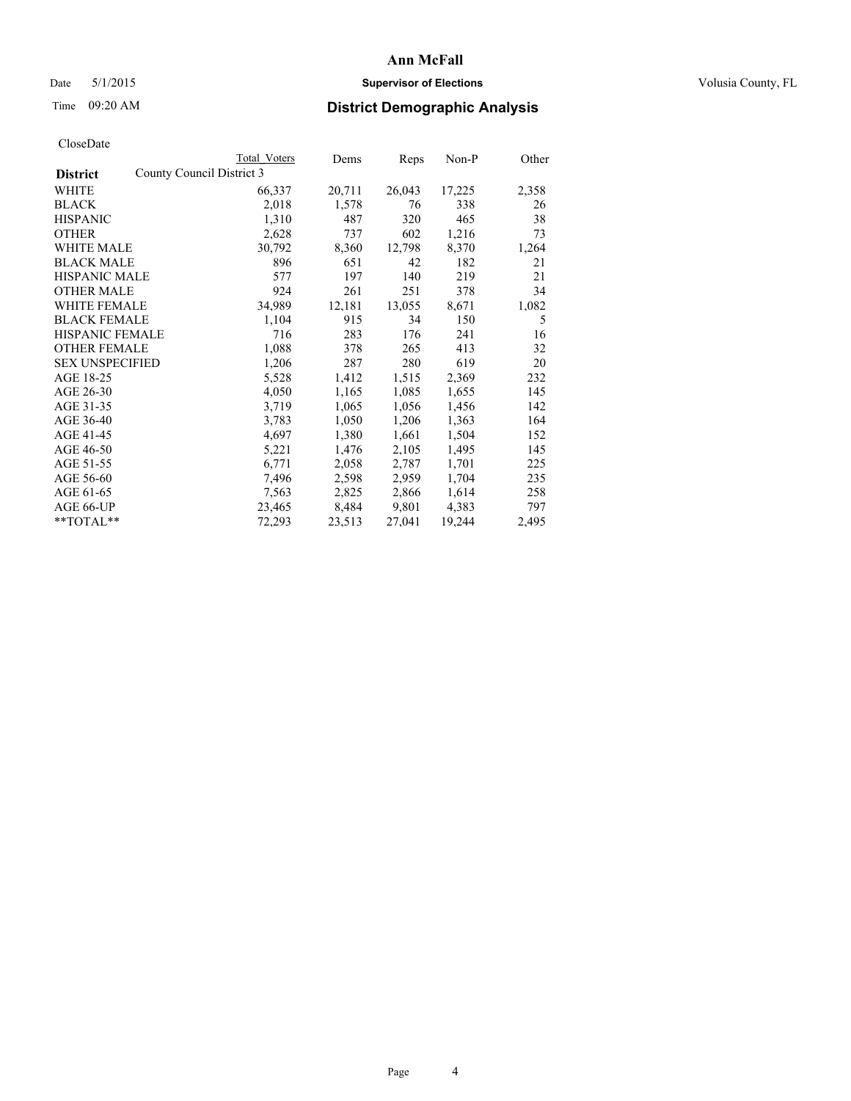# Date 5/1/2015 **Supervisor of Elections Supervisor of Elections** Volusia County, FL

|                        |                           | <b>Total Voters</b> | Dems   | Reps   | Non-P  | Other |
|------------------------|---------------------------|---------------------|--------|--------|--------|-------|
| <b>District</b>        | County Council District 3 |                     |        |        |        |       |
| WHITE                  |                           | 66,337              | 20,711 | 26,043 | 17,225 | 2,358 |
| <b>BLACK</b>           |                           | 2,018               | 1,578  | 76     | 338    | 26    |
| <b>HISPANIC</b>        |                           | 1,310               | 487    | 320    | 465    | 38    |
| <b>OTHER</b>           |                           | 2,628               | 737    | 602    | 1,216  | 73    |
| WHITE MALE             |                           | 30,792              | 8,360  | 12,798 | 8,370  | 1,264 |
| <b>BLACK MALE</b>      |                           | 896                 | 651    | 42     | 182    | 21    |
| <b>HISPANIC MALE</b>   |                           | 577                 | 197    | 140    | 219    | 21    |
| <b>OTHER MALE</b>      |                           | 924                 | 261    | 251    | 378    | 34    |
| <b>WHITE FEMALE</b>    |                           | 34,989              | 12,181 | 13,055 | 8,671  | 1,082 |
| <b>BLACK FEMALE</b>    |                           | 1,104               | 915    | 34     | 150    | 5     |
| HISPANIC FEMALE        |                           | 716                 | 283    | 176    | 241    | 16    |
| <b>OTHER FEMALE</b>    |                           | 1,088               | 378    | 265    | 413    | 32    |
| <b>SEX UNSPECIFIED</b> |                           | 1,206               | 287    | 280    | 619    | 20    |
| AGE 18-25              |                           | 5,528               | 1,412  | 1,515  | 2,369  | 232   |
| AGE 26-30              |                           | 4,050               | 1,165  | 1,085  | 1,655  | 145   |
| AGE 31-35              |                           | 3,719               | 1,065  | 1,056  | 1,456  | 142   |
| AGE 36-40              |                           | 3,783               | 1,050  | 1,206  | 1,363  | 164   |
| AGE 41-45              |                           | 4,697               | 1,380  | 1,661  | 1,504  | 152   |
| AGE 46-50              |                           | 5,221               | 1,476  | 2,105  | 1,495  | 145   |
| AGE 51-55              |                           | 6,771               | 2,058  | 2,787  | 1,701  | 225   |
| AGE 56-60              |                           | 7.496               | 2,598  | 2,959  | 1,704  | 235   |
| AGE 61-65              |                           | 7,563               | 2,825  | 2,866  | 1,614  | 258   |
| AGE 66-UP              |                           | 23,465              | 8,484  | 9,801  | 4,383  | 797   |
| **TOTAL**              |                           | 72,293              | 23,513 | 27,041 | 19,244 | 2,495 |
|                        |                           |                     |        |        |        |       |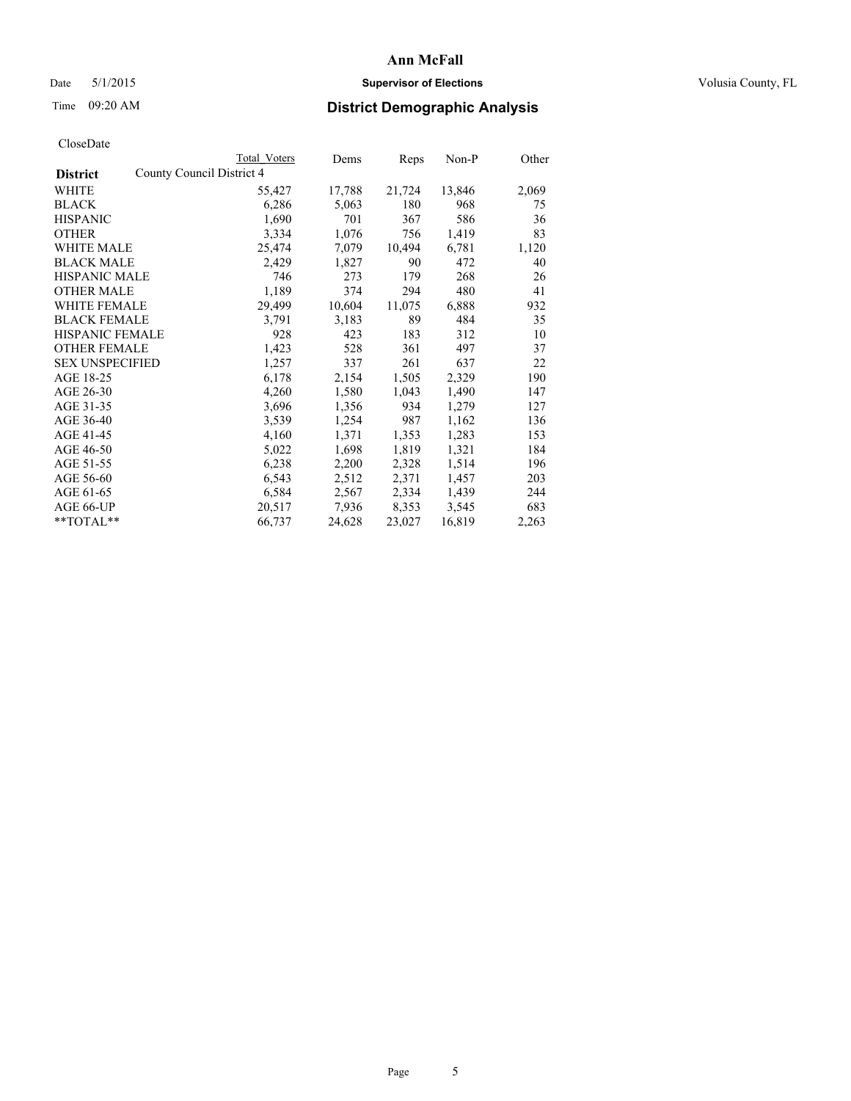# Date 5/1/2015 **Supervisor of Elections Supervisor of Elections** Volusia County, FL

|                        | Total Voters              | Dems   | Reps   | Non-P  | Other |
|------------------------|---------------------------|--------|--------|--------|-------|
| <b>District</b>        | County Council District 4 |        |        |        |       |
| <b>WHITE</b>           | 55,427                    | 17,788 | 21,724 | 13,846 | 2,069 |
| <b>BLACK</b>           | 6,286                     | 5,063  | 180    | 968    | 75    |
| <b>HISPANIC</b>        | 1,690                     | 701    | 367    | 586    | 36    |
| <b>OTHER</b>           | 3,334                     | 1,076  | 756    | 1,419  | 83    |
| <b>WHITE MALE</b>      | 25,474                    | 7,079  | 10,494 | 6,781  | 1,120 |
| <b>BLACK MALE</b>      | 2,429                     | 1,827  | 90     | 472    | 40    |
| <b>HISPANIC MALE</b>   | 746                       | 273    | 179    | 268    | 26    |
| <b>OTHER MALE</b>      | 1,189                     | 374    | 294    | 480    | 41    |
| WHITE FEMALE           | 29,499                    | 10,604 | 11,075 | 6,888  | 932   |
| <b>BLACK FEMALE</b>    | 3,791                     | 3,183  | 89     | 484    | 35    |
| HISPANIC FEMALE        | 928                       | 423    | 183    | 312    | 10    |
| <b>OTHER FEMALE</b>    | 1,423                     | 528    | 361    | 497    | 37    |
| <b>SEX UNSPECIFIED</b> | 1,257                     | 337    | 261    | 637    | 22    |
| AGE 18-25              | 6,178                     | 2,154  | 1,505  | 2,329  | 190   |
| AGE 26-30              | 4,260                     | 1,580  | 1,043  | 1,490  | 147   |
| AGE 31-35              | 3,696                     | 1,356  | 934    | 1,279  | 127   |
| AGE 36-40              | 3,539                     | 1,254  | 987    | 1,162  | 136   |
| AGE 41-45              | 4,160                     | 1,371  | 1,353  | 1,283  | 153   |
| AGE 46-50              | 5,022                     | 1,698  | 1,819  | 1,321  | 184   |
| AGE 51-55              | 6,238                     | 2,200  | 2,328  | 1,514  | 196   |
| AGE 56-60              | 6,543                     | 2,512  | 2,371  | 1,457  | 203   |
| AGE 61-65              | 6,584                     | 2,567  | 2,334  | 1,439  | 244   |
| AGE 66-UP              | 20,517                    | 7,936  | 8,353  | 3,545  | 683   |
| $*$ TOTAL $*$          | 66,737                    | 24,628 | 23,027 | 16,819 | 2,263 |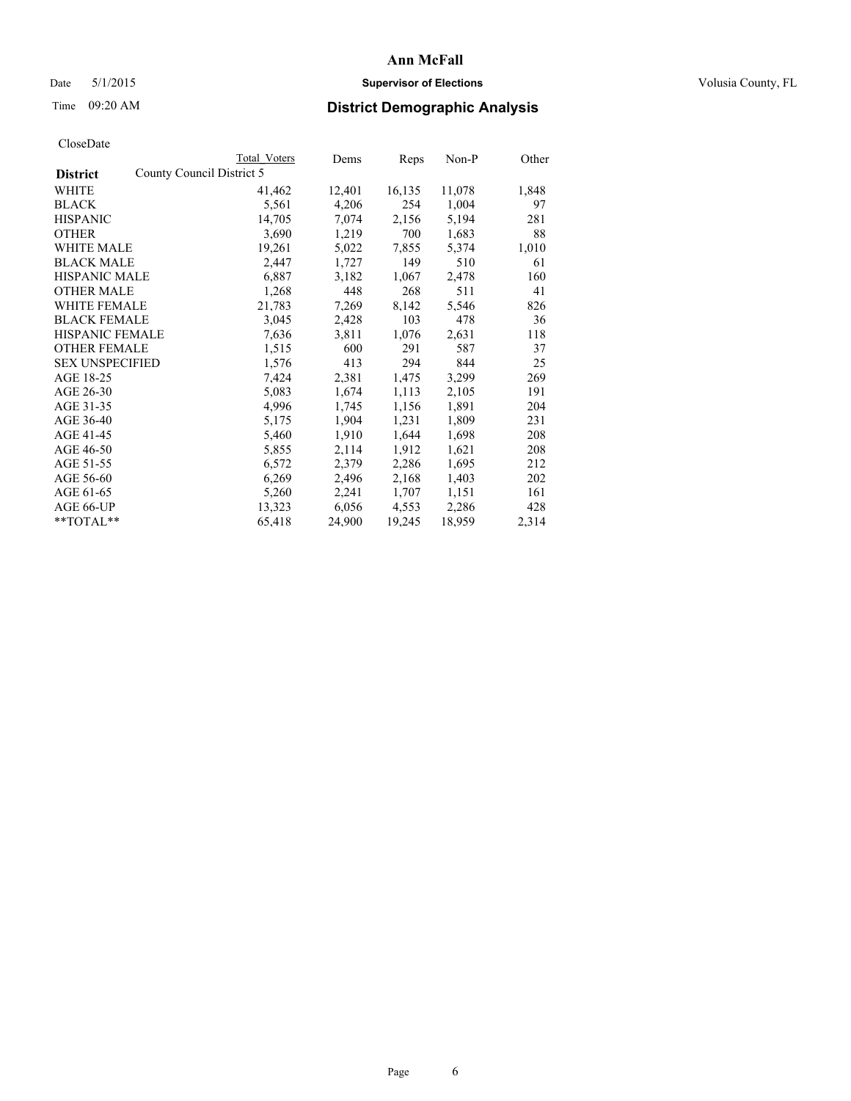# Date 5/1/2015 **Supervisor of Elections Supervisor of Elections** Volusia County, FL

|                                              | <b>Total Voters</b> | Dems   | Reps   | Non-P  | Other |
|----------------------------------------------|---------------------|--------|--------|--------|-------|
| County Council District 5<br><b>District</b> |                     |        |        |        |       |
| WHITE                                        | 41,462              | 12,401 | 16,135 | 11,078 | 1,848 |
| <b>BLACK</b>                                 | 5,561               | 4,206  | 254    | 1,004  | 97    |
| <b>HISPANIC</b>                              | 14,705              | 7,074  | 2,156  | 5,194  | 281   |
| <b>OTHER</b>                                 | 3,690               | 1,219  | 700    | 1,683  | 88    |
| <b>WHITE MALE</b>                            | 19,261              | 5,022  | 7,855  | 5,374  | 1,010 |
| <b>BLACK MALE</b>                            | 2,447               | 1,727  | 149    | 510    | 61    |
| <b>HISPANIC MALE</b>                         | 6,887               | 3,182  | 1,067  | 2,478  | 160   |
| <b>OTHER MALE</b>                            | 1,268               | 448    | 268    | 511    | 41    |
| <b>WHITE FEMALE</b>                          | 21,783              | 7.269  | 8,142  | 5,546  | 826   |
| <b>BLACK FEMALE</b>                          | 3,045               | 2,428  | 103    | 478    | 36    |
| HISPANIC FEMALE                              | 7,636               | 3,811  | 1,076  | 2,631  | 118   |
| <b>OTHER FEMALE</b>                          | 1,515               | 600    | 291    | 587    | 37    |
| <b>SEX UNSPECIFIED</b>                       | 1,576               | 413    | 294    | 844    | 25    |
| AGE 18-25                                    | 7,424               | 2,381  | 1,475  | 3,299  | 269   |
| AGE 26-30                                    | 5,083               | 1,674  | 1,113  | 2,105  | 191   |
| AGE 31-35                                    | 4,996               | 1,745  | 1,156  | 1,891  | 204   |
| AGE 36-40                                    | 5,175               | 1,904  | 1,231  | 1,809  | 231   |
| AGE 41-45                                    | 5,460               | 1,910  | 1,644  | 1,698  | 208   |
| AGE 46-50                                    | 5,855               | 2,114  | 1,912  | 1,621  | 208   |
| AGE 51-55                                    | 6,572               | 2,379  | 2,286  | 1,695  | 212   |
| AGE 56-60                                    | 6,269               | 2,496  | 2,168  | 1,403  | 202   |
| AGE 61-65                                    | 5,260               | 2,241  | 1,707  | 1,151  | 161   |
| AGE 66-UP                                    | 13,323              | 6,056  | 4,553  | 2,286  | 428   |
| $*$ TOTAL $*$                                | 65,418              | 24,900 | 19,245 | 18,959 | 2,314 |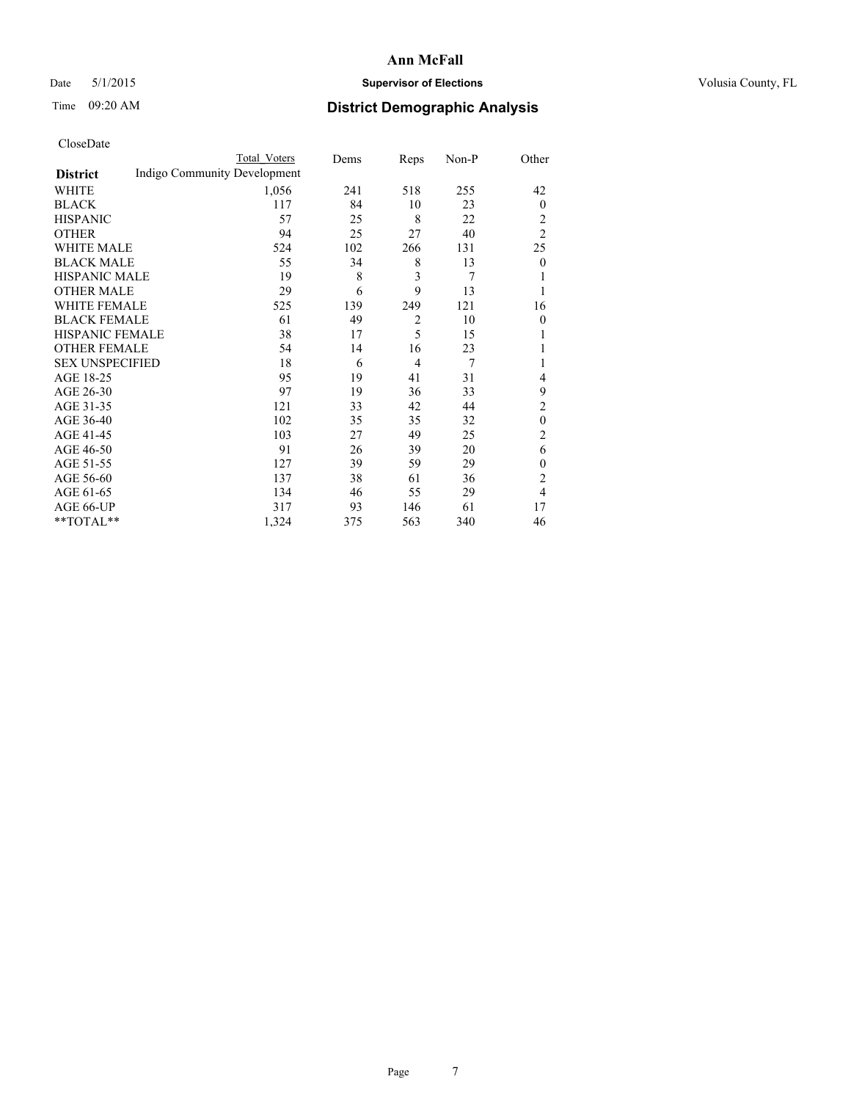# Date 5/1/2015 **Supervisor of Elections Supervisor of Elections** Volusia County, FL

# Time 09:20 AM **District Demographic Analysis**

|                        |                              | Total Voters | Dems | Reps           | Non-P | Other          |
|------------------------|------------------------------|--------------|------|----------------|-------|----------------|
| <b>District</b>        | Indigo Community Development |              |      |                |       |                |
| WHITE                  |                              | 1,056        | 241  | 518            | 255   | 42             |
| <b>BLACK</b>           |                              | 117          | 84   | 10             | 23    | $\mathbf{0}$   |
| <b>HISPANIC</b>        |                              | 57           | 25   | 8              | 22    | 2              |
| <b>OTHER</b>           |                              | 94           | 25   | 27             | 40    | $\overline{2}$ |
| WHITE MALE             |                              | 524          | 102  | 266            | 131   | 25             |
| <b>BLACK MALE</b>      |                              | 55           | 34   | 8              | 13    | $\mathbf{0}$   |
| <b>HISPANIC MALE</b>   |                              | 19           | 8    | 3              | 7     |                |
| <b>OTHER MALE</b>      |                              | 29           | 6    | 9              | 13    | 1              |
| WHITE FEMALE           |                              | 525          | 139  | 249            | 121   | 16             |
| <b>BLACK FEMALE</b>    |                              | 61           | 49   | $\overline{2}$ | 10    | $\theta$       |
| <b>HISPANIC FEMALE</b> |                              | 38           | 17   | 5              | 15    |                |
| <b>OTHER FEMALE</b>    |                              | 54           | 14   | 16             | 23    |                |
| <b>SEX UNSPECIFIED</b> |                              | 18           | 6    | $\overline{4}$ | 7     |                |
| AGE 18-25              |                              | 95           | 19   | 41             | 31    | 4              |
| AGE 26-30              |                              | 97           | 19   | 36             | 33    | 9              |
| AGE 31-35              |                              | 121          | 33   | 42             | 44    | $\overline{c}$ |
| AGE 36-40              |                              | 102          | 35   | 35             | 32    | $\mathbf{0}$   |
| AGE 41-45              |                              | 103          | 27   | 49             | 25    | $\overline{c}$ |
| AGE 46-50              |                              | 91           | 26   | 39             | 20    | 6              |
| AGE 51-55              |                              | 127          | 39   | 59             | 29    | $\mathbf{0}$   |
| AGE 56-60              |                              | 137          | 38   | 61             | 36    | $\overline{c}$ |
| AGE 61-65              |                              | 134          | 46   | 55             | 29    | 4              |
| AGE 66-UP              |                              | 317          | 93   | 146            | 61    | 17             |
| **TOTAL**              |                              | 1,324        | 375  | 563            | 340   | 46             |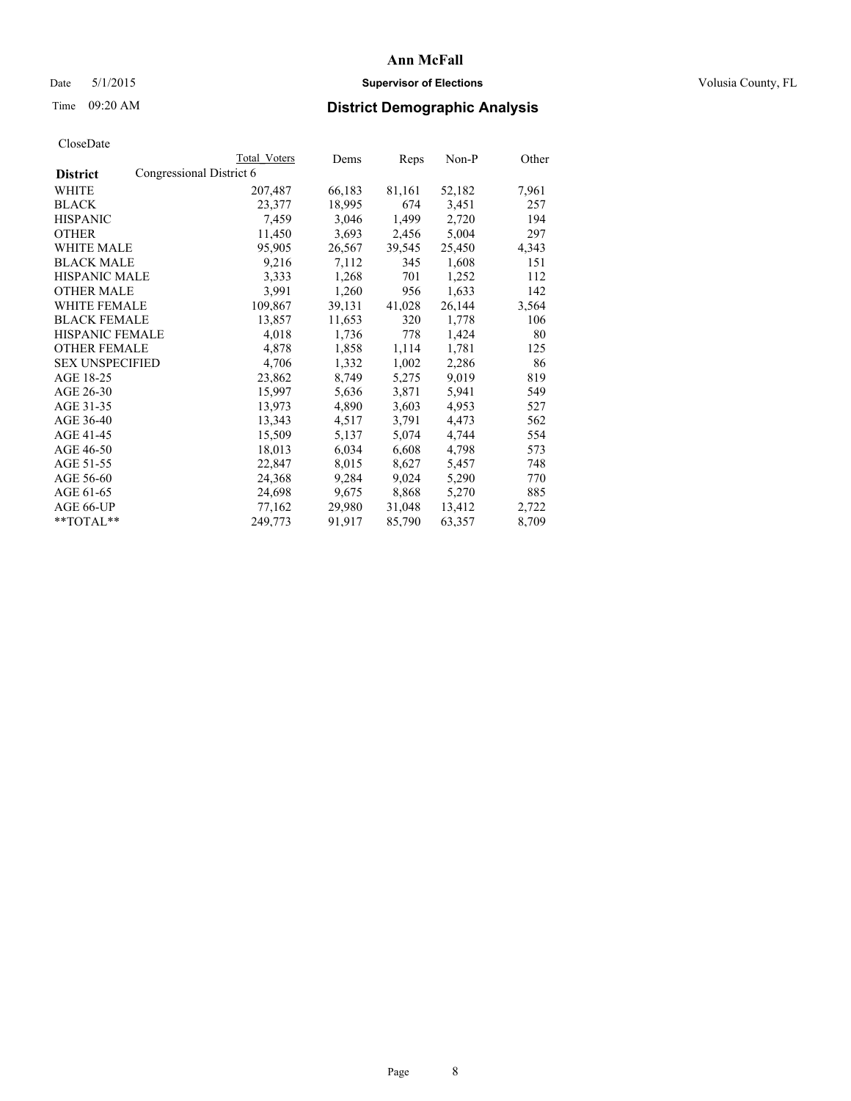# Date 5/1/2015 **Supervisor of Elections Supervisor of Elections** Volusia County, FL

# Time 09:20 AM **District Demographic Analysis**

|                        |                          | Total Voters | Dems   | Reps   | Non-P  | Other |
|------------------------|--------------------------|--------------|--------|--------|--------|-------|
| <b>District</b>        | Congressional District 6 |              |        |        |        |       |
| WHITE                  |                          | 207,487      | 66,183 | 81,161 | 52,182 | 7,961 |
| <b>BLACK</b>           |                          | 23,377       | 18,995 | 674    | 3,451  | 257   |
| <b>HISPANIC</b>        |                          | 7,459        | 3,046  | 1,499  | 2,720  | 194   |
| <b>OTHER</b>           |                          | 11,450       | 3,693  | 2,456  | 5,004  | 297   |
| <b>WHITE MALE</b>      |                          | 95,905       | 26,567 | 39,545 | 25,450 | 4,343 |
| <b>BLACK MALE</b>      |                          | 9,216        | 7,112  | 345    | 1,608  | 151   |
| <b>HISPANIC MALE</b>   |                          | 3,333        | 1,268  | 701    | 1,252  | 112   |
| <b>OTHER MALE</b>      |                          | 3.991        | 1,260  | 956    | 1,633  | 142   |
| <b>WHITE FEMALE</b>    |                          | 109,867      | 39,131 | 41,028 | 26,144 | 3,564 |
| <b>BLACK FEMALE</b>    |                          | 13,857       | 11,653 | 320    | 1,778  | 106   |
| HISPANIC FEMALE        |                          | 4,018        | 1,736  | 778    | 1,424  | 80    |
| <b>OTHER FEMALE</b>    |                          | 4,878        | 1,858  | 1,114  | 1,781  | 125   |
| <b>SEX UNSPECIFIED</b> |                          | 4,706        | 1,332  | 1,002  | 2,286  | 86    |
| AGE 18-25              |                          | 23,862       | 8,749  | 5,275  | 9,019  | 819   |
| AGE 26-30              |                          | 15,997       | 5,636  | 3,871  | 5,941  | 549   |
| AGE 31-35              |                          | 13,973       | 4,890  | 3,603  | 4,953  | 527   |
| AGE 36-40              |                          | 13,343       | 4,517  | 3,791  | 4,473  | 562   |
| AGE 41-45              |                          | 15,509       | 5,137  | 5,074  | 4,744  | 554   |
| AGE 46-50              |                          | 18,013       | 6,034  | 6,608  | 4,798  | 573   |
| AGE 51-55              |                          | 22,847       | 8,015  | 8,627  | 5,457  | 748   |
| AGE 56-60              |                          | 24,368       | 9,284  | 9,024  | 5,290  | 770   |
| AGE 61-65              |                          | 24,698       | 9,675  | 8,868  | 5,270  | 885   |
| AGE 66-UP              |                          | 77,162       | 29,980 | 31,048 | 13,412 | 2,722 |
| **TOTAL**              |                          | 249,773      | 91,917 | 85,790 | 63,357 | 8,709 |
|                        |                          |              |        |        |        |       |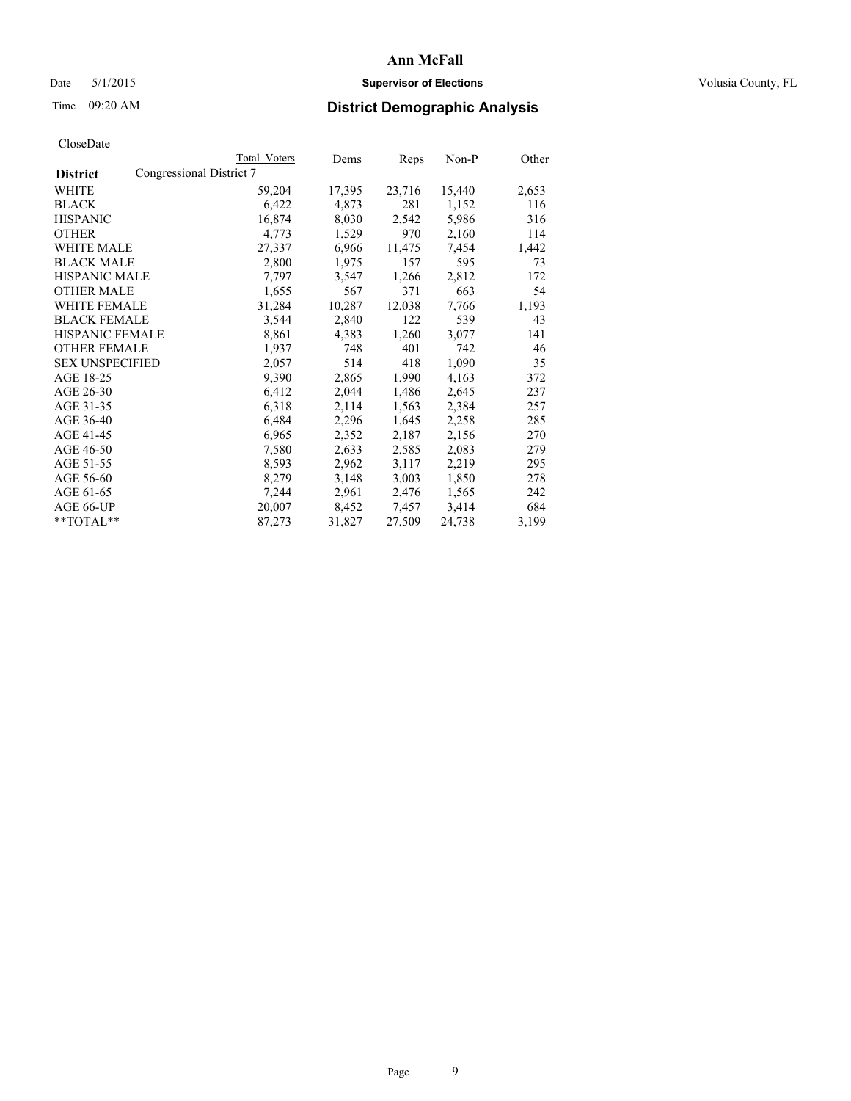# Date 5/1/2015 **Supervisor of Elections Supervisor of Elections** Volusia County, FL

# Time 09:20 AM **District Demographic Analysis**

|                        |                          | Total Voters | Dems   | Reps   | Non-P  | Other |
|------------------------|--------------------------|--------------|--------|--------|--------|-------|
| <b>District</b>        | Congressional District 7 |              |        |        |        |       |
| WHITE                  |                          | 59,204       | 17,395 | 23,716 | 15,440 | 2,653 |
| <b>BLACK</b>           |                          | 6,422        | 4,873  | 281    | 1,152  | 116   |
| <b>HISPANIC</b>        |                          | 16,874       | 8,030  | 2,542  | 5,986  | 316   |
| <b>OTHER</b>           |                          | 4,773        | 1,529  | 970    | 2,160  | 114   |
| <b>WHITE MALE</b>      |                          | 27,337       | 6,966  | 11,475 | 7,454  | 1,442 |
| <b>BLACK MALE</b>      |                          | 2,800        | 1,975  | 157    | 595    | 73    |
| <b>HISPANIC MALE</b>   |                          | 7,797        | 3,547  | 1,266  | 2,812  | 172   |
| <b>OTHER MALE</b>      |                          | 1,655        | 567    | 371    | 663    | 54    |
| <b>WHITE FEMALE</b>    |                          | 31,284       | 10,287 | 12,038 | 7,766  | 1,193 |
| <b>BLACK FEMALE</b>    |                          | 3,544        | 2,840  | 122    | 539    | 43    |
| <b>HISPANIC FEMALE</b> |                          | 8,861        | 4,383  | 1,260  | 3,077  | 141   |
| <b>OTHER FEMALE</b>    |                          | 1,937        | 748    | 401    | 742    | 46    |
| <b>SEX UNSPECIFIED</b> |                          | 2,057        | 514    | 418    | 1,090  | 35    |
| AGE 18-25              |                          | 9,390        | 2,865  | 1,990  | 4,163  | 372   |
| AGE 26-30              |                          | 6,412        | 2,044  | 1,486  | 2,645  | 237   |
| AGE 31-35              |                          | 6,318        | 2,114  | 1,563  | 2,384  | 257   |
| AGE 36-40              |                          | 6,484        | 2,296  | 1,645  | 2,258  | 285   |
| AGE 41-45              |                          | 6,965        | 2,352  | 2,187  | 2,156  | 270   |
| AGE 46-50              |                          | 7,580        | 2,633  | 2,585  | 2,083  | 279   |
| AGE 51-55              |                          | 8,593        | 2,962  | 3,117  | 2,219  | 295   |
| AGE 56-60              |                          | 8,279        | 3,148  | 3,003  | 1,850  | 278   |
| AGE 61-65              |                          | 7,244        | 2,961  | 2,476  | 1,565  | 242   |
| AGE 66-UP              |                          | 20,007       | 8,452  | 7,457  | 3,414  | 684   |
| $*$ TOTAL $*$          |                          | 87,273       | 31,827 | 27,509 | 24,738 | 3,199 |
|                        |                          |              |        |        |        |       |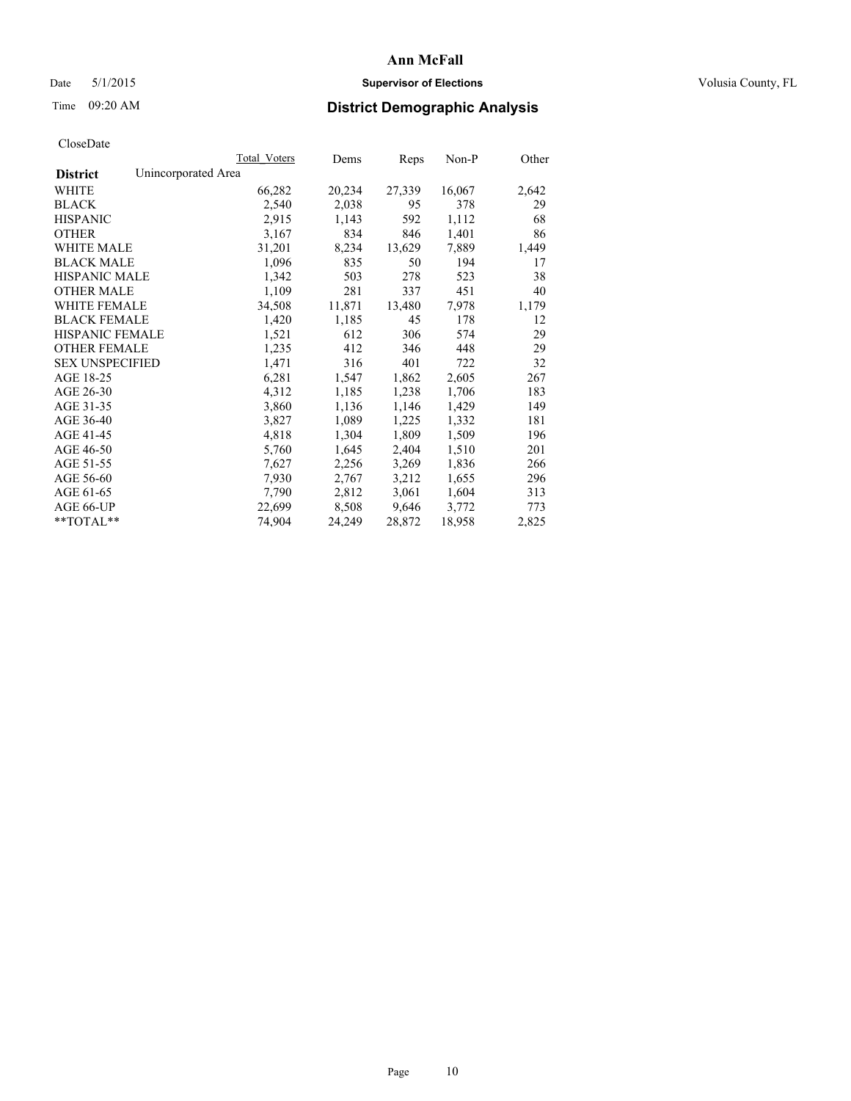# Date 5/1/2015 **Supervisor of Elections Supervisor of Elections** Volusia County, FL

# Time 09:20 AM **District Demographic Analysis**

|                        |                     | Total Voters | Dems   | Reps   | Non-P  | Other |
|------------------------|---------------------|--------------|--------|--------|--------|-------|
| <b>District</b>        | Unincorporated Area |              |        |        |        |       |
| WHITE                  |                     | 66,282       | 20,234 | 27,339 | 16,067 | 2,642 |
| <b>BLACK</b>           |                     | 2,540        | 2,038  | 95     | 378    | 29    |
| <b>HISPANIC</b>        |                     | 2,915        | 1,143  | 592    | 1,112  | 68    |
| <b>OTHER</b>           |                     | 3,167        | 834    | 846    | 1,401  | 86    |
| WHITE MALE             |                     | 31,201       | 8,234  | 13,629 | 7,889  | 1,449 |
| <b>BLACK MALE</b>      |                     | 1,096        | 835    | 50     | 194    | 17    |
| <b>HISPANIC MALE</b>   |                     | 1,342        | 503    | 278    | 523    | 38    |
| <b>OTHER MALE</b>      |                     | 1,109        | 281    | 337    | 451    | 40    |
| <b>WHITE FEMALE</b>    |                     | 34,508       | 11,871 | 13,480 | 7,978  | 1,179 |
| <b>BLACK FEMALE</b>    |                     | 1,420        | 1,185  | 45     | 178    | 12    |
| HISPANIC FEMALE        |                     | 1,521        | 612    | 306    | 574    | 29    |
| <b>OTHER FEMALE</b>    |                     | 1,235        | 412    | 346    | 448    | 29    |
| <b>SEX UNSPECIFIED</b> |                     | 1,471        | 316    | 401    | 722    | 32    |
| AGE 18-25              |                     | 6,281        | 1,547  | 1,862  | 2,605  | 267   |
| AGE 26-30              |                     | 4,312        | 1,185  | 1,238  | 1,706  | 183   |
| AGE 31-35              |                     | 3,860        | 1,136  | 1,146  | 1,429  | 149   |
| AGE 36-40              |                     | 3,827        | 1,089  | 1,225  | 1,332  | 181   |
| AGE 41-45              |                     | 4,818        | 1,304  | 1,809  | 1,509  | 196   |
| AGE 46-50              |                     | 5,760        | 1,645  | 2,404  | 1,510  | 201   |
| AGE 51-55              |                     | 7,627        | 2,256  | 3,269  | 1,836  | 266   |
| AGE 56-60              |                     | 7,930        | 2,767  | 3,212  | 1,655  | 296   |
| AGE 61-65              |                     | 7,790        | 2,812  | 3,061  | 1,604  | 313   |
| AGE 66-UP              |                     | 22,699       | 8,508  | 9,646  | 3,772  | 773   |
| **TOTAL**              |                     | 74,904       | 24,249 | 28,872 | 18,958 | 2,825 |
|                        |                     |              |        |        |        |       |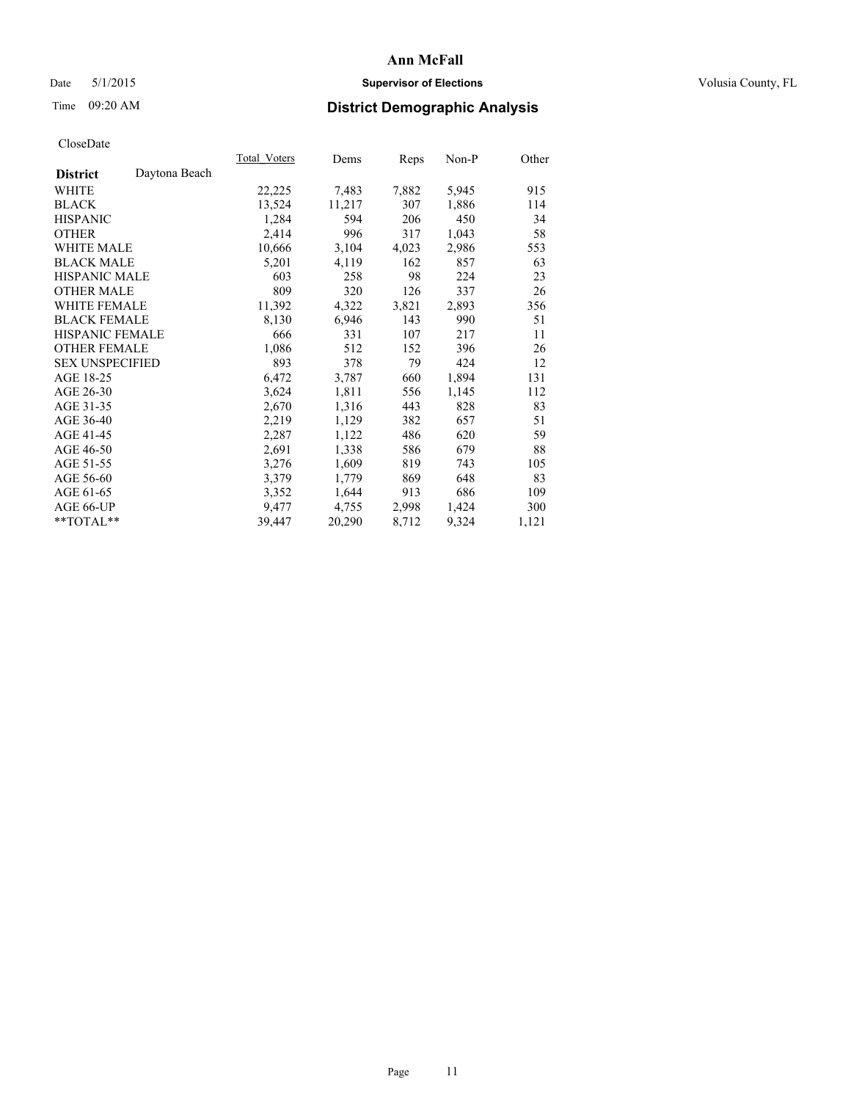# Date 5/1/2015 **Supervisor of Elections Supervisor of Elections** Volusia County, FL

# Time 09:20 AM **District Demographic Analysis**

|                                  | Total Voters | Dems   | Reps  | Non-P | Other |
|----------------------------------|--------------|--------|-------|-------|-------|
| Daytona Beach<br><b>District</b> |              |        |       |       |       |
| WHITE                            | 22,225       | 7,483  | 7,882 | 5,945 | 915   |
| <b>BLACK</b>                     | 13,524       | 11,217 | 307   | 1,886 | 114   |
| <b>HISPANIC</b>                  | 1,284        | 594    | 206   | 450   | 34    |
| <b>OTHER</b>                     | 2,414        | 996    | 317   | 1,043 | 58    |
| WHITE MALE                       | 10,666       | 3,104  | 4,023 | 2,986 | 553   |
| <b>BLACK MALE</b>                | 5,201        | 4,119  | 162   | 857   | 63    |
| <b>HISPANIC MALE</b>             | 603          | 258    | 98    | 224   | 23    |
| <b>OTHER MALE</b>                | 809          | 320    | 126   | 337   | 26    |
| <b>WHITE FEMALE</b>              | 11,392       | 4,322  | 3,821 | 2,893 | 356   |
| <b>BLACK FEMALE</b>              | 8,130        | 6,946  | 143   | 990   | 51    |
| <b>HISPANIC FEMALE</b>           | 666          | 331    | 107   | 217   | 11    |
| <b>OTHER FEMALE</b>              | 1,086        | 512    | 152   | 396   | 26    |
| <b>SEX UNSPECIFIED</b>           | 893          | 378    | 79    | 424   | 12    |
| AGE 18-25                        | 6,472        | 3,787  | 660   | 1,894 | 131   |
| AGE 26-30                        | 3,624        | 1,811  | 556   | 1,145 | 112   |
| AGE 31-35                        | 2,670        | 1,316  | 443   | 828   | 83    |
| AGE 36-40                        | 2,219        | 1,129  | 382   | 657   | 51    |
| AGE 41-45                        | 2,287        | 1,122  | 486   | 620   | 59    |
| AGE 46-50                        | 2,691        | 1,338  | 586   | 679   | 88    |
| AGE 51-55                        | 3,276        | 1,609  | 819   | 743   | 105   |
| AGE 56-60                        | 3,379        | 1,779  | 869   | 648   | 83    |
| AGE 61-65                        | 3,352        | 1,644  | 913   | 686   | 109   |
| AGE 66-UP                        | 9,477        | 4,755  | 2,998 | 1,424 | 300   |
| $*$ TOTAL $*$                    | 39,447       | 20,290 | 8,712 | 9,324 | 1,121 |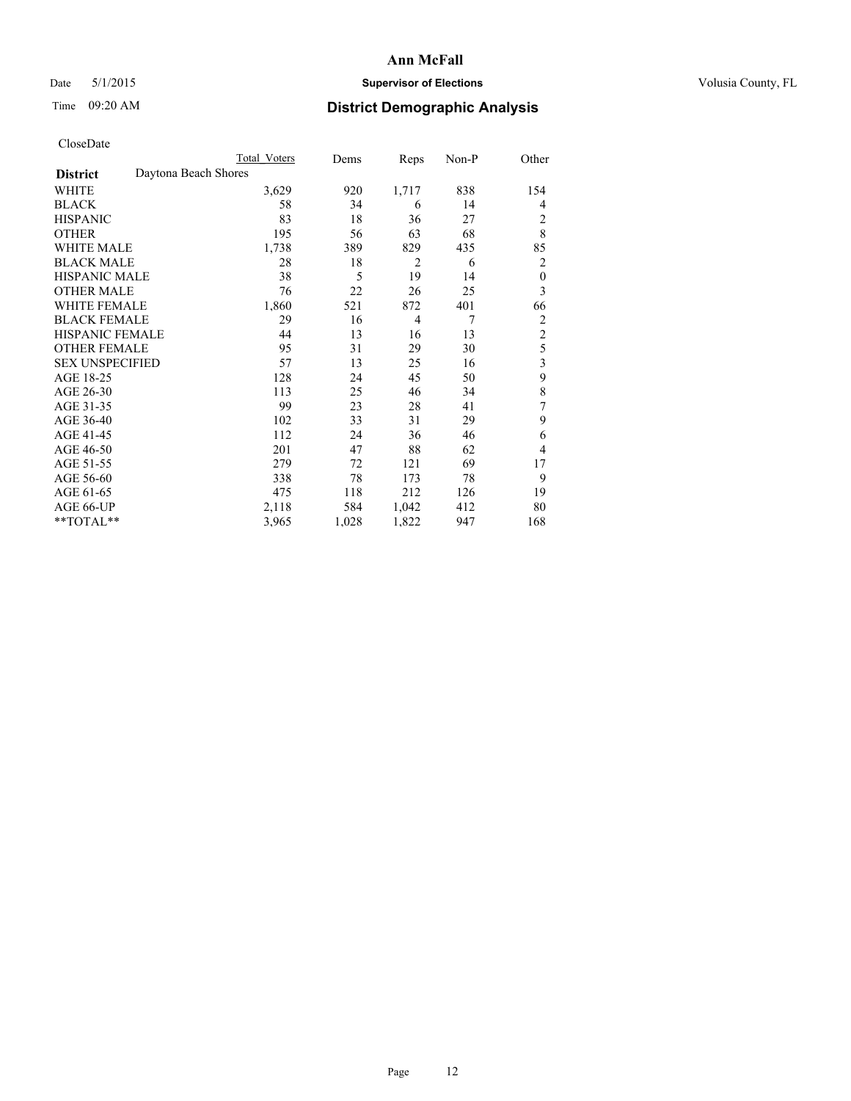# Date 5/1/2015 **Supervisor of Elections Supervisor of Elections** Volusia County, FL

# Time 09:20 AM **District Demographic Analysis**

|                        |                      | Total Voters | Dems  | Reps           | Non-P | Other            |
|------------------------|----------------------|--------------|-------|----------------|-------|------------------|
| <b>District</b>        | Daytona Beach Shores |              |       |                |       |                  |
| WHITE                  |                      | 3,629        | 920   | 1,717          | 838   | 154              |
| <b>BLACK</b>           |                      | 58           | 34    | 6              | 14    | 4                |
| <b>HISPANIC</b>        |                      | 83           | 18    | 36             | 27    | 2                |
| <b>OTHER</b>           |                      | 195          | 56    | 63             | 68    | 8                |
| WHITE MALE             |                      | 1,738        | 389   | 829            | 435   | 85               |
| <b>BLACK MALE</b>      |                      | 28           | 18    | $\overline{2}$ | 6     | 2                |
| <b>HISPANIC MALE</b>   |                      | 38           | 5     | 19             | 14    | $\boldsymbol{0}$ |
| <b>OTHER MALE</b>      |                      | 76           | 22    | 26             | 25    | 3                |
| <b>WHITE FEMALE</b>    |                      | 1,860        | 521   | 872            | 401   | 66               |
| <b>BLACK FEMALE</b>    |                      | 29           | 16    | $\overline{4}$ | 7     | 2                |
| <b>HISPANIC FEMALE</b> |                      | 44           | 13    | 16             | 13    | $\overline{2}$   |
| <b>OTHER FEMALE</b>    |                      | 95           | 31    | 29             | 30    | 5                |
| <b>SEX UNSPECIFIED</b> |                      | 57           | 13    | 25             | 16    | 3                |
| AGE 18-25              |                      | 128          | 24    | 45             | 50    | 9                |
| AGE 26-30              |                      | 113          | 25    | 46             | 34    | 8                |
| AGE 31-35              |                      | 99           | 23    | 28             | 41    | 7                |
| AGE 36-40              |                      | 102          | 33    | 31             | 29    | 9                |
| AGE 41-45              |                      | 112          | 24    | 36             | 46    | 6                |
| AGE 46-50              |                      | 201          | 47    | 88             | 62    | 4                |
| AGE 51-55              |                      | 279          | 72    | 121            | 69    | 17               |
| AGE 56-60              |                      | 338          | 78    | 173            | 78    | 9                |
| AGE 61-65              |                      | 475          | 118   | 212            | 126   | 19               |
| AGE 66-UP              |                      | 2,118        | 584   | 1,042          | 412   | 80               |
| **TOTAL**              |                      | 3,965        | 1,028 | 1,822          | 947   | 168              |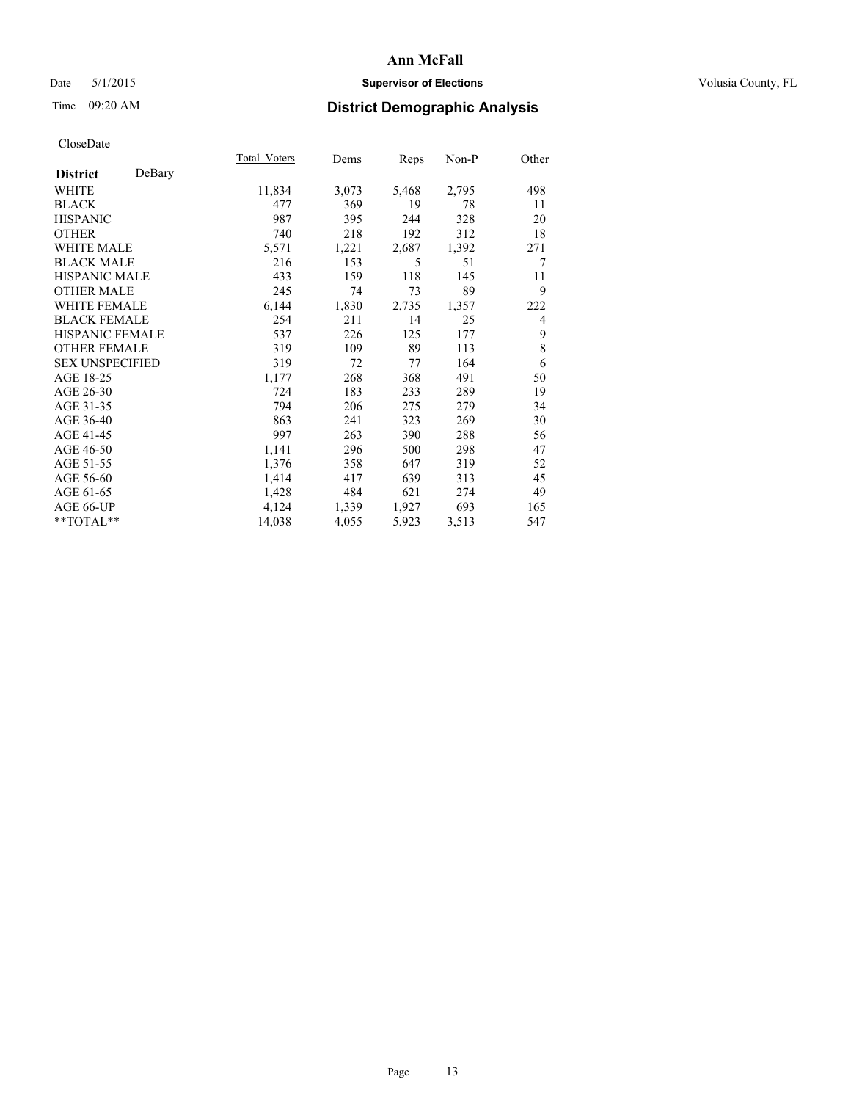# Date 5/1/2015 **Supervisor of Elections Supervisor of Elections** Volusia County, FL

# Time 09:20 AM **District Demographic Analysis**

|                        |        | <b>Total Voters</b> | Dems  | <b>Reps</b> | Non-P | Other |
|------------------------|--------|---------------------|-------|-------------|-------|-------|
| <b>District</b>        | DeBary |                     |       |             |       |       |
| WHITE                  |        | 11,834              | 3,073 | 5,468       | 2,795 | 498   |
| <b>BLACK</b>           |        | 477                 | 369   | 19          | 78    | 11    |
| <b>HISPANIC</b>        |        | 987                 | 395   | 244         | 328   | 20    |
| <b>OTHER</b>           |        | 740                 | 218   | 192         | 312   | 18    |
| WHITE MALE             |        | 5,571               | 1,221 | 2,687       | 1,392 | 271   |
| <b>BLACK MALE</b>      |        | 216                 | 153   | 5           | 51    | 7     |
| <b>HISPANIC MALE</b>   |        | 433                 | 159   | 118         | 145   | 11    |
| <b>OTHER MALE</b>      |        | 245                 | 74    | 73          | 89    | 9     |
| WHITE FEMALE           |        | 6,144               | 1,830 | 2,735       | 1,357 | 222   |
| <b>BLACK FEMALE</b>    |        | 254                 | 211   | 14          | 25    | 4     |
| <b>HISPANIC FEMALE</b> |        | 537                 | 226   | 125         | 177   | 9     |
| <b>OTHER FEMALE</b>    |        | 319                 | 109   | 89          | 113   | 8     |
| <b>SEX UNSPECIFIED</b> |        | 319                 | 72    | 77          | 164   | 6     |
| AGE 18-25              |        | 1,177               | 268   | 368         | 491   | 50    |
| AGE 26-30              |        | 724                 | 183   | 233         | 289   | 19    |
| AGE 31-35              |        | 794                 | 206   | 275         | 279   | 34    |
| AGE 36-40              |        | 863                 | 241   | 323         | 269   | 30    |
| AGE 41-45              |        | 997                 | 263   | 390         | 288   | 56    |
| AGE 46-50              |        | 1,141               | 296   | 500         | 298   | 47    |
| AGE 51-55              |        | 1,376               | 358   | 647         | 319   | 52    |
| AGE 56-60              |        | 1,414               | 417   | 639         | 313   | 45    |
| AGE 61-65              |        | 1,428               | 484   | 621         | 274   | 49    |
| AGE 66-UP              |        | 4,124               | 1,339 | 1,927       | 693   | 165   |
| $*$ TOTAL $*$          |        | 14,038              | 4,055 | 5,923       | 3,513 | 547   |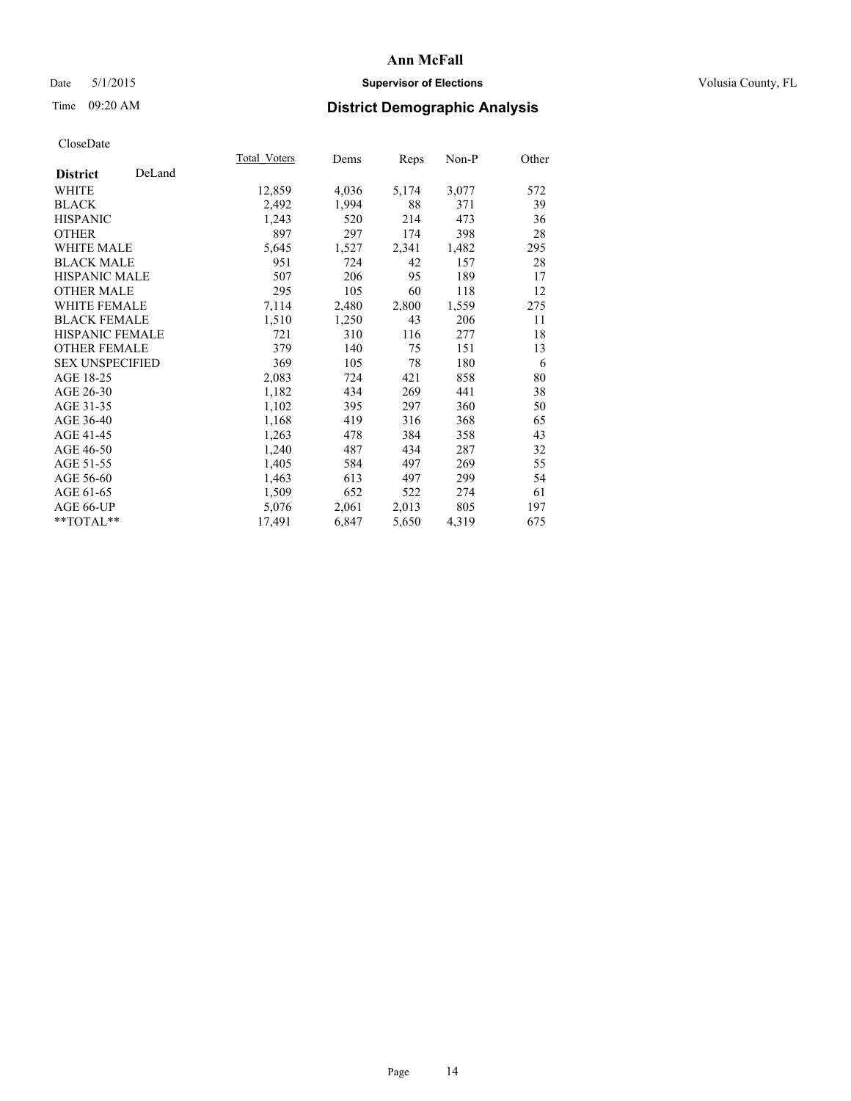# Date 5/1/2015 **Supervisor of Elections Supervisor of Elections** Volusia County, FL

# Time 09:20 AM **District Demographic Analysis**

|                        |        | Total Voters | Dems  | <b>Reps</b> | Non-P | Other |
|------------------------|--------|--------------|-------|-------------|-------|-------|
| <b>District</b>        | DeLand |              |       |             |       |       |
| WHITE                  |        | 12,859       | 4,036 | 5,174       | 3,077 | 572   |
| <b>BLACK</b>           |        | 2,492        | 1,994 | 88          | 371   | 39    |
| <b>HISPANIC</b>        |        | 1,243        | 520   | 214         | 473   | 36    |
| <b>OTHER</b>           |        | 897          | 297   | 174         | 398   | 28    |
| WHITE MALE             |        | 5,645        | 1,527 | 2,341       | 1,482 | 295   |
| <b>BLACK MALE</b>      |        | 951          | 724   | 42          | 157   | 28    |
| <b>HISPANIC MALE</b>   |        | 507          | 206   | 95          | 189   | 17    |
| <b>OTHER MALE</b>      |        | 295          | 105   | 60          | 118   | 12    |
| <b>WHITE FEMALE</b>    |        | 7,114        | 2,480 | 2,800       | 1,559 | 275   |
| <b>BLACK FEMALE</b>    |        | 1,510        | 1,250 | 43          | 206   | 11    |
| <b>HISPANIC FEMALE</b> |        | 721          | 310   | 116         | 277   | 18    |
| <b>OTHER FEMALE</b>    |        | 379          | 140   | 75          | 151   | 13    |
| <b>SEX UNSPECIFIED</b> |        | 369          | 105   | 78          | 180   | 6     |
| AGE 18-25              |        | 2,083        | 724   | 421         | 858   | 80    |
| AGE 26-30              |        | 1,182        | 434   | 269         | 441   | 38    |
| AGE 31-35              |        | 1,102        | 395   | 297         | 360   | 50    |
| AGE 36-40              |        | 1,168        | 419   | 316         | 368   | 65    |
| AGE 41-45              |        | 1,263        | 478   | 384         | 358   | 43    |
| AGE 46-50              |        | 1,240        | 487   | 434         | 287   | 32    |
| AGE 51-55              |        | 1,405        | 584   | 497         | 269   | 55    |
| AGE 56-60              |        | 1,463        | 613   | 497         | 299   | 54    |
| AGE 61-65              |        | 1,509        | 652   | 522         | 274   | 61    |
| AGE 66-UP              |        | 5,076        | 2,061 | 2,013       | 805   | 197   |
| **TOTAL**              |        | 17,491       | 6,847 | 5,650       | 4,319 | 675   |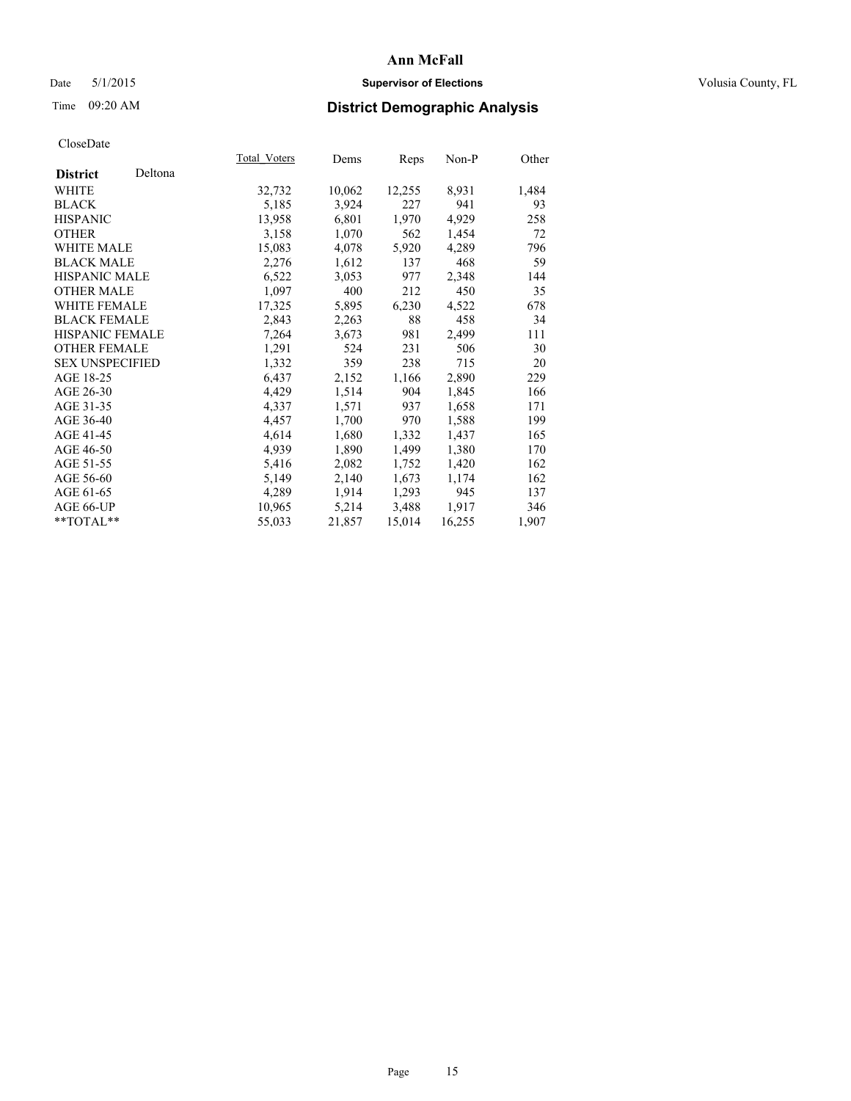# Date 5/1/2015 **Supervisor of Elections Supervisor of Elections** Volusia County, FL

# Time 09:20 AM **District Demographic Analysis**

|                        |         | <b>Total Voters</b> | Dems   | Reps   | Non-P  | Other |
|------------------------|---------|---------------------|--------|--------|--------|-------|
| <b>District</b>        | Deltona |                     |        |        |        |       |
| WHITE                  |         | 32,732              | 10,062 | 12,255 | 8,931  | 1,484 |
| <b>BLACK</b>           |         | 5,185               | 3,924  | 227    | 941    | 93    |
| <b>HISPANIC</b>        |         | 13,958              | 6,801  | 1,970  | 4,929  | 258   |
| <b>OTHER</b>           |         | 3,158               | 1,070  | 562    | 1,454  | 72    |
| WHITE MALE             |         | 15,083              | 4,078  | 5,920  | 4,289  | 796   |
| <b>BLACK MALE</b>      |         | 2,276               | 1,612  | 137    | 468    | 59    |
| <b>HISPANIC MALE</b>   |         | 6,522               | 3,053  | 977    | 2,348  | 144   |
| <b>OTHER MALE</b>      |         | 1,097               | 400    | 212    | 450    | 35    |
| <b>WHITE FEMALE</b>    |         | 17,325              | 5,895  | 6,230  | 4,522  | 678   |
| <b>BLACK FEMALE</b>    |         | 2,843               | 2,263  | 88     | 458    | 34    |
| <b>HISPANIC FEMALE</b> |         | 7,264               | 3,673  | 981    | 2,499  | 111   |
| <b>OTHER FEMALE</b>    |         | 1,291               | 524    | 231    | 506    | 30    |
| <b>SEX UNSPECIFIED</b> |         | 1,332               | 359    | 238    | 715    | 20    |
| AGE 18-25              |         | 6,437               | 2,152  | 1,166  | 2,890  | 229   |
| AGE 26-30              |         | 4,429               | 1,514  | 904    | 1,845  | 166   |
| AGE 31-35              |         | 4,337               | 1,571  | 937    | 1,658  | 171   |
| AGE 36-40              |         | 4,457               | 1,700  | 970    | 1,588  | 199   |
| AGE 41-45              |         | 4,614               | 1,680  | 1,332  | 1,437  | 165   |
| AGE 46-50              |         | 4,939               | 1,890  | 1,499  | 1,380  | 170   |
| AGE 51-55              |         | 5,416               | 2,082  | 1,752  | 1,420  | 162   |
| AGE 56-60              |         | 5,149               | 2,140  | 1,673  | 1,174  | 162   |
| AGE 61-65              |         | 4,289               | 1,914  | 1,293  | 945    | 137   |
| AGE 66-UP              |         | 10,965              | 5,214  | 3,488  | 1,917  | 346   |
| $*$ TOTAL $*$          |         | 55,033              | 21,857 | 15,014 | 16,255 | 1,907 |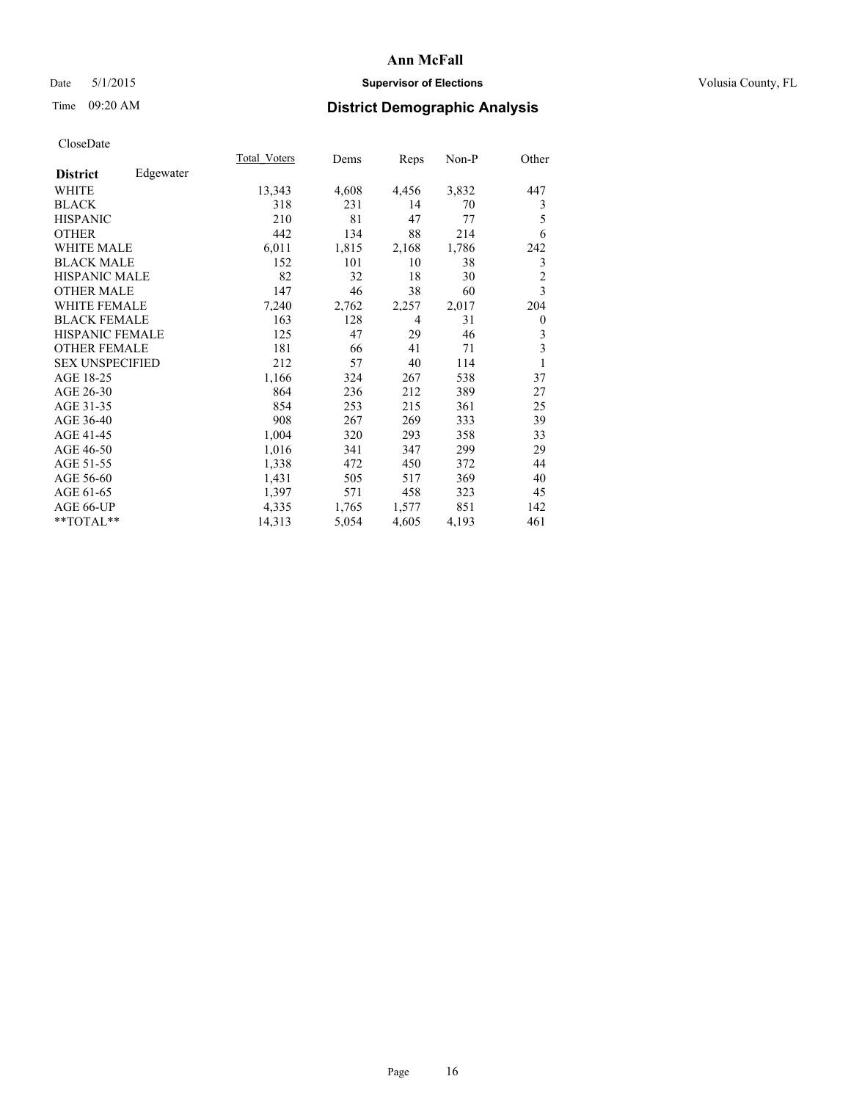# Date 5/1/2015 **Supervisor of Elections Supervisor of Elections** Volusia County, FL

# Time 09:20 AM **District Demographic Analysis**

|                        |           | Total Voters | Dems  | <b>Reps</b> | $Non-P$ | Other            |
|------------------------|-----------|--------------|-------|-------------|---------|------------------|
| <b>District</b>        | Edgewater |              |       |             |         |                  |
| WHITE                  |           | 13,343       | 4,608 | 4,456       | 3,832   | 447              |
| <b>BLACK</b>           |           | 318          | 231   | 14          | 70      | 3                |
| <b>HISPANIC</b>        |           | 210          | 81    | 47          | 77      | 5                |
| <b>OTHER</b>           |           | 442          | 134   | 88          | 214     | 6                |
| WHITE MALE             |           | 6,011        | 1,815 | 2,168       | 1,786   | 242              |
| <b>BLACK MALE</b>      |           | 152          | 101   | 10          | 38      | 3                |
| <b>HISPANIC MALE</b>   |           | 82           | 32    | 18          | 30      | $\overline{2}$   |
| <b>OTHER MALE</b>      |           | 147          | 46    | 38          | 60      | 3                |
| <b>WHITE FEMALE</b>    |           | 7,240        | 2,762 | 2,257       | 2,017   | 204              |
| <b>BLACK FEMALE</b>    |           | 163          | 128   | 4           | 31      | $\boldsymbol{0}$ |
| <b>HISPANIC FEMALE</b> |           | 125          | 47    | 29          | 46      | 3                |
| <b>OTHER FEMALE</b>    |           | 181          | 66    | 41          | 71      | 3                |
| <b>SEX UNSPECIFIED</b> |           | 212          | 57    | 40          | 114     | 1                |
| AGE 18-25              |           | 1,166        | 324   | 267         | 538     | 37               |
| AGE 26-30              |           | 864          | 236   | 212         | 389     | 27               |
| AGE 31-35              |           | 854          | 253   | 215         | 361     | 25               |
| AGE 36-40              |           | 908          | 267   | 269         | 333     | 39               |
| AGE 41-45              |           | 1,004        | 320   | 293         | 358     | 33               |
| AGE 46-50              |           | 1,016        | 341   | 347         | 299     | 29               |
| AGE 51-55              |           | 1,338        | 472   | 450         | 372     | 44               |
| AGE 56-60              |           | 1,431        | 505   | 517         | 369     | 40               |
| AGE 61-65              |           | 1,397        | 571   | 458         | 323     | 45               |
| AGE 66-UP              |           | 4,335        | 1,765 | 1,577       | 851     | 142              |
| **TOTAL**              |           | 14,313       | 5,054 | 4,605       | 4,193   | 461              |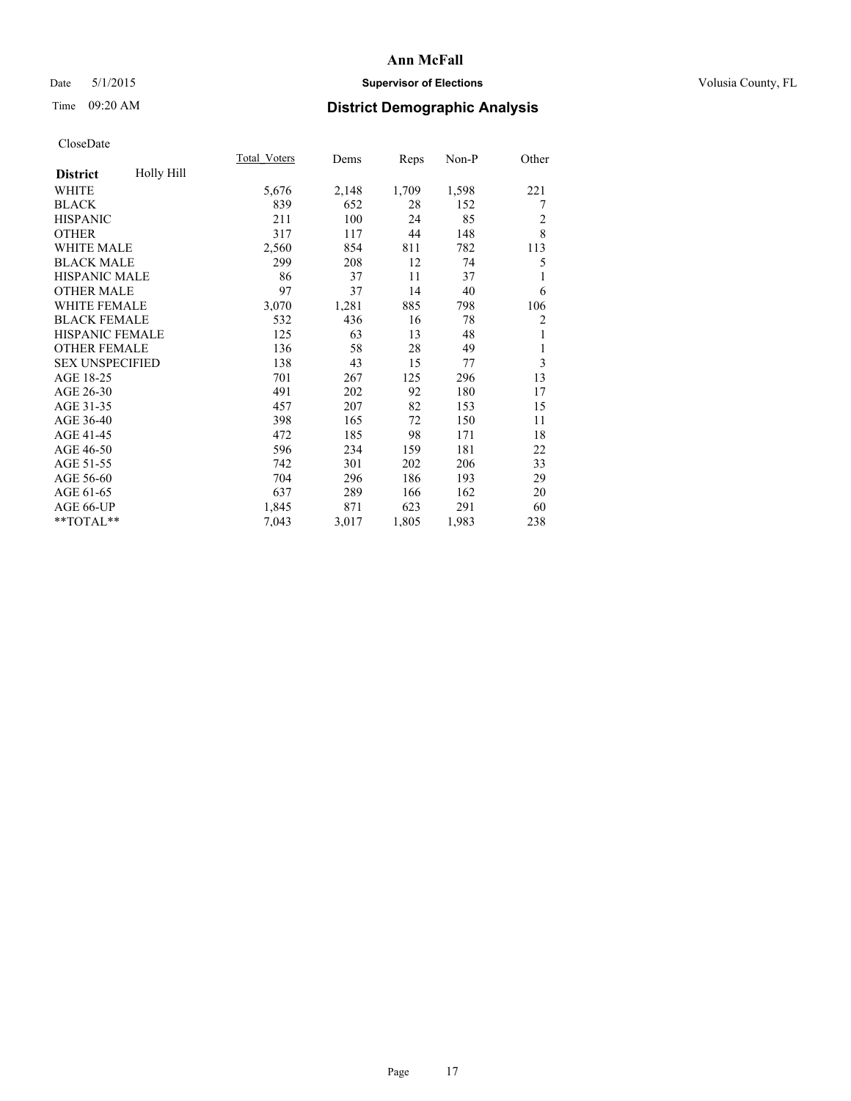# Date 5/1/2015 **Supervisor of Elections Supervisor of Elections** Volusia County, FL

# Time 09:20 AM **District Demographic Analysis**

|                        |            | Total Voters | Dems  | Reps  | $Non-P$ | Other          |
|------------------------|------------|--------------|-------|-------|---------|----------------|
| <b>District</b>        | Holly Hill |              |       |       |         |                |
| WHITE                  |            | 5,676        | 2,148 | 1,709 | 1,598   | 221            |
| <b>BLACK</b>           |            | 839          | 652   | 28    | 152     | 7              |
| <b>HISPANIC</b>        |            | 211          | 100   | 24    | 85      | 2              |
| <b>OTHER</b>           |            | 317          | 117   | 44    | 148     | 8              |
| WHITE MALE             |            | 2,560        | 854   | 811   | 782     | 113            |
| <b>BLACK MALE</b>      |            | 299          | 208   | 12    | 74      | 5              |
| <b>HISPANIC MALE</b>   |            | 86           | 37    | 11    | 37      | 1              |
| <b>OTHER MALE</b>      |            | 97           | 37    | 14    | 40      | 6              |
| WHITE FEMALE           |            | 3,070        | 1,281 | 885   | 798     | 106            |
| <b>BLACK FEMALE</b>    |            | 532          | 436   | 16    | 78      | $\overline{c}$ |
| <b>HISPANIC FEMALE</b> |            | 125          | 63    | 13    | 48      | 1              |
| <b>OTHER FEMALE</b>    |            | 136          | 58    | 28    | 49      | 1              |
| <b>SEX UNSPECIFIED</b> |            | 138          | 43    | 15    | 77      | 3              |
| AGE 18-25              |            | 701          | 267   | 125   | 296     | 13             |
| AGE 26-30              |            | 491          | 202   | 92    | 180     | 17             |
| AGE 31-35              |            | 457          | 207   | 82    | 153     | 15             |
| AGE 36-40              |            | 398          | 165   | 72    | 150     | 11             |
| AGE 41-45              |            | 472          | 185   | 98    | 171     | 18             |
| AGE 46-50              |            | 596          | 234   | 159   | 181     | 22             |
| AGE 51-55              |            | 742          | 301   | 202   | 206     | 33             |
| AGE 56-60              |            | 704          | 296   | 186   | 193     | 29             |
| AGE 61-65              |            | 637          | 289   | 166   | 162     | 20             |
| AGE 66-UP              |            | 1,845        | 871   | 623   | 291     | 60             |
| **TOTAL**              |            | 7,043        | 3,017 | 1,805 | 1,983   | 238            |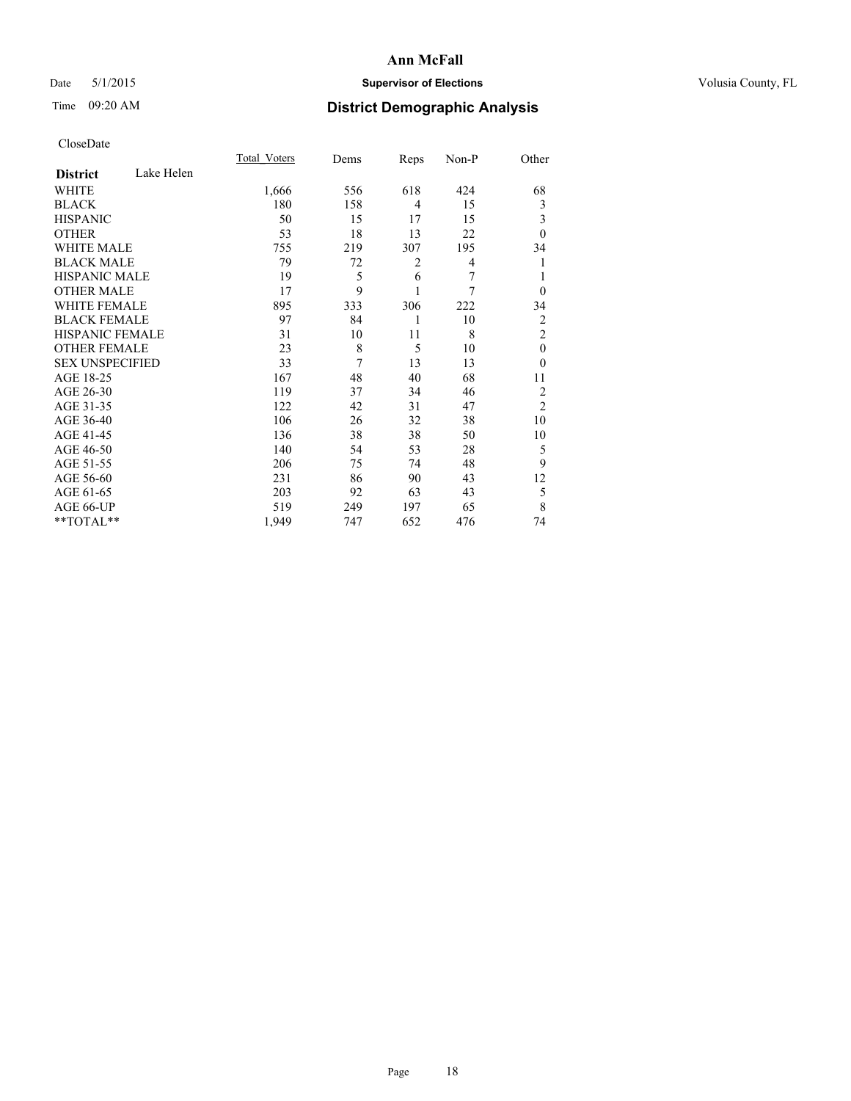# Date 5/1/2015 **Supervisor of Elections Supervisor of Elections** Volusia County, FL

# Time 09:20 AM **District Demographic Analysis**

|                        |            | <b>Total Voters</b> | Dems | Reps           | Non-P | Other          |
|------------------------|------------|---------------------|------|----------------|-------|----------------|
| <b>District</b>        | Lake Helen |                     |      |                |       |                |
| WHITE                  |            | 1,666               | 556  | 618            | 424   | 68             |
| <b>BLACK</b>           |            | 180                 | 158  | $\overline{4}$ | 15    | 3              |
| <b>HISPANIC</b>        |            | 50                  | 15   | 17             | 15    | 3              |
| <b>OTHER</b>           |            | 53                  | 18   | 13             | 22    | $\theta$       |
| <b>WHITE MALE</b>      |            | 755                 | 219  | 307            | 195   | 34             |
| <b>BLACK MALE</b>      |            | 79                  | 72   | 2              | 4     | 1              |
| <b>HISPANIC MALE</b>   |            | 19                  | 5    | 6              | 7     | 1              |
| <b>OTHER MALE</b>      |            | 17                  | 9    | 1              | 7     | $\overline{0}$ |
| WHITE FEMALE           |            | 895                 | 333  | 306            | 222   | 34             |
| <b>BLACK FEMALE</b>    |            | 97                  | 84   | 1              | 10    | $\overline{2}$ |
| <b>HISPANIC FEMALE</b> |            | 31                  | 10   | 11             | 8     | $\overline{2}$ |
| <b>OTHER FEMALE</b>    |            | 23                  | 8    | 5              | 10    | $\theta$       |
| <b>SEX UNSPECIFIED</b> |            | 33                  | 7    | 13             | 13    | $\theta$       |
| AGE 18-25              |            | 167                 | 48   | 40             | 68    | 11             |
| AGE 26-30              |            | 119                 | 37   | 34             | 46    | $\overline{2}$ |
| AGE 31-35              |            | 122                 | 42   | 31             | 47    | $\overline{2}$ |
| AGE 36-40              |            | 106                 | 26   | 32             | 38    | 10             |
| AGE 41-45              |            | 136                 | 38   | 38             | 50    | 10             |
| AGE 46-50              |            | 140                 | 54   | 53             | 28    | 5              |
| AGE 51-55              |            | 206                 | 75   | 74             | 48    | 9              |
| AGE 56-60              |            | 231                 | 86   | 90             | 43    | 12             |
| AGE 61-65              |            | 203                 | 92   | 63             | 43    | 5              |
| AGE 66-UP              |            | 519                 | 249  | 197            | 65    | 8              |
| **TOTAL**              |            | 1,949               | 747  | 652            | 476   | 74             |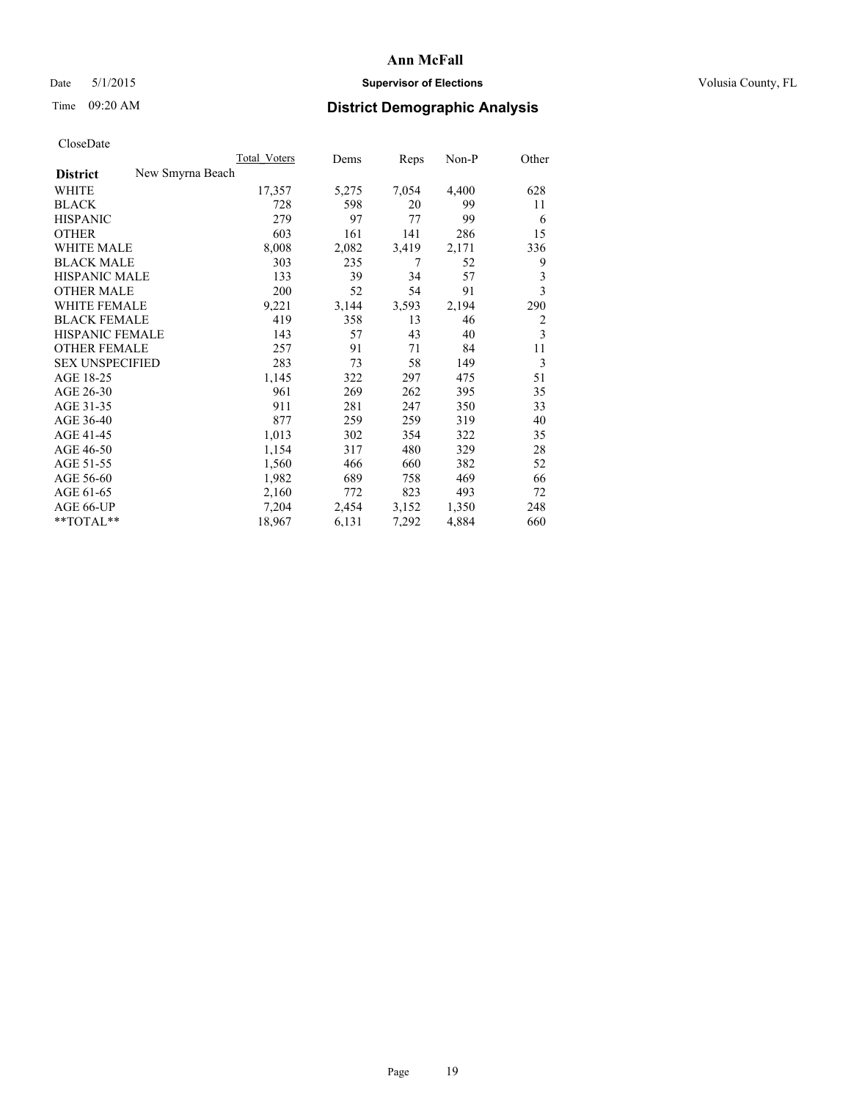# Date 5/1/2015 **Supervisor of Elections Supervisor of Elections** Volusia County, FL

# Time 09:20 AM **District Demographic Analysis**

|                        |                  | <b>Total Voters</b> | Dems  | Reps  | Non-P | Other |
|------------------------|------------------|---------------------|-------|-------|-------|-------|
| <b>District</b>        | New Smyrna Beach |                     |       |       |       |       |
| WHITE                  |                  | 17,357              | 5,275 | 7,054 | 4,400 | 628   |
| <b>BLACK</b>           |                  | 728                 | 598   | 20    | 99    | 11    |
| <b>HISPANIC</b>        |                  | 279                 | 97    | 77    | 99    | 6     |
| <b>OTHER</b>           |                  | 603                 | 161   | 141   | 286   | 15    |
| WHITE MALE             |                  | 8,008               | 2,082 | 3,419 | 2,171 | 336   |
| <b>BLACK MALE</b>      |                  | 303                 | 235   | 7     | 52    | 9     |
| <b>HISPANIC MALE</b>   |                  | 133                 | 39    | 34    | 57    | 3     |
| <b>OTHER MALE</b>      |                  | 200                 | 52    | 54    | 91    | 3     |
| WHITE FEMALE           |                  | 9,221               | 3,144 | 3,593 | 2,194 | 290   |
| <b>BLACK FEMALE</b>    |                  | 419                 | 358   | 13    | 46    | 2     |
| HISPANIC FEMALE        |                  | 143                 | 57    | 43    | 40    | 3     |
| <b>OTHER FEMALE</b>    |                  | 257                 | 91    | 71    | 84    | 11    |
| <b>SEX UNSPECIFIED</b> |                  | 283                 | 73    | 58    | 149   | 3     |
| AGE 18-25              |                  | 1,145               | 322   | 297   | 475   | 51    |
| AGE 26-30              |                  | 961                 | 269   | 262   | 395   | 35    |
| AGE 31-35              |                  | 911                 | 281   | 247   | 350   | 33    |
| AGE 36-40              |                  | 877                 | 259   | 259   | 319   | 40    |
| AGE 41-45              |                  | 1,013               | 302   | 354   | 322   | 35    |
| AGE 46-50              |                  | 1,154               | 317   | 480   | 329   | 28    |
| AGE 51-55              |                  | 1,560               | 466   | 660   | 382   | 52    |
| AGE 56-60              |                  | 1,982               | 689   | 758   | 469   | 66    |
| AGE 61-65              |                  | 2,160               | 772   | 823   | 493   | 72    |
| AGE 66-UP              |                  | 7,204               | 2,454 | 3,152 | 1,350 | 248   |
| **TOTAL**              |                  | 18,967              | 6,131 | 7,292 | 4,884 | 660   |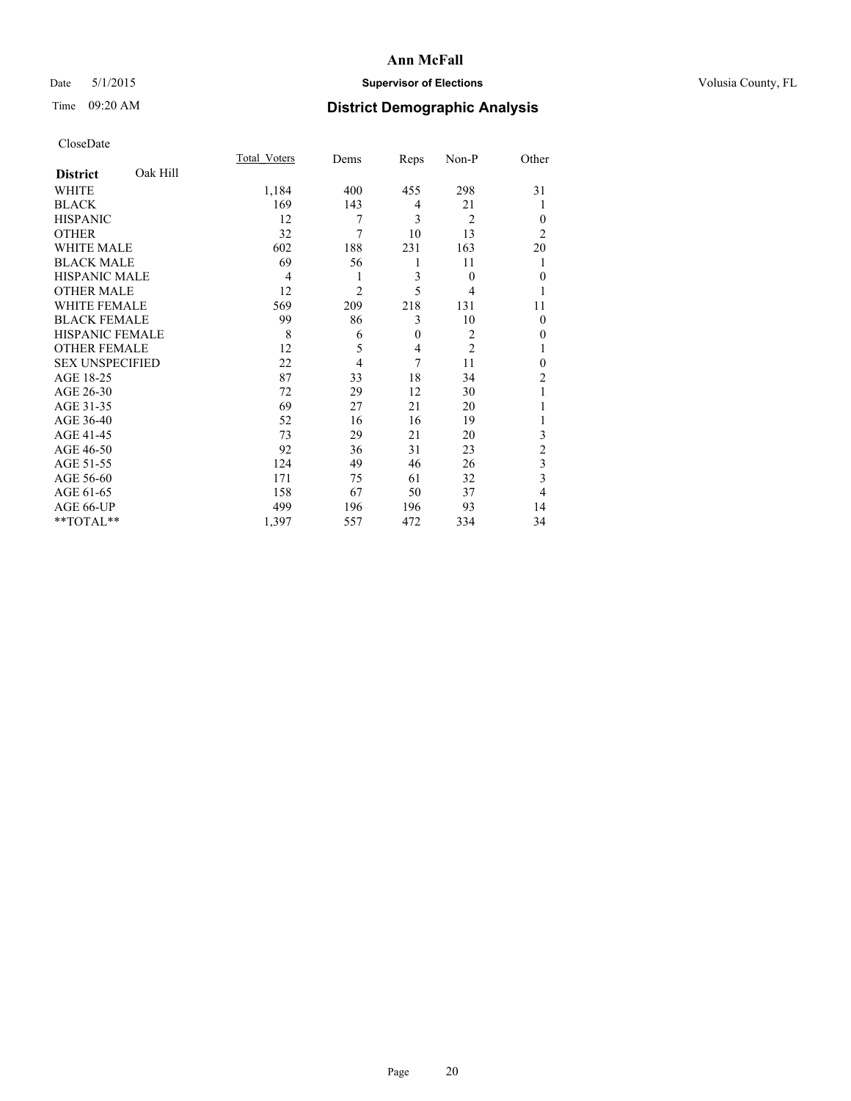# Date 5/1/2015 **Supervisor of Elections Supervisor of Elections** Volusia County, FL

# Time 09:20 AM **District Demographic Analysis**

|                        |          | Total Voters   | Dems           | Reps         | Non-P          | Other          |
|------------------------|----------|----------------|----------------|--------------|----------------|----------------|
| <b>District</b>        | Oak Hill |                |                |              |                |                |
| <b>WHITE</b>           |          | 1,184          | 400            | 455          | 298            | 31             |
| <b>BLACK</b>           |          | 169            | 143            | 4            | 21             |                |
| <b>HISPANIC</b>        |          | 12             | 7              | 3            | $\overline{2}$ | $\theta$       |
| <b>OTHER</b>           |          | 32             | $\overline{7}$ | 10           | 13             | $\overline{2}$ |
| WHITE MALE             |          | 602            | 188            | 231          | 163            | 20             |
| <b>BLACK MALE</b>      |          | 69             | 56             | 1            | 11             | 1              |
| <b>HISPANIC MALE</b>   |          | $\overline{4}$ | 1              | 3            | $\theta$       | $\mathbf{0}$   |
| <b>OTHER MALE</b>      |          | 12             | $\overline{2}$ | 5            | 4              | 1              |
| <b>WHITE FEMALE</b>    |          | 569            | 209            | 218          | 131            | 11             |
| <b>BLACK FEMALE</b>    |          | 99             | 86             | 3            | 10             | $\theta$       |
| <b>HISPANIC FEMALE</b> |          | 8              | 6              | $\mathbf{0}$ | $\overline{c}$ | 0              |
| <b>OTHER FEMALE</b>    |          | 12             | 5              | 4            | $\overline{c}$ |                |
| <b>SEX UNSPECIFIED</b> |          | 22             | $\overline{4}$ | 7            | 11             | $\mathbf{0}$   |
| AGE 18-25              |          | 87             | 33             | 18           | 34             | $\overline{c}$ |
| AGE 26-30              |          | 72             | 29             | 12           | 30             |                |
| AGE 31-35              |          | 69             | 27             | 21           | 20             |                |
| AGE 36-40              |          | 52             | 16             | 16           | 19             |                |
| AGE 41-45              |          | 73             | 29             | 21           | 20             | 3              |
| AGE 46-50              |          | 92             | 36             | 31           | 23             | $\overline{2}$ |
| AGE 51-55              |          | 124            | 49             | 46           | 26             | 3              |
| AGE 56-60              |          | 171            | 75             | 61           | 32             | 3              |
| AGE 61-65              |          | 158            | 67             | 50           | 37             | 4              |
| AGE 66-UP              |          | 499            | 196            | 196          | 93             | 14             |
| **TOTAL**              |          | 1,397          | 557            | 472          | 334            | 34             |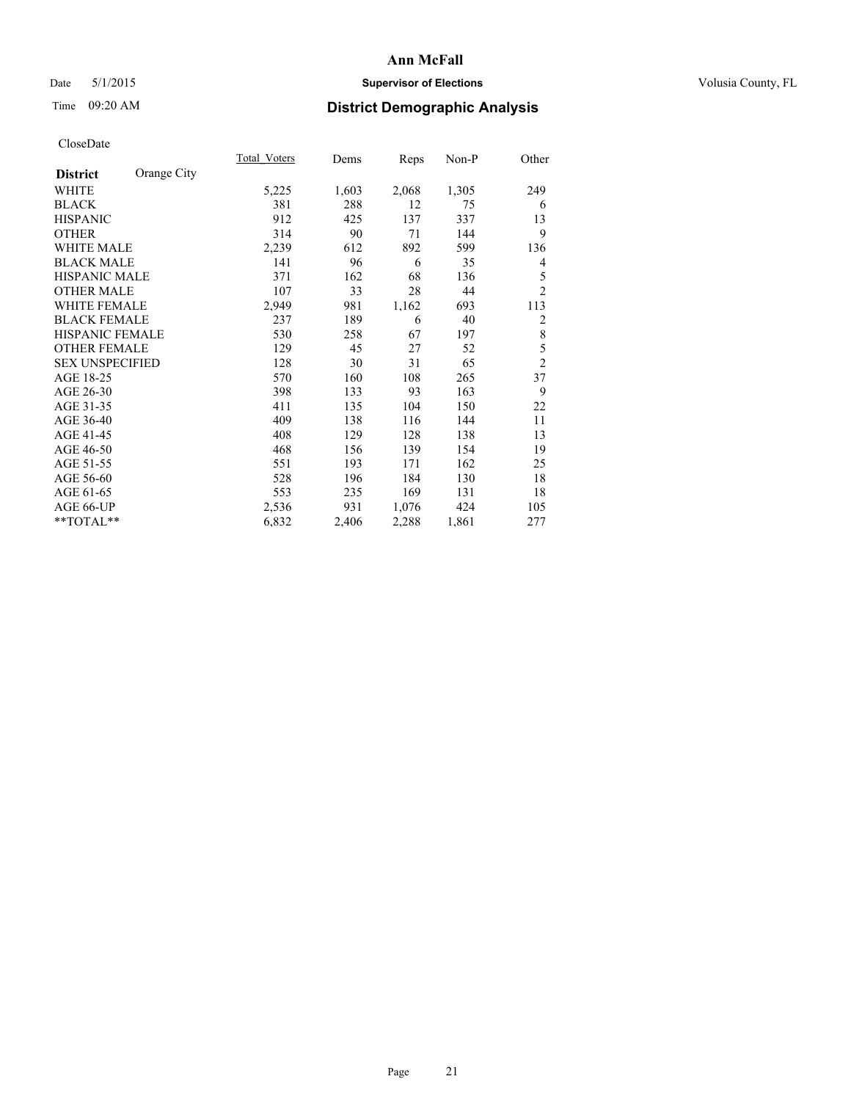# Date 5/1/2015 **Supervisor of Elections Supervisor of Elections** Volusia County, FL

# Time 09:20 AM **District Demographic Analysis**

|                        |             | Total Voters | Dems  | <b>Reps</b> | $Non-P$ | Other          |
|------------------------|-------------|--------------|-------|-------------|---------|----------------|
| <b>District</b>        | Orange City |              |       |             |         |                |
| WHITE                  |             | 5,225        | 1,603 | 2,068       | 1,305   | 249            |
| <b>BLACK</b>           |             | 381          | 288   | 12          | 75      | 6              |
| <b>HISPANIC</b>        |             | 912          | 425   | 137         | 337     | 13             |
| <b>OTHER</b>           |             | 314          | 90    | 71          | 144     | 9              |
| WHITE MALE             |             | 2,239        | 612   | 892         | 599     | 136            |
| <b>BLACK MALE</b>      |             | 141          | 96    | 6           | 35      | 4              |
| <b>HISPANIC MALE</b>   |             | 371          | 162   | 68          | 136     | 5              |
| <b>OTHER MALE</b>      |             | 107          | 33    | 28          | 44      | $\overline{2}$ |
| WHITE FEMALE           |             | 2,949        | 981   | 1,162       | 693     | 113            |
| <b>BLACK FEMALE</b>    |             | 237          | 189   | 6           | 40      | 2              |
| <b>HISPANIC FEMALE</b> |             | 530          | 258   | 67          | 197     | 8              |
| <b>OTHER FEMALE</b>    |             | 129          | 45    | 27          | 52      | 5              |
| <b>SEX UNSPECIFIED</b> |             | 128          | 30    | 31          | 65      | $\overline{c}$ |
| AGE 18-25              |             | 570          | 160   | 108         | 265     | 37             |
| AGE 26-30              |             | 398          | 133   | 93          | 163     | 9              |
| AGE 31-35              |             | 411          | 135   | 104         | 150     | 22             |
| AGE 36-40              |             | 409          | 138   | 116         | 144     | 11             |
| AGE 41-45              |             | 408          | 129   | 128         | 138     | 13             |
| AGE 46-50              |             | 468          | 156   | 139         | 154     | 19             |
| AGE 51-55              |             | 551          | 193   | 171         | 162     | 25             |
| AGE 56-60              |             | 528          | 196   | 184         | 130     | 18             |
| AGE 61-65              |             | 553          | 235   | 169         | 131     | 18             |
| AGE 66-UP              |             | 2,536        | 931   | 1,076       | 424     | 105            |
| **TOTAL**              |             | 6,832        | 2,406 | 2,288       | 1,861   | 277            |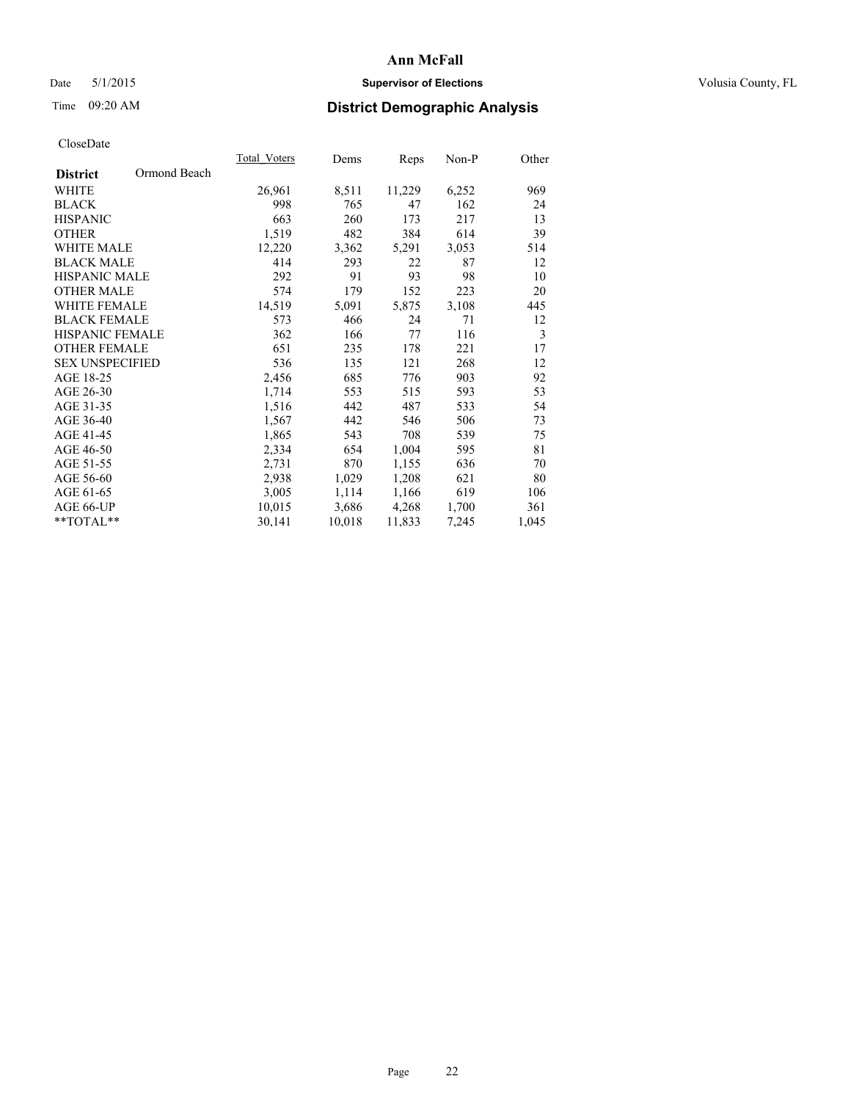# Date 5/1/2015 **Supervisor of Elections Supervisor of Elections** Volusia County, FL

# Time 09:20 AM **District Demographic Analysis**

|                                 | Total Voters | Dems   | Reps   | Non-P | Other |
|---------------------------------|--------------|--------|--------|-------|-------|
| Ormond Beach<br><b>District</b> |              |        |        |       |       |
| WHITE                           | 26,961       | 8,511  | 11,229 | 6,252 | 969   |
| <b>BLACK</b>                    | 998          | 765    | 47     | 162   | 24    |
| <b>HISPANIC</b>                 | 663          | 260    | 173    | 217   | 13    |
| <b>OTHER</b>                    | 1,519        | 482    | 384    | 614   | 39    |
| <b>WHITE MALE</b>               | 12,220       | 3,362  | 5,291  | 3,053 | 514   |
| <b>BLACK MALE</b>               | 414          | 293    | 22     | 87    | 12    |
| <b>HISPANIC MALE</b>            | 292          | 91     | 93     | 98    | 10    |
| <b>OTHER MALE</b>               | 574          | 179    | 152    | 223   | 20    |
| <b>WHITE FEMALE</b>             | 14,519       | 5,091  | 5,875  | 3,108 | 445   |
| <b>BLACK FEMALE</b>             | 573          | 466    | 24     | 71    | 12    |
| <b>HISPANIC FEMALE</b>          | 362          | 166    | 77     | 116   | 3     |
| <b>OTHER FEMALE</b>             | 651          | 235    | 178    | 221   | 17    |
| <b>SEX UNSPECIFIED</b>          | 536          | 135    | 121    | 268   | 12    |
| AGE 18-25                       | 2,456        | 685    | 776    | 903   | 92    |
| AGE 26-30                       | 1,714        | 553    | 515    | 593   | 53    |
| AGE 31-35                       | 1,516        | 442    | 487    | 533   | 54    |
| AGE 36-40                       | 1,567        | 442    | 546    | 506   | 73    |
| AGE 41-45                       | 1,865        | 543    | 708    | 539   | 75    |
| AGE 46-50                       | 2,334        | 654    | 1,004  | 595   | 81    |
| AGE 51-55                       | 2,731        | 870    | 1,155  | 636   | 70    |
| AGE 56-60                       | 2,938        | 1,029  | 1,208  | 621   | 80    |
| AGE 61-65                       | 3,005        | 1,114  | 1,166  | 619   | 106   |
| AGE 66-UP                       | 10,015       | 3,686  | 4,268  | 1,700 | 361   |
| **TOTAL**                       | 30,141       | 10,018 | 11,833 | 7,245 | 1,045 |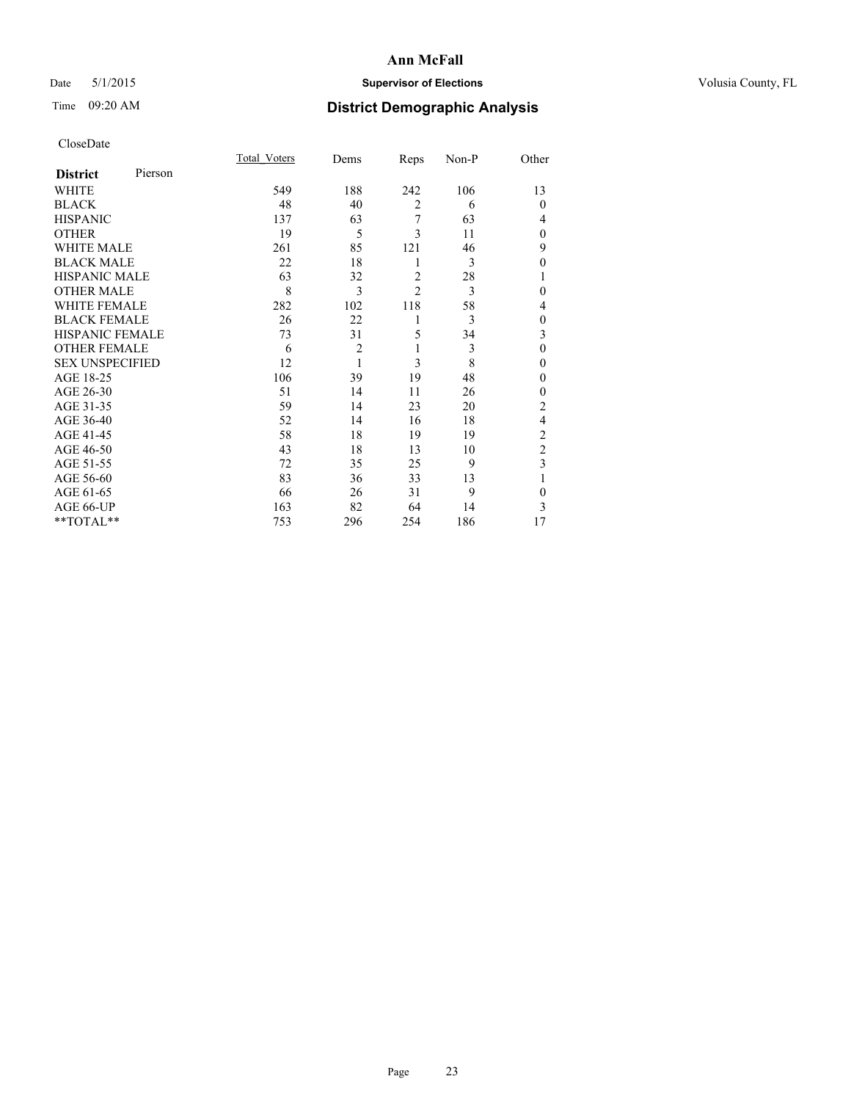# Date 5/1/2015 **Supervisor of Elections Supervisor of Elections** Volusia County, FL

# Time 09:20 AM **District Demographic Analysis**

|                        |         | <b>Total Voters</b> | Dems           | Reps           | Non-P | Other          |
|------------------------|---------|---------------------|----------------|----------------|-------|----------------|
| <b>District</b>        | Pierson |                     |                |                |       |                |
| WHITE                  |         | 549                 | 188            | 242            | 106   | 13             |
| <b>BLACK</b>           |         | 48                  | 40             | $\overline{2}$ | 6     | $\Omega$       |
| <b>HISPANIC</b>        |         | 137                 | 63             | 7              | 63    | 4              |
| <b>OTHER</b>           |         | 19                  | 5              | 3              | 11    | $\Omega$       |
| WHITE MALE             |         | 261                 | 85             | 121            | 46    | 9              |
| <b>BLACK MALE</b>      |         | 22                  | 18             | 1              | 3     | $\theta$       |
| <b>HISPANIC MALE</b>   |         | 63                  | 32             | $\overline{2}$ | 28    | 1              |
| <b>OTHER MALE</b>      |         | 8                   | 3              | $\overline{2}$ | 3     | $\mathbf{0}$   |
| WHITE FEMALE           |         | 282                 | 102            | 118            | 58    | 4              |
| <b>BLACK FEMALE</b>    |         | 26                  | 22             | 1              | 3     | $\mathbf{0}$   |
| <b>HISPANIC FEMALE</b> |         | 73                  | 31             | 5              | 34    | 3              |
| <b>OTHER FEMALE</b>    |         | 6                   | $\overline{c}$ | 1              | 3     | $\theta$       |
| <b>SEX UNSPECIFIED</b> |         | 12                  | $\mathbf{1}$   | 3              | 8     | $\theta$       |
| AGE 18-25              |         | 106                 | 39             | 19             | 48    | $\Omega$       |
| AGE 26-30              |         | 51                  | 14             | 11             | 26    | $\mathbf{0}$   |
| AGE 31-35              |         | 59                  | 14             | 23             | 20    | $\overline{c}$ |
| AGE 36-40              |         | 52                  | 14             | 16             | 18    | $\overline{4}$ |
| AGE 41-45              |         | 58                  | 18             | 19             | 19    | $\overline{c}$ |
| AGE 46-50              |         | 43                  | 18             | 13             | 10    | $\overline{c}$ |
| AGE 51-55              |         | 72                  | 35             | 25             | 9     | 3              |
| AGE 56-60              |         | 83                  | 36             | 33             | 13    |                |
| AGE 61-65              |         | 66                  | 26             | 31             | 9     | $\theta$       |
| AGE 66-UP              |         | 163                 | 82             | 64             | 14    | 3              |
| **TOTAL**              |         | 753                 | 296            | 254            | 186   | 17             |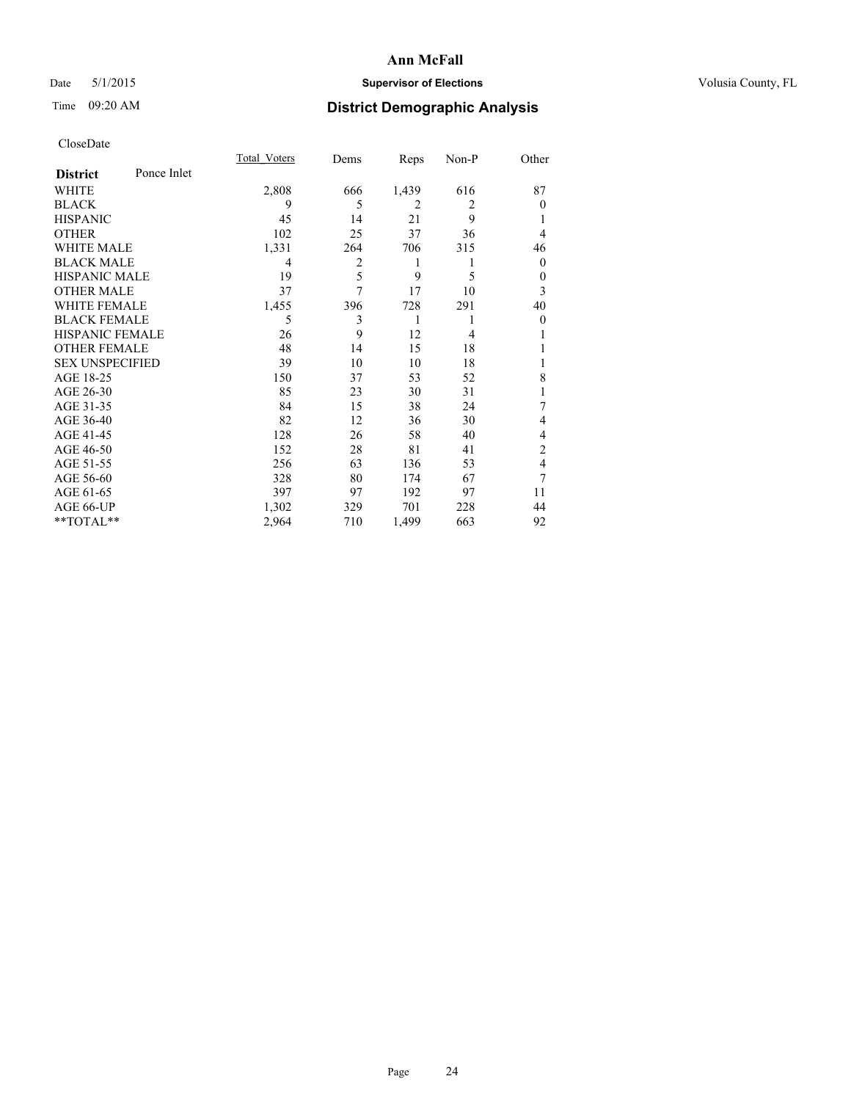# Date 5/1/2015 **Supervisor of Elections Supervisor of Elections** Volusia County, FL

# Time 09:20 AM **District Demographic Analysis**

|                        |             | <b>Total Voters</b> | Dems | Reps           | Non-P          | Other            |
|------------------------|-------------|---------------------|------|----------------|----------------|------------------|
| <b>District</b>        | Ponce Inlet |                     |      |                |                |                  |
| WHITE                  |             | 2,808               | 666  | 1,439          | 616            | 87               |
| <b>BLACK</b>           |             | 9                   | 5    | $\overline{2}$ | $\overline{2}$ | $\theta$         |
| <b>HISPANIC</b>        |             | 45                  | 14   | 21             | 9              |                  |
| <b>OTHER</b>           |             | 102                 | 25   | 37             | 36             | 4                |
| WHITE MALE             |             | 1,331               | 264  | 706            | 315            | 46               |
| <b>BLACK MALE</b>      |             | 4                   | 2    | 1              | 1              | $\theta$         |
| <b>HISPANIC MALE</b>   |             | 19                  | 5    | 9              | 5              | $\theta$         |
| <b>OTHER MALE</b>      |             | 37                  | 7    | 17             | 10             | 3                |
| <b>WHITE FEMALE</b>    |             | 1,455               | 396  | 728            | 291            | 40               |
| <b>BLACK FEMALE</b>    |             | 5                   | 3    | 1              | 1              | $\boldsymbol{0}$ |
| <b>HISPANIC FEMALE</b> |             | 26                  | 9    | 12             | 4              |                  |
| <b>OTHER FEMALE</b>    |             | 48                  | 14   | 15             | 18             |                  |
| <b>SEX UNSPECIFIED</b> |             | 39                  | 10   | 10             | 18             |                  |
| AGE 18-25              |             | 150                 | 37   | 53             | 52             | 8                |
| AGE 26-30              |             | 85                  | 23   | 30             | 31             | 1                |
| AGE 31-35              |             | 84                  | 15   | 38             | 24             | 7                |
| AGE 36-40              |             | 82                  | 12   | 36             | 30             | 4                |
| AGE 41-45              |             | 128                 | 26   | 58             | 40             | 4                |
| AGE 46-50              |             | 152                 | 28   | 81             | 41             | 2                |
| AGE 51-55              |             | 256                 | 63   | 136            | 53             | 4                |
| AGE 56-60              |             | 328                 | 80   | 174            | 67             | 7                |
| AGE 61-65              |             | 397                 | 97   | 192            | 97             | 11               |
| AGE 66-UP              |             | 1,302               | 329  | 701            | 228            | 44               |
| **TOTAL**              |             | 2,964               | 710  | 1,499          | 663            | 92               |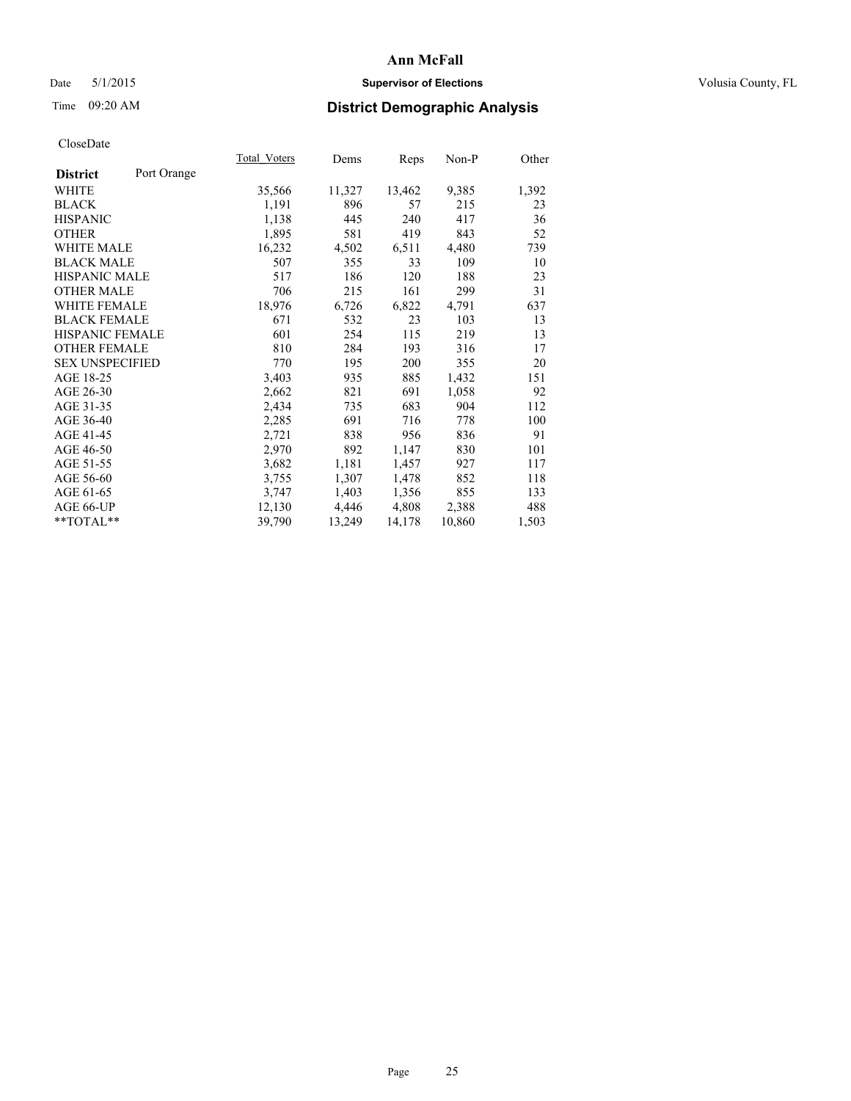# Date 5/1/2015 **Supervisor of Elections Supervisor of Elections** Volusia County, FL

# Time 09:20 AM **District Demographic Analysis**

|                        |             | <b>Total Voters</b> | Dems   | Reps   | Non-P  | Other |
|------------------------|-------------|---------------------|--------|--------|--------|-------|
| <b>District</b>        | Port Orange |                     |        |        |        |       |
| WHITE                  |             | 35,566              | 11,327 | 13,462 | 9,385  | 1,392 |
| <b>BLACK</b>           |             | 1,191               | 896    | 57     | 215    | 23    |
| <b>HISPANIC</b>        |             | 1,138               | 445    | 240    | 417    | 36    |
| <b>OTHER</b>           |             | 1,895               | 581    | 419    | 843    | 52    |
| WHITE MALE             |             | 16,232              | 4,502  | 6,511  | 4,480  | 739   |
| <b>BLACK MALE</b>      |             | 507                 | 355    | 33     | 109    | 10    |
| <b>HISPANIC MALE</b>   |             | 517                 | 186    | 120    | 188    | 23    |
| <b>OTHER MALE</b>      |             | 706                 | 215    | 161    | 299    | 31    |
| <b>WHITE FEMALE</b>    |             | 18,976              | 6,726  | 6,822  | 4,791  | 637   |
| <b>BLACK FEMALE</b>    |             | 671                 | 532    | 23     | 103    | 13    |
| HISPANIC FEMALE        |             | 601                 | 254    | 115    | 219    | 13    |
| <b>OTHER FEMALE</b>    |             | 810                 | 284    | 193    | 316    | 17    |
| <b>SEX UNSPECIFIED</b> |             | 770                 | 195    | 200    | 355    | 20    |
| AGE 18-25              |             | 3,403               | 935    | 885    | 1,432  | 151   |
| AGE 26-30              |             | 2,662               | 821    | 691    | 1,058  | 92    |
| AGE 31-35              |             | 2,434               | 735    | 683    | 904    | 112   |
| AGE 36-40              |             | 2,285               | 691    | 716    | 778    | 100   |
| AGE 41-45              |             | 2,721               | 838    | 956    | 836    | 91    |
| AGE 46-50              |             | 2,970               | 892    | 1,147  | 830    | 101   |
| AGE 51-55              |             | 3,682               | 1,181  | 1,457  | 927    | 117   |
| AGE 56-60              |             | 3,755               | 1,307  | 1,478  | 852    | 118   |
| AGE 61-65              |             | 3,747               | 1,403  | 1,356  | 855    | 133   |
| AGE 66-UP              |             | 12,130              | 4,446  | 4,808  | 2,388  | 488   |
| $*$ $TOTAL**$          |             | 39,790              | 13,249 | 14,178 | 10,860 | 1,503 |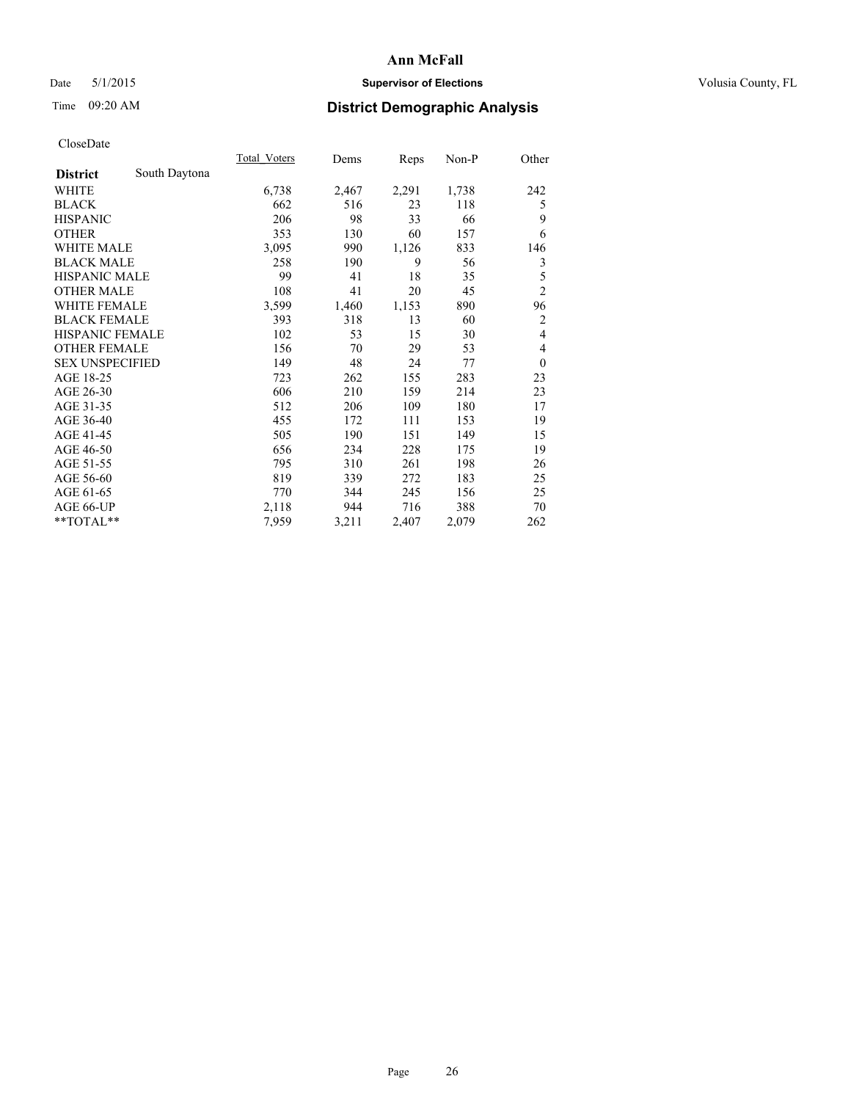# Date 5/1/2015 **Supervisor of Elections Supervisor of Elections** Volusia County, FL

# Time 09:20 AM **District Demographic Analysis**

|                        |               | Total Voters | Dems  | Reps  | Non-P | Other          |
|------------------------|---------------|--------------|-------|-------|-------|----------------|
| <b>District</b>        | South Daytona |              |       |       |       |                |
| <b>WHITE</b>           |               | 6,738        | 2,467 | 2,291 | 1,738 | 242            |
| <b>BLACK</b>           |               | 662          | 516   | 23    | 118   | 5              |
| <b>HISPANIC</b>        |               | 206          | 98    | 33    | 66    | 9              |
| <b>OTHER</b>           |               | 353          | 130   | 60    | 157   | 6              |
| WHITE MALE             |               | 3,095        | 990   | 1,126 | 833   | 146            |
| <b>BLACK MALE</b>      |               | 258          | 190   | 9     | 56    | 3              |
| <b>HISPANIC MALE</b>   |               | 99           | 41    | 18    | 35    | 5              |
| <b>OTHER MALE</b>      |               | 108          | 41    | 20    | 45    | $\overline{c}$ |
| <b>WHITE FEMALE</b>    |               | 3,599        | 1,460 | 1,153 | 890   | 96             |
| <b>BLACK FEMALE</b>    |               | 393          | 318   | 13    | 60    | $\overline{c}$ |
| HISPANIC FEMALE        |               | 102          | 53    | 15    | 30    | $\overline{4}$ |
| <b>OTHER FEMALE</b>    |               | 156          | 70    | 29    | 53    | 4              |
| <b>SEX UNSPECIFIED</b> |               | 149          | 48    | 24    | 77    | $\overline{0}$ |
| AGE 18-25              |               | 723          | 262   | 155   | 283   | 23             |
| AGE 26-30              |               | 606          | 210   | 159   | 214   | 23             |
| AGE 31-35              |               | 512          | 206   | 109   | 180   | 17             |
| AGE 36-40              |               | 455          | 172   | 111   | 153   | 19             |
| AGE 41-45              |               | 505          | 190   | 151   | 149   | 15             |
| AGE 46-50              |               | 656          | 234   | 228   | 175   | 19             |
| AGE 51-55              |               | 795          | 310   | 261   | 198   | 26             |
| AGE 56-60              |               | 819          | 339   | 272   | 183   | 25             |
| AGE 61-65              |               | 770          | 344   | 245   | 156   | 25             |
| AGE 66-UP              |               | 2,118        | 944   | 716   | 388   | 70             |
| **TOTAL**              |               | 7,959        | 3,211 | 2,407 | 2,079 | 262            |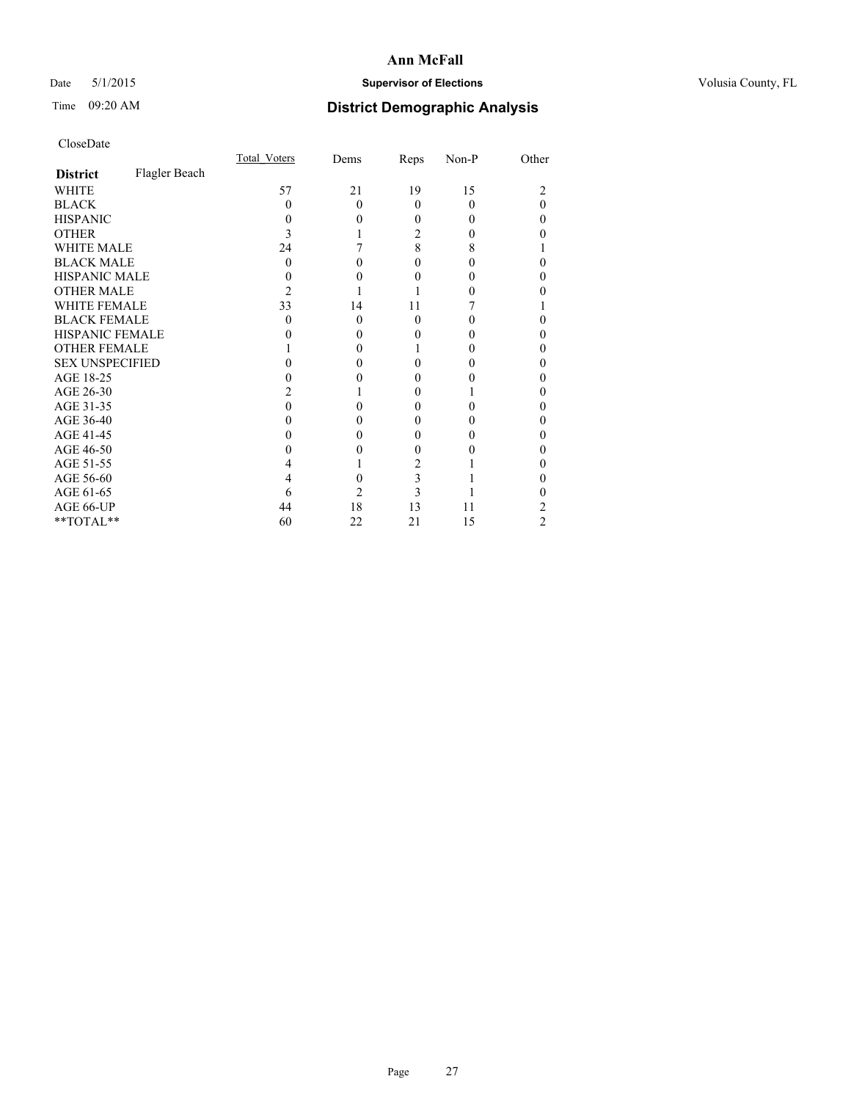# Date 5/1/2015 **Supervisor of Elections Supervisor of Elections** Volusia County, FL

# Time 09:20 AM **District Demographic Analysis**

|                        |               | <b>Total Voters</b> | Dems     | Reps     | Non-P | Other |
|------------------------|---------------|---------------------|----------|----------|-------|-------|
| <b>District</b>        | Flagler Beach |                     |          |          |       |       |
| WHITE                  |               | 57                  | 21       | 19       | 15    |       |
| <b>BLACK</b>           |               | 0                   | $\Omega$ | $\Omega$ | 0     | 0     |
| <b>HISPANIC</b>        |               | 0                   | $\theta$ | 0        | 0     | 0     |
| <b>OTHER</b>           |               | 3                   |          | 2        |       |       |
| WHITE MALE             |               | 24                  |          | 8        | 8     |       |
| <b>BLACK MALE</b>      |               | $\Omega$            | 0        | 0        |       | 0     |
| <b>HISPANIC MALE</b>   |               |                     | 0        | 0        |       | 0     |
| <b>OTHER MALE</b>      |               | 2                   |          |          |       |       |
| <b>WHITE FEMALE</b>    |               | 33                  | 14       | 11       |       |       |
| <b>BLACK FEMALE</b>    |               | 0                   | $\theta$ | $\theta$ |       | 0     |
| <b>HISPANIC FEMALE</b> |               |                     | 0        | 0        |       |       |
| <b>OTHER FEMALE</b>    |               |                     | $\Omega$ |          |       | 0     |
| <b>SEX UNSPECIFIED</b> |               |                     | 0        | 0        |       | 0     |
| AGE 18-25              |               |                     | 0        | 0        |       | 0     |
| AGE 26-30              |               |                     |          | $_{0}$   |       | 0     |
| AGE 31-35              |               |                     |          | 0        |       | 0     |
| AGE 36-40              |               |                     | 0        | 0        |       | 0     |
| AGE 41-45              |               |                     | 0        | 0        |       | 0     |
| AGE 46-50              |               |                     | 0        | 0        |       | 0     |
| AGE 51-55              |               |                     |          | 2        |       |       |
| AGE 56-60              |               |                     | 0        | 3        |       | 0     |
| AGE 61-65              |               | 6                   | 2        | 3        |       |       |
| AGE 66-UP              |               | 44                  | 18       | 13       | 11    | 2     |
| **TOTAL**              |               | 60                  | 22       | 21       | 15    | 2     |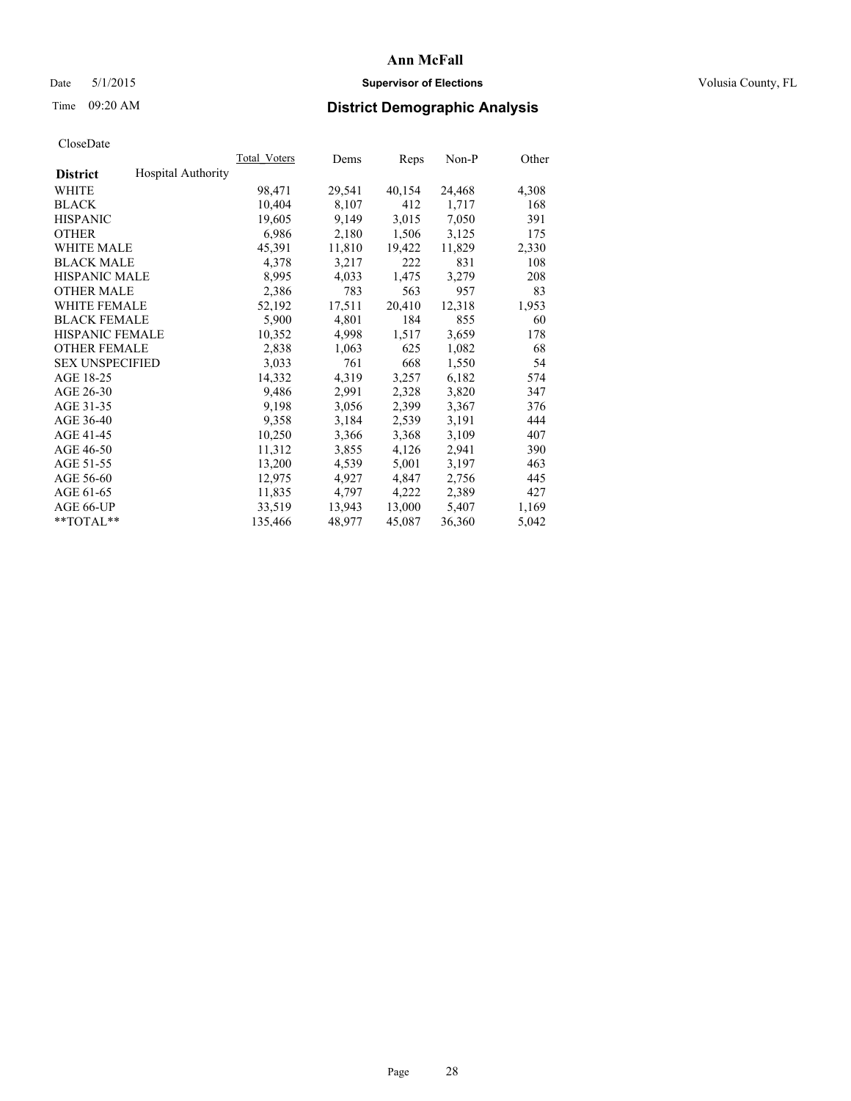# Date 5/1/2015 **Supervisor of Elections Supervisor of Elections** Volusia County, FL

# Time 09:20 AM **District Demographic Analysis**

|                        |                           | Total Voters | Dems   | Reps   | Non-P  | Other |
|------------------------|---------------------------|--------------|--------|--------|--------|-------|
| <b>District</b>        | <b>Hospital Authority</b> |              |        |        |        |       |
| WHITE                  |                           | 98,471       | 29,541 | 40,154 | 24,468 | 4,308 |
| <b>BLACK</b>           |                           | 10,404       | 8,107  | 412    | 1,717  | 168   |
| <b>HISPANIC</b>        |                           | 19,605       | 9,149  | 3,015  | 7,050  | 391   |
| <b>OTHER</b>           |                           | 6,986        | 2,180  | 1,506  | 3,125  | 175   |
| WHITE MALE             |                           | 45,391       | 11,810 | 19,422 | 11,829 | 2,330 |
| <b>BLACK MALE</b>      |                           | 4,378        | 3,217  | 222    | 831    | 108   |
| <b>HISPANIC MALE</b>   |                           | 8,995        | 4,033  | 1,475  | 3,279  | 208   |
| <b>OTHER MALE</b>      |                           | 2,386        | 783    | 563    | 957    | 83    |
| WHITE FEMALE           |                           | 52,192       | 17,511 | 20,410 | 12,318 | 1,953 |
| <b>BLACK FEMALE</b>    |                           | 5,900        | 4,801  | 184    | 855    | 60    |
| HISPANIC FEMALE        |                           | 10,352       | 4,998  | 1,517  | 3,659  | 178   |
| <b>OTHER FEMALE</b>    |                           | 2,838        | 1,063  | 625    | 1,082  | 68    |
| <b>SEX UNSPECIFIED</b> |                           | 3,033        | 761    | 668    | 1,550  | 54    |
| AGE 18-25              |                           | 14,332       | 4,319  | 3,257  | 6,182  | 574   |
| AGE 26-30              |                           | 9,486        | 2,991  | 2,328  | 3,820  | 347   |
| AGE 31-35              |                           | 9,198        | 3,056  | 2,399  | 3,367  | 376   |
| AGE 36-40              |                           | 9,358        | 3,184  | 2,539  | 3,191  | 444   |
| AGE 41-45              |                           | 10,250       | 3,366  | 3,368  | 3,109  | 407   |
| AGE 46-50              |                           | 11,312       | 3,855  | 4,126  | 2,941  | 390   |
| AGE 51-55              |                           | 13,200       | 4,539  | 5,001  | 3,197  | 463   |
| AGE 56-60              |                           | 12,975       | 4,927  | 4,847  | 2,756  | 445   |
| AGE 61-65              |                           | 11,835       | 4,797  | 4,222  | 2,389  | 427   |
| AGE 66-UP              |                           | 33,519       | 13,943 | 13,000 | 5,407  | 1,169 |
| **TOTAL**              |                           | 135,466      | 48,977 | 45,087 | 36,360 | 5,042 |
|                        |                           |              |        |        |        |       |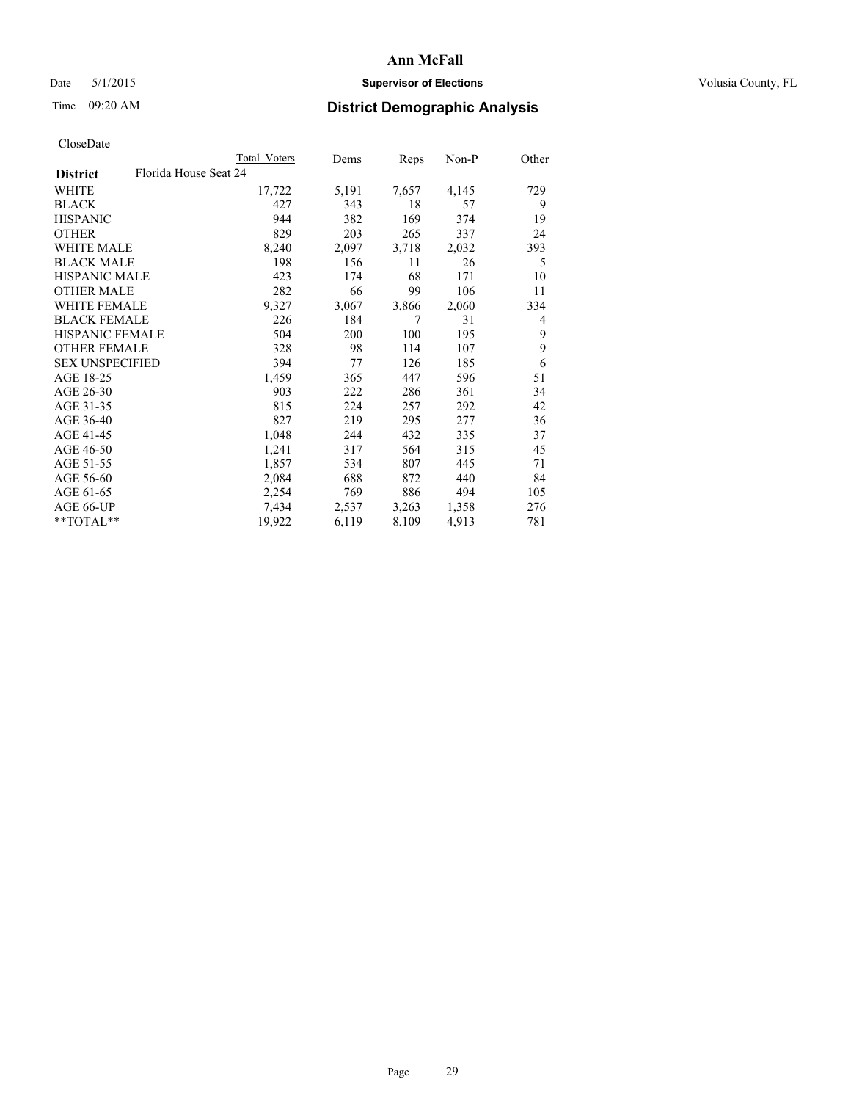# Date 5/1/2015 **Supervisor of Elections Supervisor of Elections** Volusia County, FL

| CloseDate |
|-----------|
|-----------|

|                                          | Total Voters | Dems  | Reps  | Non-P | Other |
|------------------------------------------|--------------|-------|-------|-------|-------|
| Florida House Seat 24<br><b>District</b> |              |       |       |       |       |
| WHITE                                    | 17,722       | 5,191 | 7,657 | 4,145 | 729   |
| <b>BLACK</b>                             | 427          | 343   | 18    | 57    | 9     |
| <b>HISPANIC</b>                          | 944          | 382   | 169   | 374   | 19    |
| <b>OTHER</b>                             | 829          | 203   | 265   | 337   | 24    |
| WHITE MALE                               | 8,240        | 2,097 | 3,718 | 2,032 | 393   |
| <b>BLACK MALE</b>                        | 198          | 156   | 11    | 26    | 5     |
| <b>HISPANIC MALE</b>                     | 423          | 174   | 68    | 171   | 10    |
| <b>OTHER MALE</b>                        | 282          | 66    | 99    | 106   | 11    |
| <b>WHITE FEMALE</b>                      | 9,327        | 3,067 | 3,866 | 2,060 | 334   |
| <b>BLACK FEMALE</b>                      | 226          | 184   | 7     | 31    | 4     |
| HISPANIC FEMALE                          | 504          | 200   | 100   | 195   | 9     |
| <b>OTHER FEMALE</b>                      | 328          | 98    | 114   | 107   | 9     |
| <b>SEX UNSPECIFIED</b>                   | 394          | 77    | 126   | 185   | 6     |
| AGE 18-25                                | 1,459        | 365   | 447   | 596   | 51    |
| AGE 26-30                                | 903          | 222   | 286   | 361   | 34    |
| AGE 31-35                                | 815          | 224   | 257   | 292   | 42    |
| AGE 36-40                                | 827          | 219   | 295   | 277   | 36    |
| AGE 41-45                                | 1,048        | 244   | 432   | 335   | 37    |
| AGE 46-50                                | 1,241        | 317   | 564   | 315   | 45    |
| AGE 51-55                                | 1,857        | 534   | 807   | 445   | 71    |
| AGE 56-60                                | 2,084        | 688   | 872   | 440   | 84    |
| AGE 61-65                                | 2,254        | 769   | 886   | 494   | 105   |
| AGE 66-UP                                | 7,434        | 2,537 | 3,263 | 1,358 | 276   |
| **TOTAL**                                | 19,922       | 6,119 | 8,109 | 4,913 | 781   |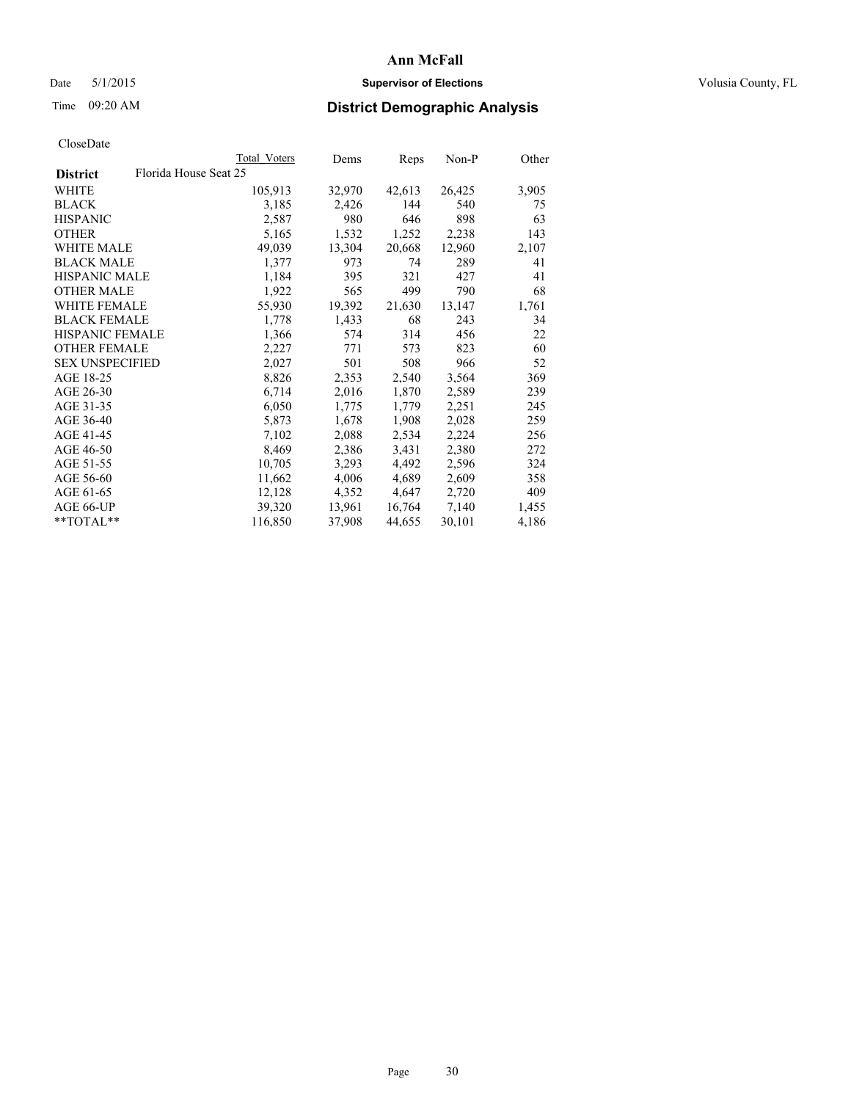# Date 5/1/2015 **Supervisor of Elections Supervisor of Elections** Volusia County, FL

# Time 09:20 AM **District Demographic Analysis**

|                        |                       | <b>Total Voters</b> | Dems   | Reps   | $Non-P$ | Other |
|------------------------|-----------------------|---------------------|--------|--------|---------|-------|
| <b>District</b>        | Florida House Seat 25 |                     |        |        |         |       |
| WHITE                  |                       | 105,913             | 32,970 | 42,613 | 26,425  | 3,905 |
| <b>BLACK</b>           |                       | 3,185               | 2,426  | 144    | 540     | 75    |
| <b>HISPANIC</b>        |                       | 2,587               | 980    | 646    | 898     | 63    |
| <b>OTHER</b>           |                       | 5,165               | 1,532  | 1,252  | 2,238   | 143   |
| WHITE MALE             |                       | 49,039              | 13,304 | 20,668 | 12,960  | 2,107 |
| <b>BLACK MALE</b>      |                       | 1,377               | 973    | 74     | 289     | 41    |
| <b>HISPANIC MALE</b>   |                       | 1,184               | 395    | 321    | 427     | 41    |
| <b>OTHER MALE</b>      |                       | 1,922               | 565    | 499    | 790     | 68    |
| <b>WHITE FEMALE</b>    |                       | 55,930              | 19,392 | 21,630 | 13,147  | 1,761 |
| <b>BLACK FEMALE</b>    |                       | 1,778               | 1,433  | 68     | 243     | 34    |
| HISPANIC FEMALE        |                       | 1,366               | 574    | 314    | 456     | 22    |
| <b>OTHER FEMALE</b>    |                       | 2,227               | 771    | 573    | 823     | 60    |
| <b>SEX UNSPECIFIED</b> |                       | 2,027               | 501    | 508    | 966     | 52    |
| AGE 18-25              |                       | 8,826               | 2,353  | 2,540  | 3,564   | 369   |
| AGE 26-30              |                       | 6,714               | 2,016  | 1,870  | 2,589   | 239   |
| AGE 31-35              |                       | 6,050               | 1,775  | 1,779  | 2,251   | 245   |
| AGE 36-40              |                       | 5,873               | 1,678  | 1,908  | 2,028   | 259   |
| AGE 41-45              |                       | 7,102               | 2,088  | 2,534  | 2,224   | 256   |
| AGE 46-50              |                       | 8,469               | 2,386  | 3,431  | 2,380   | 272   |
| AGE 51-55              |                       | 10,705              | 3,293  | 4,492  | 2,596   | 324   |
| AGE 56-60              |                       | 11,662              | 4,006  | 4,689  | 2,609   | 358   |
| AGE 61-65              |                       | 12,128              | 4,352  | 4,647  | 2,720   | 409   |
| AGE 66-UP              |                       | 39,320              | 13,961 | 16,764 | 7,140   | 1,455 |
| $*$ $TOTAL**$          |                       | 116,850             | 37,908 | 44,655 | 30,101  | 4,186 |
|                        |                       |                     |        |        |         |       |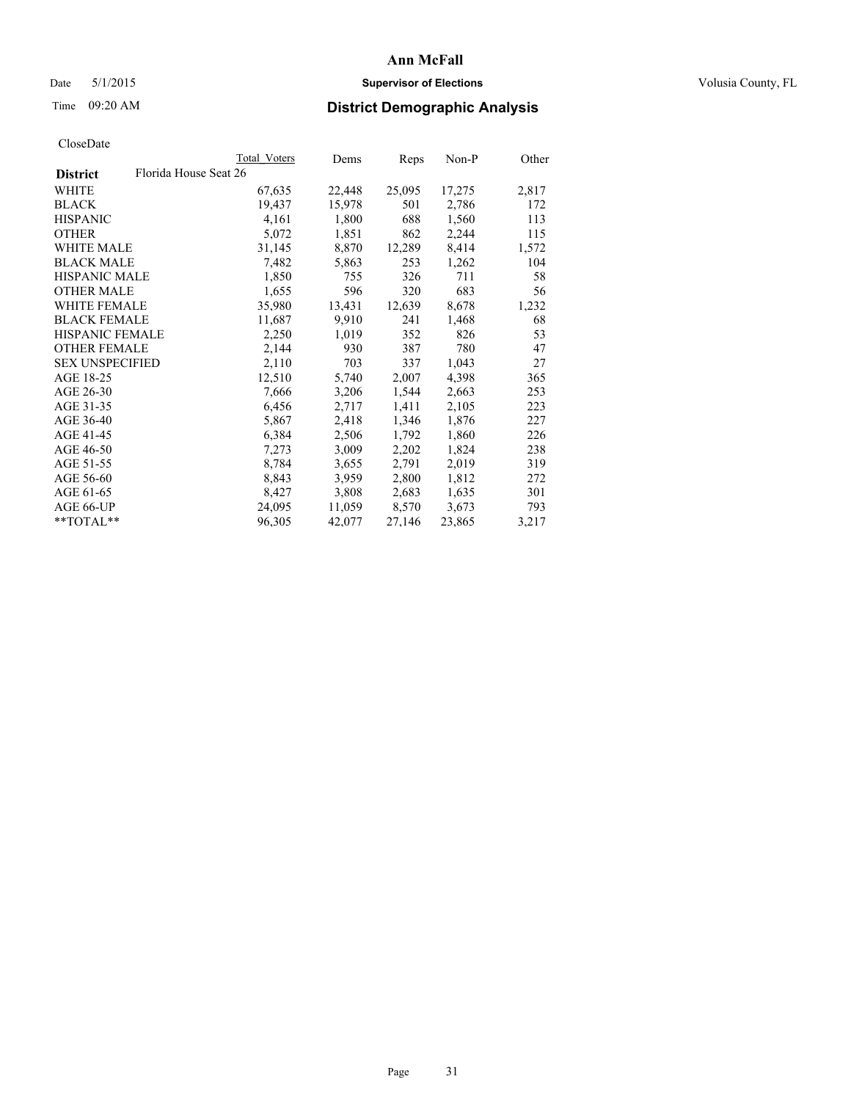# Date 5/1/2015 **Supervisor of Elections Supervisor of Elections** Volusia County, FL

# Time 09:20 AM **District Demographic Analysis**

|                        |                       | <b>Total Voters</b> | Dems   | <b>Reps</b> | Non-P  | Other |
|------------------------|-----------------------|---------------------|--------|-------------|--------|-------|
| <b>District</b>        | Florida House Seat 26 |                     |        |             |        |       |
| WHITE                  |                       | 67,635              | 22,448 | 25,095      | 17,275 | 2,817 |
| <b>BLACK</b>           |                       | 19,437              | 15,978 | 501         | 2,786  | 172   |
| <b>HISPANIC</b>        |                       | 4,161               | 1,800  | 688         | 1,560  | 113   |
| <b>OTHER</b>           |                       | 5,072               | 1,851  | 862         | 2,244  | 115   |
| <b>WHITE MALE</b>      |                       | 31,145              | 8,870  | 12,289      | 8,414  | 1,572 |
| <b>BLACK MALE</b>      |                       | 7,482               | 5,863  | 253         | 1,262  | 104   |
| <b>HISPANIC MALE</b>   |                       | 1,850               | 755    | 326         | 711    | 58    |
| OTHER MALE             |                       | 1,655               | 596    | 320         | 683    | 56    |
| <b>WHITE FEMALE</b>    |                       | 35,980              | 13,431 | 12,639      | 8,678  | 1,232 |
| <b>BLACK FEMALE</b>    |                       | 11,687              | 9,910  | 241         | 1,468  | 68    |
| <b>HISPANIC FEMALE</b> |                       | 2,250               | 1,019  | 352         | 826    | 53    |
| <b>OTHER FEMALE</b>    |                       | 2,144               | 930    | 387         | 780    | 47    |
| <b>SEX UNSPECIFIED</b> |                       | 2,110               | 703    | 337         | 1,043  | 27    |
| AGE 18-25              |                       | 12,510              | 5,740  | 2,007       | 4,398  | 365   |
| AGE 26-30              |                       | 7,666               | 3,206  | 1,544       | 2,663  | 253   |
| AGE 31-35              |                       | 6,456               | 2,717  | 1,411       | 2,105  | 223   |
| AGE 36-40              |                       | 5,867               | 2,418  | 1,346       | 1,876  | 227   |
| AGE 41-45              |                       | 6,384               | 2,506  | 1,792       | 1,860  | 226   |
| AGE 46-50              |                       | 7,273               | 3,009  | 2,202       | 1,824  | 238   |
| AGE 51-55              |                       | 8,784               | 3,655  | 2,791       | 2,019  | 319   |
| AGE 56-60              |                       | 8,843               | 3,959  | 2,800       | 1,812  | 272   |
| AGE 61-65              |                       | 8,427               | 3,808  | 2,683       | 1,635  | 301   |
| AGE 66-UP              |                       | 24,095              | 11,059 | 8,570       | 3,673  | 793   |
| $*$ $TOTAL**$          |                       | 96,305              | 42,077 | 27,146      | 23,865 | 3,217 |
|                        |                       |                     |        |             |        |       |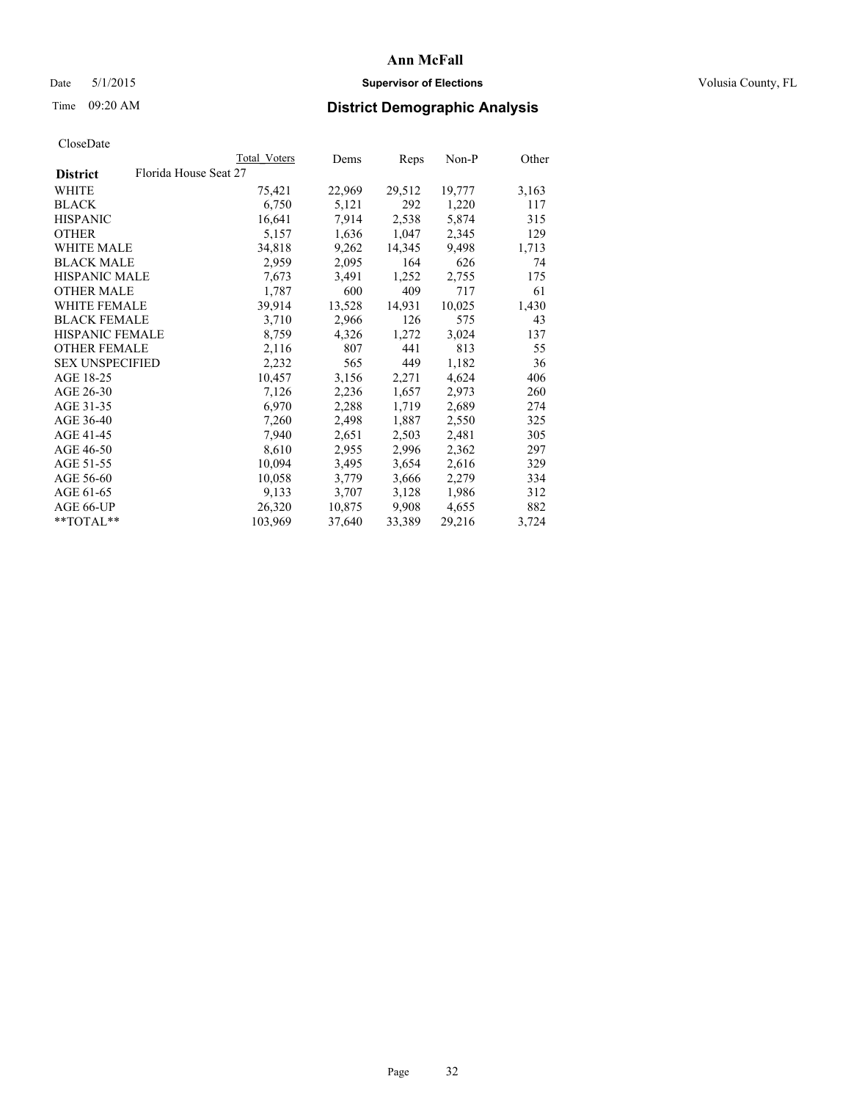# Date 5/1/2015 **Supervisor of Elections Supervisor of Elections** Volusia County, FL

# Time 09:20 AM **District Demographic Analysis**

|                                          | Total Voters | Dems   | <b>Reps</b> | $Non-P$ | Other |
|------------------------------------------|--------------|--------|-------------|---------|-------|
| Florida House Seat 27<br><b>District</b> |              |        |             |         |       |
| <b>WHITE</b>                             | 75,421       | 22,969 | 29,512      | 19,777  | 3,163 |
| <b>BLACK</b>                             | 6,750        | 5,121  | 292         | 1,220   | 117   |
| <b>HISPANIC</b>                          | 16,641       | 7.914  | 2,538       | 5,874   | 315   |
| <b>OTHER</b>                             | 5,157        | 1,636  | 1,047       | 2,345   | 129   |
| WHITE MALE                               | 34,818       | 9,262  | 14,345      | 9,498   | 1,713 |
| <b>BLACK MALE</b>                        | 2,959        | 2,095  | 164         | 626     | 74    |
| <b>HISPANIC MALE</b>                     | 7,673        | 3,491  | 1,252       | 2,755   | 175   |
| <b>OTHER MALE</b>                        | 1,787        | 600    | 409         | 717     | 61    |
| <b>WHITE FEMALE</b>                      | 39,914       | 13,528 | 14,931      | 10,025  | 1,430 |
| <b>BLACK FEMALE</b>                      | 3,710        | 2,966  | 126         | 575     | 43    |
| HISPANIC FEMALE                          | 8,759        | 4,326  | 1,272       | 3,024   | 137   |
| <b>OTHER FEMALE</b>                      | 2,116        | 807    | 441         | 813     | 55    |
| <b>SEX UNSPECIFIED</b>                   | 2,232        | 565    | 449         | 1,182   | 36    |
| AGE 18-25                                | 10,457       | 3,156  | 2,271       | 4,624   | 406   |
| AGE 26-30                                | 7,126        | 2,236  | 1,657       | 2,973   | 260   |
| AGE 31-35                                | 6,970        | 2,288  | 1,719       | 2,689   | 274   |
| AGE 36-40                                | 7,260        | 2,498  | 1,887       | 2,550   | 325   |
| AGE 41-45                                | 7,940        | 2,651  | 2,503       | 2,481   | 305   |
| AGE 46-50                                | 8,610        | 2,955  | 2,996       | 2,362   | 297   |
| AGE 51-55                                | 10,094       | 3,495  | 3,654       | 2,616   | 329   |
| AGE 56-60                                | 10,058       | 3,779  | 3,666       | 2,279   | 334   |
| AGE 61-65                                | 9,133        | 3,707  | 3,128       | 1,986   | 312   |
| AGE 66-UP                                | 26,320       | 10,875 | 9,908       | 4,655   | 882   |
| $*$ TOTAL $*$                            | 103,969      | 37,640 | 33,389      | 29,216  | 3,724 |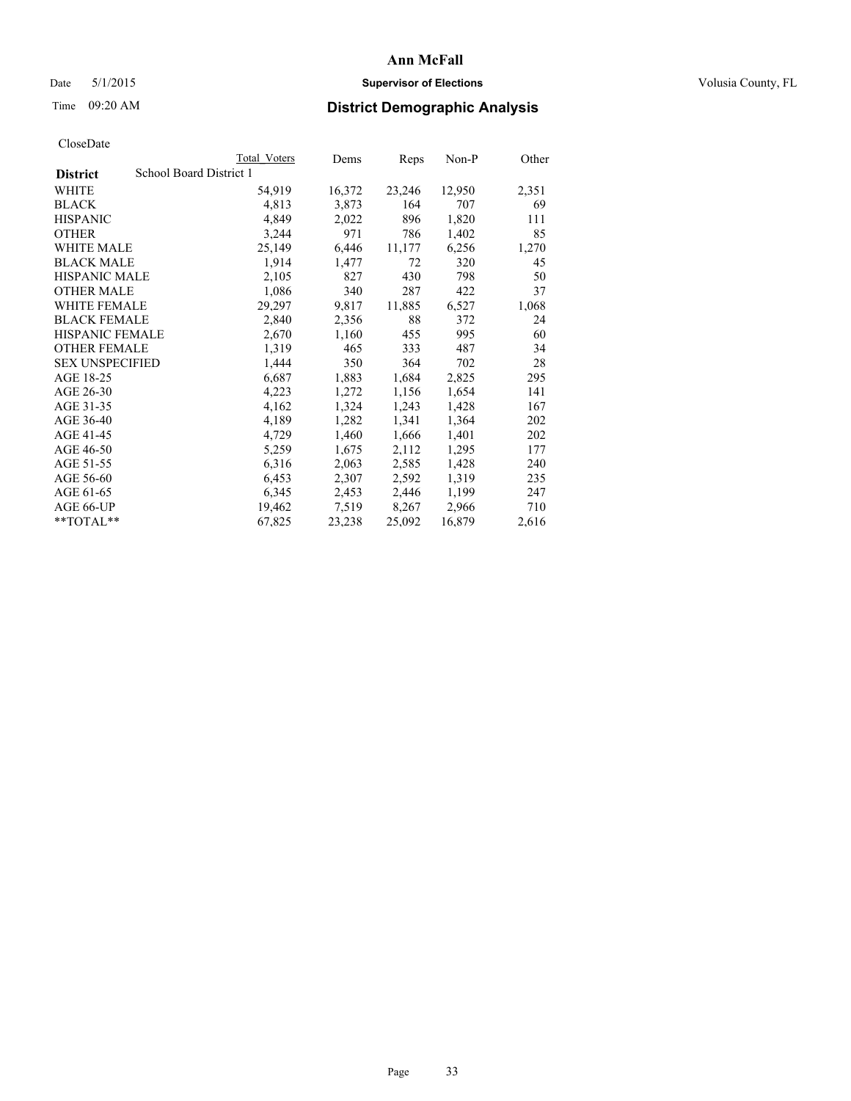# Date 5/1/2015 **Supervisor of Elections Supervisor of Elections** Volusia County, FL

# Time 09:20 AM **District Demographic Analysis**

|                        |                         | <b>Total Voters</b> | Dems   | <b>Reps</b> | Non-P  | Other |
|------------------------|-------------------------|---------------------|--------|-------------|--------|-------|
| <b>District</b>        | School Board District 1 |                     |        |             |        |       |
| WHITE                  |                         | 54,919              | 16,372 | 23,246      | 12,950 | 2,351 |
| <b>BLACK</b>           |                         | 4,813               | 3,873  | 164         | 707    | 69    |
| <b>HISPANIC</b>        |                         | 4,849               | 2,022  | 896         | 1,820  | 111   |
| <b>OTHER</b>           |                         | 3,244               | 971    | 786         | 1,402  | 85    |
| WHITE MALE             |                         | 25,149              | 6,446  | 11,177      | 6,256  | 1,270 |
| <b>BLACK MALE</b>      |                         | 1,914               | 1,477  | 72          | 320    | 45    |
| <b>HISPANIC MALE</b>   |                         | 2,105               | 827    | 430         | 798    | 50    |
| <b>OTHER MALE</b>      |                         | 1,086               | 340    | 287         | 422    | 37    |
| <b>WHITE FEMALE</b>    |                         | 29,297              | 9,817  | 11,885      | 6,527  | 1,068 |
| <b>BLACK FEMALE</b>    |                         | 2,840               | 2,356  | 88          | 372    | 24    |
| <b>HISPANIC FEMALE</b> |                         | 2,670               | 1,160  | 455         | 995    | 60    |
| <b>OTHER FEMALE</b>    |                         | 1,319               | 465    | 333         | 487    | 34    |
| <b>SEX UNSPECIFIED</b> |                         | 1,444               | 350    | 364         | 702    | 28    |
| AGE 18-25              |                         | 6,687               | 1,883  | 1,684       | 2,825  | 295   |
| AGE 26-30              |                         | 4,223               | 1,272  | 1,156       | 1,654  | 141   |
| AGE 31-35              |                         | 4,162               | 1,324  | 1,243       | 1,428  | 167   |
| AGE 36-40              |                         | 4,189               | 1,282  | 1,341       | 1,364  | 202   |
| AGE 41-45              |                         | 4,729               | 1,460  | 1,666       | 1,401  | 202   |
| AGE 46-50              |                         | 5,259               | 1,675  | 2,112       | 1,295  | 177   |
| AGE 51-55              |                         | 6,316               | 2,063  | 2,585       | 1,428  | 240   |
| AGE 56-60              |                         | 6,453               | 2,307  | 2,592       | 1,319  | 235   |
| AGE 61-65              |                         | 6,345               | 2,453  | 2,446       | 1,199  | 247   |
| AGE 66-UP              |                         | 19,462              | 7,519  | 8,267       | 2,966  | 710   |
| **TOTAL**              |                         | 67,825              | 23,238 | 25,092      | 16,879 | 2,616 |
|                        |                         |                     |        |             |        |       |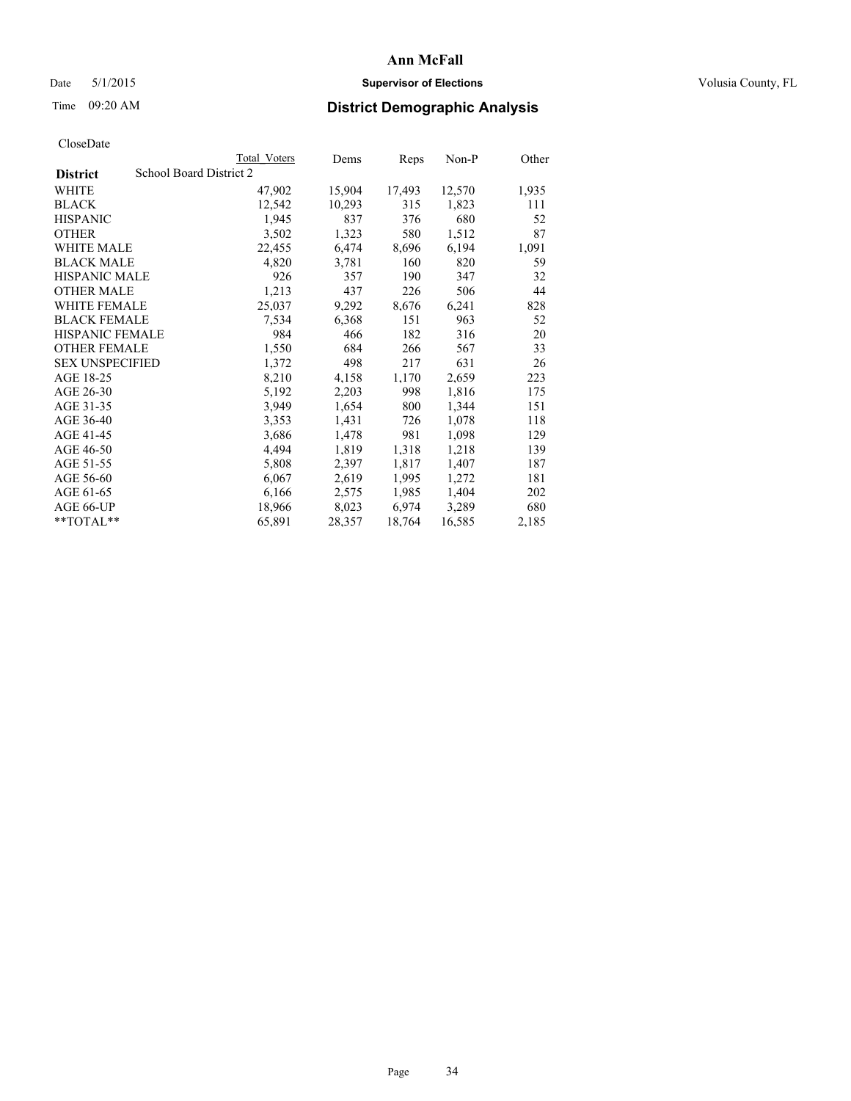# Date 5/1/2015 **Supervisor of Elections Supervisor of Elections** Volusia County, FL

# Time 09:20 AM **District Demographic Analysis**

|                                            | Total Voters | Dems   | <b>Reps</b> | Non-P  | Other |
|--------------------------------------------|--------------|--------|-------------|--------|-------|
| School Board District 2<br><b>District</b> |              |        |             |        |       |
| WHITE                                      | 47,902       | 15,904 | 17,493      | 12,570 | 1,935 |
| <b>BLACK</b>                               | 12,542       | 10,293 | 315         | 1,823  | 111   |
| <b>HISPANIC</b>                            | 1,945        | 837    | 376         | 680    | 52    |
| <b>OTHER</b>                               | 3,502        | 1,323  | 580         | 1,512  | 87    |
| WHITE MALE                                 | 22,455       | 6,474  | 8,696       | 6,194  | 1,091 |
| <b>BLACK MALE</b>                          | 4,820        | 3,781  | 160         | 820    | 59    |
| <b>HISPANIC MALE</b>                       | 926          | 357    | 190         | 347    | 32    |
| <b>OTHER MALE</b>                          | 1,213        | 437    | 226         | 506    | 44    |
| <b>WHITE FEMALE</b>                        | 25,037       | 9,292  | 8,676       | 6,241  | 828   |
| <b>BLACK FEMALE</b>                        | 7,534        | 6,368  | 151         | 963    | 52    |
| <b>HISPANIC FEMALE</b>                     | 984          | 466    | 182         | 316    | 20    |
| <b>OTHER FEMALE</b>                        | 1,550        | 684    | 266         | 567    | 33    |
| <b>SEX UNSPECIFIED</b>                     | 1,372        | 498    | 217         | 631    | 26    |
| AGE 18-25                                  | 8,210        | 4,158  | 1,170       | 2,659  | 223   |
| AGE 26-30                                  | 5,192        | 2,203  | 998         | 1,816  | 175   |
| AGE 31-35                                  | 3,949        | 1,654  | 800         | 1,344  | 151   |
| AGE 36-40                                  | 3,353        | 1,431  | 726         | 1,078  | 118   |
| AGE 41-45                                  | 3,686        | 1,478  | 981         | 1,098  | 129   |
| AGE 46-50                                  | 4,494        | 1,819  | 1,318       | 1,218  | 139   |
| AGE 51-55                                  | 5,808        | 2,397  | 1,817       | 1,407  | 187   |
| AGE 56-60                                  | 6,067        | 2,619  | 1,995       | 1,272  | 181   |
| AGE 61-65                                  | 6,166        | 2,575  | 1,985       | 1,404  | 202   |
| AGE 66-UP                                  | 18,966       | 8,023  | 6,974       | 3,289  | 680   |
| **TOTAL**                                  | 65,891       | 28,357 | 18,764      | 16,585 | 2,185 |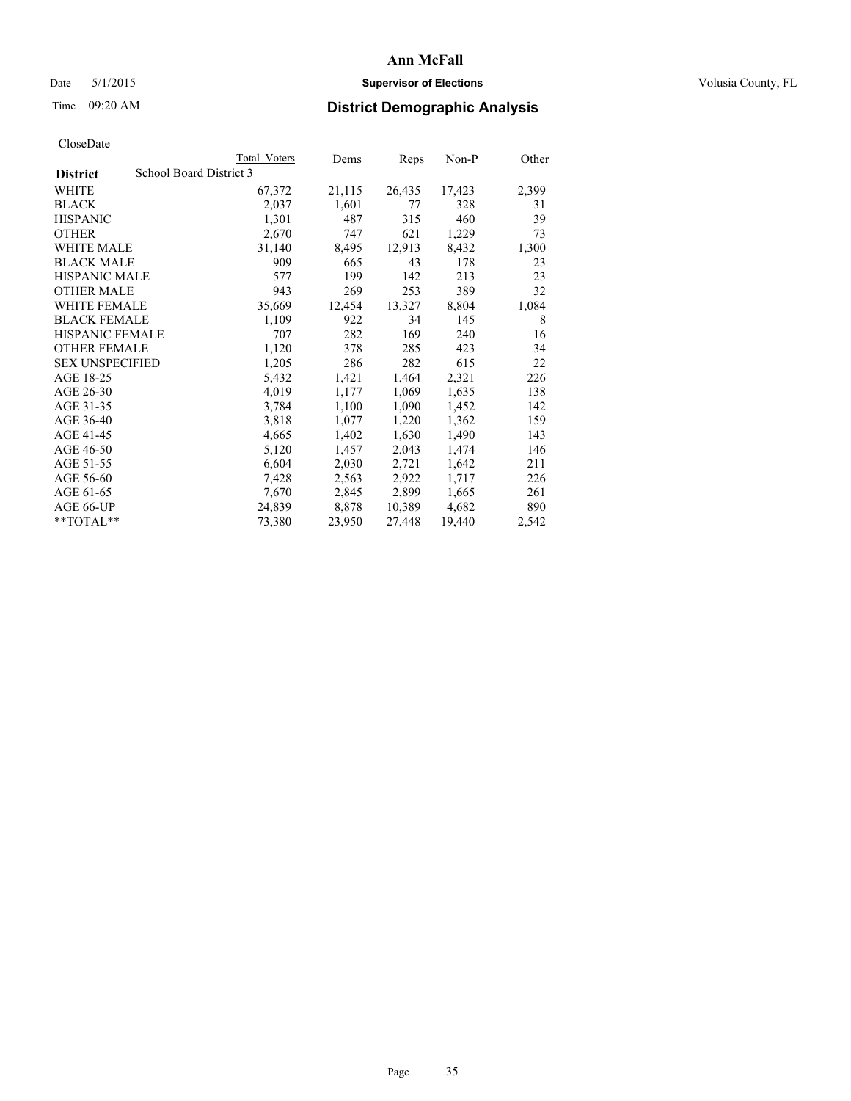# Date 5/1/2015 **Supervisor of Elections Supervisor of Elections** Volusia County, FL

# Time 09:20 AM **District Demographic Analysis**

|                        |                         | <b>Total Voters</b> | Dems   | Reps   | Non-P  | Other |
|------------------------|-------------------------|---------------------|--------|--------|--------|-------|
| <b>District</b>        | School Board District 3 |                     |        |        |        |       |
| WHITE                  |                         | 67,372              | 21,115 | 26,435 | 17,423 | 2,399 |
| <b>BLACK</b>           |                         | 2,037               | 1,601  | 77     | 328    | 31    |
| <b>HISPANIC</b>        |                         | 1,301               | 487    | 315    | 460    | 39    |
| <b>OTHER</b>           |                         | 2,670               | 747    | 621    | 1,229  | 73    |
| WHITE MALE             |                         | 31,140              | 8,495  | 12,913 | 8,432  | 1,300 |
| <b>BLACK MALE</b>      |                         | 909                 | 665    | 43     | 178    | 23    |
| <b>HISPANIC MALE</b>   |                         | 577                 | 199    | 142    | 213    | 23    |
| <b>OTHER MALE</b>      |                         | 943                 | 269    | 253    | 389    | 32    |
| <b>WHITE FEMALE</b>    |                         | 35,669              | 12,454 | 13,327 | 8,804  | 1,084 |
| <b>BLACK FEMALE</b>    |                         | 1,109               | 922    | 34     | 145    | 8     |
| <b>HISPANIC FEMALE</b> |                         | 707                 | 282    | 169    | 240    | 16    |
| <b>OTHER FEMALE</b>    |                         | 1,120               | 378    | 285    | 423    | 34    |
| <b>SEX UNSPECIFIED</b> |                         | 1,205               | 286    | 282    | 615    | 22    |
| AGE 18-25              |                         | 5,432               | 1,421  | 1,464  | 2,321  | 226   |
| AGE 26-30              |                         | 4,019               | 1,177  | 1,069  | 1,635  | 138   |
| AGE 31-35              |                         | 3,784               | 1,100  | 1,090  | 1,452  | 142   |
| AGE 36-40              |                         | 3,818               | 1,077  | 1,220  | 1,362  | 159   |
| AGE 41-45              |                         | 4,665               | 1,402  | 1,630  | 1,490  | 143   |
| AGE 46-50              |                         | 5,120               | 1,457  | 2,043  | 1,474  | 146   |
| AGE 51-55              |                         | 6,604               | 2,030  | 2,721  | 1,642  | 211   |
| AGE 56-60              |                         | 7,428               | 2,563  | 2,922  | 1,717  | 226   |
| AGE 61-65              |                         | 7,670               | 2,845  | 2,899  | 1,665  | 261   |
| AGE 66-UP              |                         | 24,839              | 8,878  | 10,389 | 4,682  | 890   |
| **TOTAL**              |                         | 73,380              | 23,950 | 27,448 | 19,440 | 2,542 |
|                        |                         |                     |        |        |        |       |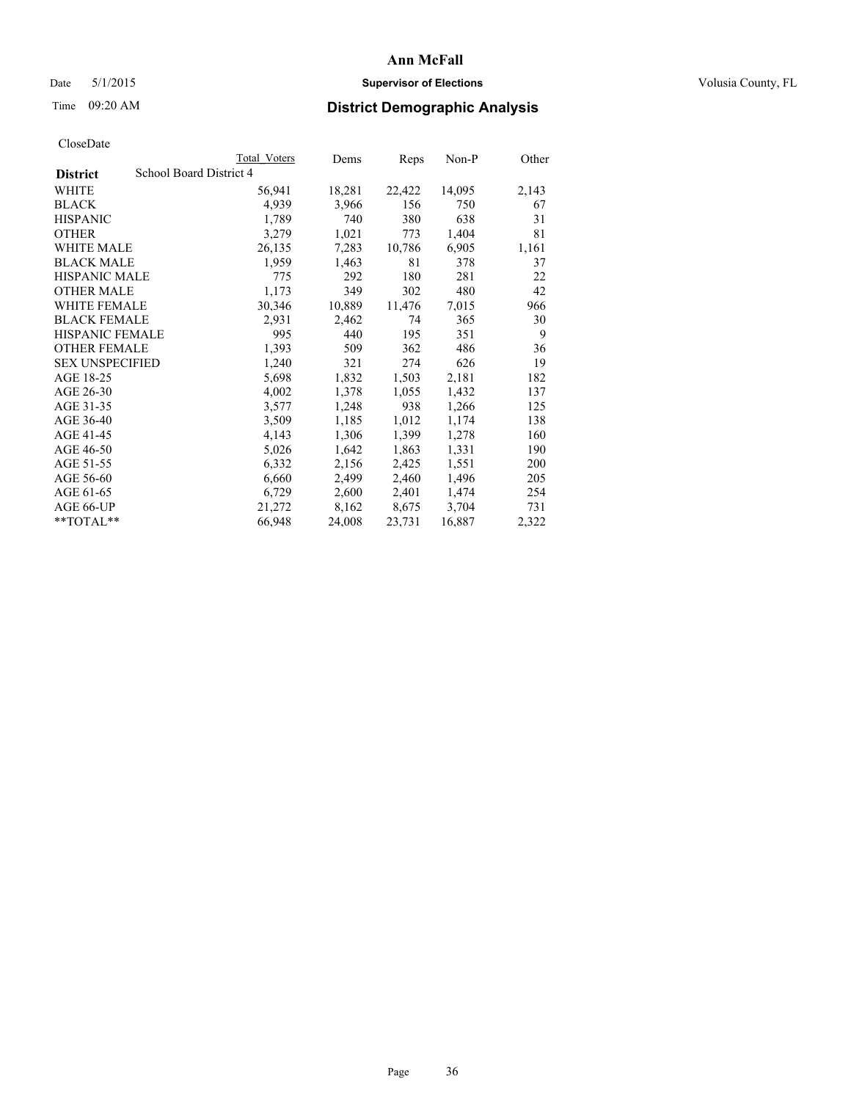# Date 5/1/2015 **Supervisor of Elections Supervisor of Elections** Volusia County, FL

# Time 09:20 AM **District Demographic Analysis**

| <b>Total Voters</b>     | Dems   | Reps   | Non-P  | Other |
|-------------------------|--------|--------|--------|-------|
| School Board District 4 |        |        |        |       |
| 56,941                  | 18,281 | 22,422 | 14,095 | 2,143 |
| 4,939                   | 3,966  | 156    | 750    | 67    |
| 1,789                   | 740    | 380    | 638    | 31    |
| 3,279                   | 1,021  | 773    | 1,404  | 81    |
| 26,135                  | 7,283  | 10,786 | 6,905  | 1,161 |
| 1,959                   | 1,463  | 81     | 378    | 37    |
| 775                     | 292    | 180    | 281    | 22    |
| 1,173                   | 349    | 302    | 480    | 42    |
| 30,346                  | 10,889 | 11,476 | 7,015  | 966   |
| 2,931                   | 2,462  | 74     | 365    | 30    |
| 995                     | 440    | 195    | 351    | 9     |
| 1,393                   | 509    | 362    | 486    | 36    |
| 1,240                   | 321    | 274    | 626    | 19    |
| 5,698                   | 1,832  | 1,503  | 2,181  | 182   |
| 4,002                   | 1,378  | 1,055  | 1,432  | 137   |
| 3,577                   | 1,248  | 938    | 1,266  | 125   |
| 3,509                   | 1,185  | 1,012  | 1,174  | 138   |
| 4,143                   | 1,306  | 1,399  | 1,278  | 160   |
| 5,026                   | 1,642  | 1,863  | 1,331  | 190   |
| 6,332                   | 2,156  | 2,425  | 1,551  | 200   |
| 6,660                   | 2,499  | 2,460  | 1,496  | 205   |
| 6,729                   | 2,600  | 2,401  | 1,474  | 254   |
| 21,272                  | 8,162  | 8,675  | 3,704  | 731   |
| 66,948                  | 24,008 | 23,731 | 16,887 | 2,322 |
|                         |        |        |        |       |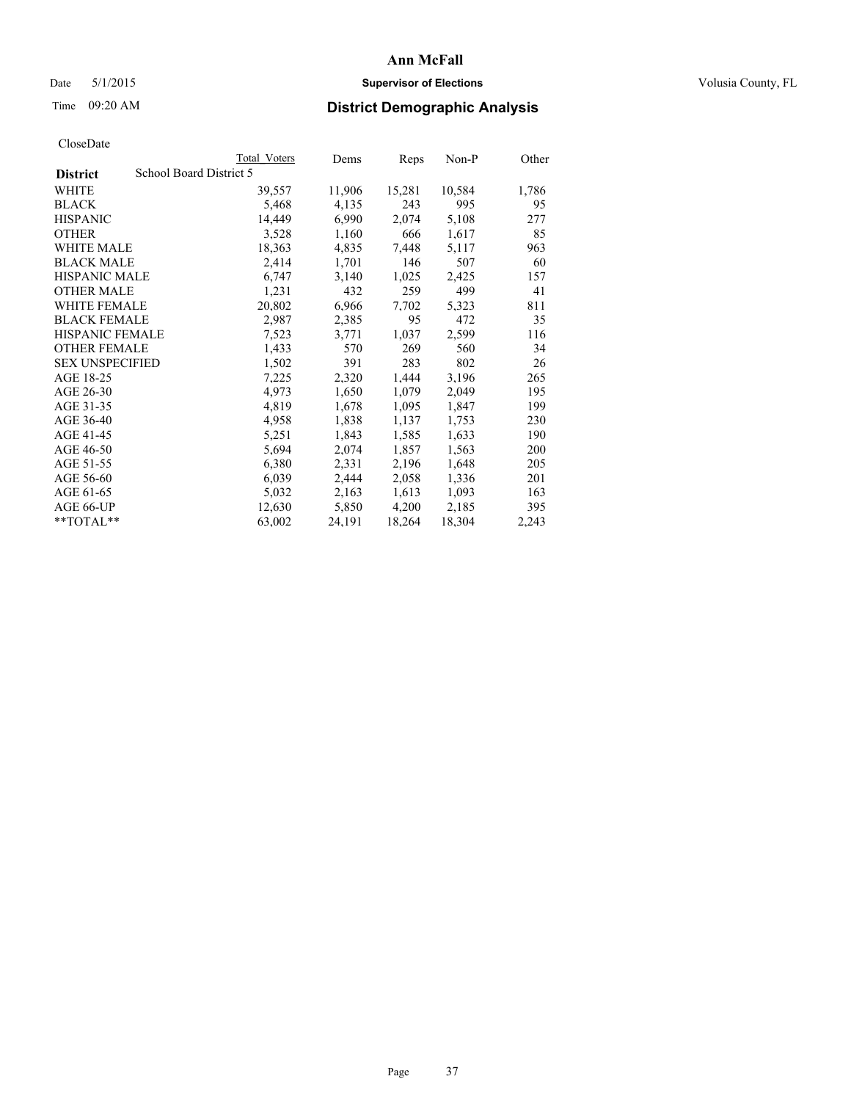## Date 5/1/2015 **Supervisor of Elections Supervisor of Elections** Volusia County, FL

# Time 09:20 AM **District Demographic Analysis**

|                                            | Total Voters | Dems   | Reps   | Non-P  | Other |
|--------------------------------------------|--------------|--------|--------|--------|-------|
| School Board District 5<br><b>District</b> |              |        |        |        |       |
| WHITE                                      | 39,557       | 11,906 | 15,281 | 10,584 | 1,786 |
| <b>BLACK</b>                               | 5,468        | 4,135  | 243    | 995    | 95    |
| <b>HISPANIC</b>                            | 14,449       | 6,990  | 2,074  | 5,108  | 277   |
| <b>OTHER</b>                               | 3,528        | 1,160  | 666    | 1,617  | 85    |
| <b>WHITE MALE</b>                          | 18,363       | 4,835  | 7,448  | 5,117  | 963   |
| <b>BLACK MALE</b>                          | 2,414        | 1,701  | 146    | 507    | 60    |
| <b>HISPANIC MALE</b>                       | 6,747        | 3,140  | 1,025  | 2,425  | 157   |
| <b>OTHER MALE</b>                          | 1,231        | 432    | 259    | 499    | 41    |
| <b>WHITE FEMALE</b>                        | 20,802       | 6,966  | 7,702  | 5,323  | 811   |
| <b>BLACK FEMALE</b>                        | 2,987        | 2,385  | 95     | 472    | 35    |
| HISPANIC FEMALE                            | 7,523        | 3,771  | 1,037  | 2,599  | 116   |
| <b>OTHER FEMALE</b>                        | 1,433        | 570    | 269    | 560    | 34    |
| <b>SEX UNSPECIFIED</b>                     | 1,502        | 391    | 283    | 802    | 26    |
| AGE 18-25                                  | 7,225        | 2,320  | 1,444  | 3,196  | 265   |
| AGE 26-30                                  | 4,973        | 1,650  | 1,079  | 2,049  | 195   |
| AGE 31-35                                  | 4,819        | 1,678  | 1,095  | 1,847  | 199   |
| AGE 36-40                                  | 4,958        | 1,838  | 1,137  | 1,753  | 230   |
| AGE 41-45                                  | 5,251        | 1,843  | 1,585  | 1,633  | 190   |
| AGE 46-50                                  | 5,694        | 2,074  | 1,857  | 1,563  | 200   |
| AGE 51-55                                  | 6,380        | 2,331  | 2,196  | 1,648  | 205   |
| AGE 56-60                                  | 6,039        | 2,444  | 2,058  | 1,336  | 201   |
| AGE 61-65                                  | 5,032        | 2,163  | 1,613  | 1,093  | 163   |
| AGE 66-UP                                  | 12,630       | 5,850  | 4,200  | 2,185  | 395   |
| $*$ TOTAL $*$                              | 63,002       | 24,191 | 18,264 | 18,304 | 2,243 |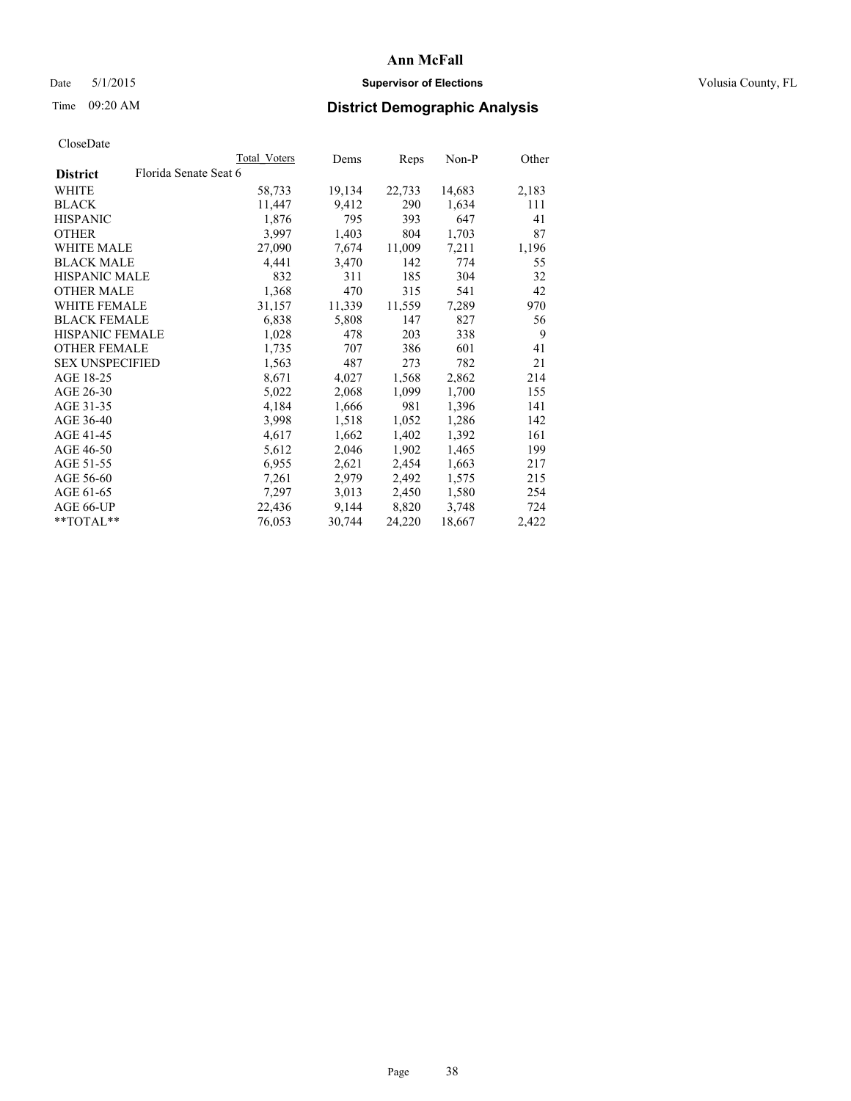## Date 5/1/2015 **Supervisor of Elections Supervisor of Elections** Volusia County, FL

# Time 09:20 AM **District Demographic Analysis**

|                        |                       | Total Voters | Dems   | <b>Reps</b> | $Non-P$ | Other |
|------------------------|-----------------------|--------------|--------|-------------|---------|-------|
| <b>District</b>        | Florida Senate Seat 6 |              |        |             |         |       |
| WHITE                  |                       | 58,733       | 19,134 | 22,733      | 14,683  | 2,183 |
| <b>BLACK</b>           |                       | 11,447       | 9,412  | 290         | 1,634   | 111   |
| <b>HISPANIC</b>        |                       | 1,876        | 795    | 393         | 647     | 41    |
| <b>OTHER</b>           |                       | 3,997        | 1,403  | 804         | 1,703   | 87    |
| WHITE MALE             |                       | 27,090       | 7,674  | 11,009      | 7,211   | 1,196 |
| <b>BLACK MALE</b>      |                       | 4,441        | 3,470  | 142         | 774     | 55    |
| <b>HISPANIC MALE</b>   |                       | 832          | 311    | 185         | 304     | 32    |
| <b>OTHER MALE</b>      |                       | 1,368        | 470    | 315         | 541     | 42    |
| <b>WHITE FEMALE</b>    |                       | 31,157       | 11,339 | 11,559      | 7,289   | 970   |
| <b>BLACK FEMALE</b>    |                       | 6,838        | 5,808  | 147         | 827     | 56    |
| <b>HISPANIC FEMALE</b> |                       | 1,028        | 478    | 203         | 338     | 9     |
| <b>OTHER FEMALE</b>    |                       | 1,735        | 707    | 386         | 601     | 41    |
| <b>SEX UNSPECIFIED</b> |                       | 1,563        | 487    | 273         | 782     | 21    |
| AGE 18-25              |                       | 8,671        | 4,027  | 1,568       | 2,862   | 214   |
| AGE 26-30              |                       | 5,022        | 2,068  | 1,099       | 1,700   | 155   |
| AGE 31-35              |                       | 4,184        | 1,666  | 981         | 1,396   | 141   |
| AGE 36-40              |                       | 3,998        | 1,518  | 1,052       | 1,286   | 142   |
| AGE 41-45              |                       | 4,617        | 1,662  | 1,402       | 1,392   | 161   |
| AGE 46-50              |                       | 5,612        | 2,046  | 1,902       | 1,465   | 199   |
| AGE 51-55              |                       | 6,955        | 2,621  | 2,454       | 1,663   | 217   |
| AGE 56-60              |                       | 7,261        | 2,979  | 2,492       | 1,575   | 215   |
| AGE 61-65              |                       | 7,297        | 3,013  | 2,450       | 1,580   | 254   |
| AGE 66-UP              |                       | 22,436       | 9,144  | 8,820       | 3,748   | 724   |
| $*$ TOTAL $*$          |                       | 76,053       | 30,744 | 24,220      | 18,667  | 2,422 |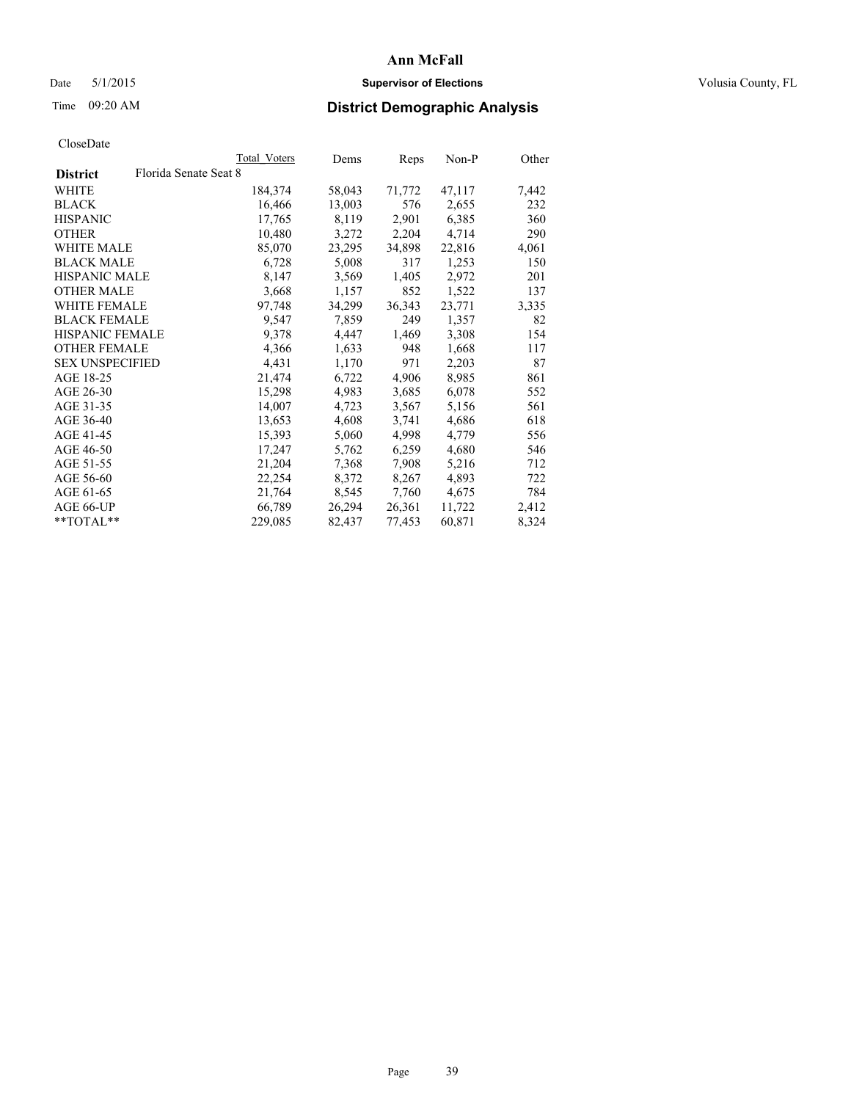## Date 5/1/2015 **Supervisor of Elections Supervisor of Elections** Volusia County, FL

# Time 09:20 AM **District Demographic Analysis**

|                        |                       | <b>Total Voters</b> | Dems   | Reps   | Non-P  | Other |
|------------------------|-----------------------|---------------------|--------|--------|--------|-------|
| <b>District</b>        | Florida Senate Seat 8 |                     |        |        |        |       |
| WHITE                  |                       | 184,374             | 58,043 | 71,772 | 47,117 | 7,442 |
| <b>BLACK</b>           |                       | 16,466              | 13,003 | 576    | 2,655  | 232   |
| <b>HISPANIC</b>        |                       | 17,765              | 8,119  | 2,901  | 6,385  | 360   |
| <b>OTHER</b>           |                       | 10,480              | 3,272  | 2,204  | 4,714  | 290   |
| WHITE MALE             |                       | 85,070              | 23,295 | 34,898 | 22,816 | 4,061 |
| <b>BLACK MALE</b>      |                       | 6,728               | 5,008  | 317    | 1,253  | 150   |
| <b>HISPANIC MALE</b>   |                       | 8,147               | 3,569  | 1,405  | 2,972  | 201   |
| <b>OTHER MALE</b>      |                       | 3,668               | 1,157  | 852    | 1,522  | 137   |
| <b>WHITE FEMALE</b>    |                       | 97,748              | 34,299 | 36,343 | 23,771 | 3,335 |
| <b>BLACK FEMALE</b>    |                       | 9,547               | 7,859  | 249    | 1,357  | 82    |
| HISPANIC FEMALE        |                       | 9,378               | 4,447  | 1,469  | 3,308  | 154   |
| <b>OTHER FEMALE</b>    |                       | 4,366               | 1,633  | 948    | 1,668  | 117   |
| <b>SEX UNSPECIFIED</b> |                       | 4,431               | 1,170  | 971    | 2,203  | 87    |
| AGE 18-25              |                       | 21,474              | 6,722  | 4,906  | 8,985  | 861   |
| AGE 26-30              |                       | 15,298              | 4,983  | 3,685  | 6,078  | 552   |
| AGE 31-35              |                       | 14,007              | 4,723  | 3,567  | 5,156  | 561   |
| AGE 36-40              |                       | 13,653              | 4,608  | 3,741  | 4,686  | 618   |
| AGE 41-45              |                       | 15,393              | 5,060  | 4,998  | 4,779  | 556   |
| AGE 46-50              |                       | 17,247              | 5,762  | 6,259  | 4,680  | 546   |
| AGE 51-55              |                       | 21,204              | 7,368  | 7,908  | 5,216  | 712   |
| AGE 56-60              |                       | 22,254              | 8,372  | 8,267  | 4,893  | 722   |
| AGE 61-65              |                       | 21,764              | 8,545  | 7,760  | 4,675  | 784   |
| AGE 66-UP              |                       | 66,789              | 26,294 | 26,361 | 11,722 | 2,412 |
| $*$ $TOTAL**$          |                       | 229,085             | 82,437 | 77,453 | 60,871 | 8,324 |
|                        |                       |                     |        |        |        |       |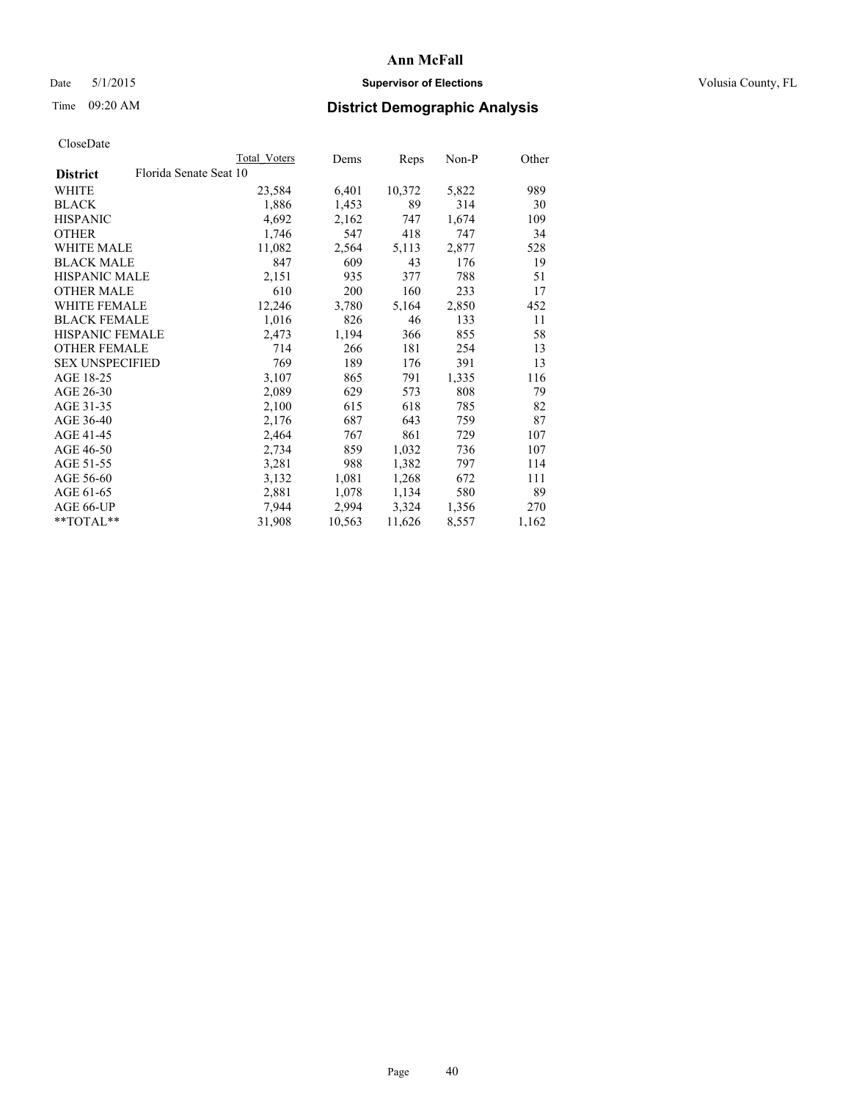## Date 5/1/2015 **Supervisor of Elections Supervisor of Elections** Volusia County, FL

# Time 09:20 AM **District Demographic Analysis**

|                        |                        | Total Voters | Dems   | Reps   | Non-P | Other |
|------------------------|------------------------|--------------|--------|--------|-------|-------|
| <b>District</b>        | Florida Senate Seat 10 |              |        |        |       |       |
| WHITE                  |                        | 23,584       | 6,401  | 10,372 | 5,822 | 989   |
| <b>BLACK</b>           |                        | 1,886        | 1,453  | 89     | 314   | 30    |
| <b>HISPANIC</b>        |                        | 4,692        | 2,162  | 747    | 1,674 | 109   |
| <b>OTHER</b>           |                        | 1,746        | 547    | 418    | 747   | 34    |
| WHITE MALE             |                        | 11,082       | 2,564  | 5,113  | 2,877 | 528   |
| <b>BLACK MALE</b>      |                        | 847          | 609    | 43     | 176   | 19    |
| <b>HISPANIC MALE</b>   |                        | 2,151        | 935    | 377    | 788   | 51    |
| <b>OTHER MALE</b>      |                        | 610          | 200    | 160    | 233   | 17    |
| <b>WHITE FEMALE</b>    |                        | 12,246       | 3,780  | 5,164  | 2,850 | 452   |
| <b>BLACK FEMALE</b>    |                        | 1,016        | 826    | 46     | 133   | 11    |
| <b>HISPANIC FEMALE</b> |                        | 2,473        | 1,194  | 366    | 855   | 58    |
| <b>OTHER FEMALE</b>    |                        | 714          | 266    | 181    | 254   | 13    |
| <b>SEX UNSPECIFIED</b> |                        | 769          | 189    | 176    | 391   | 13    |
| AGE 18-25              |                        | 3,107        | 865    | 791    | 1,335 | 116   |
| AGE 26-30              |                        | 2,089        | 629    | 573    | 808   | 79    |
| AGE 31-35              |                        | 2,100        | 615    | 618    | 785   | 82    |
| AGE 36-40              |                        | 2,176        | 687    | 643    | 759   | 87    |
| AGE 41-45              |                        | 2,464        | 767    | 861    | 729   | 107   |
| AGE 46-50              |                        | 2,734        | 859    | 1,032  | 736   | 107   |
| AGE 51-55              |                        | 3,281        | 988    | 1,382  | 797   | 114   |
| AGE 56-60              |                        | 3,132        | 1,081  | 1,268  | 672   | 111   |
| AGE 61-65              |                        | 2,881        | 1,078  | 1,134  | 580   | 89    |
| AGE 66-UP              |                        | 7,944        | 2,994  | 3,324  | 1,356 | 270   |
| **TOTAL**              |                        | 31,908       | 10,563 | 11,626 | 8,557 | 1,162 |
|                        |                        |              |        |        |       |       |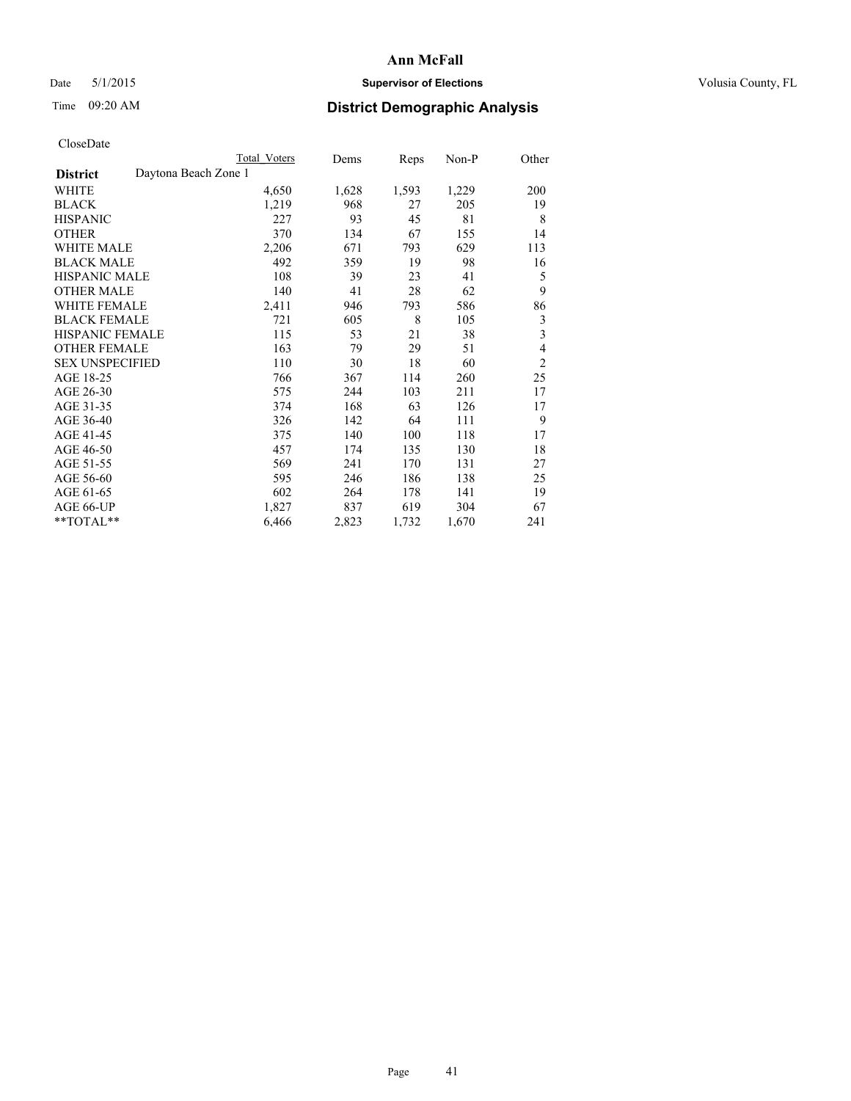## Date 5/1/2015 **Supervisor of Elections Supervisor of Elections** Volusia County, FL

# Time 09:20 AM **District Demographic Analysis**

|                                         | Total Voters | Dems  | Reps  | Non-P | Other          |
|-----------------------------------------|--------------|-------|-------|-------|----------------|
| Daytona Beach Zone 1<br><b>District</b> |              |       |       |       |                |
| WHITE                                   | 4,650        | 1,628 | 1,593 | 1,229 | 200            |
| <b>BLACK</b>                            | 1,219        | 968   | 27    | 205   | 19             |
| <b>HISPANIC</b>                         | 227          | 93    | 45    | 81    | 8              |
| OTHER                                   | 370          | 134   | 67    | 155   | 14             |
| WHITE MALE                              | 2,206        | 671   | 793   | 629   | 113            |
| <b>BLACK MALE</b>                       | 492          | 359   | 19    | 98    | 16             |
| <b>HISPANIC MALE</b>                    | 108          | 39    | 23    | 41    | 5              |
| <b>OTHER MALE</b>                       | 140          | 41    | 28    | 62    | 9              |
| <b>WHITE FEMALE</b>                     | 2,411        | 946   | 793   | 586   | 86             |
| <b>BLACK FEMALE</b>                     | 721          | 605   | 8     | 105   | 3              |
| HISPANIC FEMALE                         | 115          | 53    | 21    | 38    | 3              |
| <b>OTHER FEMALE</b>                     | 163          | 79    | 29    | 51    | 4              |
| <b>SEX UNSPECIFIED</b>                  | 110          | 30    | 18    | 60    | $\overline{2}$ |
| AGE 18-25                               | 766          | 367   | 114   | 260   | 25             |
| AGE 26-30                               | 575          | 244   | 103   | 211   | 17             |
| AGE 31-35                               | 374          | 168   | 63    | 126   | 17             |
| AGE 36-40                               | 326          | 142   | 64    | 111   | 9              |
| AGE 41-45                               | 375          | 140   | 100   | 118   | 17             |
| AGE 46-50                               | 457          | 174   | 135   | 130   | 18             |
| AGE 51-55                               | 569          | 241   | 170   | 131   | 27             |
| AGE 56-60                               | 595          | 246   | 186   | 138   | 25             |
| AGE 61-65                               | 602          | 264   | 178   | 141   | 19             |
| AGE 66-UP                               | 1,827        | 837   | 619   | 304   | 67             |
| **TOTAL**                               | 6,466        | 2,823 | 1,732 | 1,670 | 241            |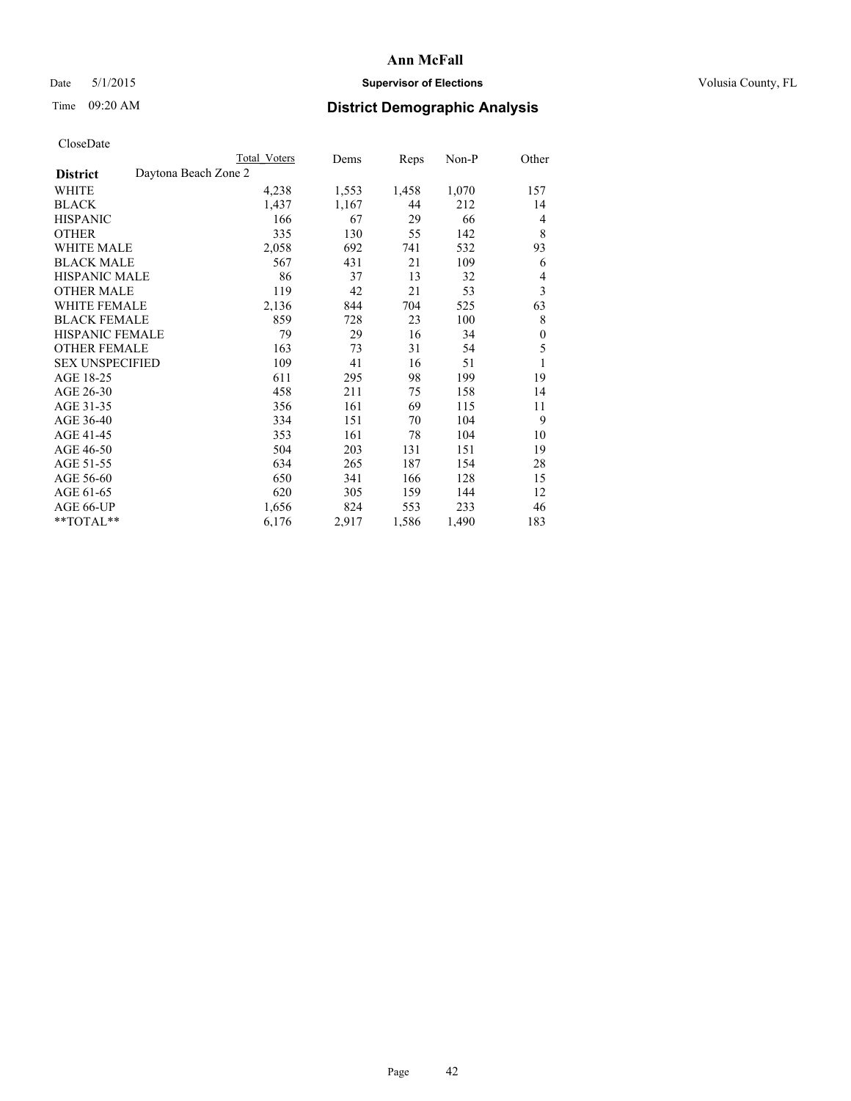## Date 5/1/2015 **Supervisor of Elections Supervisor of Elections** Volusia County, FL

# Time 09:20 AM **District Demographic Analysis**

|                                         | <b>Total Voters</b> | Dems  | Reps  | Non-P | Other        |
|-----------------------------------------|---------------------|-------|-------|-------|--------------|
| Daytona Beach Zone 2<br><b>District</b> |                     |       |       |       |              |
| WHITE                                   | 4,238               | 1,553 | 1,458 | 1,070 | 157          |
| <b>BLACK</b>                            | 1,437               | 1,167 | 44    | 212   | 14           |
| <b>HISPANIC</b>                         | 166                 | 67    | 29    | 66    | 4            |
| <b>OTHER</b>                            | 335                 | 130   | 55    | 142   | 8            |
| <b>WHITE MALE</b>                       | 2,058               | 692   | 741   | 532   | 93           |
| <b>BLACK MALE</b>                       | 567                 | 431   | 21    | 109   | 6            |
| <b>HISPANIC MALE</b>                    | 86                  | 37    | 13    | 32    | 4            |
| <b>OTHER MALE</b>                       | 119                 | 42    | 21    | 53    | 3            |
| WHITE FEMALE                            | 2,136               | 844   | 704   | 525   | 63           |
| <b>BLACK FEMALE</b>                     | 859                 | 728   | 23    | 100   | 8            |
| <b>HISPANIC FEMALE</b>                  | 79                  | 29    | 16    | 34    | $\mathbf{0}$ |
| <b>OTHER FEMALE</b>                     | 163                 | 73    | 31    | 54    | 5            |
| <b>SEX UNSPECIFIED</b>                  | 109                 | 41    | 16    | 51    | 1            |
| AGE 18-25                               | 611                 | 295   | 98    | 199   | 19           |
| AGE 26-30                               | 458                 | 211   | 75    | 158   | 14           |
| AGE 31-35                               | 356                 | 161   | 69    | 115   | 11           |
| AGE 36-40                               | 334                 | 151   | 70    | 104   | 9            |
| AGE 41-45                               | 353                 | 161   | 78    | 104   | 10           |
| AGE 46-50                               | 504                 | 203   | 131   | 151   | 19           |
| AGE 51-55                               | 634                 | 265   | 187   | 154   | 28           |
| AGE 56-60                               | 650                 | 341   | 166   | 128   | 15           |
| AGE 61-65                               | 620                 | 305   | 159   | 144   | 12           |
| AGE 66-UP                               | 1,656               | 824   | 553   | 233   | 46           |
| **TOTAL**                               | 6,176               | 2,917 | 1,586 | 1,490 | 183          |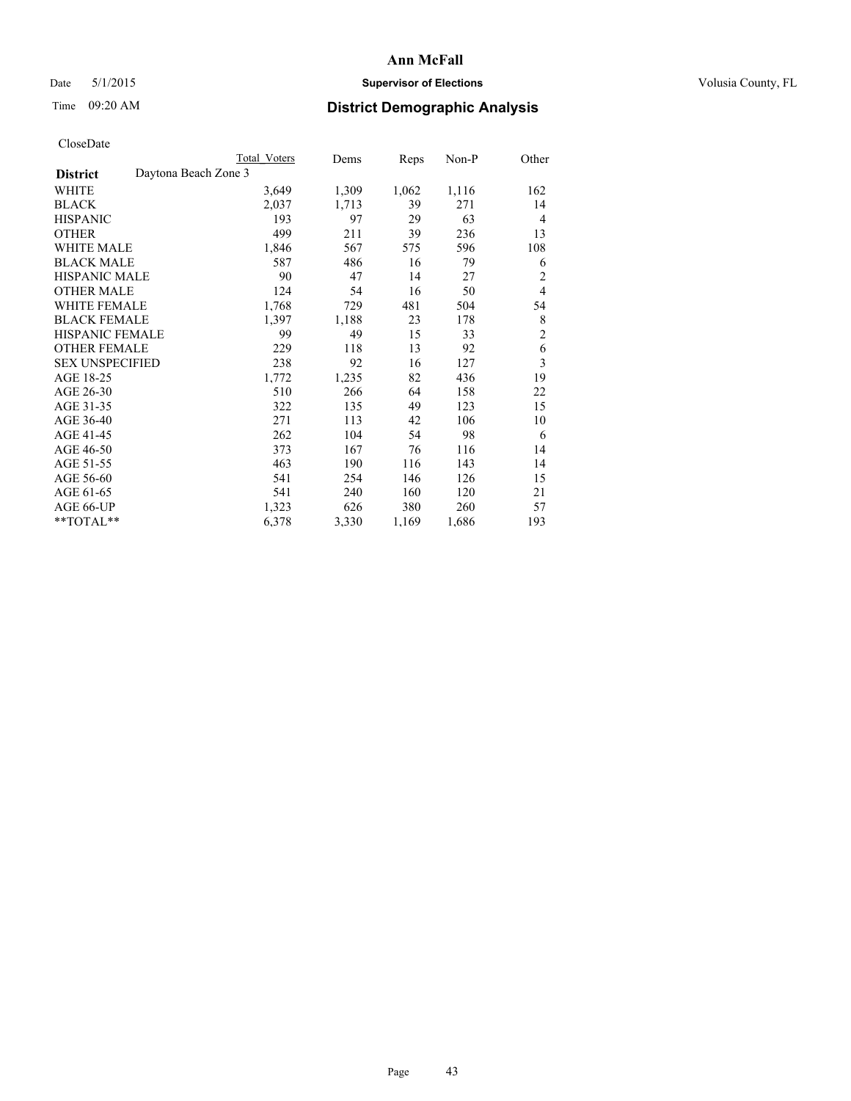## Date 5/1/2015 **Supervisor of Elections Supervisor of Elections** Volusia County, FL

# Time 09:20 AM **District Demographic Analysis**

|                                         | <b>Total Voters</b> | Dems  | Reps  | Non-P | Other                   |
|-----------------------------------------|---------------------|-------|-------|-------|-------------------------|
| Daytona Beach Zone 3<br><b>District</b> |                     |       |       |       |                         |
| WHITE                                   | 3,649               | 1,309 | 1,062 | 1,116 | 162                     |
| <b>BLACK</b>                            | 2,037               | 1,713 | 39    | 271   | 14                      |
| <b>HISPANIC</b>                         | 193                 | 97    | 29    | 63    | $\overline{4}$          |
| <b>OTHER</b>                            | 499                 | 211   | 39    | 236   | 13                      |
| <b>WHITE MALE</b>                       | 1,846               | 567   | 575   | 596   | 108                     |
| <b>BLACK MALE</b>                       | 587                 | 486   | 16    | 79    | 6                       |
| <b>HISPANIC MALE</b>                    | 90                  | 47    | 14    | 27    | 2                       |
| <b>OTHER MALE</b>                       | 124                 | 54    | 16    | 50    | $\overline{4}$          |
| <b>WHITE FEMALE</b>                     | 1,768               | 729   | 481   | 504   | 54                      |
| <b>BLACK FEMALE</b>                     | 1,397               | 1,188 | 23    | 178   | 8                       |
| <b>HISPANIC FEMALE</b>                  | 99                  | 49    | 15    | 33    | $\overline{c}$          |
| <b>OTHER FEMALE</b>                     | 229                 | 118   | 13    | 92    | 6                       |
| <b>SEX UNSPECIFIED</b>                  | 238                 | 92    | 16    | 127   | $\overline{\mathbf{3}}$ |
| AGE 18-25                               | 1,772               | 1,235 | 82    | 436   | 19                      |
| AGE 26-30                               | 510                 | 266   | 64    | 158   | 22                      |
| AGE 31-35                               | 322                 | 135   | 49    | 123   | 15                      |
| AGE 36-40                               | 271                 | 113   | 42    | 106   | 10                      |
| AGE 41-45                               | 262                 | 104   | 54    | 98    | 6                       |
| AGE 46-50                               | 373                 | 167   | 76    | 116   | 14                      |
| AGE 51-55                               | 463                 | 190   | 116   | 143   | 14                      |
| AGE 56-60                               | 541                 | 254   | 146   | 126   | 15                      |
| AGE 61-65                               | 541                 | 240   | 160   | 120   | 21                      |
| AGE 66-UP                               | 1,323               | 626   | 380   | 260   | 57                      |
| **TOTAL**                               | 6,378               | 3,330 | 1,169 | 1,686 | 193                     |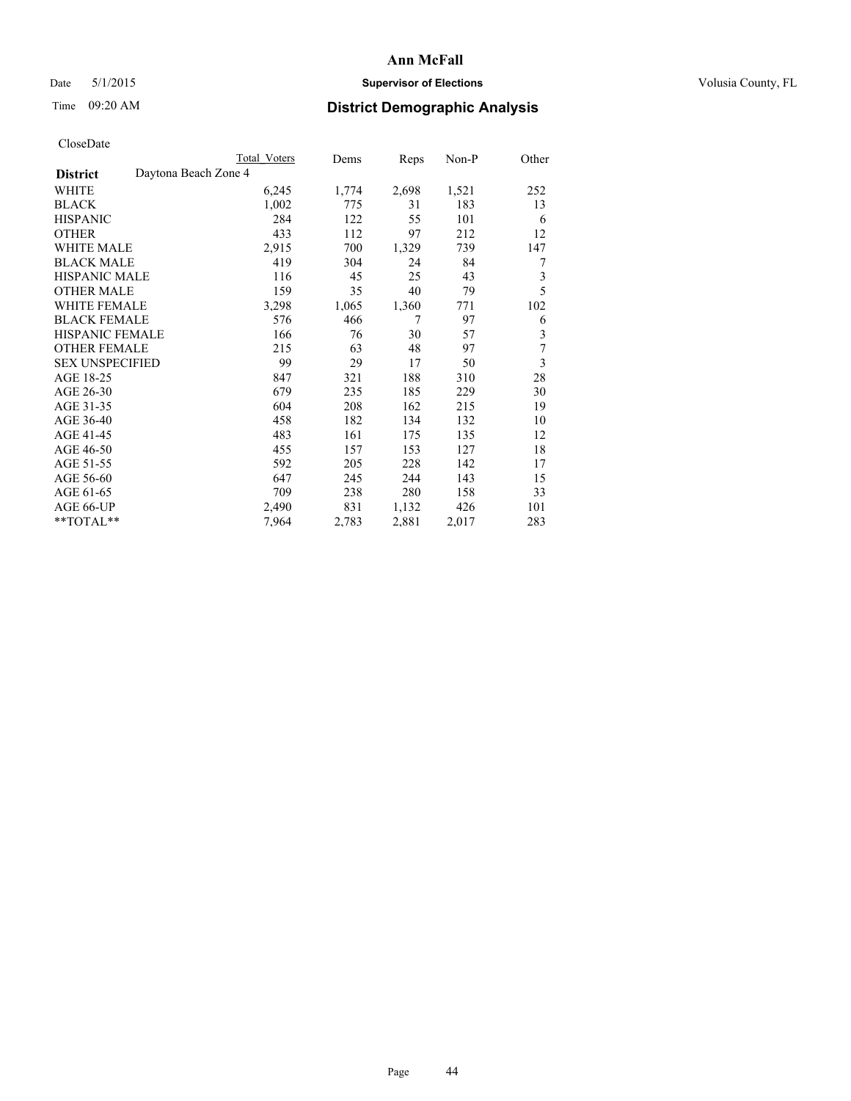## Date 5/1/2015 **Supervisor of Elections Supervisor of Elections** Volusia County, FL

# Time 09:20 AM **District Demographic Analysis**

|                                         | <b>Total Voters</b> | Dems  | Reps  | Non-P | Other |
|-----------------------------------------|---------------------|-------|-------|-------|-------|
| Daytona Beach Zone 4<br><b>District</b> |                     |       |       |       |       |
| WHITE                                   | 6,245               | 1,774 | 2,698 | 1,521 | 252   |
| <b>BLACK</b>                            | 1,002               | 775   | 31    | 183   | 13    |
| <b>HISPANIC</b>                         | 284                 | 122   | 55    | 101   | 6     |
| <b>OTHER</b>                            | 433                 | 112   | 97    | 212   | 12    |
| <b>WHITE MALE</b>                       | 2,915               | 700   | 1,329 | 739   | 147   |
| <b>BLACK MALE</b>                       | 419                 | 304   | 24    | 84    | 7     |
| <b>HISPANIC MALE</b>                    | 116                 | 45    | 25    | 43    | 3     |
| <b>OTHER MALE</b>                       | 159                 | 35    | 40    | 79    | 5     |
| <b>WHITE FEMALE</b>                     | 3,298               | 1,065 | 1,360 | 771   | 102   |
| <b>BLACK FEMALE</b>                     | 576                 | 466   | 7     | 97    | 6     |
| <b>HISPANIC FEMALE</b>                  | 166                 | 76    | 30    | 57    | 3     |
| <b>OTHER FEMALE</b>                     | 215                 | 63    | 48    | 97    | 7     |
| <b>SEX UNSPECIFIED</b>                  | 99                  | 29    | 17    | 50    | 3     |
| AGE 18-25                               | 847                 | 321   | 188   | 310   | 28    |
| AGE 26-30                               | 679                 | 235   | 185   | 229   | 30    |
| AGE 31-35                               | 604                 | 208   | 162   | 215   | 19    |
| AGE 36-40                               | 458                 | 182   | 134   | 132   | 10    |
| AGE 41-45                               | 483                 | 161   | 175   | 135   | 12    |
| AGE 46-50                               | 455                 | 157   | 153   | 127   | 18    |
| AGE 51-55                               | 592                 | 205   | 228   | 142   | 17    |
| AGE 56-60                               | 647                 | 245   | 244   | 143   | 15    |
| AGE 61-65                               | 709                 | 238   | 280   | 158   | 33    |
| AGE 66-UP                               | 2,490               | 831   | 1,132 | 426   | 101   |
| **TOTAL**                               | 7,964               | 2,783 | 2,881 | 2,017 | 283   |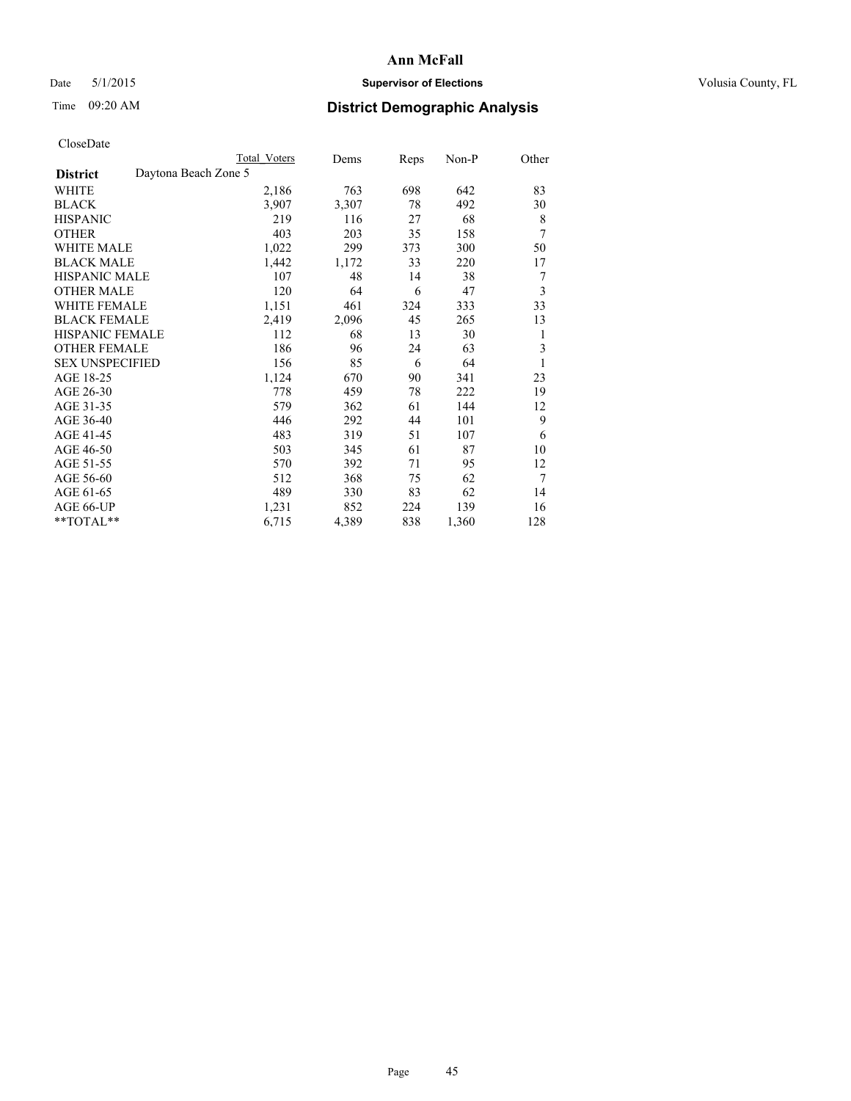## Date 5/1/2015 **Supervisor of Elections Supervisor of Elections** Volusia County, FL

# Time 09:20 AM **District Demographic Analysis**

|                                         | <b>Total Voters</b> | Dems  | Reps | Non-P | Other |
|-----------------------------------------|---------------------|-------|------|-------|-------|
| Daytona Beach Zone 5<br><b>District</b> |                     |       |      |       |       |
| WHITE                                   | 2,186               | 763   | 698  | 642   | 83    |
| <b>BLACK</b>                            | 3,907               | 3,307 | 78   | 492   | 30    |
| <b>HISPANIC</b>                         | 219                 | 116   | 27   | 68    | 8     |
| <b>OTHER</b>                            | 403                 | 203   | 35   | 158   | 7     |
| <b>WHITE MALE</b>                       | 1,022               | 299   | 373  | 300   | 50    |
| <b>BLACK MALE</b>                       | 1,442               | 1,172 | 33   | 220   | 17    |
| HISPANIC MALE                           | 107                 | 48    | 14   | 38    | 7     |
| <b>OTHER MALE</b>                       | 120                 | 64    | 6    | 47    | 3     |
| <b>WHITE FEMALE</b>                     | 1,151               | 461   | 324  | 333   | 33    |
| <b>BLACK FEMALE</b>                     | 2,419               | 2,096 | 45   | 265   | 13    |
| <b>HISPANIC FEMALE</b>                  | 112                 | 68    | 13   | 30    | 1     |
| <b>OTHER FEMALE</b>                     | 186                 | 96    | 24   | 63    | 3     |
| <b>SEX UNSPECIFIED</b>                  | 156                 | 85    | 6    | 64    | 1     |
| AGE 18-25                               | 1,124               | 670   | 90   | 341   | 23    |
| AGE 26-30                               | 778                 | 459   | 78   | 222   | 19    |
| AGE 31-35                               | 579                 | 362   | 61   | 144   | 12    |
| AGE 36-40                               | 446                 | 292   | 44   | 101   | 9     |
| AGE 41-45                               | 483                 | 319   | 51   | 107   | 6     |
| AGE 46-50                               | 503                 | 345   | 61   | 87    | 10    |
| AGE 51-55                               | 570                 | 392   | 71   | 95    | 12    |
| AGE 56-60                               | 512                 | 368   | 75   | 62    | 7     |
| AGE 61-65                               | 489                 | 330   | 83   | 62    | 14    |
| AGE 66-UP                               | 1,231               | 852   | 224  | 139   | 16    |
| **TOTAL**                               | 6,715               | 4,389 | 838  | 1,360 | 128   |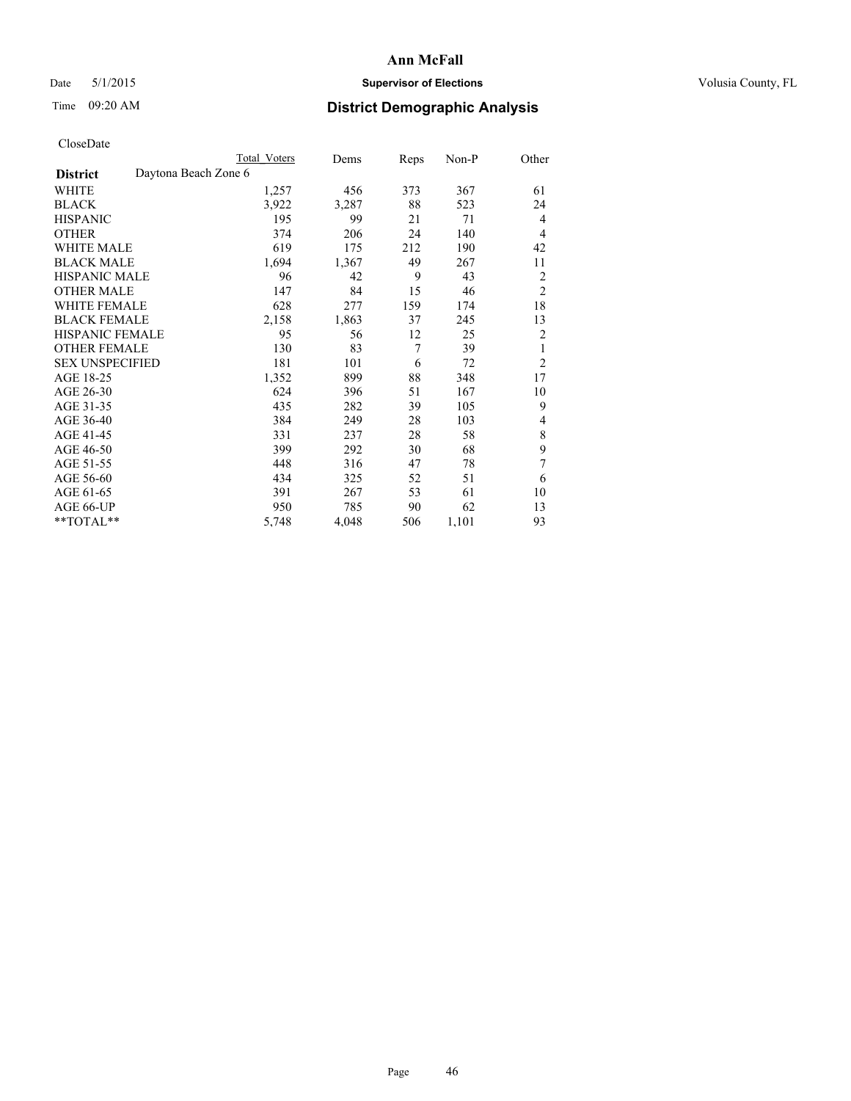## Date 5/1/2015 **Supervisor of Elections Supervisor of Elections** Volusia County, FL

|                                         | <b>Total Voters</b> | Dems  | Reps | Non-P | Other          |
|-----------------------------------------|---------------------|-------|------|-------|----------------|
| Daytona Beach Zone 6<br><b>District</b> |                     |       |      |       |                |
| WHITE                                   | 1,257               | 456   | 373  | 367   | 61             |
| <b>BLACK</b>                            | 3,922               | 3,287 | 88   | 523   | 24             |
| <b>HISPANIC</b>                         | 195                 | 99    | 21   | 71    | $\overline{4}$ |
| <b>OTHER</b>                            | 374                 | 206   | 24   | 140   | $\overline{4}$ |
| <b>WHITE MALE</b>                       | 619                 | 175   | 212  | 190   | 42             |
| <b>BLACK MALE</b>                       | 1,694               | 1,367 | 49   | 267   | 11             |
| <b>HISPANIC MALE</b>                    | 96                  | 42    | 9    | 43    | $\overline{2}$ |
| <b>OTHER MALE</b>                       | 147                 | 84    | 15   | 46    | $\overline{2}$ |
| WHITE FEMALE                            | 628                 | 277   | 159  | 174   | 18             |
| <b>BLACK FEMALE</b>                     | 2,158               | 1,863 | 37   | 245   | 13             |
| <b>HISPANIC FEMALE</b>                  | 95                  | 56    | 12   | 25    | $\overline{2}$ |
| <b>OTHER FEMALE</b>                     | 130                 | 83    | 7    | 39    | 1              |
| <b>SEX UNSPECIFIED</b>                  | 181                 | 101   | 6    | 72    | $\overline{2}$ |
| AGE 18-25                               | 1,352               | 899   | 88   | 348   | 17             |
| AGE 26-30                               | 624                 | 396   | 51   | 167   | 10             |
| AGE 31-35                               | 435                 | 282   | 39   | 105   | 9              |
| AGE 36-40                               | 384                 | 249   | 28   | 103   | 4              |
| AGE 41-45                               | 331                 | 237   | 28   | 58    | 8              |
| AGE 46-50                               | 399                 | 292   | 30   | 68    | 9              |
| AGE 51-55                               | 448                 | 316   | 47   | 78    | 7              |
| AGE 56-60                               | 434                 | 325   | 52   | 51    | 6              |
| AGE 61-65                               | 391                 | 267   | 53   | 61    | 10             |
| AGE 66-UP                               | 950                 | 785   | 90   | 62    | 13             |
| **TOTAL**                               | 5,748               | 4,048 | 506  | 1,101 | 93             |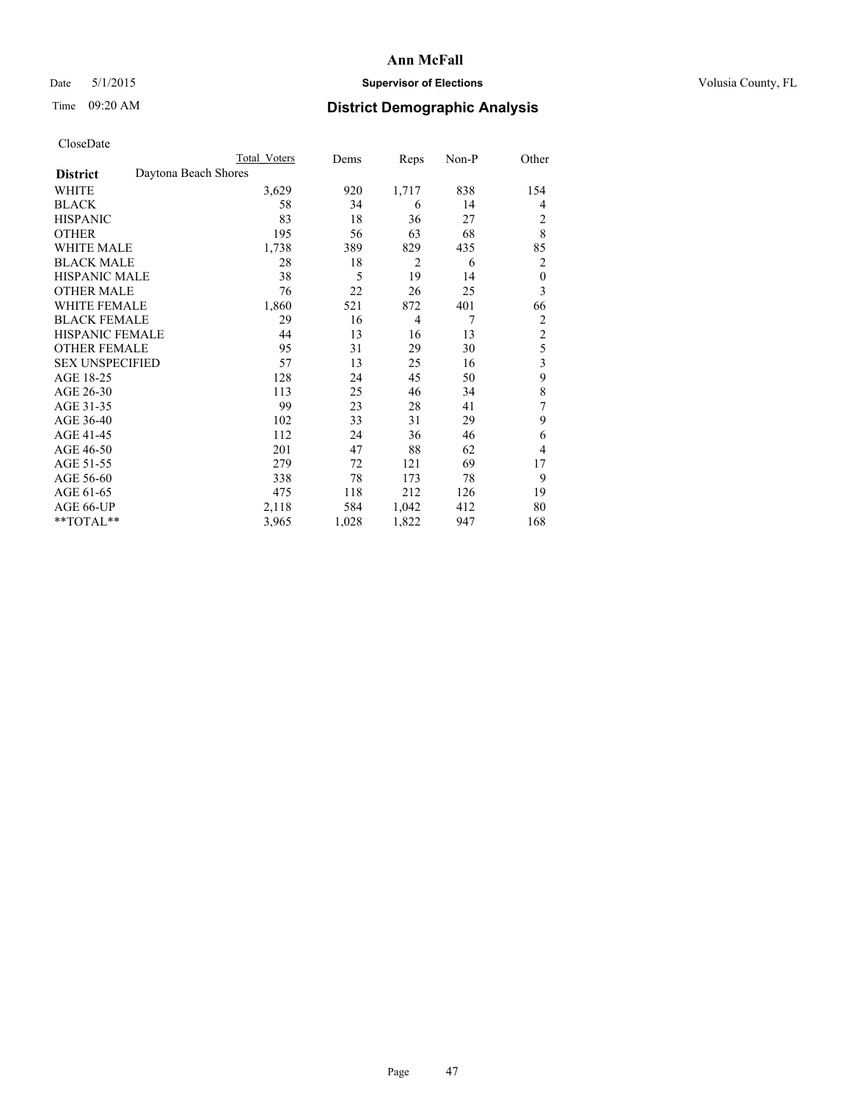## Date 5/1/2015 **Supervisor of Elections Supervisor of Elections** Volusia County, FL

# Time 09:20 AM **District Demographic Analysis**

|                        | <b>Total Voters</b>  | Dems  | Reps           | Non-P | Other            |
|------------------------|----------------------|-------|----------------|-------|------------------|
| <b>District</b>        | Daytona Beach Shores |       |                |       |                  |
| WHITE                  | 3,629                | 920   | 1,717          | 838   | 154              |
| <b>BLACK</b>           | 58                   | 34    | 6              | 14    | 4                |
| <b>HISPANIC</b>        | 83                   | 18    | 36             | 27    | 2                |
| <b>OTHER</b>           | 195                  | 56    | 63             | 68    | 8                |
| WHITE MALE             | 1,738                | 389   | 829            | 435   | 85               |
| <b>BLACK MALE</b>      | 28                   | 18    | $\overline{2}$ | 6     | 2                |
| <b>HISPANIC MALE</b>   | 38                   | 5     | 19             | 14    | $\boldsymbol{0}$ |
| <b>OTHER MALE</b>      | 76                   | 22    | 26             | 25    | 3                |
| WHITE FEMALE           | 1,860                | 521   | 872            | 401   | 66               |
| <b>BLACK FEMALE</b>    | 29                   | 16    | $\overline{4}$ | 7     | 2                |
| <b>HISPANIC FEMALE</b> | 44                   | 13    | 16             | 13    | $\overline{2}$   |
| <b>OTHER FEMALE</b>    | 95                   | 31    | 29             | 30    | 5                |
| <b>SEX UNSPECIFIED</b> | 57                   | 13    | 25             | 16    | 3                |
| AGE 18-25              | 128                  | 24    | 45             | 50    | 9                |
| AGE 26-30              | 113                  | 25    | 46             | 34    | 8                |
| AGE 31-35              | 99                   | 23    | 28             | 41    | 7                |
| AGE 36-40              | 102                  | 33    | 31             | 29    | 9                |
| AGE 41-45              | 112                  | 24    | 36             | 46    | 6                |
| AGE 46-50              | 201                  | 47    | 88             | 62    | 4                |
| AGE 51-55              | 279                  | 72    | 121            | 69    | 17               |
| AGE 56-60              | 338                  | 78    | 173            | 78    | 9                |
| AGE 61-65              | 475                  | 118   | 212            | 126   | 19               |
| AGE 66-UP              | 2,118                | 584   | 1,042          | 412   | 80               |
| **TOTAL**              | 3,965                | 1,028 | 1,822          | 947   | 168              |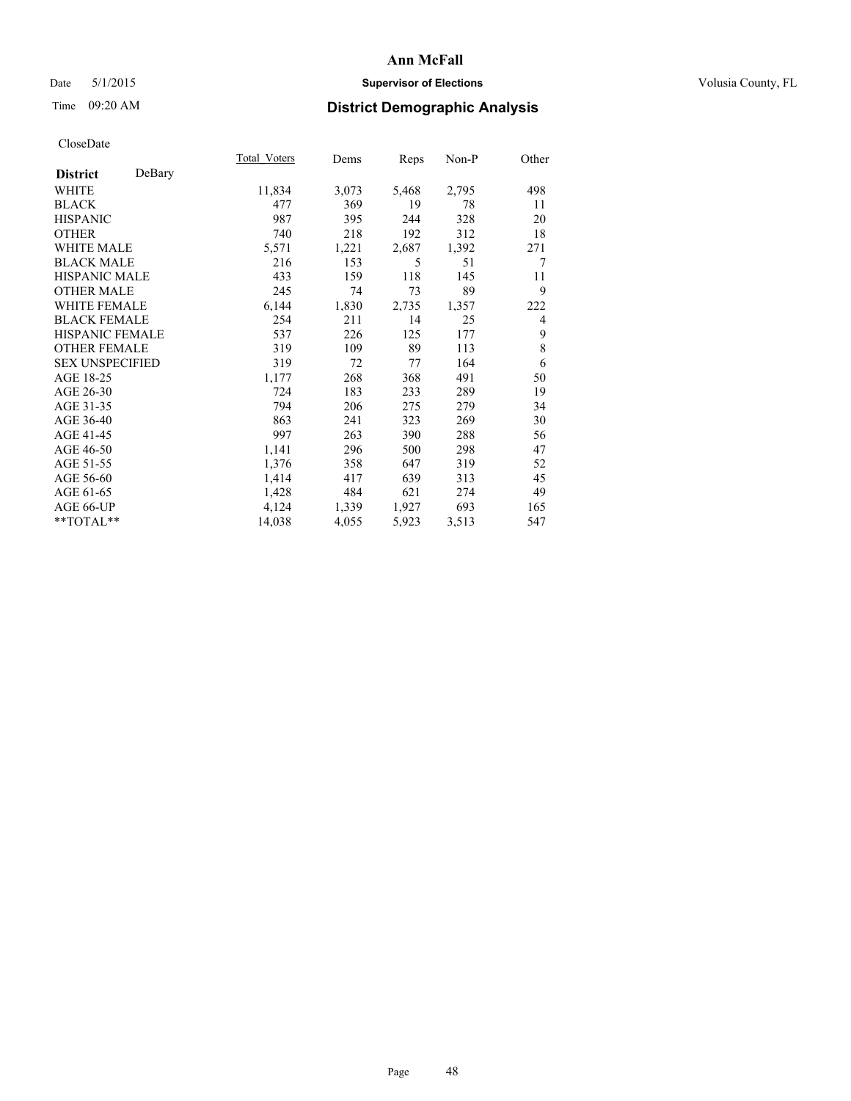## Date 5/1/2015 **Supervisor of Elections Supervisor of Elections** Volusia County, FL

# Time 09:20 AM **District Demographic Analysis**

|                        |        | <b>Total Voters</b> | Dems  | Reps  | Non-P | Other |
|------------------------|--------|---------------------|-------|-------|-------|-------|
| <b>District</b>        | DeBary |                     |       |       |       |       |
| WHITE                  |        | 11,834              | 3,073 | 5,468 | 2,795 | 498   |
| <b>BLACK</b>           |        | 477                 | 369   | 19    | 78    | 11    |
| <b>HISPANIC</b>        |        | 987                 | 395   | 244   | 328   | 20    |
| <b>OTHER</b>           |        | 740                 | 218   | 192   | 312   | 18    |
| WHITE MALE             |        | 5,571               | 1,221 | 2,687 | 1,392 | 271   |
| <b>BLACK MALE</b>      |        | 216                 | 153   | 5     | 51    | 7     |
| <b>HISPANIC MALE</b>   |        | 433                 | 159   | 118   | 145   | 11    |
| <b>OTHER MALE</b>      |        | 245                 | 74    | 73    | 89    | 9     |
| WHITE FEMALE           |        | 6,144               | 1,830 | 2,735 | 1,357 | 222   |
| <b>BLACK FEMALE</b>    |        | 254                 | 211   | 14    | 25    | 4     |
| HISPANIC FEMALE        |        | 537                 | 226   | 125   | 177   | 9     |
| <b>OTHER FEMALE</b>    |        | 319                 | 109   | 89    | 113   | 8     |
| <b>SEX UNSPECIFIED</b> |        | 319                 | 72    | 77    | 164   | 6     |
| AGE 18-25              |        | 1,177               | 268   | 368   | 491   | 50    |
| AGE 26-30              |        | 724                 | 183   | 233   | 289   | 19    |
| AGE 31-35              |        | 794                 | 206   | 275   | 279   | 34    |
| AGE 36-40              |        | 863                 | 241   | 323   | 269   | 30    |
| AGE 41-45              |        | 997                 | 263   | 390   | 288   | 56    |
| AGE 46-50              |        | 1,141               | 296   | 500   | 298   | 47    |
| AGE 51-55              |        | 1,376               | 358   | 647   | 319   | 52    |
| AGE 56-60              |        | 1,414               | 417   | 639   | 313   | 45    |
| AGE 61-65              |        | 1,428               | 484   | 621   | 274   | 49    |
| AGE 66-UP              |        | 4,124               | 1,339 | 1,927 | 693   | 165   |
| **TOTAL**              |        | 14,038              | 4,055 | 5,923 | 3,513 | 547   |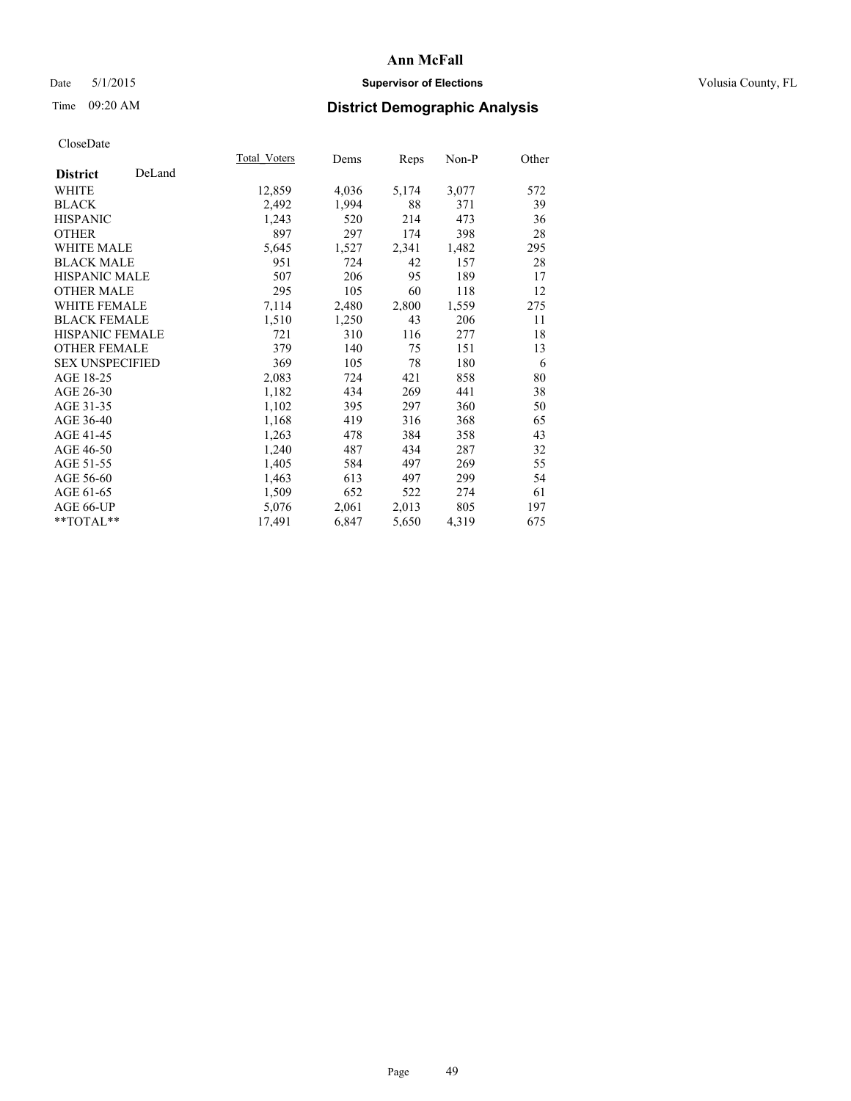## Date 5/1/2015 **Supervisor of Elections Supervisor of Elections** Volusia County, FL

# Time 09:20 AM **District Demographic Analysis**

|                        |        | Total Voters | Dems  | <b>Reps</b> | Non-P | Other |
|------------------------|--------|--------------|-------|-------------|-------|-------|
| <b>District</b>        | DeLand |              |       |             |       |       |
| WHITE                  |        | 12,859       | 4,036 | 5,174       | 3,077 | 572   |
| <b>BLACK</b>           |        | 2,492        | 1,994 | 88          | 371   | 39    |
| <b>HISPANIC</b>        |        | 1,243        | 520   | 214         | 473   | 36    |
| <b>OTHER</b>           |        | 897          | 297   | 174         | 398   | 28    |
| <b>WHITE MALE</b>      |        | 5,645        | 1,527 | 2,341       | 1,482 | 295   |
| <b>BLACK MALE</b>      |        | 951          | 724   | 42          | 157   | 28    |
| <b>HISPANIC MALE</b>   |        | 507          | 206   | 95          | 189   | 17    |
| <b>OTHER MALE</b>      |        | 295          | 105   | 60          | 118   | 12    |
| <b>WHITE FEMALE</b>    |        | 7,114        | 2,480 | 2,800       | 1,559 | 275   |
| <b>BLACK FEMALE</b>    |        | 1,510        | 1,250 | 43          | 206   | 11    |
| <b>HISPANIC FEMALE</b> |        | 721          | 310   | 116         | 277   | 18    |
| <b>OTHER FEMALE</b>    |        | 379          | 140   | 75          | 151   | 13    |
| <b>SEX UNSPECIFIED</b> |        | 369          | 105   | 78          | 180   | 6     |
| AGE 18-25              |        | 2,083        | 724   | 421         | 858   | 80    |
| AGE 26-30              |        | 1,182        | 434   | 269         | 441   | 38    |
| AGE 31-35              |        | 1,102        | 395   | 297         | 360   | 50    |
| AGE 36-40              |        | 1,168        | 419   | 316         | 368   | 65    |
| AGE 41-45              |        | 1,263        | 478   | 384         | 358   | 43    |
| AGE 46-50              |        | 1,240        | 487   | 434         | 287   | 32    |
| AGE 51-55              |        | 1,405        | 584   | 497         | 269   | 55    |
| AGE 56-60              |        | 1,463        | 613   | 497         | 299   | 54    |
| AGE 61-65              |        | 1,509        | 652   | 522         | 274   | 61    |
| AGE 66-UP              |        | 5,076        | 2,061 | 2,013       | 805   | 197   |
| $*$ $TOTAL**$          |        | 17,491       | 6,847 | 5,650       | 4,319 | 675   |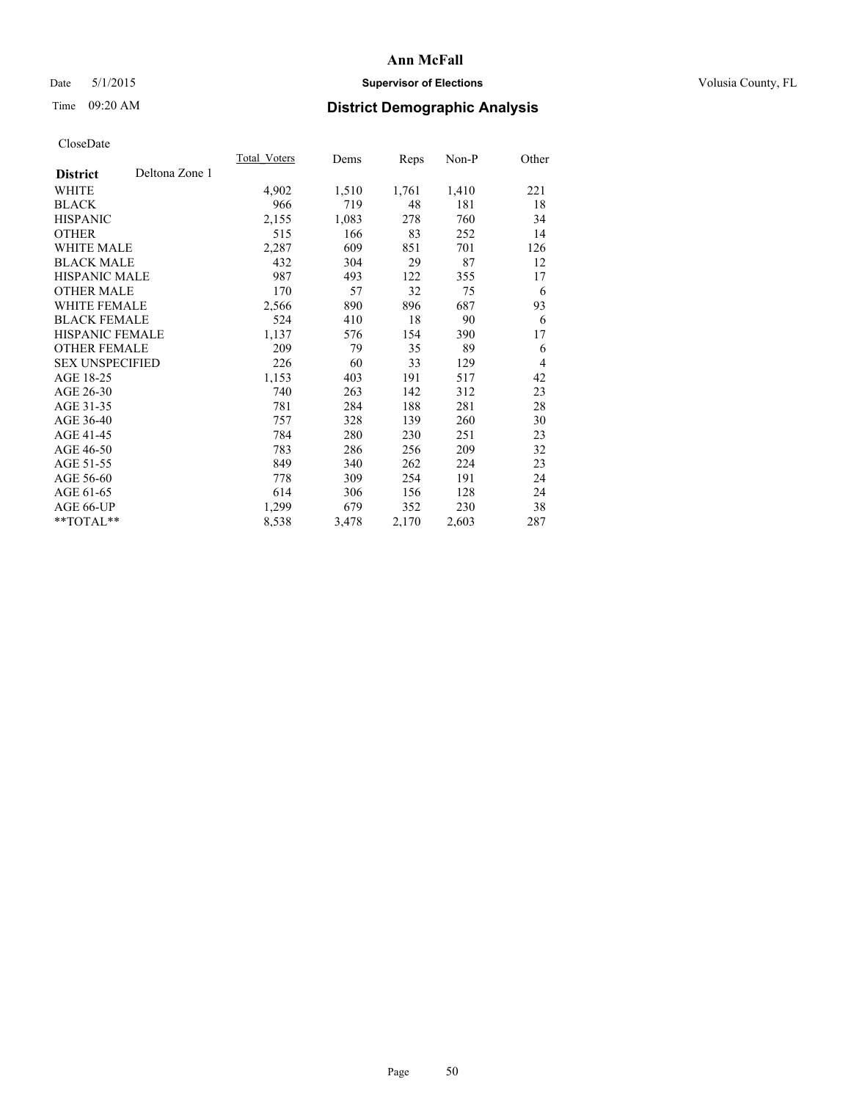## Date 5/1/2015 **Supervisor of Elections Supervisor of Elections** Volusia County, FL

# Time 09:20 AM **District Demographic Analysis**

|                        |                | <b>Total Voters</b> | Dems  | Reps  | Non-P | Other          |
|------------------------|----------------|---------------------|-------|-------|-------|----------------|
| <b>District</b>        | Deltona Zone 1 |                     |       |       |       |                |
| WHITE                  |                | 4,902               | 1,510 | 1,761 | 1,410 | 221            |
| <b>BLACK</b>           |                | 966                 | 719   | 48    | 181   | 18             |
| <b>HISPANIC</b>        |                | 2,155               | 1,083 | 278   | 760   | 34             |
| OTHER                  |                | 515                 | 166   | 83    | 252   | 14             |
| WHITE MALE             |                | 2,287               | 609   | 851   | 701   | 126            |
| <b>BLACK MALE</b>      |                | 432                 | 304   | 29    | 87    | 12             |
| <b>HISPANIC MALE</b>   |                | 987                 | 493   | 122   | 355   | 17             |
| OTHER MALE             |                | 170                 | 57    | 32    | 75    | 6              |
| <b>WHITE FEMALE</b>    |                | 2,566               | 890   | 896   | 687   | 93             |
| <b>BLACK FEMALE</b>    |                | 524                 | 410   | 18    | 90    | 6              |
| HISPANIC FEMALE        |                | 1,137               | 576   | 154   | 390   | 17             |
| <b>OTHER FEMALE</b>    |                | 209                 | 79    | 35    | 89    | 6              |
| <b>SEX UNSPECIFIED</b> |                | 226                 | 60    | 33    | 129   | $\overline{4}$ |
| AGE 18-25              |                | 1,153               | 403   | 191   | 517   | 42             |
| AGE 26-30              |                | 740                 | 263   | 142   | 312   | 23             |
| AGE 31-35              |                | 781                 | 284   | 188   | 281   | 28             |
| AGE 36-40              |                | 757                 | 328   | 139   | 260   | 30             |
| AGE 41-45              |                | 784                 | 280   | 230   | 251   | 23             |
| AGE 46-50              |                | 783                 | 286   | 256   | 209   | 32             |
| AGE 51-55              |                | 849                 | 340   | 262   | 224   | 23             |
| AGE 56-60              |                | 778                 | 309   | 254   | 191   | 24             |
| AGE 61-65              |                | 614                 | 306   | 156   | 128   | 24             |
| AGE 66-UP              |                | 1,299               | 679   | 352   | 230   | 38             |
| **TOTAL**              |                | 8,538               | 3,478 | 2,170 | 2,603 | 287            |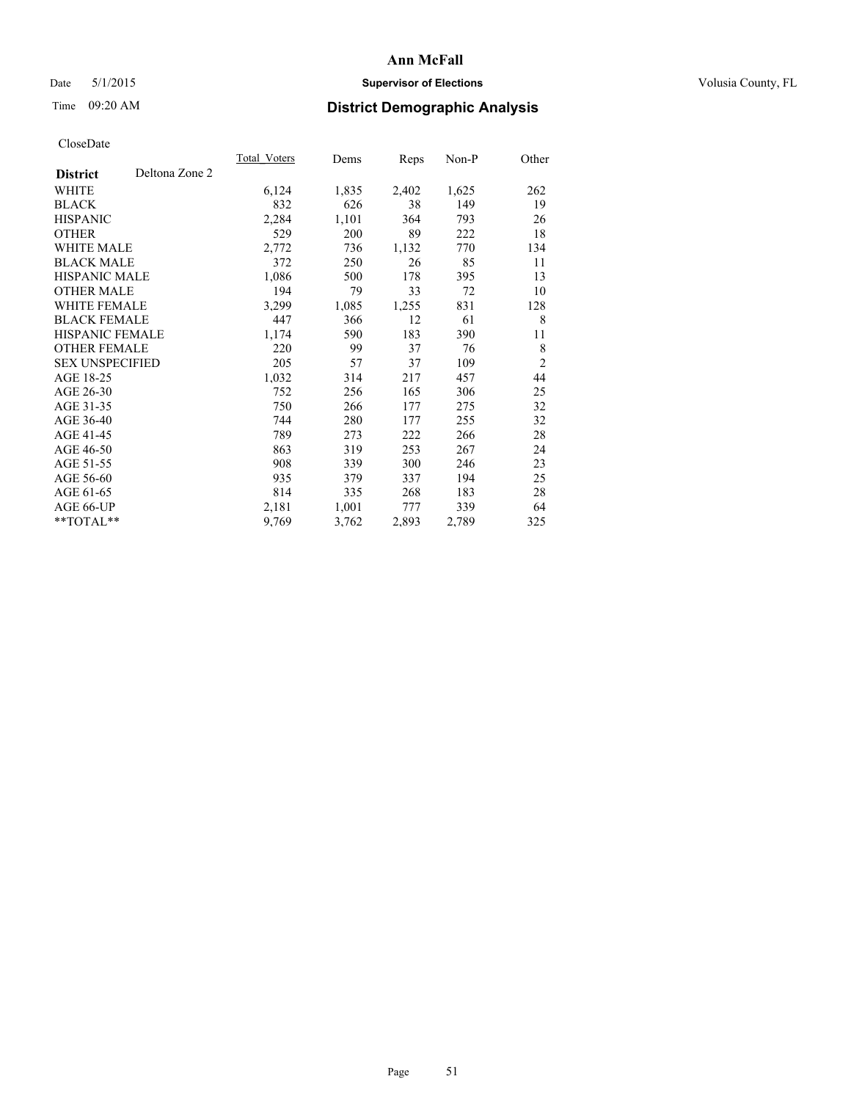## Date 5/1/2015 **Supervisor of Elections Supervisor of Elections** Volusia County, FL

# Time 09:20 AM **District Demographic Analysis**

|                        |                | Total Voters | Dems  | Reps  | Non-P | Other          |
|------------------------|----------------|--------------|-------|-------|-------|----------------|
| <b>District</b>        | Deltona Zone 2 |              |       |       |       |                |
| WHITE                  |                | 6,124        | 1,835 | 2,402 | 1,625 | 262            |
| <b>BLACK</b>           |                | 832          | 626   | 38    | 149   | 19             |
| <b>HISPANIC</b>        |                | 2,284        | 1,101 | 364   | 793   | 26             |
| <b>OTHER</b>           |                | 529          | 200   | 89    | 222   | 18             |
| WHITE MALE             |                | 2,772        | 736   | 1,132 | 770   | 134            |
| <b>BLACK MALE</b>      |                | 372          | 250   | 26    | 85    | 11             |
| <b>HISPANIC MALE</b>   |                | 1,086        | 500   | 178   | 395   | 13             |
| <b>OTHER MALE</b>      |                | 194          | 79    | 33    | 72    | 10             |
| WHITE FEMALE           |                | 3,299        | 1,085 | 1,255 | 831   | 128            |
| <b>BLACK FEMALE</b>    |                | 447          | 366   | 12    | 61    | 8              |
| <b>HISPANIC FEMALE</b> |                | 1,174        | 590   | 183   | 390   | 11             |
| <b>OTHER FEMALE</b>    |                | 220          | 99    | 37    | 76    | 8              |
| <b>SEX UNSPECIFIED</b> |                | 205          | 57    | 37    | 109   | $\overline{2}$ |
| AGE 18-25              |                | 1,032        | 314   | 217   | 457   | 44             |
| AGE 26-30              |                | 752          | 256   | 165   | 306   | 25             |
| AGE 31-35              |                | 750          | 266   | 177   | 275   | 32             |
| AGE 36-40              |                | 744          | 280   | 177   | 255   | 32             |
| AGE 41-45              |                | 789          | 273   | 222   | 266   | 28             |
| AGE 46-50              |                | 863          | 319   | 253   | 267   | 24             |
| AGE 51-55              |                | 908          | 339   | 300   | 246   | 23             |
| AGE 56-60              |                | 935          | 379   | 337   | 194   | 25             |
| AGE 61-65              |                | 814          | 335   | 268   | 183   | 28             |
| AGE 66-UP              |                | 2,181        | 1,001 | 777   | 339   | 64             |
| **TOTAL**              |                | 9,769        | 3,762 | 2,893 | 2,789 | 325            |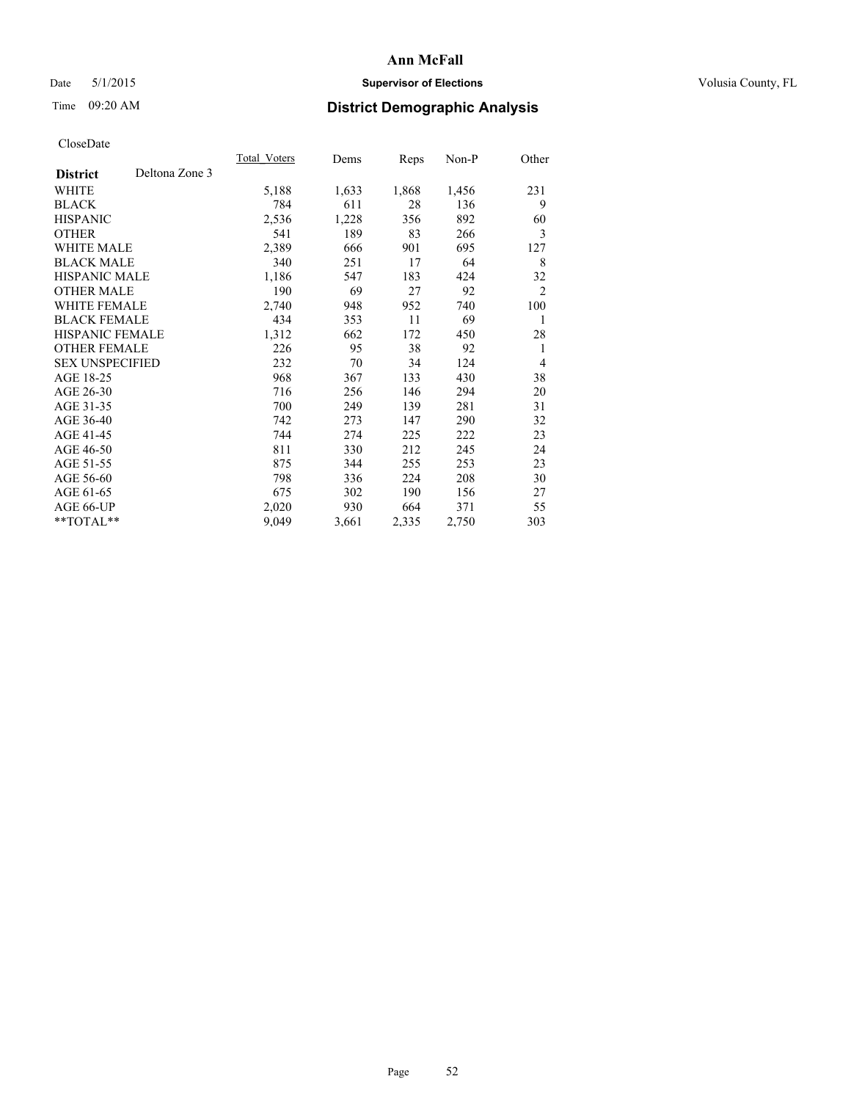## Date 5/1/2015 **Supervisor of Elections Supervisor of Elections** Volusia County, FL

# Time 09:20 AM **District Demographic Analysis**

|                        |                | Total Voters | Dems  | <b>Reps</b> | Non-P | Other          |
|------------------------|----------------|--------------|-------|-------------|-------|----------------|
| <b>District</b>        | Deltona Zone 3 |              |       |             |       |                |
| WHITE                  |                | 5,188        | 1,633 | 1,868       | 1,456 | 231            |
| <b>BLACK</b>           |                | 784          | 611   | 28          | 136   | 9              |
| <b>HISPANIC</b>        |                | 2,536        | 1,228 | 356         | 892   | 60             |
| <b>OTHER</b>           |                | 541          | 189   | 83          | 266   | 3              |
| WHITE MALE             |                | 2,389        | 666   | 901         | 695   | 127            |
| <b>BLACK MALE</b>      |                | 340          | 251   | 17          | 64    | 8              |
| <b>HISPANIC MALE</b>   |                | 1,186        | 547   | 183         | 424   | 32             |
| <b>OTHER MALE</b>      |                | 190          | 69    | 27          | 92    | $\overline{2}$ |
| WHITE FEMALE           |                | 2,740        | 948   | 952         | 740   | 100            |
| <b>BLACK FEMALE</b>    |                | 434          | 353   | 11          | 69    | $\mathbf{1}$   |
| <b>HISPANIC FEMALE</b> |                | 1,312        | 662   | 172         | 450   | 28             |
| <b>OTHER FEMALE</b>    |                | 226          | 95    | 38          | 92    | 1              |
| <b>SEX UNSPECIFIED</b> |                | 232          | 70    | 34          | 124   | 4              |
| AGE 18-25              |                | 968          | 367   | 133         | 430   | 38             |
| AGE 26-30              |                | 716          | 256   | 146         | 294   | 20             |
| AGE 31-35              |                | 700          | 249   | 139         | 281   | 31             |
| AGE 36-40              |                | 742          | 273   | 147         | 290   | 32             |
| AGE 41-45              |                | 744          | 274   | 225         | 222   | 23             |
| AGE 46-50              |                | 811          | 330   | 212         | 245   | 24             |
| AGE 51-55              |                | 875          | 344   | 255         | 253   | 23             |
| AGE 56-60              |                | 798          | 336   | 224         | 208   | 30             |
| AGE 61-65              |                | 675          | 302   | 190         | 156   | 27             |
| AGE 66-UP              |                | 2,020        | 930   | 664         | 371   | 55             |
| **TOTAL**              |                | 9,049        | 3,661 | 2,335       | 2,750 | 303            |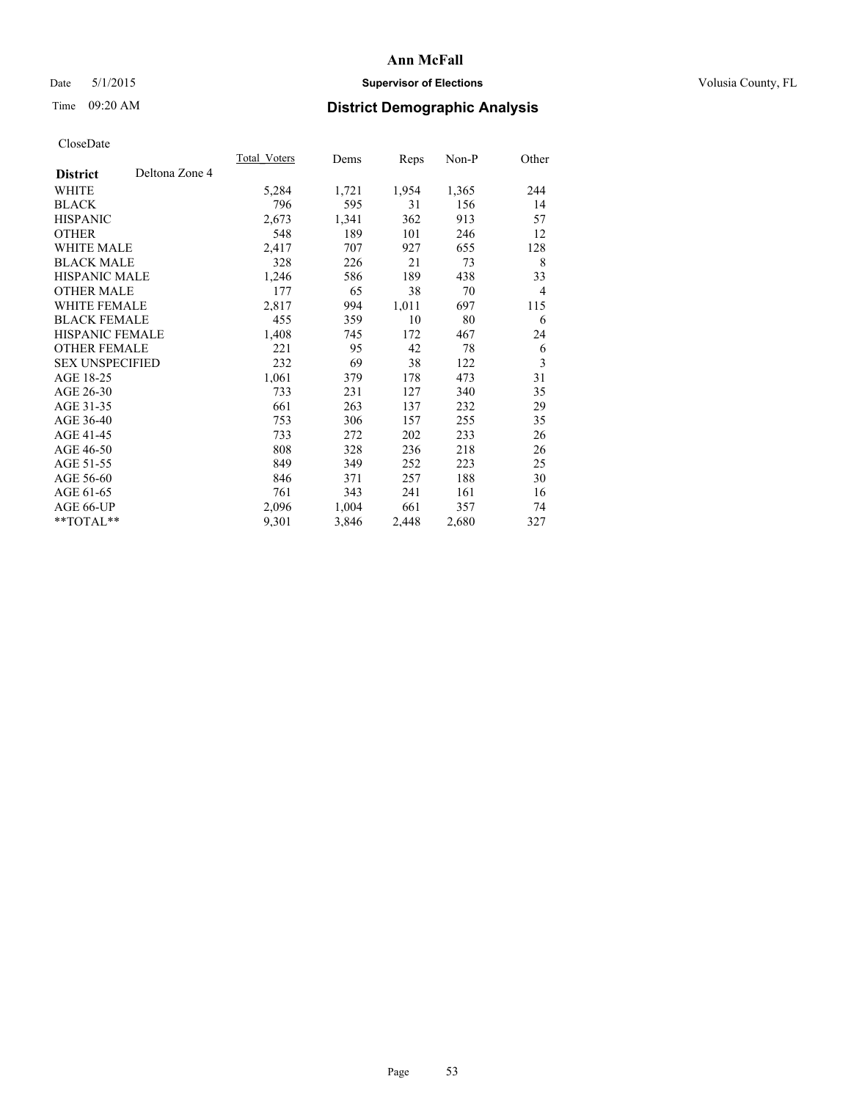## Date 5/1/2015 **Supervisor of Elections Supervisor of Elections** Volusia County, FL

# Time 09:20 AM **District Demographic Analysis**

|                        |                | Total Voters | Dems  | Reps  | Non-P | Other          |
|------------------------|----------------|--------------|-------|-------|-------|----------------|
| <b>District</b>        | Deltona Zone 4 |              |       |       |       |                |
| WHITE                  |                | 5,284        | 1,721 | 1,954 | 1,365 | 244            |
| <b>BLACK</b>           |                | 796          | 595   | 31    | 156   | 14             |
| <b>HISPANIC</b>        |                | 2,673        | 1,341 | 362   | 913   | 57             |
| <b>OTHER</b>           |                | 548          | 189   | 101   | 246   | 12             |
| WHITE MALE             |                | 2,417        | 707   | 927   | 655   | 128            |
| <b>BLACK MALE</b>      |                | 328          | 226   | 21    | 73    | 8              |
| <b>HISPANIC MALE</b>   |                | 1,246        | 586   | 189   | 438   | 33             |
| <b>OTHER MALE</b>      |                | 177          | 65    | 38    | 70    | $\overline{4}$ |
| WHITE FEMALE           |                | 2,817        | 994   | 1,011 | 697   | 115            |
| <b>BLACK FEMALE</b>    |                | 455          | 359   | 10    | 80    | 6              |
| HISPANIC FEMALE        |                | 1,408        | 745   | 172   | 467   | 24             |
| <b>OTHER FEMALE</b>    |                | 221          | 95    | 42    | 78    | 6              |
| <b>SEX UNSPECIFIED</b> |                | 232          | 69    | 38    | 122   | 3              |
| AGE 18-25              |                | 1,061        | 379   | 178   | 473   | 31             |
| AGE 26-30              |                | 733          | 231   | 127   | 340   | 35             |
| AGE 31-35              |                | 661          | 263   | 137   | 232   | 29             |
| AGE 36-40              |                | 753          | 306   | 157   | 255   | 35             |
| AGE 41-45              |                | 733          | 272   | 202   | 233   | 26             |
| AGE 46-50              |                | 808          | 328   | 236   | 218   | 26             |
| AGE 51-55              |                | 849          | 349   | 252   | 223   | 25             |
| AGE 56-60              |                | 846          | 371   | 257   | 188   | 30             |
| AGE 61-65              |                | 761          | 343   | 241   | 161   | 16             |
| AGE 66-UP              |                | 2,096        | 1,004 | 661   | 357   | 74             |
| **TOTAL**              |                | 9,301        | 3,846 | 2,448 | 2,680 | 327            |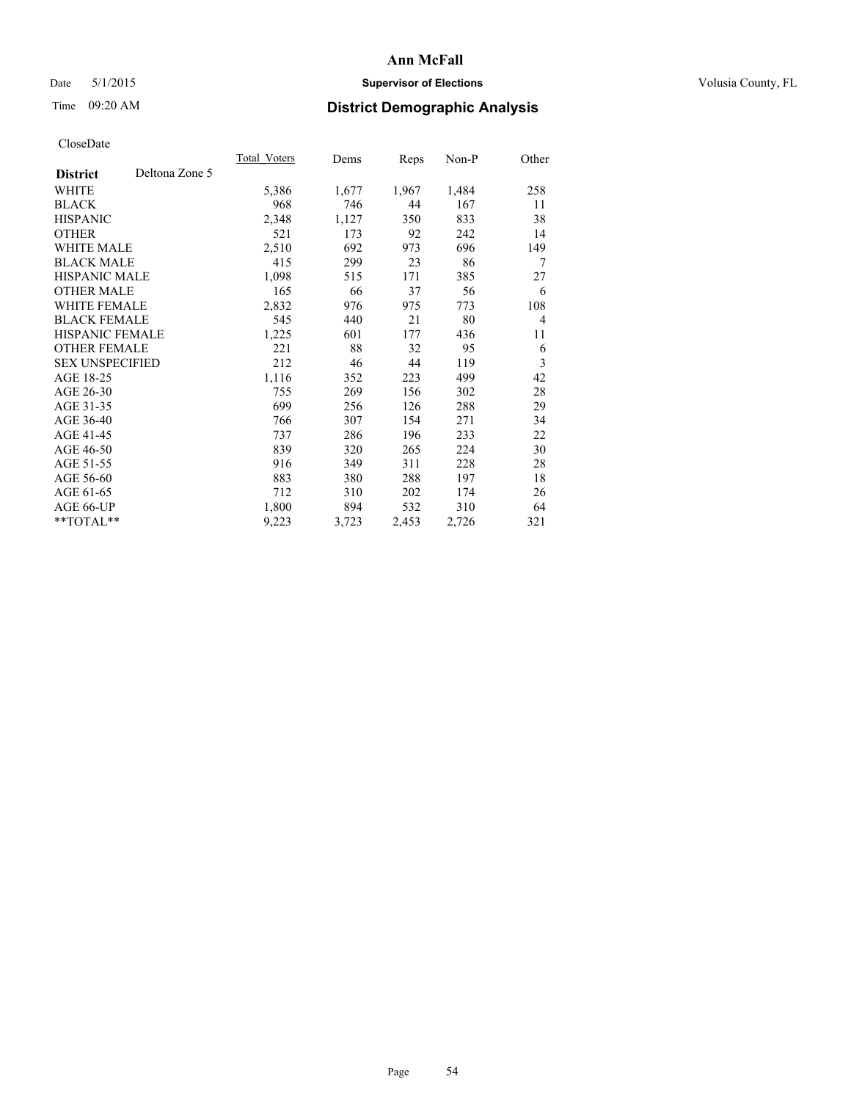## Date 5/1/2015 **Supervisor of Elections Supervisor of Elections** Volusia County, FL

# Time 09:20 AM **District Demographic Analysis**

|                        |                | Total Voters | Dems  | <b>Reps</b> | Non-P | Other          |
|------------------------|----------------|--------------|-------|-------------|-------|----------------|
| <b>District</b>        | Deltona Zone 5 |              |       |             |       |                |
| WHITE                  |                | 5,386        | 1,677 | 1,967       | 1,484 | 258            |
| <b>BLACK</b>           |                | 968          | 746   | 44          | 167   | 11             |
| <b>HISPANIC</b>        |                | 2,348        | 1,127 | 350         | 833   | 38             |
| <b>OTHER</b>           |                | 521          | 173   | 92          | 242   | 14             |
| WHITE MALE             |                | 2,510        | 692   | 973         | 696   | 149            |
| <b>BLACK MALE</b>      |                | 415          | 299   | 23          | 86    | 7              |
| <b>HISPANIC MALE</b>   |                | 1,098        | 515   | 171         | 385   | 27             |
| <b>OTHER MALE</b>      |                | 165          | 66    | 37          | 56    | 6              |
| WHITE FEMALE           |                | 2,832        | 976   | 975         | 773   | 108            |
| <b>BLACK FEMALE</b>    |                | 545          | 440   | 21          | 80    | $\overline{4}$ |
| HISPANIC FEMALE        |                | 1,225        | 601   | 177         | 436   | 11             |
| <b>OTHER FEMALE</b>    |                | 221          | 88    | 32          | 95    | 6              |
| <b>SEX UNSPECIFIED</b> |                | 212          | 46    | 44          | 119   | 3              |
| AGE 18-25              |                | 1,116        | 352   | 223         | 499   | 42             |
| AGE 26-30              |                | 755          | 269   | 156         | 302   | 28             |
| AGE 31-35              |                | 699          | 256   | 126         | 288   | 29             |
| AGE 36-40              |                | 766          | 307   | 154         | 271   | 34             |
| AGE 41-45              |                | 737          | 286   | 196         | 233   | 22             |
| AGE 46-50              |                | 839          | 320   | 265         | 224   | 30             |
| AGE 51-55              |                | 916          | 349   | 311         | 228   | 28             |
| AGE 56-60              |                | 883          | 380   | 288         | 197   | 18             |
| AGE 61-65              |                | 712          | 310   | 202         | 174   | 26             |
| AGE 66-UP              |                | 1,800        | 894   | 532         | 310   | 64             |
| **TOTAL**              |                | 9,223        | 3,723 | 2,453       | 2,726 | 321            |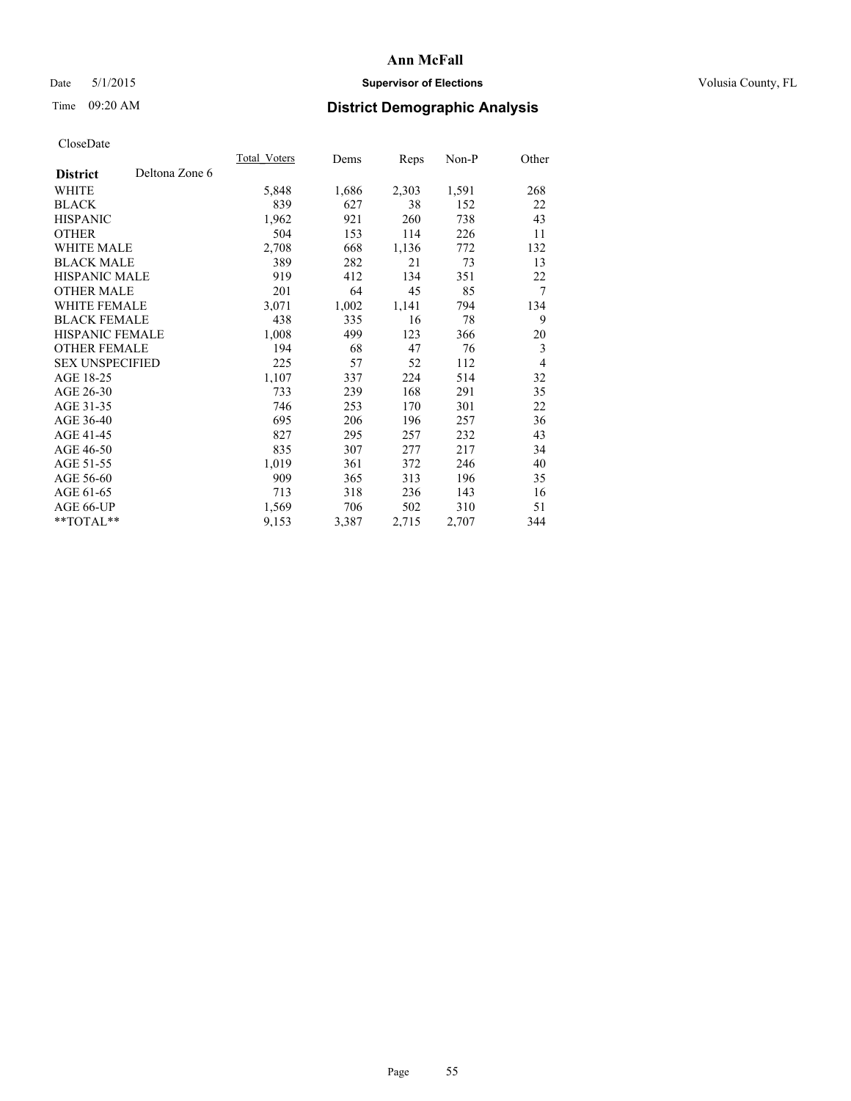## Date 5/1/2015 **Supervisor of Elections Supervisor of Elections** Volusia County, FL

# Time 09:20 AM **District Demographic Analysis**

|                        |                | Total Voters | Dems  | <b>Reps</b> | Non-P | Other          |
|------------------------|----------------|--------------|-------|-------------|-------|----------------|
| <b>District</b>        | Deltona Zone 6 |              |       |             |       |                |
| WHITE                  |                | 5,848        | 1,686 | 2,303       | 1,591 | 268            |
| <b>BLACK</b>           |                | 839          | 627   | 38          | 152   | 22             |
| <b>HISPANIC</b>        |                | 1,962        | 921   | 260         | 738   | 43             |
| <b>OTHER</b>           |                | 504          | 153   | 114         | 226   | 11             |
| WHITE MALE             |                | 2,708        | 668   | 1,136       | 772   | 132            |
| <b>BLACK MALE</b>      |                | 389          | 282   | 21          | 73    | 13             |
| <b>HISPANIC MALE</b>   |                | 919          | 412   | 134         | 351   | 22             |
| <b>OTHER MALE</b>      |                | 201          | 64    | 45          | 85    | 7              |
| WHITE FEMALE           |                | 3,071        | 1,002 | 1,141       | 794   | 134            |
| <b>BLACK FEMALE</b>    |                | 438          | 335   | 16          | 78    | 9              |
| HISPANIC FEMALE        |                | 1,008        | 499   | 123         | 366   | 20             |
| <b>OTHER FEMALE</b>    |                | 194          | 68    | 47          | 76    | 3              |
| <b>SEX UNSPECIFIED</b> |                | 225          | 57    | 52          | 112   | $\overline{4}$ |
| AGE 18-25              |                | 1,107        | 337   | 224         | 514   | 32             |
| AGE 26-30              |                | 733          | 239   | 168         | 291   | 35             |
| AGE 31-35              |                | 746          | 253   | 170         | 301   | 22             |
| AGE 36-40              |                | 695          | 206   | 196         | 257   | 36             |
| AGE 41-45              |                | 827          | 295   | 257         | 232   | 43             |
| AGE 46-50              |                | 835          | 307   | 277         | 217   | 34             |
| AGE 51-55              |                | 1,019        | 361   | 372         | 246   | 40             |
| AGE 56-60              |                | 909          | 365   | 313         | 196   | 35             |
| AGE 61-65              |                | 713          | 318   | 236         | 143   | 16             |
| AGE 66-UP              |                | 1,569        | 706   | 502         | 310   | 51             |
| **TOTAL**              |                | 9,153        | 3,387 | 2,715       | 2,707 | 344            |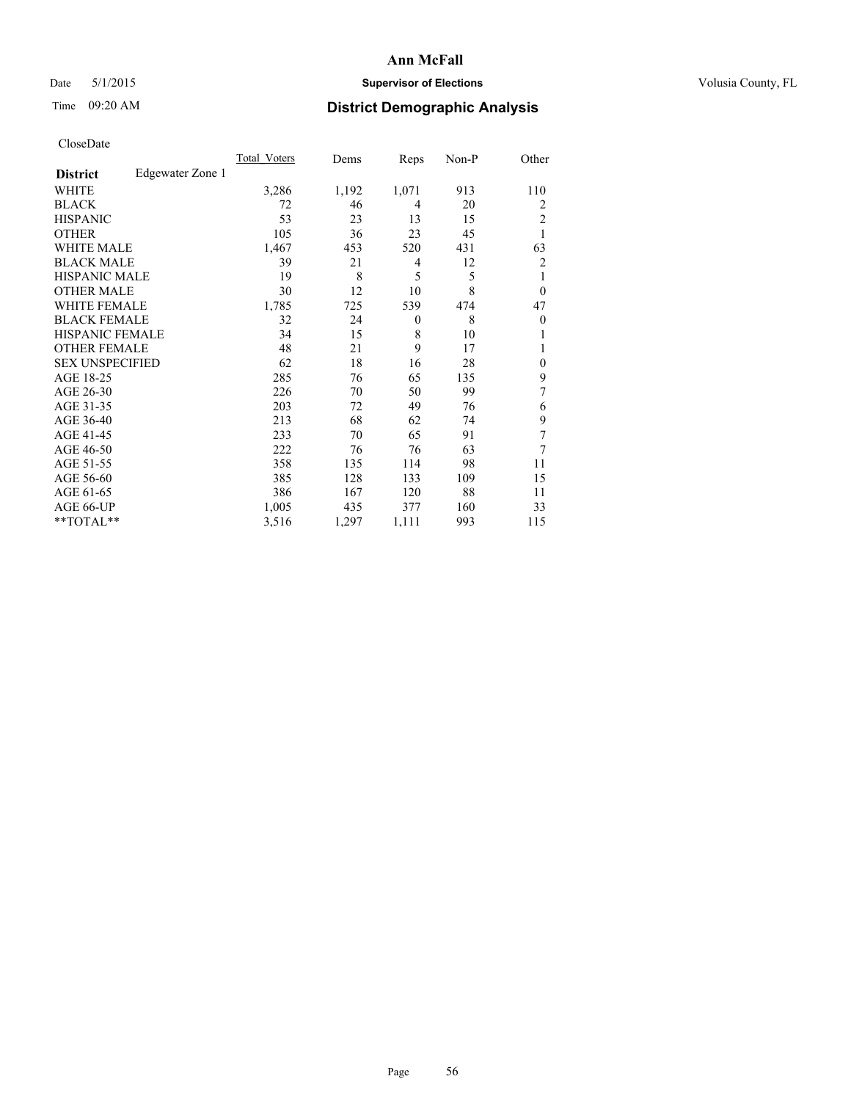## Date 5/1/2015 **Supervisor of Elections Supervisor of Elections** Volusia County, FL

# Time 09:20 AM **District Demographic Analysis**

|                        |                  | Total Voters | Dems  | Reps     | Non-P | Other          |
|------------------------|------------------|--------------|-------|----------|-------|----------------|
| <b>District</b>        | Edgewater Zone 1 |              |       |          |       |                |
| WHITE                  |                  | 3,286        | 1,192 | 1,071    | 913   | 110            |
| <b>BLACK</b>           |                  | 72           | 46    | 4        | 20    | 2              |
| <b>HISPANIC</b>        |                  | 53           | 23    | 13       | 15    | 2              |
| <b>OTHER</b>           |                  | 105          | 36    | 23       | 45    | 1              |
| <b>WHITE MALE</b>      |                  | 1,467        | 453   | 520      | 431   | 63             |
| <b>BLACK MALE</b>      |                  | 39           | 21    | 4        | 12    | $\overline{2}$ |
| <b>HISPANIC MALE</b>   |                  | 19           | 8     | 5        | 5     | 1              |
| <b>OTHER MALE</b>      |                  | 30           | 12    | 10       | 8     | $\overline{0}$ |
| <b>WHITE FEMALE</b>    |                  | 1,785        | 725   | 539      | 474   | 47             |
| <b>BLACK FEMALE</b>    |                  | 32           | 24    | $\theta$ | 8     | $\overline{0}$ |
| <b>HISPANIC FEMALE</b> |                  | 34           | 15    | 8        | 10    |                |
| <b>OTHER FEMALE</b>    |                  | 48           | 21    | 9        | 17    |                |
| <b>SEX UNSPECIFIED</b> |                  | 62           | 18    | 16       | 28    | $\theta$       |
| AGE 18-25              |                  | 285          | 76    | 65       | 135   | 9              |
| AGE 26-30              |                  | 226          | 70    | 50       | 99    | 7              |
| AGE 31-35              |                  | 203          | 72    | 49       | 76    | 6              |
| AGE 36-40              |                  | 213          | 68    | 62       | 74    | 9              |
| AGE 41-45              |                  | 233          | 70    | 65       | 91    | 7              |
| AGE 46-50              |                  | 222          | 76    | 76       | 63    | 7              |
| AGE 51-55              |                  | 358          | 135   | 114      | 98    | 11             |
| AGE 56-60              |                  | 385          | 128   | 133      | 109   | 15             |
| AGE 61-65              |                  | 386          | 167   | 120      | 88    | 11             |
| AGE 66-UP              |                  | 1,005        | 435   | 377      | 160   | 33             |
| **TOTAL**              |                  | 3,516        | 1,297 | 1,111    | 993   | 115            |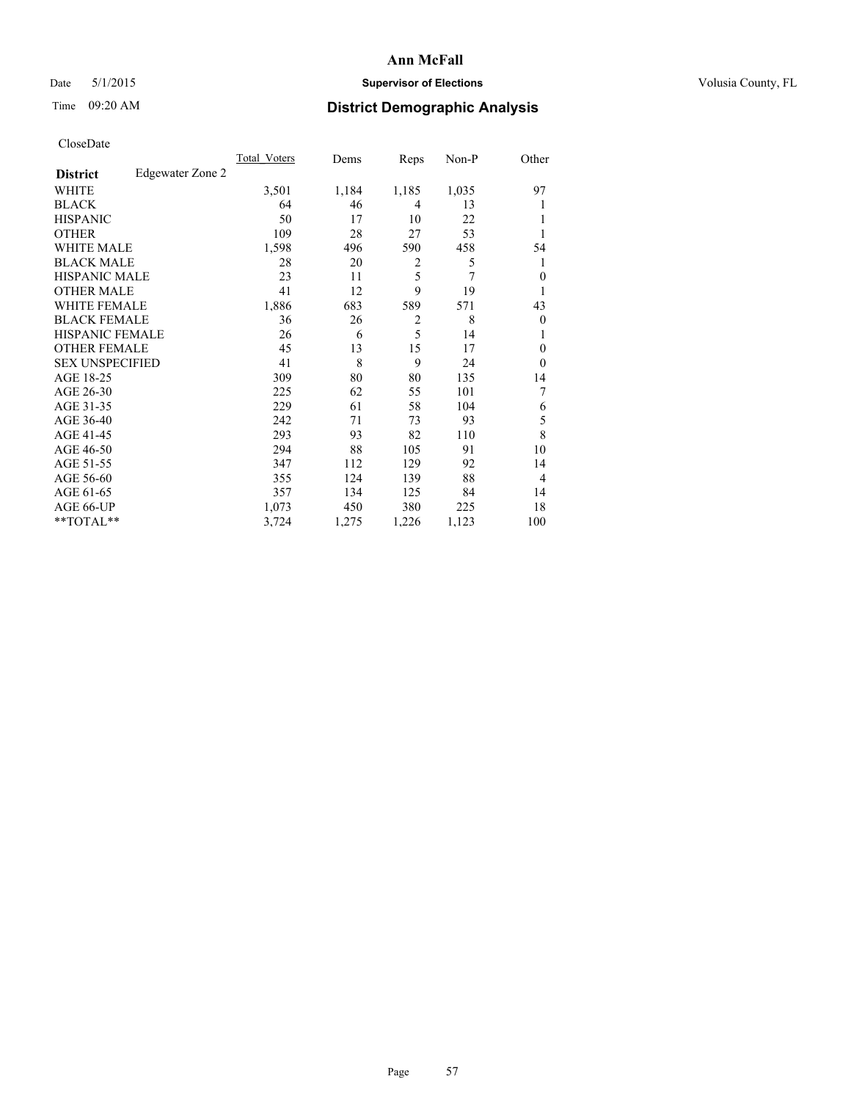## Date 5/1/2015 **Supervisor of Elections Supervisor of Elections** Volusia County, FL

## Time 09:20 AM **District Demographic Analysis**

|                        |                  | Total Voters | Dems  | Reps           | Non-P | Other          |
|------------------------|------------------|--------------|-------|----------------|-------|----------------|
| <b>District</b>        | Edgewater Zone 2 |              |       |                |       |                |
| WHITE                  |                  | 3,501        | 1,184 | 1,185          | 1,035 | 97             |
| <b>BLACK</b>           |                  | 64           | 46    | 4              | 13    |                |
| <b>HISPANIC</b>        |                  | 50           | 17    | 10             | 22    |                |
| <b>OTHER</b>           |                  | 109          | 28    | 27             | 53    |                |
| WHITE MALE             |                  | 1,598        | 496   | 590            | 458   | 54             |
| <b>BLACK MALE</b>      |                  | 28           | 20    | 2              | 5     | 1              |
| <b>HISPANIC MALE</b>   |                  | 23           | 11    | 5              | 7     | $\overline{0}$ |
| <b>OTHER MALE</b>      |                  | 41           | 12    | 9              | 19    | 1              |
| WHITE FEMALE           |                  | 1,886        | 683   | 589            | 571   | 43             |
| <b>BLACK FEMALE</b>    |                  | 36           | 26    | $\overline{2}$ | 8     | $\overline{0}$ |
| <b>HISPANIC FEMALE</b> |                  | 26           | 6     | 5              | 14    |                |
| <b>OTHER FEMALE</b>    |                  | 45           | 13    | 15             | 17    | $\Omega$       |
| <b>SEX UNSPECIFIED</b> |                  | 41           | 8     | 9              | 24    | $\theta$       |
| AGE 18-25              |                  | 309          | 80    | 80             | 135   | 14             |
| AGE 26-30              |                  | 225          | 62    | 55             | 101   | 7              |
| AGE 31-35              |                  | 229          | 61    | 58             | 104   | 6              |
| AGE 36-40              |                  | 242          | 71    | 73             | 93    | 5              |
| AGE 41-45              |                  | 293          | 93    | 82             | 110   | 8              |
| AGE 46-50              |                  | 294          | 88    | 105            | 91    | 10             |
| AGE 51-55              |                  | 347          | 112   | 129            | 92    | 14             |
| AGE 56-60              |                  | 355          | 124   | 139            | 88    | $\overline{4}$ |
| AGE 61-65              |                  | 357          | 134   | 125            | 84    | 14             |
| AGE 66-UP              |                  | 1,073        | 450   | 380            | 225   | 18             |
| **TOTAL**              |                  | 3,724        | 1,275 | 1,226          | 1,123 | 100            |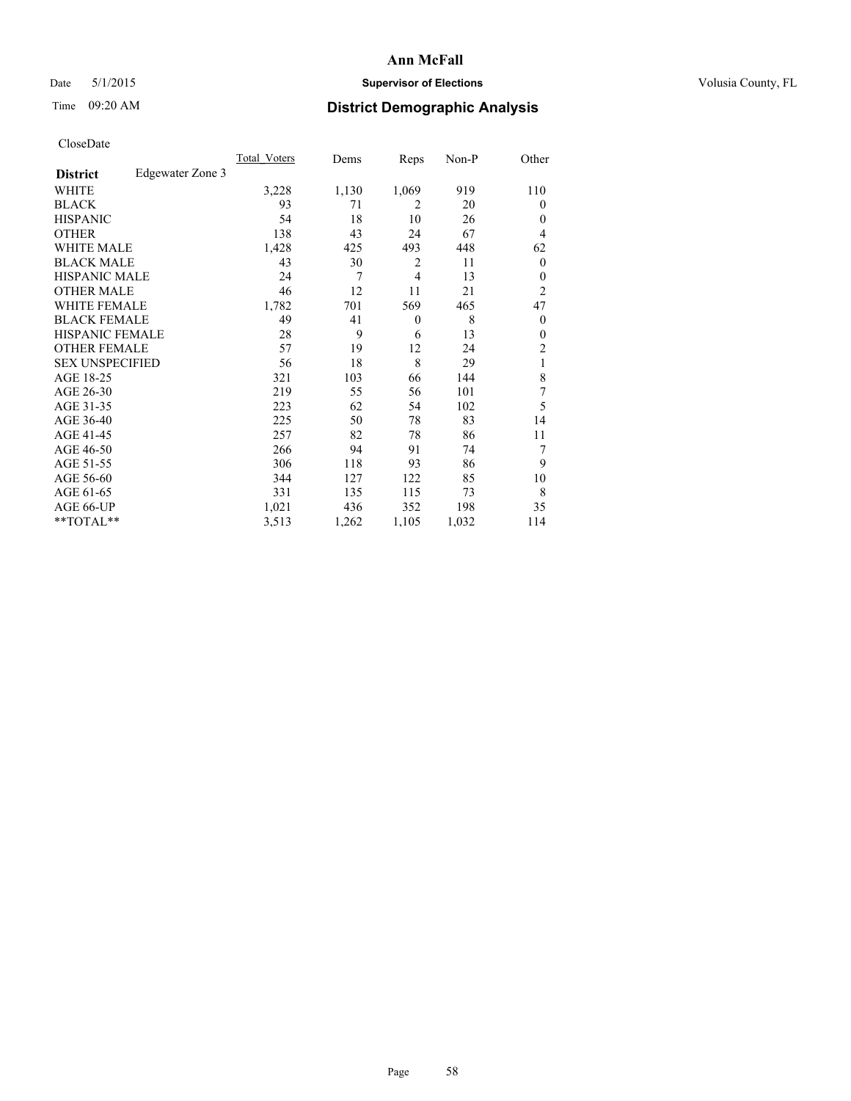## Date 5/1/2015 **Supervisor of Elections Supervisor of Elections** Volusia County, FL

# Time 09:20 AM **District Demographic Analysis**

|                        |                  | Total Voters | Dems  | Reps           | Non-P | Other            |
|------------------------|------------------|--------------|-------|----------------|-------|------------------|
| <b>District</b>        | Edgewater Zone 3 |              |       |                |       |                  |
| WHITE                  |                  | 3,228        | 1,130 | 1,069          | 919   | 110              |
| <b>BLACK</b>           |                  | 93           | 71    | $\overline{2}$ | 20    | $\theta$         |
| <b>HISPANIC</b>        |                  | 54           | 18    | 10             | 26    | $\theta$         |
| <b>OTHER</b>           |                  | 138          | 43    | 24             | 67    | 4                |
| <b>WHITE MALE</b>      |                  | 1,428        | 425   | 493            | 448   | 62               |
| <b>BLACK MALE</b>      |                  | 43           | 30    | $\overline{2}$ | 11    | $\boldsymbol{0}$ |
| <b>HISPANIC MALE</b>   |                  | 24           | 7     | $\overline{4}$ | 13    | $\theta$         |
| <b>OTHER MALE</b>      |                  | 46           | 12    | 11             | 21    | $\overline{c}$   |
| <b>WHITE FEMALE</b>    |                  | 1,782        | 701   | 569            | 465   | 47               |
| <b>BLACK FEMALE</b>    |                  | 49           | 41    | $\theta$       | 8     | $\theta$         |
| <b>HISPANIC FEMALE</b> |                  | 28           | 9     | 6              | 13    | $\theta$         |
| <b>OTHER FEMALE</b>    |                  | 57           | 19    | 12             | 24    | 2                |
| <b>SEX UNSPECIFIED</b> |                  | 56           | 18    | 8              | 29    | 1                |
| AGE 18-25              |                  | 321          | 103   | 66             | 144   | 8                |
| AGE 26-30              |                  | 219          | 55    | 56             | 101   | 7                |
| AGE 31-35              |                  | 223          | 62    | 54             | 102   | 5                |
| AGE 36-40              |                  | 225          | 50    | 78             | 83    | 14               |
| AGE 41-45              |                  | 257          | 82    | 78             | 86    | 11               |
| AGE 46-50              |                  | 266          | 94    | 91             | 74    | 7                |
| AGE 51-55              |                  | 306          | 118   | 93             | 86    | 9                |
| AGE 56-60              |                  | 344          | 127   | 122            | 85    | 10               |
| AGE 61-65              |                  | 331          | 135   | 115            | 73    | 8                |
| AGE 66-UP              |                  | 1,021        | 436   | 352            | 198   | 35               |
| **TOTAL**              |                  | 3,513        | 1,262 | 1,105          | 1,032 | 114              |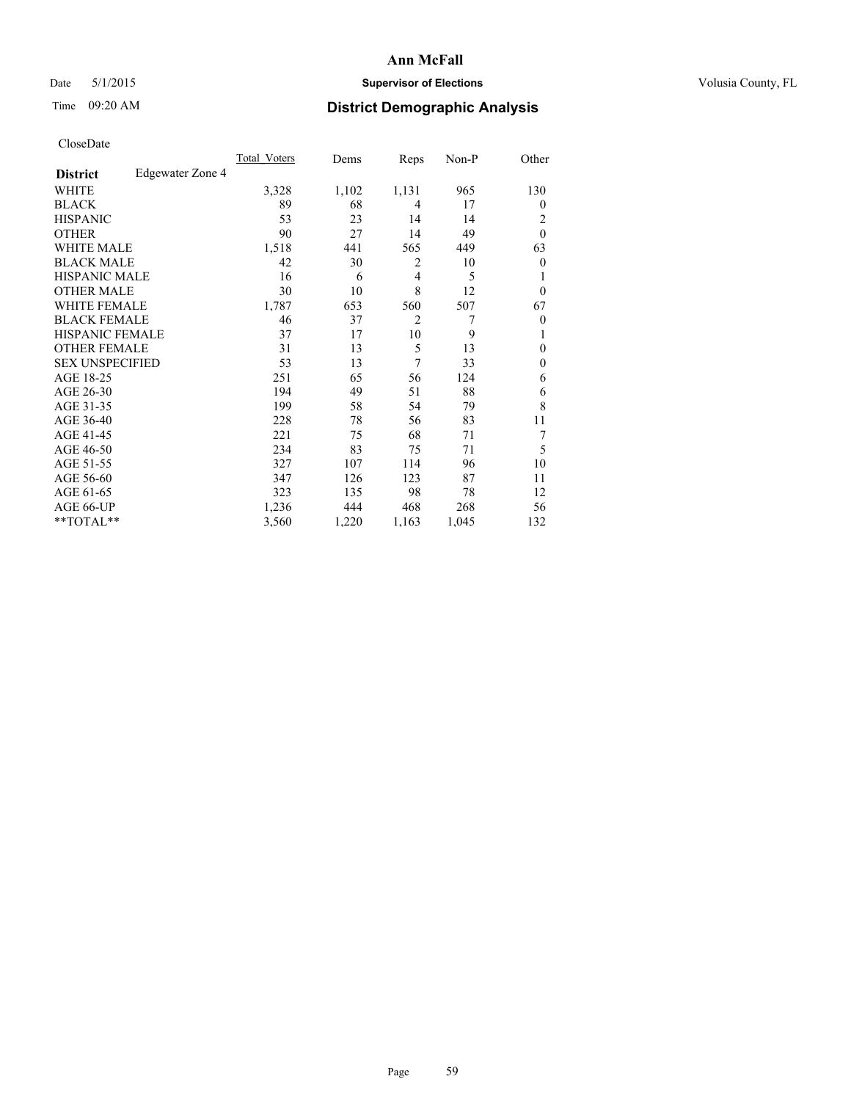## Date 5/1/2015 **Supervisor of Elections Supervisor of Elections** Volusia County, FL

# Time 09:20 AM **District Demographic Analysis**

| <b>UIUSUDUI</b> U      |                         |              |       |                |       |                |
|------------------------|-------------------------|--------------|-------|----------------|-------|----------------|
|                        |                         | Total Voters | Dems  | Reps           | Non-P | Other          |
| <b>District</b>        | <b>Edgewater Zone 4</b> |              |       |                |       |                |
| WHITE                  |                         | 3,328        | 1,102 | 1,131          | 965   | 130            |
| <b>BLACK</b>           |                         | 89           | 68    | 4              | 17    | $\overline{0}$ |
| <b>HISPANIC</b>        |                         | 53           | 23    | 14             | 14    | $\overline{2}$ |
| <b>OTHER</b>           |                         | 90           | 27    | 14             | 49    | $\theta$       |
| WHITE MALE             |                         | 1,518        | 441   | 565            | 449   | 63             |
| <b>BLACK MALE</b>      |                         | 42           | 30    | $\overline{2}$ | 10    | $\theta$       |
| <b>HISPANIC MALE</b>   |                         | 16           | 6     | 4              | 5     | 1              |
| <b>OTHER MALE</b>      |                         | 30           | 10    | 8              | 12    | $\overline{0}$ |
| WHITE FEMALE           |                         | 1,787        | 653   | 560            | 507   | 67             |
| <b>BLACK FEMALE</b>    |                         | 46           | 37    | 2              | 7     | $\overline{0}$ |
| HISPANIC FEMALE        |                         | 37           | 17    | 10             | 9     |                |
| <b>OTHER FEMALE</b>    |                         | 31           | 13    | 5              | 13    | $\theta$       |
| <b>SEX UNSPECIFIED</b> |                         | 53           | 13    | 7              | 33    | $\Omega$       |
| AGE 18-25              |                         | 251          | 65    | 56             | 124   | 6              |
| AGE 26-30              |                         | 194          | 49    | 51             | 88    | 6              |
| AGE 31-35              |                         | 199          | 58    | 54             | 79    | 8              |
| AGE 36-40              |                         | 228          | 78    | 56             | 83    | 11             |
| AGE 41-45              |                         | 221          | 75    | 68             | 71    | 7              |
| AGE 46-50              |                         | 234          | 83    | 75             | 71    | 5              |
| AGE 51-55              |                         | 327          | 107   | 114            | 96    | 10             |
| AGE 56-60              |                         | 347          | 126   | 123            | 87    | 11             |
| AGE 61-65              |                         | 323          | 135   | 98             | 78    | 12             |
| AGE 66-UP              |                         | 1,236        | 444   | 468            | 268   | 56             |
| **TOTAL**              |                         | 3,560        | 1,220 | 1,163          | 1,045 | 132            |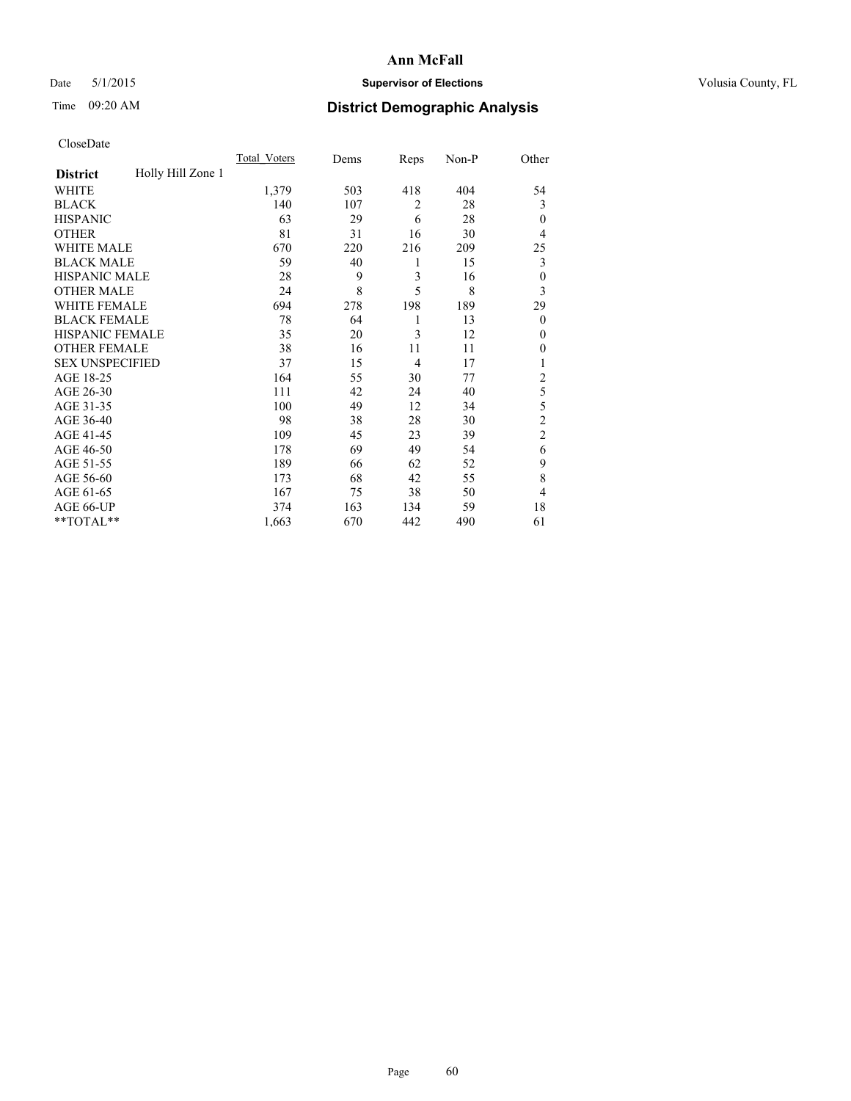## Date 5/1/2015 **Supervisor of Elections Supervisor of Elections** Volusia County, FL

# Time 09:20 AM **District Demographic Analysis**

|                        |                   | <b>Total Voters</b> | Dems | Reps           | Non-P | Other          |
|------------------------|-------------------|---------------------|------|----------------|-------|----------------|
| <b>District</b>        | Holly Hill Zone 1 |                     |      |                |       |                |
| WHITE                  |                   | 1,379               | 503  | 418            | 404   | 54             |
| <b>BLACK</b>           |                   | 140                 | 107  | $\overline{2}$ | 28    | 3              |
| <b>HISPANIC</b>        |                   | 63                  | 29   | 6              | 28    | $\theta$       |
| <b>OTHER</b>           |                   | 81                  | 31   | 16             | 30    | 4              |
| WHITE MALE             |                   | 670                 | 220  | 216            | 209   | 25             |
| <b>BLACK MALE</b>      |                   | 59                  | 40   | 1              | 15    | 3              |
| <b>HISPANIC MALE</b>   |                   | 28                  | 9    | 3              | 16    | $\mathbf{0}$   |
| <b>OTHER MALE</b>      |                   | 24                  | 8    | 5              | 8     | 3              |
| WHITE FEMALE           |                   | 694                 | 278  | 198            | 189   | 29             |
| <b>BLACK FEMALE</b>    |                   | 78                  | 64   | 1              | 13    | $\theta$       |
| <b>HISPANIC FEMALE</b> |                   | 35                  | 20   | 3              | 12    | $\theta$       |
| <b>OTHER FEMALE</b>    |                   | 38                  | 16   | 11             | 11    | 0              |
| <b>SEX UNSPECIFIED</b> |                   | 37                  | 15   | 4              | 17    | 1              |
| AGE 18-25              |                   | 164                 | 55   | 30             | 77    | $\overline{c}$ |
| AGE 26-30              |                   | 111                 | 42   | 24             | 40    | 5              |
| AGE 31-35              |                   | 100                 | 49   | 12             | 34    | 5              |
| AGE 36-40              |                   | 98                  | 38   | 28             | 30    | $\overline{c}$ |
| AGE 41-45              |                   | 109                 | 45   | 23             | 39    | $\overline{c}$ |
| AGE 46-50              |                   | 178                 | 69   | 49             | 54    | 6              |
| AGE 51-55              |                   | 189                 | 66   | 62             | 52    | 9              |
| AGE 56-60              |                   | 173                 | 68   | 42             | 55    | 8              |
| AGE 61-65              |                   | 167                 | 75   | 38             | 50    | 4              |
| AGE 66-UP              |                   | 374                 | 163  | 134            | 59    | 18             |
| **TOTAL**              |                   | 1,663               | 670  | 442            | 490   | 61             |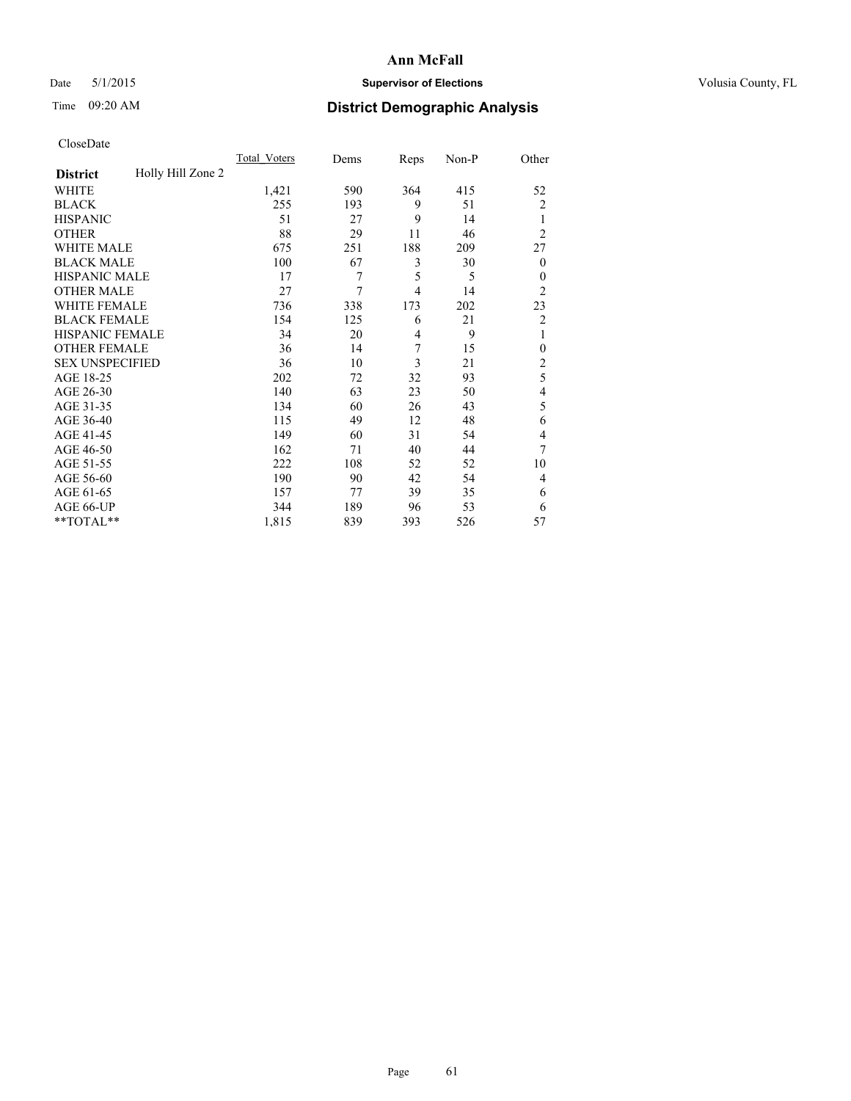## Date 5/1/2015 **Supervisor of Elections Supervisor of Elections** Volusia County, FL

# Time 09:20 AM **District Demographic Analysis**

|                        |                   | Total Voters | Dems | Reps | Non-P | Other          |
|------------------------|-------------------|--------------|------|------|-------|----------------|
| <b>District</b>        | Holly Hill Zone 2 |              |      |      |       |                |
| WHITE                  |                   | 1,421        | 590  | 364  | 415   | 52             |
| <b>BLACK</b>           |                   | 255          | 193  | 9    | 51    | $\overline{c}$ |
| <b>HISPANIC</b>        |                   | 51           | 27   | 9    | 14    | 1              |
| <b>OTHER</b>           |                   | 88           | 29   | 11   | 46    | $\overline{2}$ |
| WHITE MALE             |                   | 675          | 251  | 188  | 209   | 27             |
| <b>BLACK MALE</b>      |                   | 100          | 67   | 3    | 30    | $\theta$       |
| <b>HISPANIC MALE</b>   |                   | 17           | 7    | 5    | 5     | $\theta$       |
| <b>OTHER MALE</b>      |                   | 27           | 7    | 4    | 14    | $\overline{2}$ |
| WHITE FEMALE           |                   | 736          | 338  | 173  | 202   | 23             |
| <b>BLACK FEMALE</b>    |                   | 154          | 125  | 6    | 21    | $\overline{c}$ |
| <b>HISPANIC FEMALE</b> |                   | 34           | 20   | 4    | 9     | 1              |
| <b>OTHER FEMALE</b>    |                   | 36           | 14   | 7    | 15    | $\theta$       |
| <b>SEX UNSPECIFIED</b> |                   | 36           | 10   | 3    | 21    | $\overline{c}$ |
| AGE 18-25              |                   | 202          | 72   | 32   | 93    | 5              |
| AGE 26-30              |                   | 140          | 63   | 23   | 50    | 4              |
| AGE 31-35              |                   | 134          | 60   | 26   | 43    | 5              |
| AGE 36-40              |                   | 115          | 49   | 12   | 48    | 6              |
| AGE 41-45              |                   | 149          | 60   | 31   | 54    | 4              |
| AGE 46-50              |                   | 162          | 71   | 40   | 44    | 7              |
| AGE 51-55              |                   | 222          | 108  | 52   | 52    | 10             |
| AGE 56-60              |                   | 190          | 90   | 42   | 54    | 4              |
| AGE 61-65              |                   | 157          | 77   | 39   | 35    | 6              |
| AGE 66-UP              |                   | 344          | 189  | 96   | 53    | 6              |
| **TOTAL**              |                   | 1,815        | 839  | 393  | 526   | 57             |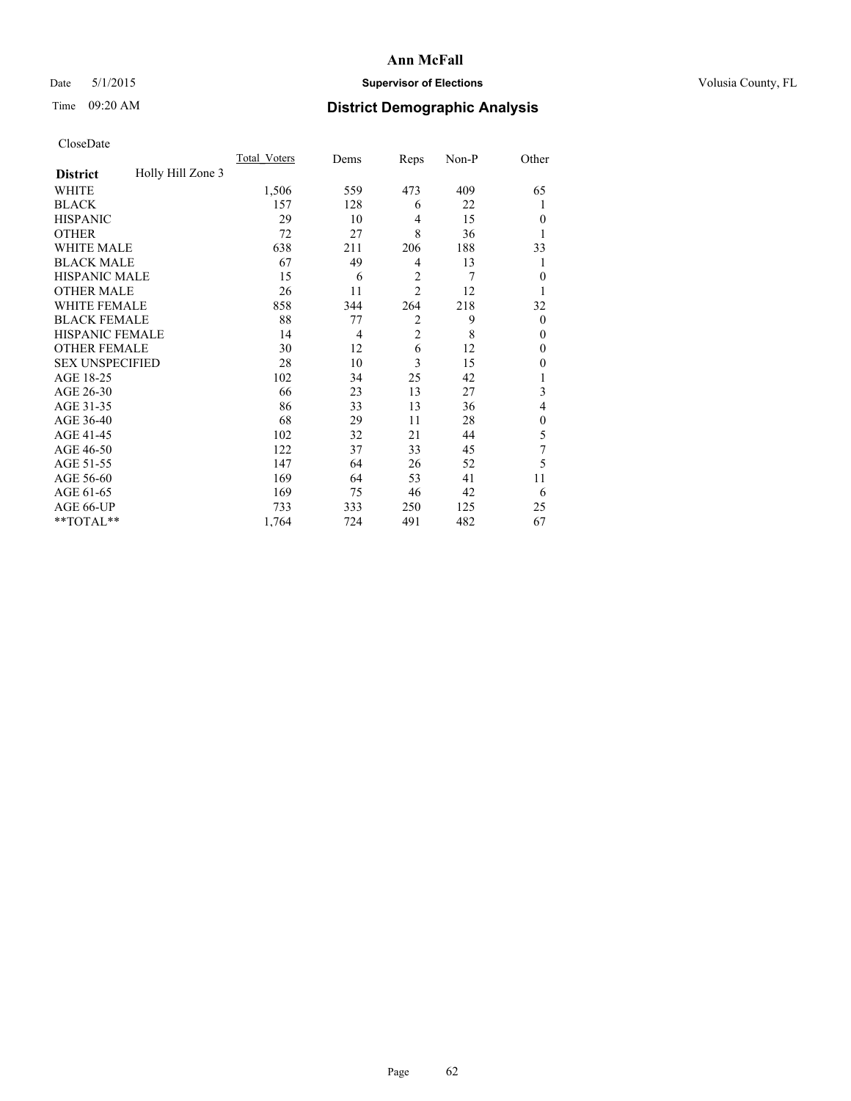## Date 5/1/2015 **Supervisor of Elections Supervisor of Elections** Volusia County, FL

# Time 09:20 AM **District Demographic Analysis**

|                        |                   | <b>Total Voters</b> | Dems | Reps           | Non-P | Other        |
|------------------------|-------------------|---------------------|------|----------------|-------|--------------|
| <b>District</b>        | Holly Hill Zone 3 |                     |      |                |       |              |
| WHITE                  |                   | 1,506               | 559  | 473            | 409   | 65           |
| <b>BLACK</b>           |                   | 157                 | 128  | 6              | 22    |              |
| <b>HISPANIC</b>        |                   | 29                  | 10   | $\overline{4}$ | 15    | $\theta$     |
| <b>OTHER</b>           |                   | 72                  | 27   | 8              | 36    |              |
| WHITE MALE             |                   | 638                 | 211  | 206            | 188   | 33           |
| <b>BLACK MALE</b>      |                   | 67                  | 49   | 4              | 13    | 1            |
| <b>HISPANIC MALE</b>   |                   | 15                  | 6    | $\overline{2}$ | 7     | $\mathbf{0}$ |
| <b>OTHER MALE</b>      |                   | 26                  | 11   | $\overline{2}$ | 12    | 1            |
| WHITE FEMALE           |                   | 858                 | 344  | 264            | 218   | 32           |
| <b>BLACK FEMALE</b>    |                   | 88                  | 77   | $\overline{2}$ | 9     | $\theta$     |
| <b>HISPANIC FEMALE</b> |                   | 14                  | 4    | $\overline{2}$ | 8     | $\theta$     |
| <b>OTHER FEMALE</b>    |                   | 30                  | 12   | 6              | 12    | $\theta$     |
| <b>SEX UNSPECIFIED</b> |                   | 28                  | 10   | 3              | 15    | $\mathbf{0}$ |
| AGE 18-25              |                   | 102                 | 34   | 25             | 42    |              |
| AGE 26-30              |                   | 66                  | 23   | 13             | 27    | 3            |
| AGE 31-35              |                   | 86                  | 33   | 13             | 36    | 4            |
| AGE 36-40              |                   | 68                  | 29   | 11             | 28    | $\mathbf{0}$ |
| AGE 41-45              |                   | 102                 | 32   | 21             | 44    | 5            |
| AGE 46-50              |                   | 122                 | 37   | 33             | 45    | 7            |
| AGE 51-55              |                   | 147                 | 64   | 26             | 52    | 5            |
| AGE 56-60              |                   | 169                 | 64   | 53             | 41    | 11           |
| AGE 61-65              |                   | 169                 | 75   | 46             | 42    | 6            |
| AGE 66-UP              |                   | 733                 | 333  | 250            | 125   | 25           |
| **TOTAL**              |                   | 1,764               | 724  | 491            | 482   | 67           |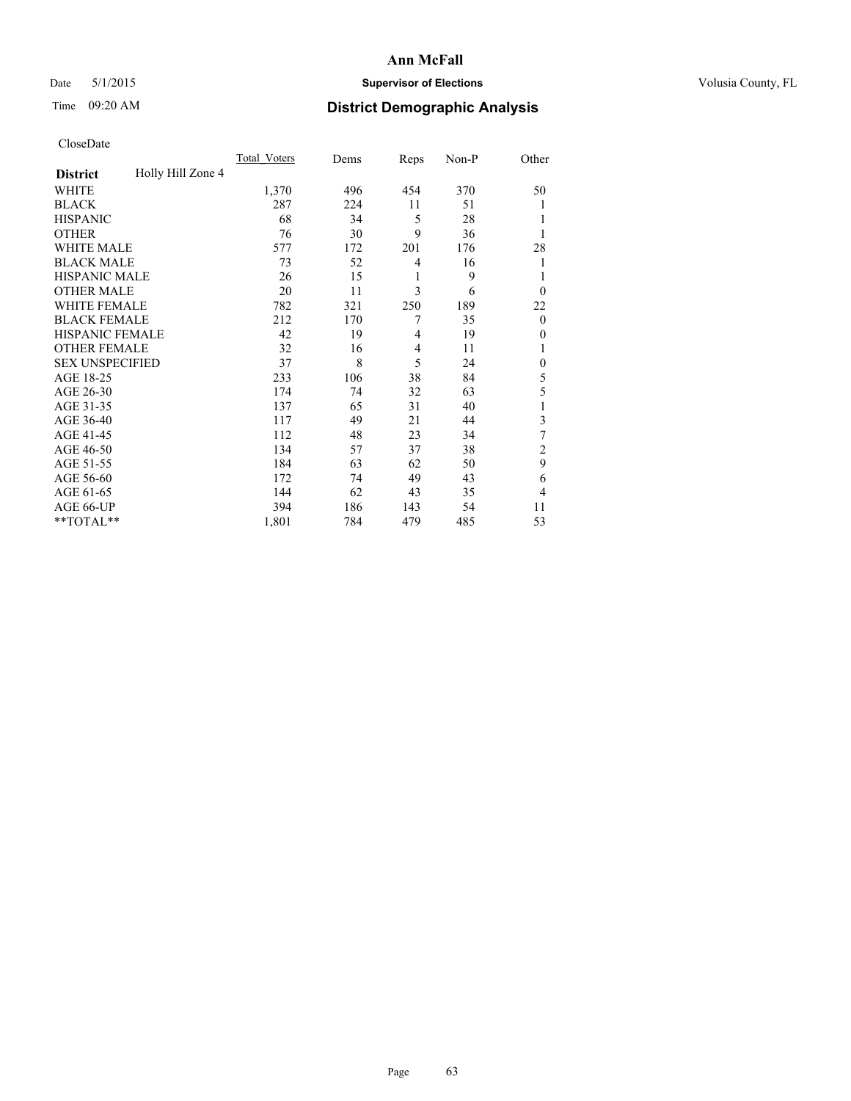## Date 5/1/2015 **Supervisor of Elections Supervisor of Elections** Volusia County, FL

# Time 09:20 AM **District Demographic Analysis**

|                        |                   | Total Voters | Dems | Reps           | Non-P | Other          |
|------------------------|-------------------|--------------|------|----------------|-------|----------------|
| <b>District</b>        | Holly Hill Zone 4 |              |      |                |       |                |
| WHITE                  |                   | 1,370        | 496  | 454            | 370   | 50             |
| <b>BLACK</b>           |                   | 287          | 224  | 11             | 51    |                |
| <b>HISPANIC</b>        |                   | 68           | 34   | 5              | 28    |                |
| <b>OTHER</b>           |                   | 76           | 30   | 9              | 36    |                |
| WHITE MALE             |                   | 577          | 172  | 201            | 176   | 28             |
| <b>BLACK MALE</b>      |                   | 73           | 52   | 4              | 16    | 1              |
| <b>HISPANIC MALE</b>   |                   | 26           | 15   | 1              | 9     | 1              |
| <b>OTHER MALE</b>      |                   | 20           | 11   | 3              | 6     | $\overline{0}$ |
| WHITE FEMALE           |                   | 782          | 321  | 250            | 189   | 22             |
| <b>BLACK FEMALE</b>    |                   | 212          | 170  | 7              | 35    | $\theta$       |
| <b>HISPANIC FEMALE</b> |                   | 42           | 19   | $\overline{4}$ | 19    | $\theta$       |
| <b>OTHER FEMALE</b>    |                   | 32           | 16   | $\overline{4}$ | 11    |                |
| <b>SEX UNSPECIFIED</b> |                   | 37           | 8    | 5              | 24    | $\mathbf{0}$   |
| AGE 18-25              |                   | 233          | 106  | 38             | 84    | 5              |
| AGE 26-30              |                   | 174          | 74   | 32             | 63    | 5              |
| AGE 31-35              |                   | 137          | 65   | 31             | 40    |                |
| AGE 36-40              |                   | 117          | 49   | 21             | 44    | 3              |
| AGE 41-45              |                   | 112          | 48   | 23             | 34    | 7              |
| AGE 46-50              |                   | 134          | 57   | 37             | 38    | 2              |
| AGE 51-55              |                   | 184          | 63   | 62             | 50    | 9              |
| AGE 56-60              |                   | 172          | 74   | 49             | 43    | 6              |
| AGE 61-65              |                   | 144          | 62   | 43             | 35    | 4              |
| AGE 66-UP              |                   | 394          | 186  | 143            | 54    | 11             |
| **TOTAL**              |                   | 1,801        | 784  | 479            | 485   | 53             |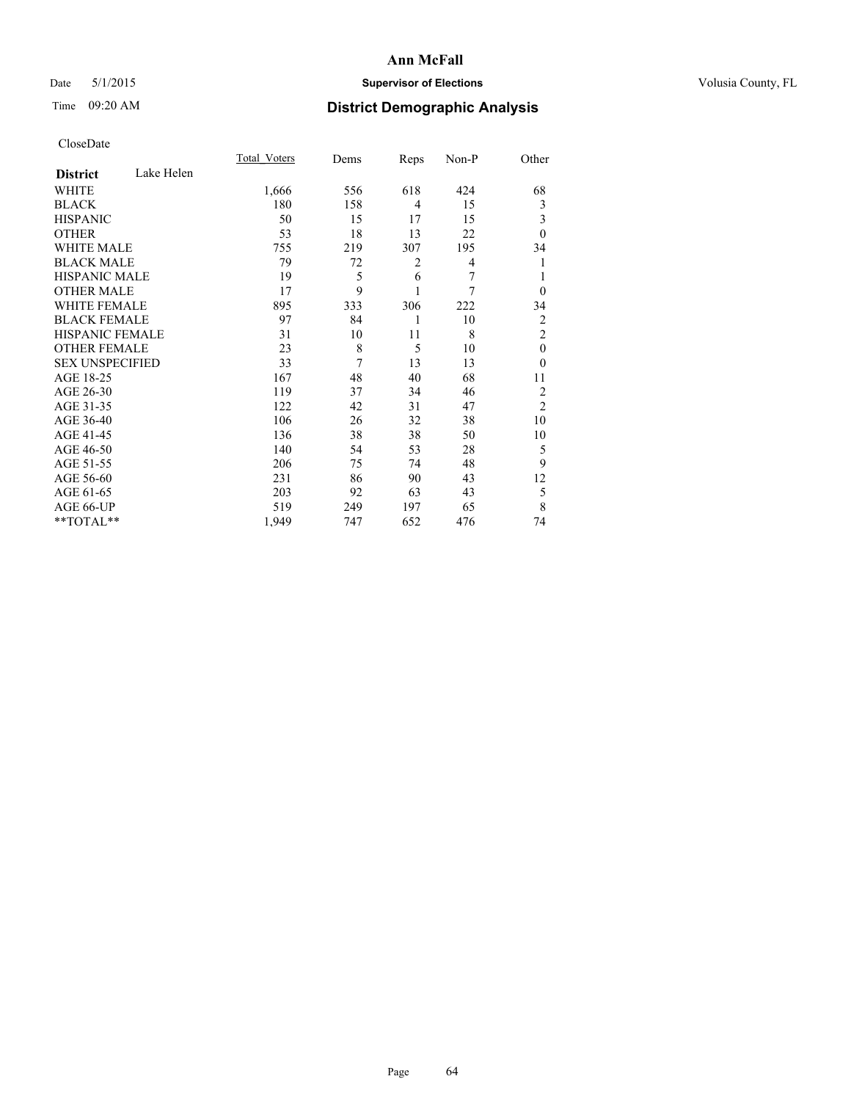## Date 5/1/2015 **Supervisor of Elections Supervisor of Elections** Volusia County, FL

# Time 09:20 AM **District Demographic Analysis**

|                        |            | Total Voters | Dems | Reps           | Non-P | Other          |
|------------------------|------------|--------------|------|----------------|-------|----------------|
| <b>District</b>        | Lake Helen |              |      |                |       |                |
| WHITE                  |            | 1,666        | 556  | 618            | 424   | 68             |
| <b>BLACK</b>           |            | 180          | 158  | $\overline{4}$ | 15    | 3              |
| <b>HISPANIC</b>        |            | 50           | 15   | 17             | 15    | 3              |
| <b>OTHER</b>           |            | 53           | 18   | 13             | 22    | $\theta$       |
| <b>WHITE MALE</b>      |            | 755          | 219  | 307            | 195   | 34             |
| <b>BLACK MALE</b>      |            | 79           | 72   | 2              | 4     | 1              |
| <b>HISPANIC MALE</b>   |            | 19           | 5    | 6              | 7     |                |
| <b>OTHER MALE</b>      |            | 17           | 9    |                | 7     | $\theta$       |
| WHITE FEMALE           |            | 895          | 333  | 306            | 222   | 34             |
| <b>BLACK FEMALE</b>    |            | 97           | 84   | 1              | 10    | 2              |
| HISPANIC FEMALE        |            | 31           | 10   | 11             | 8     | $\overline{2}$ |
| <b>OTHER FEMALE</b>    |            | 23           | 8    | 5              | 10    | $\mathbf{0}$   |
| <b>SEX UNSPECIFIED</b> |            | 33           | 7    | 13             | 13    | $\theta$       |
| AGE 18-25              |            | 167          | 48   | 40             | 68    | 11             |
| AGE 26-30              |            | 119          | 37   | 34             | 46    | $\overline{c}$ |
| AGE 31-35              |            | 122          | 42   | 31             | 47    | $\overline{c}$ |
| AGE 36-40              |            | 106          | 26   | 32             | 38    | 10             |
| AGE 41-45              |            | 136          | 38   | 38             | 50    | 10             |
| AGE 46-50              |            | 140          | 54   | 53             | 28    | 5              |
| AGE 51-55              |            | 206          | 75   | 74             | 48    | 9              |
| AGE 56-60              |            | 231          | 86   | 90             | 43    | 12             |
| AGE 61-65              |            | 203          | 92   | 63             | 43    | 5              |
| AGE 66-UP              |            | 519          | 249  | 197            | 65    | 8              |
| $*$ TOTAL $**$         |            | 1,949        | 747  | 652            | 476   | 74             |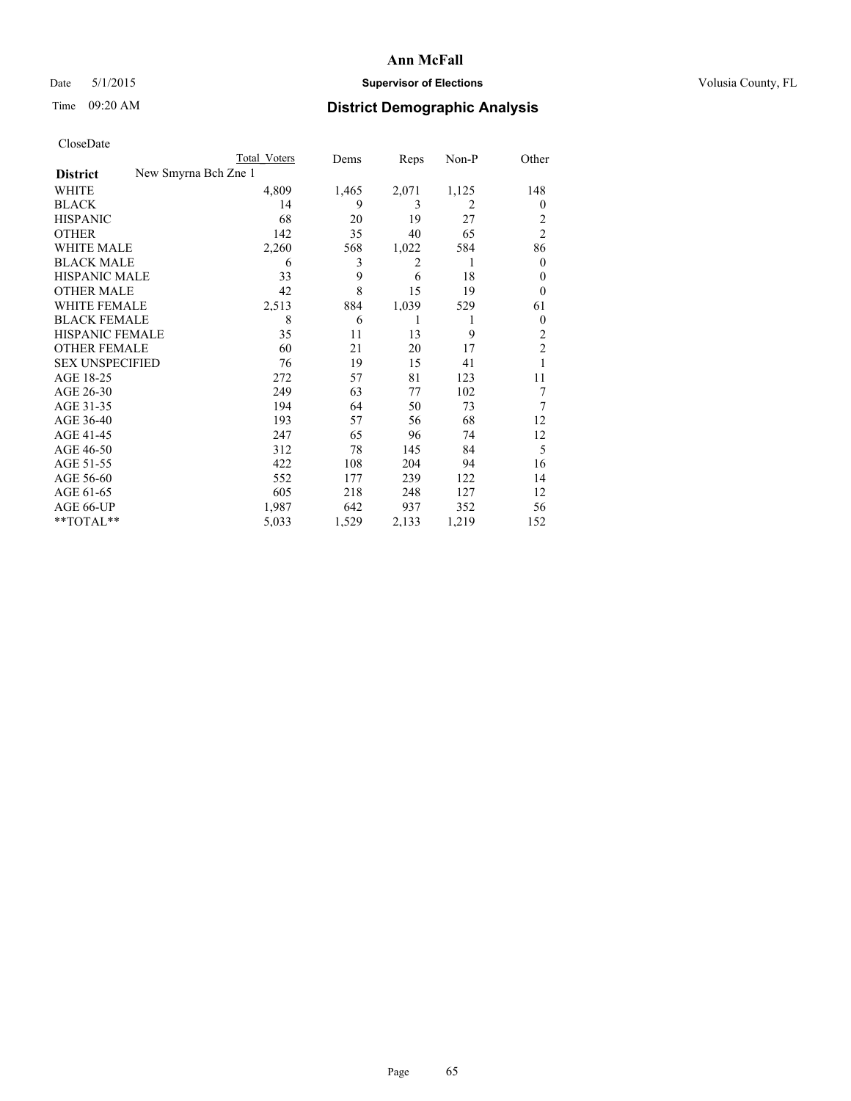## Date 5/1/2015 **Supervisor of Elections Supervisor of Elections** Volusia County, FL

# Time 09:20 AM **District Demographic Analysis**

| Total Voters | Dems                 | Reps  | Non-P | Other          |
|--------------|----------------------|-------|-------|----------------|
|              |                      |       |       |                |
| 4,809        | 1,465                | 2,071 | 1,125 | 148            |
| 14           | 9                    | 3     | 2     | $\overline{0}$ |
| 68           | 20                   | 19    | 27    | 2              |
| 142          | 35                   | 40    | 65    | $\overline{2}$ |
| 2,260        | 568                  | 1,022 | 584   | 86             |
| 6            | 3                    | 2     | 1     | $\overline{0}$ |
| 33           | 9                    | 6     | 18    | $\theta$       |
| 42           | 8                    | 15    | 19    | $\theta$       |
| 2,513        | 884                  | 1,039 | 529   | 61             |
| 8            | 6                    | 1     | 1     | $\theta$       |
| 35           | 11                   | 13    | 9     | $\overline{2}$ |
| 60           | 21                   | 20    | 17    | $\overline{2}$ |
| 76           | 19                   | 15    | 41    | 1              |
| 272          | 57                   | 81    | 123   | 11             |
| 249          | 63                   | 77    | 102   | 7              |
| 194          | 64                   | 50    | 73    | 7              |
| 193          | 57                   | 56    | 68    | 12             |
| 247          | 65                   | 96    | 74    | 12             |
| 312          | 78                   | 145   | 84    | 5              |
| 422          | 108                  | 204   | 94    | 16             |
| 552          | 177                  | 239   | 122   | 14             |
| 605          | 218                  | 248   | 127   | 12             |
| 1,987        | 642                  | 937   | 352   | 56             |
| 5,033        | 1,529                | 2,133 | 1,219 | 152            |
|              | New Smyrna Bch Zne 1 |       |       |                |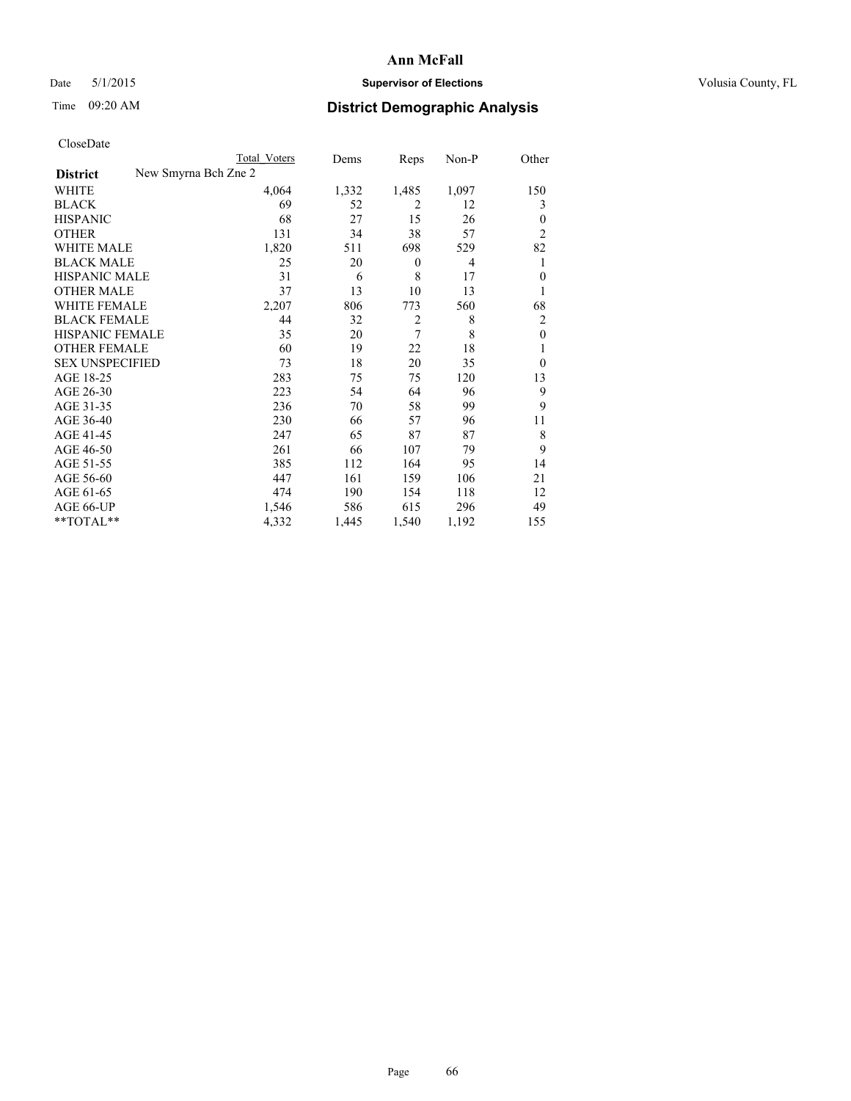## Date 5/1/2015 **Supervisor of Elections Supervisor of Elections** Volusia County, FL

|  | CloseDate |
|--|-----------|
|  |           |

|                        |                      | Total Voters | Dems  | Reps             | Non-P          | Other            |
|------------------------|----------------------|--------------|-------|------------------|----------------|------------------|
| <b>District</b>        | New Smyrna Bch Zne 2 |              |       |                  |                |                  |
| WHITE                  |                      | 4,064        | 1,332 | 1,485            | 1,097          | 150              |
| BLACK                  |                      | 69           | 52    | 2                | 12             | 3                |
| <b>HISPANIC</b>        |                      | 68           | 27    | 15               | 26             | $\theta$         |
| OTHER                  |                      | 131          | 34    | 38               | 57             | $\overline{2}$   |
| WHITE MALE             |                      | 1,820        | 511   | 698              | 529            | 82               |
| <b>BLACK MALE</b>      |                      | 25           | 20    | $\boldsymbol{0}$ | $\overline{4}$ | 1                |
| HISPANIC MALE          |                      | 31           | 6     | 8                | 17             | $\mathbf{0}$     |
| <b>OTHER MALE</b>      |                      | 37           | 13    | 10               | 13             | 1                |
| WHITE FEMALE           |                      | 2,207        | 806   | 773              | 560            | 68               |
| <b>BLACK FEMALE</b>    |                      | 44           | 32    | $\overline{c}$   | 8              | $\overline{2}$   |
| HISPANIC FEMALE        |                      | 35           | 20    | 7                | 8              | $\boldsymbol{0}$ |
| OTHER FEMALE           |                      | 60           | 19    | 22               | 18             | 1                |
| <b>SEX UNSPECIFIED</b> |                      | 73           | 18    | 20               | 35             | $\theta$         |
| AGE 18-25              |                      | 283          | 75    | 75               | 120            | 13               |
| AGE 26-30              |                      | 223          | 54    | 64               | 96             | 9                |
| AGE 31-35              |                      | 236          | 70    | 58               | 99             | 9                |
| AGE 36-40              |                      | 230          | 66    | 57               | 96             | 11               |
| AGE 41-45              |                      | 247          | 65    | 87               | 87             | 8                |
| AGE 46-50              |                      | 261          | 66    | 107              | 79             | 9                |
| AGE 51-55              |                      | 385          | 112   | 164              | 95             | 14               |
| AGE 56-60              |                      | 447          | 161   | 159              | 106            | 21               |
| AGE 61-65              |                      | 474          | 190   | 154              | 118            | 12               |
| AGE 66-UP              |                      | 1,546        | 586   | 615              | 296            | 49               |
| **TOTAL**              |                      | 4,332        | 1,445 | 1,540            | 1,192          | 155              |
|                        |                      |              |       |                  |                |                  |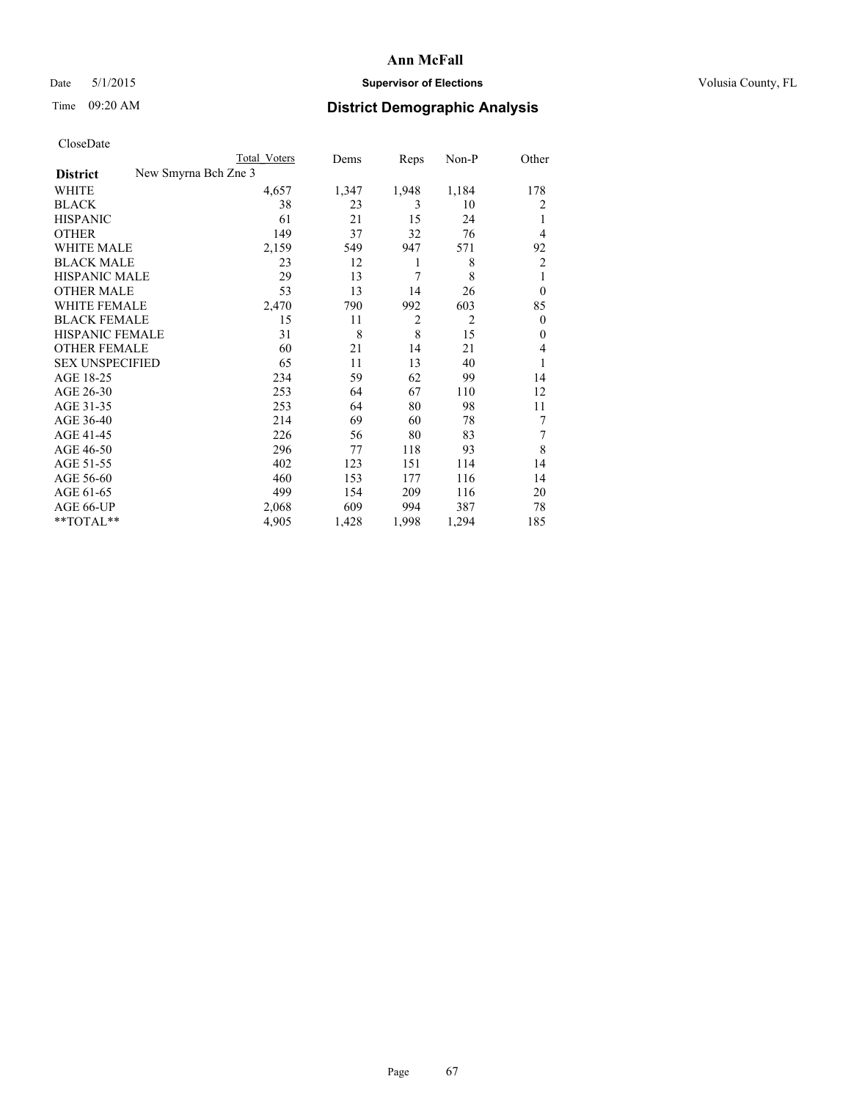## Date 5/1/2015 **Supervisor of Elections Supervisor of Elections** Volusia County, FL

|  | CloseDate |
|--|-----------|
|  |           |

|                                         | Total Voters | Dems  | Reps           | Non-P          | Other          |
|-----------------------------------------|--------------|-------|----------------|----------------|----------------|
| New Smyrna Bch Zne 3<br><b>District</b> |              |       |                |                |                |
| WHITE                                   | 4,657        | 1,347 | 1,948          | 1,184          | 178            |
| BLACK                                   | 38           | 23    | 3              | 10             | 2              |
| HISPANIC                                | 61           | 21    | 15             | 24             | 1              |
| <b>OTHER</b>                            | 149          | 37    | 32             | 76             | $\overline{4}$ |
| <b>WHITE MALE</b>                       | 2,159        | 549   | 947            | 571            | 92             |
| <b>BLACK MALE</b>                       | 23           | 12    | 1              | 8              | 2              |
| HISPANIC MALE                           | 29           | 13    | 7              | 8              | 1              |
| <b>OTHER MALE</b>                       | 53           | 13    | 14             | 26             | $\theta$       |
| WHITE FEMALE                            | 2,470        | 790   | 992            | 603            | 85             |
| BLACK FEMALE                            | 15           | 11    | $\overline{2}$ | $\overline{2}$ | $\theta$       |
| HISPANIC FEMALE                         | 31           | 8     | 8              | 15             | $\mathbf{0}$   |
| OTHER FEMALE                            | 60           | 21    | 14             | 21             | $\overline{4}$ |
| <b>SEX UNSPECIFIED</b>                  | 65           | 11    | 13             | 40             | 1              |
| AGE 18-25                               | 234          | 59    | 62             | 99             | 14             |
| AGE 26-30                               | 253          | 64    | 67             | 110            | 12             |
| AGE 31-35                               | 253          | 64    | 80             | 98             | 11             |
| AGE 36-40                               | 214          | 69    | 60             | 78             | 7              |
| AGE 41-45                               | 226          | 56    | 80             | 83             | 7              |
| AGE 46-50                               | 296          | 77    | 118            | 93             | 8              |
| AGE 51-55                               | 402          | 123   | 151            | 114            | 14             |
| AGE 56-60                               | 460          | 153   | 177            | 116            | 14             |
| AGE 61-65                               | 499          | 154   | 209            | 116            | 20             |
| AGE 66-UP                               | 2,068        | 609   | 994            | 387            | 78             |
| $*$ TOTAL $**$                          | 4,905        | 1,428 | 1,998          | 1,294          | 185            |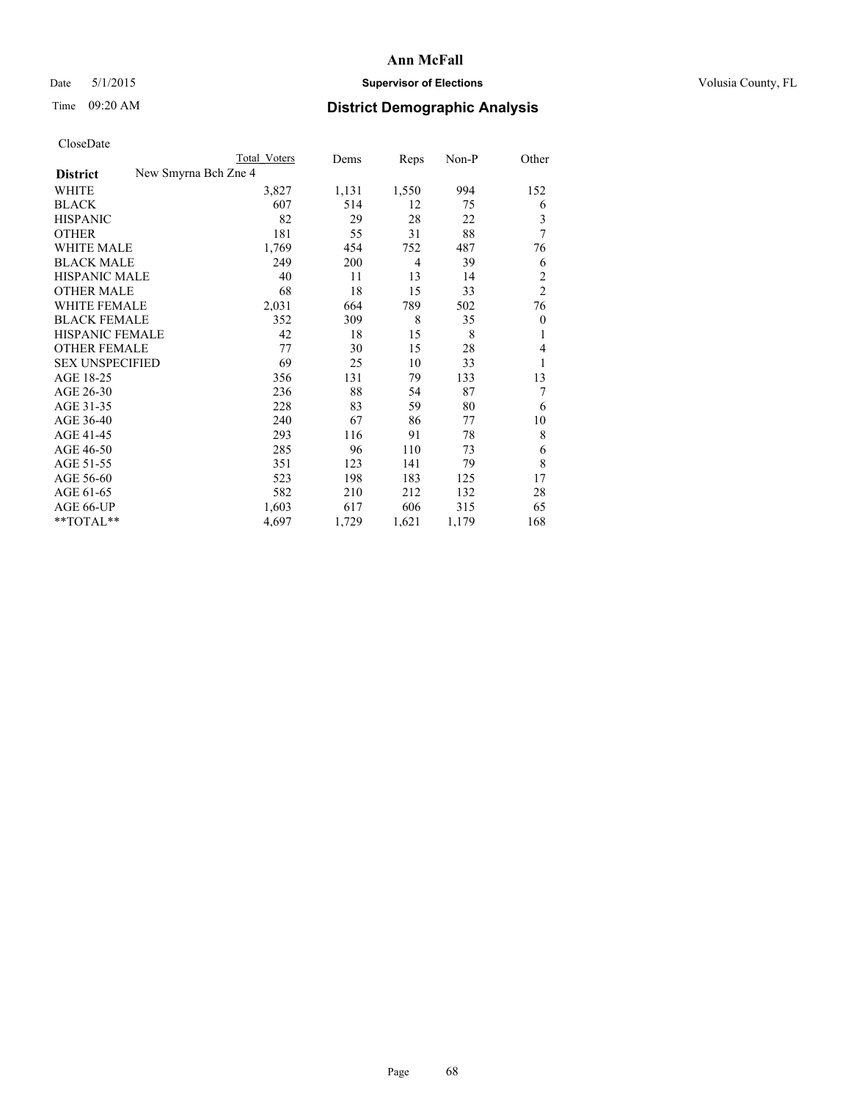## Date 5/1/2015 **Supervisor of Elections Supervisor of Elections** Volusia County, FL

|                        | Total Voters         | Dems  | Reps           | Non-P | Other            |
|------------------------|----------------------|-------|----------------|-------|------------------|
| <b>District</b>        | New Smyrna Bch Zne 4 |       |                |       |                  |
| WHITE                  | 3,827                | 1,131 | 1,550          | 994   | 152              |
| <b>BLACK</b>           | 607                  | 514   | 12             | 75    | 6                |
| <b>HISPANIC</b>        | 82                   | 29    | 28             | 22    | 3                |
| <b>OTHER</b>           | 181                  | 55    | 31             | 88    | 7                |
| <b>WHITE MALE</b>      | 1,769                | 454   | 752            | 487   | 76               |
| <b>BLACK MALE</b>      | 249                  | 200   | $\overline{4}$ | 39    | 6                |
| <b>HISPANIC MALE</b>   | 40                   | 11    | 13             | 14    | $\overline{2}$   |
| <b>OTHER MALE</b>      | 68                   | 18    | 15             | 33    | $\overline{2}$   |
| <b>WHITE FEMALE</b>    | 2,031                | 664   | 789            | 502   | 76               |
| <b>BLACK FEMALE</b>    | 352                  | 309   | 8              | 35    | $\boldsymbol{0}$ |
| HISPANIC FEMALE        | 42                   | 18    | 15             | 8     | 1                |
| <b>OTHER FEMALE</b>    | 77                   | 30    | 15             | 28    | 4                |
| <b>SEX UNSPECIFIED</b> | 69                   | 25    | 10             | 33    | 1                |
| AGE 18-25              | 356                  | 131   | 79             | 133   | 13               |
| AGE 26-30              | 236                  | 88    | 54             | 87    | 7                |
| AGE 31-35              | 228                  | 83    | 59             | 80    | 6                |
| AGE 36-40              | 240                  | 67    | 86             | 77    | 10               |
| AGE 41-45              | 293                  | 116   | 91             | 78    | 8                |
| AGE 46-50              | 285                  | 96    | 110            | 73    | 6                |
| AGE 51-55              | 351                  | 123   | 141            | 79    | 8                |
| AGE 56-60              | 523                  | 198   | 183            | 125   | 17               |
| AGE 61-65              | 582                  | 210   | 212            | 132   | 28               |
| AGE 66-UP              | 1,603                | 617   | 606            | 315   | 65               |
| $*$ TOTAL $**$         | 4,697                | 1,729 | 1,621          | 1,179 | 168              |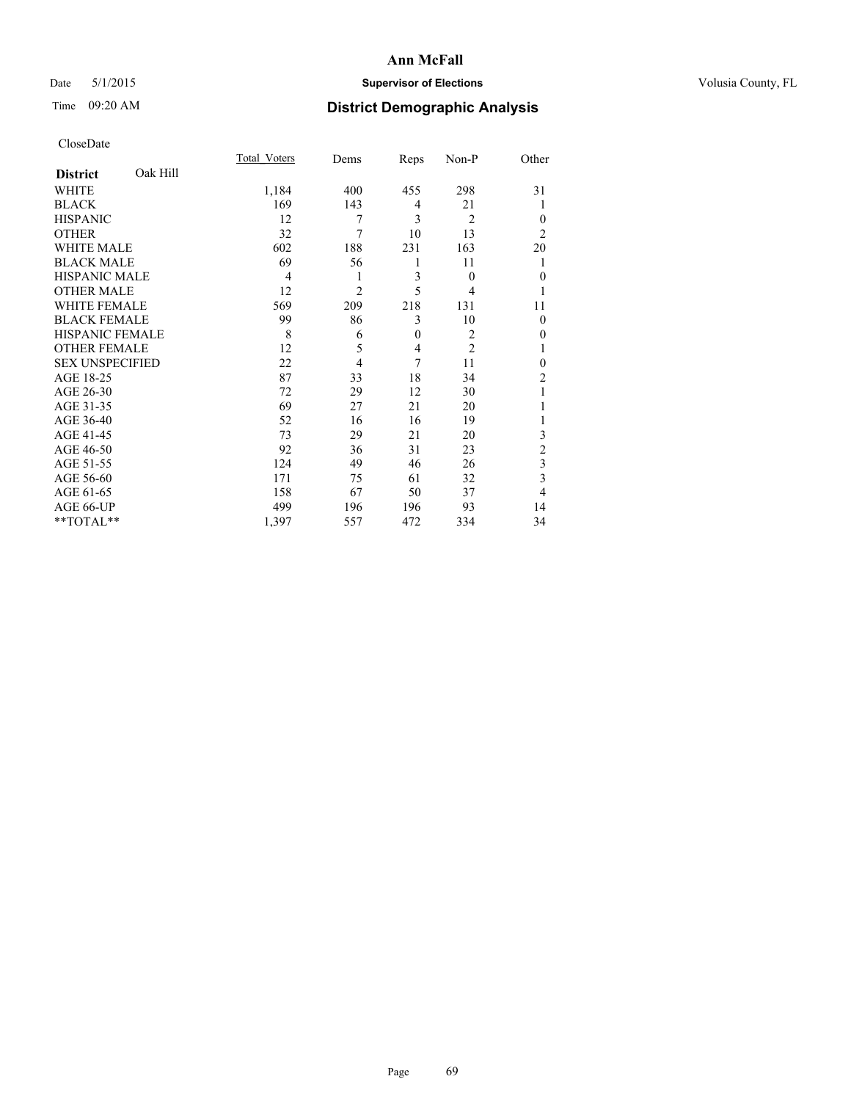## Date 5/1/2015 **Supervisor of Elections Supervisor of Elections** Volusia County, FL

# Time 09:20 AM **District Demographic Analysis**

|                        |          | Total Voters   | Dems           | Reps         | Non-P          | Other          |
|------------------------|----------|----------------|----------------|--------------|----------------|----------------|
| <b>District</b>        | Oak Hill |                |                |              |                |                |
| <b>WHITE</b>           |          | 1,184          | 400            | 455          | 298            | 31             |
| <b>BLACK</b>           |          | 169            | 143            | 4            | 21             |                |
| <b>HISPANIC</b>        |          | 12             | 7              | 3            | $\overline{2}$ | $\theta$       |
| <b>OTHER</b>           |          | 32             | $\overline{7}$ | 10           | 13             | $\overline{2}$ |
| WHITE MALE             |          | 602            | 188            | 231          | 163            | 20             |
| <b>BLACK MALE</b>      |          | 69             | 56             | 1            | 11             | 1              |
| <b>HISPANIC MALE</b>   |          | $\overline{4}$ | 1              | 3            | $\theta$       | $\mathbf{0}$   |
| <b>OTHER MALE</b>      |          | 12             | $\overline{2}$ | 5            | 4              | 1              |
| <b>WHITE FEMALE</b>    |          | 569            | 209            | 218          | 131            | 11             |
| <b>BLACK FEMALE</b>    |          | 99             | 86             | 3            | 10             | $\theta$       |
| <b>HISPANIC FEMALE</b> |          | 8              | 6              | $\mathbf{0}$ | $\overline{c}$ | 0              |
| <b>OTHER FEMALE</b>    |          | 12             | 5              | 4            | $\overline{c}$ |                |
| <b>SEX UNSPECIFIED</b> |          | 22             | $\overline{4}$ | 7            | 11             | $\mathbf{0}$   |
| AGE 18-25              |          | 87             | 33             | 18           | 34             | $\overline{c}$ |
| AGE 26-30              |          | 72             | 29             | 12           | 30             |                |
| AGE 31-35              |          | 69             | 27             | 21           | 20             |                |
| AGE 36-40              |          | 52             | 16             | 16           | 19             |                |
| AGE 41-45              |          | 73             | 29             | 21           | 20             | 3              |
| AGE 46-50              |          | 92             | 36             | 31           | 23             | $\overline{2}$ |
| AGE 51-55              |          | 124            | 49             | 46           | 26             | 3              |
| AGE 56-60              |          | 171            | 75             | 61           | 32             | 3              |
| AGE 61-65              |          | 158            | 67             | 50           | 37             | 4              |
| AGE 66-UP              |          | 499            | 196            | 196          | 93             | 14             |
| **TOTAL**              |          | 1,397          | 557            | 472          | 334            | 34             |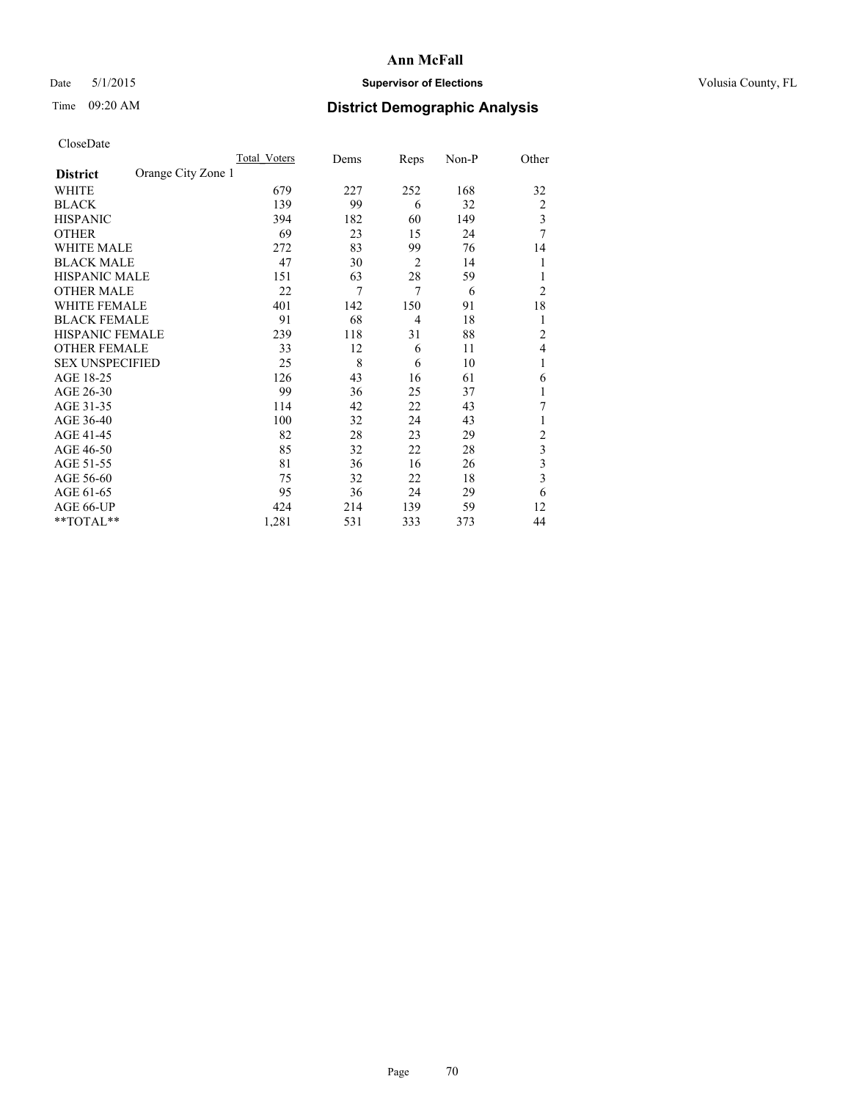## Date 5/1/2015 **Supervisor of Elections Supervisor of Elections** Volusia County, FL

# Time 09:20 AM **District Demographic Analysis**

|                        |                    | Total Voters | Dems | Reps           | Non-P | Other          |
|------------------------|--------------------|--------------|------|----------------|-------|----------------|
| <b>District</b>        | Orange City Zone 1 |              |      |                |       |                |
| WHITE                  |                    | 679          | 227  | 252            | 168   | 32             |
| <b>BLACK</b>           |                    | 139          | 99   | 6              | 32    | $\overline{2}$ |
| <b>HISPANIC</b>        |                    | 394          | 182  | 60             | 149   | 3              |
| <b>OTHER</b>           |                    | 69           | 23   | 15             | 24    | 7              |
| WHITE MALE             |                    | 272          | 83   | 99             | 76    | 14             |
| <b>BLACK MALE</b>      |                    | 47           | 30   | $\overline{2}$ | 14    | 1              |
| <b>HISPANIC MALE</b>   |                    | 151          | 63   | 28             | 59    |                |
| <b>OTHER MALE</b>      |                    | 22           | 7    | $\overline{7}$ | 6     | $\overline{2}$ |
| WHITE FEMALE           |                    | 401          | 142  | 150            | 91    | 18             |
| <b>BLACK FEMALE</b>    |                    | 91           | 68   | $\overline{4}$ | 18    | 1              |
| HISPANIC FEMALE        |                    | 239          | 118  | 31             | 88    | $\overline{c}$ |
| <b>OTHER FEMALE</b>    |                    | 33           | 12   | 6              | 11    | 4              |
| <b>SEX UNSPECIFIED</b> |                    | 25           | 8    | 6              | 10    | 1              |
| AGE 18-25              |                    | 126          | 43   | 16             | 61    | 6              |
| AGE 26-30              |                    | 99           | 36   | 25             | 37    | 1              |
| AGE 31-35              |                    | 114          | 42   | 22             | 43    | 7              |
| AGE 36-40              |                    | 100          | 32   | 24             | 43    |                |
| AGE 41-45              |                    | 82           | 28   | 23             | 29    | $\overline{c}$ |
| AGE 46-50              |                    | 85           | 32   | 22             | 28    | 3              |
| AGE 51-55              |                    | 81           | 36   | 16             | 26    | 3              |
| AGE 56-60              |                    | 75           | 32   | 22             | 18    | 3              |
| AGE 61-65              |                    | 95           | 36   | 24             | 29    | 6              |
| AGE 66-UP              |                    | 424          | 214  | 139            | 59    | 12             |
| **TOTAL**              |                    | 1,281        | 531  | 333            | 373   | 44             |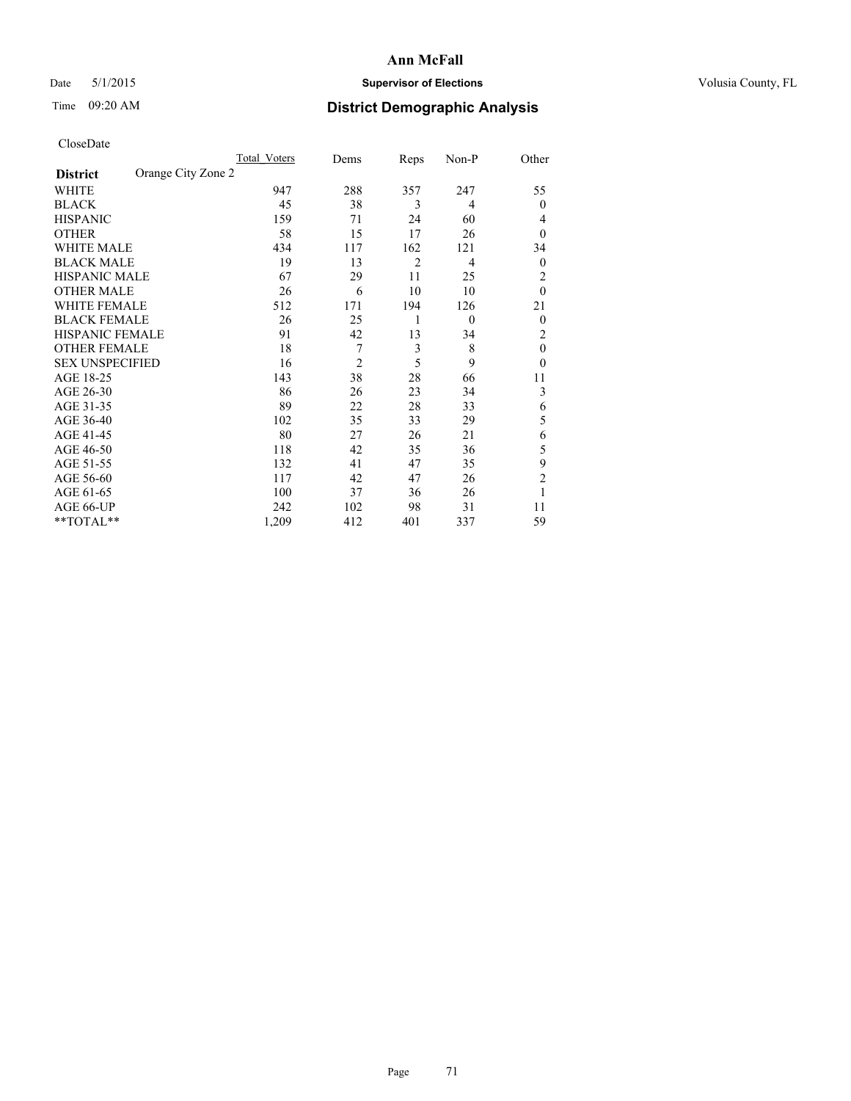## Date 5/1/2015 **Supervisor of Elections Supervisor of Elections** Volusia County, FL

# Time 09:20 AM **District Demographic Analysis**

|                        |                    | Total Voters | Dems           | Reps           | Non-P          | Other            |
|------------------------|--------------------|--------------|----------------|----------------|----------------|------------------|
| <b>District</b>        | Orange City Zone 2 |              |                |                |                |                  |
| WHITE                  |                    | 947          | 288            | 357            | 247            | 55               |
| <b>BLACK</b>           |                    | 45           | 38             | 3              | 4              | $\mathbf{0}$     |
| <b>HISPANIC</b>        |                    | 159          | 71             | 24             | 60             | 4                |
| <b>OTHER</b>           |                    | 58           | 15             | 17             | 26             | $\theta$         |
| WHITE MALE             |                    | 434          | 117            | 162            | 121            | 34               |
| <b>BLACK MALE</b>      |                    | 19           | 13             | $\overline{2}$ | $\overline{4}$ | $\boldsymbol{0}$ |
| <b>HISPANIC MALE</b>   |                    | 67           | 29             | 11             | 25             | 2                |
| <b>OTHER MALE</b>      |                    | 26           | 6              | 10             | 10             | $\mathbf{0}$     |
| <b>WHITE FEMALE</b>    |                    | 512          | 171            | 194            | 126            | 21               |
| <b>BLACK FEMALE</b>    |                    | 26           | 25             | 1              | $\theta$       | $\overline{0}$   |
| <b>HISPANIC FEMALE</b> |                    | 91           | 42             | 13             | 34             | 2                |
| <b>OTHER FEMALE</b>    |                    | 18           | 7              | 3              | 8              | $\theta$         |
| <b>SEX UNSPECIFIED</b> |                    | 16           | $\overline{c}$ | 5              | 9              | $\theta$         |
| AGE 18-25              |                    | 143          | 38             | 28             | 66             | 11               |
| AGE 26-30              |                    | 86           | 26             | 23             | 34             | 3                |
| AGE 31-35              |                    | 89           | 22             | 28             | 33             | 6                |
| AGE 36-40              |                    | 102          | 35             | 33             | 29             | 5                |
| AGE 41-45              |                    | 80           | 27             | 26             | 21             | 6                |
| AGE 46-50              |                    | 118          | 42             | 35             | 36             | 5                |
| AGE 51-55              |                    | 132          | 41             | 47             | 35             | 9                |
| AGE 56-60              |                    | 117          | 42             | 47             | 26             | $\overline{2}$   |
| AGE 61-65              |                    | 100          | 37             | 36             | 26             | 1                |
| AGE 66-UP              |                    | 242          | 102            | 98             | 31             | 11               |
| **TOTAL**              |                    | 1,209        | 412            | 401            | 337            | 59               |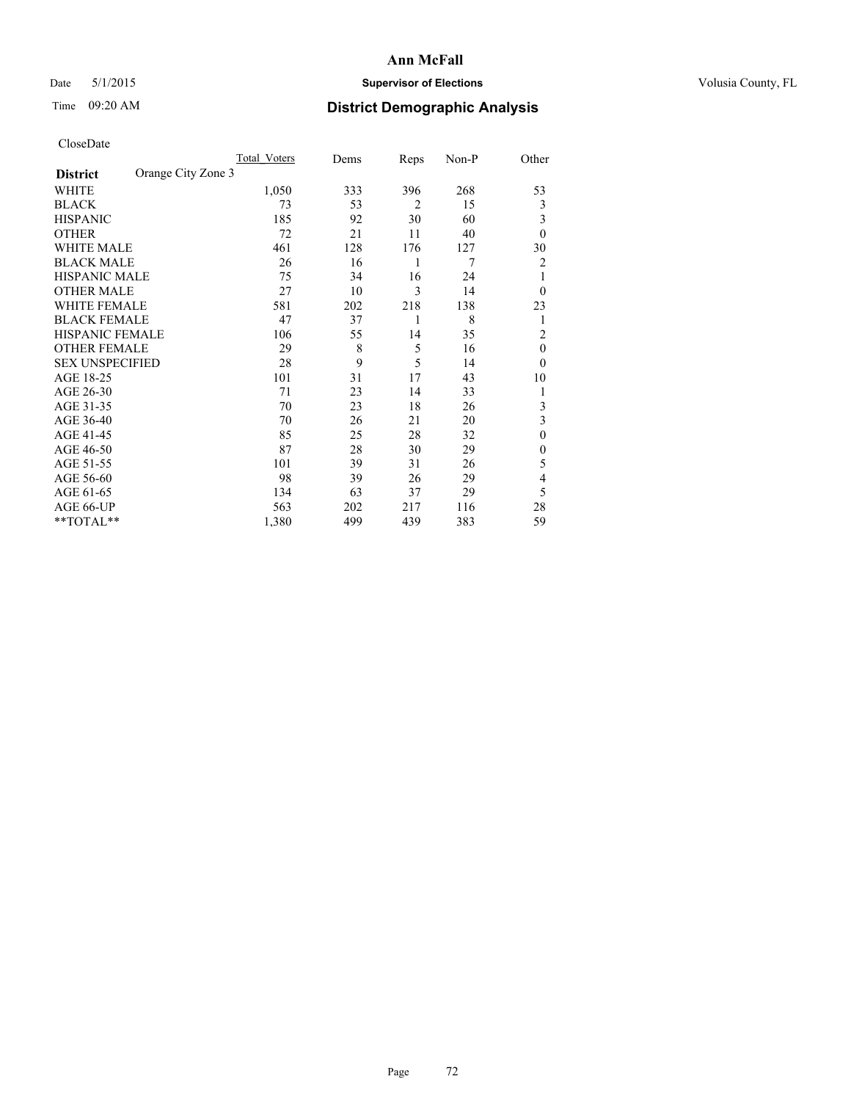## Date 5/1/2015 **Supervisor of Elections Supervisor of Elections** Volusia County, FL

# Time 09:20 AM **District Demographic Analysis**

|                        |                    | Total Voters | Dems | Reps           | Non-P | Other          |
|------------------------|--------------------|--------------|------|----------------|-------|----------------|
| <b>District</b>        | Orange City Zone 3 |              |      |                |       |                |
| WHITE                  |                    | 1,050        | 333  | 396            | 268   | 53             |
| <b>BLACK</b>           |                    | 73           | 53   | $\overline{2}$ | 15    | 3              |
| <b>HISPANIC</b>        |                    | 185          | 92   | 30             | 60    | 3              |
| <b>OTHER</b>           |                    | 72           | 21   | 11             | 40    | $\theta$       |
| WHITE MALE             |                    | 461          | 128  | 176            | 127   | 30             |
| <b>BLACK MALE</b>      |                    | 26           | 16   | 1              | 7     | 2              |
| <b>HISPANIC MALE</b>   |                    | 75           | 34   | 16             | 24    | 1              |
| <b>OTHER MALE</b>      |                    | 27           | 10   | 3              | 14    | $\theta$       |
| WHITE FEMALE           |                    | 581          | 202  | 218            | 138   | 23             |
| <b>BLACK FEMALE</b>    |                    | 47           | 37   | 1              | 8     | 1              |
| <b>HISPANIC FEMALE</b> |                    | 106          | 55   | 14             | 35    | $\overline{2}$ |
| <b>OTHER FEMALE</b>    |                    | 29           | 8    | 5              | 16    | $\theta$       |
| <b>SEX UNSPECIFIED</b> |                    | 28           | 9    | 5              | 14    | $\theta$       |
| AGE 18-25              |                    | 101          | 31   | 17             | 43    | 10             |
| AGE 26-30              |                    | 71           | 23   | 14             | 33    | 1              |
| AGE 31-35              |                    | 70           | 23   | 18             | 26    | 3              |
| AGE 36-40              |                    | 70           | 26   | 21             | 20    | 3              |
| AGE 41-45              |                    | 85           | 25   | 28             | 32    | $\theta$       |
| AGE 46-50              |                    | 87           | 28   | 30             | 29    | $\theta$       |
| AGE 51-55              |                    | 101          | 39   | 31             | 26    | 5              |
| AGE 56-60              |                    | 98           | 39   | 26             | 29    | 4              |
| AGE 61-65              |                    | 134          | 63   | 37             | 29    | 5              |
| AGE 66-UP              |                    | 563          | 202  | 217            | 116   | 28             |
| **TOTAL**              |                    | 1,380        | 499  | 439            | 383   | 59             |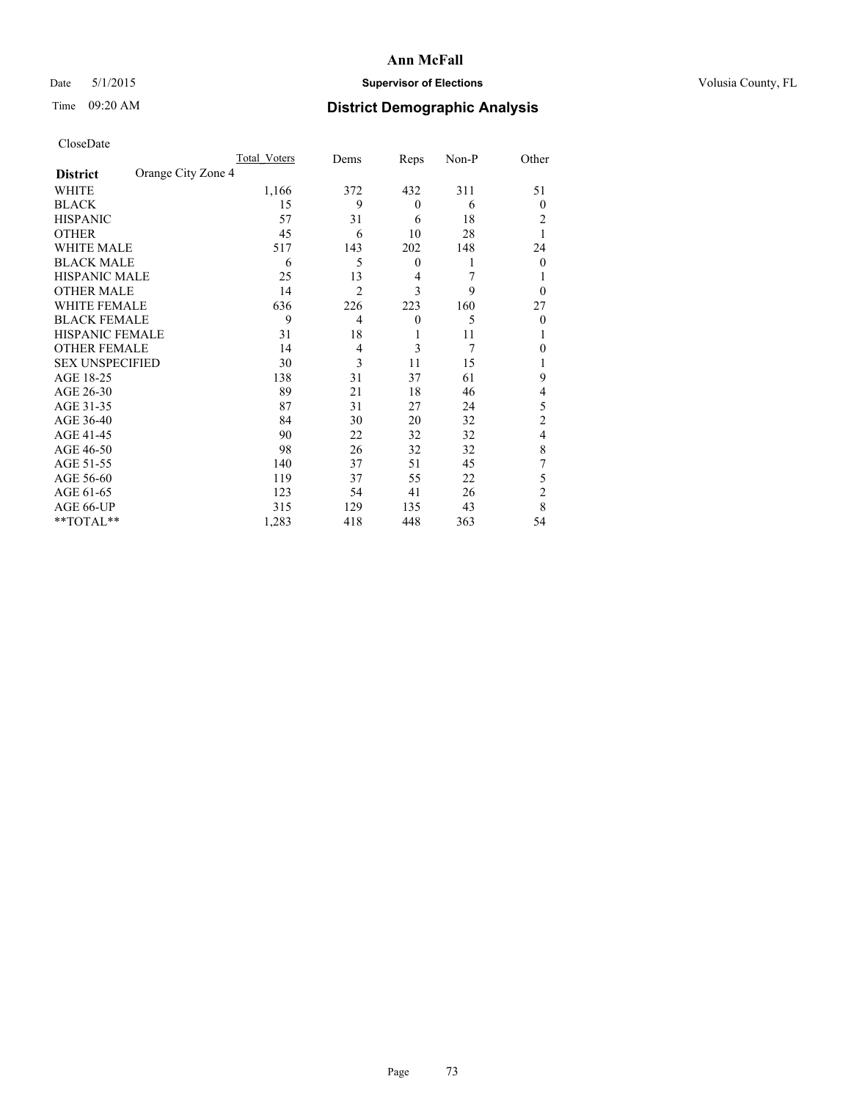## Date 5/1/2015 **Supervisor of Elections Supervisor of Elections** Volusia County, FL

## Time 09:20 AM **District Demographic Analysis**

|                                       | Total Voters | Dems           | Reps             | Non-P | Other          |
|---------------------------------------|--------------|----------------|------------------|-------|----------------|
| Orange City Zone 4<br><b>District</b> |              |                |                  |       |                |
| WHITE                                 | 1,166        | 372            | 432              | 311   | 51             |
| <b>BLACK</b>                          | 15           | 9              | $\theta$         | 6     | $\theta$       |
| <b>HISPANIC</b>                       | 57           | 31             | 6                | 18    | 2              |
| <b>OTHER</b>                          | 45           | 6              | 10               | 28    |                |
| WHITE MALE                            | 517          | 143            | 202              | 148   | 24             |
| <b>BLACK MALE</b>                     | 6            | 5              | $\boldsymbol{0}$ | 1     | $\overline{0}$ |
| <b>HISPANIC MALE</b>                  | 25           | 13             | 4                | 7     |                |
| <b>OTHER MALE</b>                     | 14           | $\overline{2}$ | 3                | 9     | $\theta$       |
| <b>WHITE FEMALE</b>                   | 636          | 226            | 223              | 160   | 27             |
| <b>BLACK FEMALE</b>                   | 9            | $\overline{4}$ | $\theta$         | 5     | $\theta$       |
| <b>HISPANIC FEMALE</b>                | 31           | 18             | 1                | 11    |                |
| <b>OTHER FEMALE</b>                   | 14           | 4              | 3                | 7     | 0              |
| <b>SEX UNSPECIFIED</b>                | 30           | 3              | 11               | 15    |                |
| AGE 18-25                             | 138          | 31             | 37               | 61    | 9              |
| AGE 26-30                             | 89           | 21             | 18               | 46    | 4              |
| AGE 31-35                             | 87           | 31             | 27               | 24    | 5              |
| AGE 36-40                             | 84           | 30             | 20               | 32    | $\overline{c}$ |
| AGE 41-45                             | 90           | 22             | 32               | 32    | 4              |
| AGE 46-50                             | 98           | 26             | 32               | 32    | 8              |
| AGE 51-55                             | 140          | 37             | 51               | 45    | 7              |
| AGE 56-60                             | 119          | 37             | 55               | 22    | 5              |
| AGE 61-65                             | 123          | 54             | 41               | 26    | $\overline{c}$ |
| AGE 66-UP                             | 315          | 129            | 135              | 43    | 8              |
| **TOTAL**                             | 1,283        | 418            | 448              | 363   | 54             |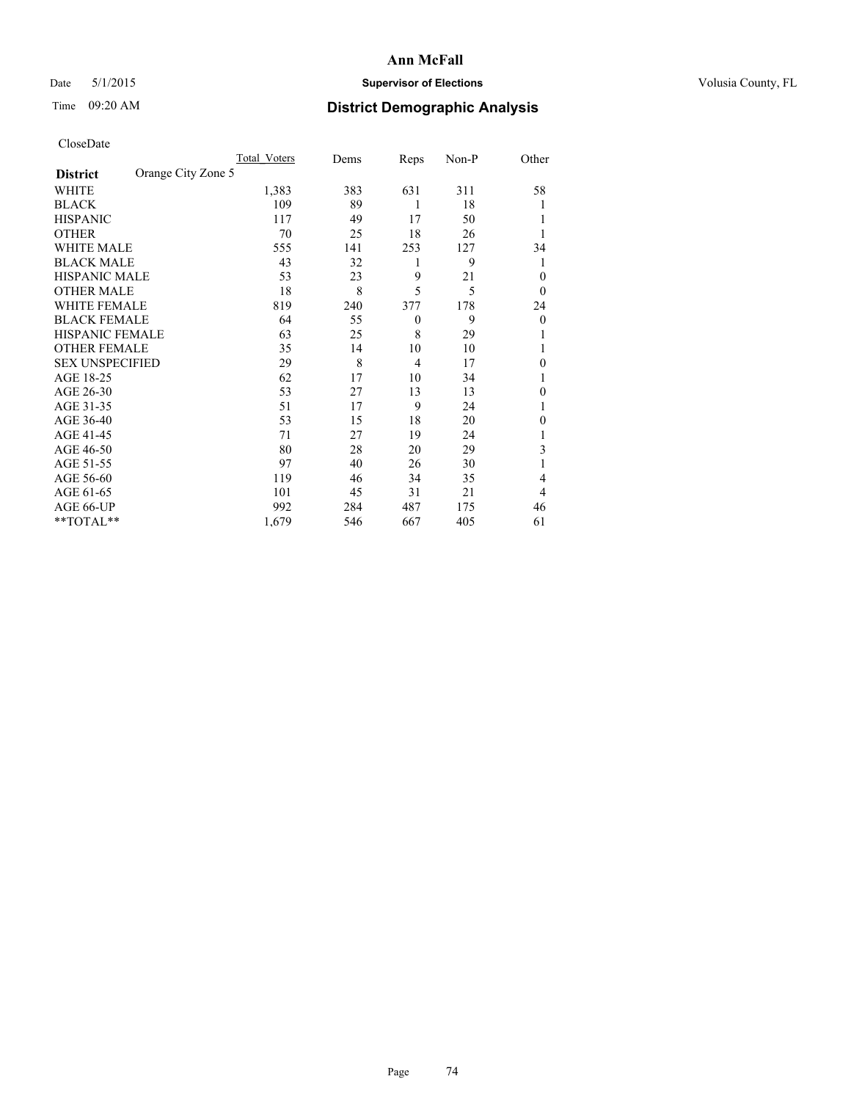## Date 5/1/2015 **Supervisor of Elections Supervisor of Elections** Volusia County, FL

## Time 09:20 AM **District Demographic Analysis**

|                        |                    | <b>Total Voters</b> | Dems | Reps     | Non-P | Other            |
|------------------------|--------------------|---------------------|------|----------|-------|------------------|
| <b>District</b>        | Orange City Zone 5 |                     |      |          |       |                  |
| WHITE                  |                    | 1,383               | 383  | 631      | 311   | 58               |
| <b>BLACK</b>           |                    | 109                 | 89   | 1        | 18    |                  |
| <b>HISPANIC</b>        |                    | 117                 | 49   | 17       | 50    | 1                |
| <b>OTHER</b>           |                    | 70                  | 25   | 18       | 26    | 1                |
| WHITE MALE             |                    | 555                 | 141  | 253      | 127   | 34               |
| <b>BLACK MALE</b>      |                    | 43                  | 32   | 1        | 9     | 1                |
| <b>HISPANIC MALE</b>   |                    | 53                  | 23   | 9        | 21    | $\theta$         |
| <b>OTHER MALE</b>      |                    | 18                  | 8    | 5        | 5     | $\boldsymbol{0}$ |
| <b>WHITE FEMALE</b>    |                    | 819                 | 240  | 377      | 178   | 24               |
| <b>BLACK FEMALE</b>    |                    | 64                  | 55   | $\theta$ | 9     | $\theta$         |
| <b>HISPANIC FEMALE</b> |                    | 63                  | 25   | 8        | 29    |                  |
| <b>OTHER FEMALE</b>    |                    | 35                  | 14   | 10       | 10    | 1                |
| <b>SEX UNSPECIFIED</b> |                    | 29                  | 8    | 4        | 17    | $\theta$         |
| AGE 18-25              |                    | 62                  | 17   | 10       | 34    |                  |
| AGE 26-30              |                    | 53                  | 27   | 13       | 13    | $\theta$         |
| AGE 31-35              |                    | 51                  | 17   | 9        | 24    | 1                |
| AGE 36-40              |                    | 53                  | 15   | 18       | 20    | 0                |
| AGE 41-45              |                    | 71                  | 27   | 19       | 24    |                  |
| AGE 46-50              |                    | 80                  | 28   | 20       | 29    | 3                |
| AGE 51-55              |                    | 97                  | 40   | 26       | 30    | 1                |
| AGE 56-60              |                    | 119                 | 46   | 34       | 35    | 4                |
| AGE 61-65              |                    | 101                 | 45   | 31       | 21    | 4                |
| AGE 66-UP              |                    | 992                 | 284  | 487      | 175   | 46               |
| **TOTAL**              |                    | 1,679               | 546  | 667      | 405   | 61               |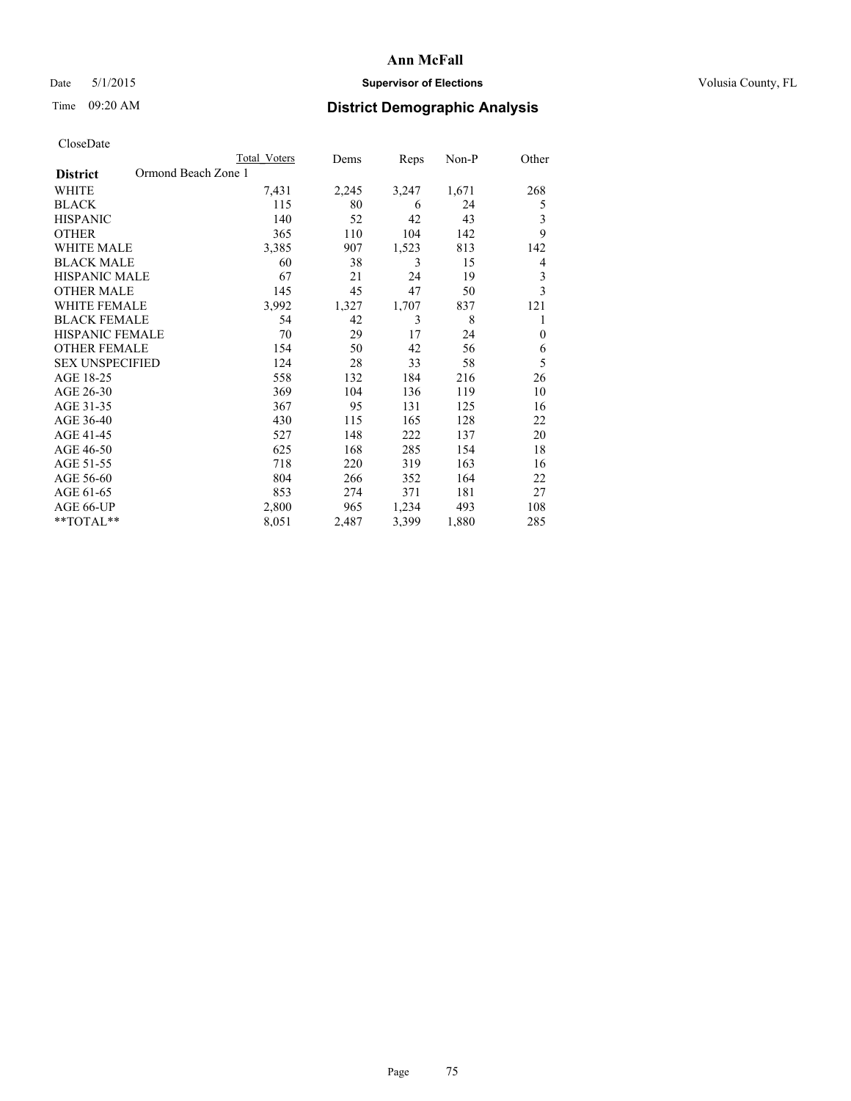## Date 5/1/2015 **Supervisor of Elections Supervisor of Elections** Volusia County, FL

## Time 09:20 AM **District Demographic Analysis**

|                                        | <b>Total Voters</b> | Dems  | Reps  | Non-P | Other    |
|----------------------------------------|---------------------|-------|-------|-------|----------|
| Ormond Beach Zone 1<br><b>District</b> |                     |       |       |       |          |
| WHITE                                  | 7,431               | 2,245 | 3,247 | 1,671 | 268      |
| <b>BLACK</b>                           | 115                 | 80    | 6     | 24    | 5        |
| <b>HISPANIC</b>                        | 140                 | 52    | 42    | 43    | 3        |
| <b>OTHER</b>                           | 365                 | 110   | 104   | 142   | 9        |
| <b>WHITE MALE</b>                      | 3,385               | 907   | 1,523 | 813   | 142      |
| <b>BLACK MALE</b>                      | 60                  | 38    | 3     | 15    | 4        |
| <b>HISPANIC MALE</b>                   | 67                  | 21    | 24    | 19    | 3        |
| <b>OTHER MALE</b>                      | 145                 | 45    | 47    | 50    | 3        |
| <b>WHITE FEMALE</b>                    | 3,992               | 1,327 | 1,707 | 837   | 121      |
| <b>BLACK FEMALE</b>                    | 54                  | 42    | 3     | 8     | 1        |
| <b>HISPANIC FEMALE</b>                 | 70                  | 29    | 17    | 24    | $\theta$ |
| <b>OTHER FEMALE</b>                    | 154                 | 50    | 42    | 56    | 6        |
| <b>SEX UNSPECIFIED</b>                 | 124                 | 28    | 33    | 58    | 5        |
| AGE 18-25                              | 558                 | 132   | 184   | 216   | 26       |
| AGE 26-30                              | 369                 | 104   | 136   | 119   | 10       |
| AGE 31-35                              | 367                 | 95    | 131   | 125   | 16       |
| AGE 36-40                              | 430                 | 115   | 165   | 128   | 22       |
| AGE 41-45                              | 527                 | 148   | 222   | 137   | 20       |
| AGE 46-50                              | 625                 | 168   | 285   | 154   | 18       |
| AGE 51-55                              | 718                 | 220   | 319   | 163   | 16       |
| AGE 56-60                              | 804                 | 266   | 352   | 164   | 22       |
| AGE 61-65                              | 853                 | 274   | 371   | 181   | 27       |
| AGE 66-UP                              | 2,800               | 965   | 1,234 | 493   | 108      |
| **TOTAL**                              | 8,051               | 2,487 | 3,399 | 1,880 | 285      |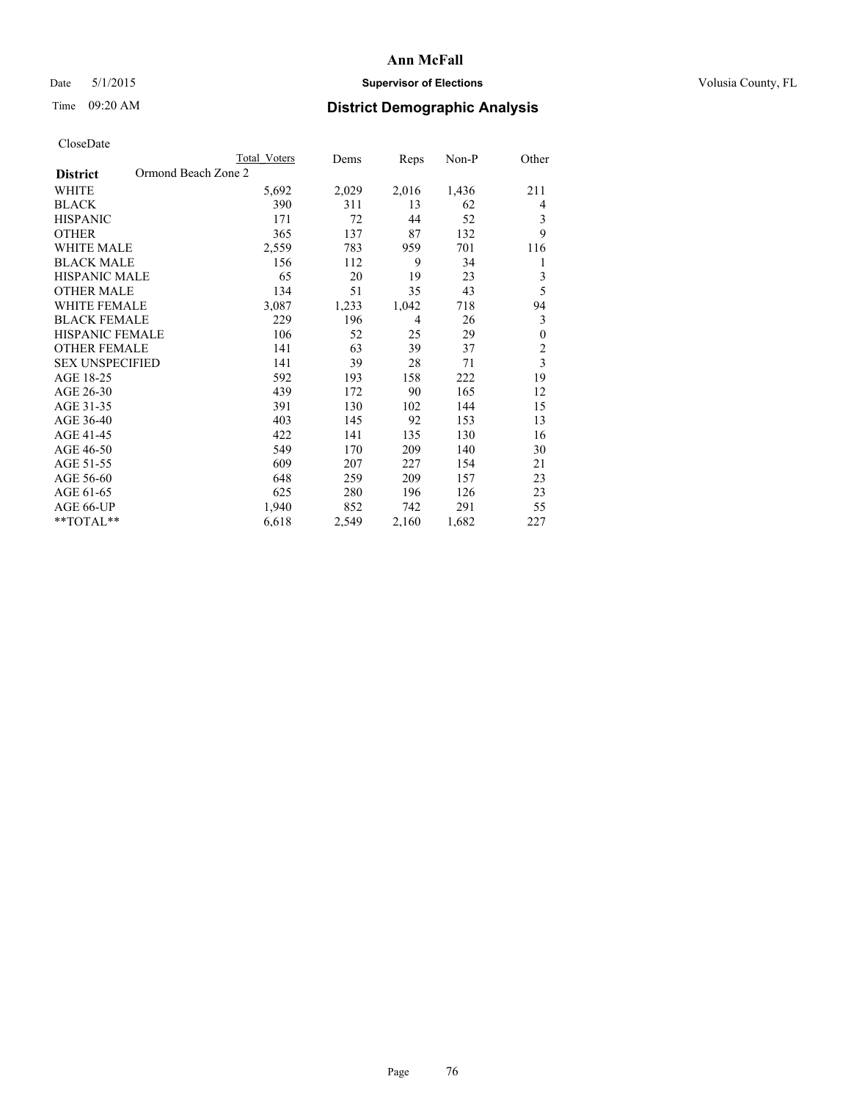## Date 5/1/2015 **Supervisor of Elections Supervisor of Elections** Volusia County, FL

## Time 09:20 AM **District Demographic Analysis**

|                                        | <b>Total Voters</b> | Dems  | Reps  | Non-P | Other                   |
|----------------------------------------|---------------------|-------|-------|-------|-------------------------|
| Ormond Beach Zone 2<br><b>District</b> |                     |       |       |       |                         |
| WHITE                                  | 5,692               | 2,029 | 2,016 | 1,436 | 211                     |
| <b>BLACK</b>                           | 390                 | 311   | 13    | 62    | 4                       |
| <b>HISPANIC</b>                        | 171                 | 72    | 44    | 52    | 3                       |
| <b>OTHER</b>                           | 365                 | 137   | 87    | 132   | 9                       |
| <b>WHITE MALE</b>                      | 2,559               | 783   | 959   | 701   | 116                     |
| <b>BLACK MALE</b>                      | 156                 | 112   | 9     | 34    | 1                       |
| HISPANIC MALE                          | 65                  | 20    | 19    | 23    | 3                       |
| <b>OTHER MALE</b>                      | 134                 | 51    | 35    | 43    | 5                       |
| <b>WHITE FEMALE</b>                    | 3,087               | 1,233 | 1,042 | 718   | 94                      |
| <b>BLACK FEMALE</b>                    | 229                 | 196   | 4     | 26    | 3                       |
| <b>HISPANIC FEMALE</b>                 | 106                 | 52    | 25    | 29    | $\boldsymbol{0}$        |
| <b>OTHER FEMALE</b>                    | 141                 | 63    | 39    | 37    | $\overline{c}$          |
| <b>SEX UNSPECIFIED</b>                 | 141                 | 39    | 28    | 71    | $\overline{\mathbf{3}}$ |
| AGE 18-25                              | 592                 | 193   | 158   | 222   | 19                      |
| AGE 26-30                              | 439                 | 172   | 90    | 165   | 12                      |
| AGE 31-35                              | 391                 | 130   | 102   | 144   | 15                      |
| AGE 36-40                              | 403                 | 145   | 92    | 153   | 13                      |
| AGE 41-45                              | 422                 | 141   | 135   | 130   | 16                      |
| AGE 46-50                              | 549                 | 170   | 209   | 140   | 30                      |
| AGE 51-55                              | 609                 | 207   | 227   | 154   | 21                      |
| AGE 56-60                              | 648                 | 259   | 209   | 157   | 23                      |
| AGE 61-65                              | 625                 | 280   | 196   | 126   | 23                      |
| AGE 66-UP                              | 1,940               | 852   | 742   | 291   | 55                      |
| **TOTAL**                              | 6,618               | 2,549 | 2,160 | 1,682 | 227                     |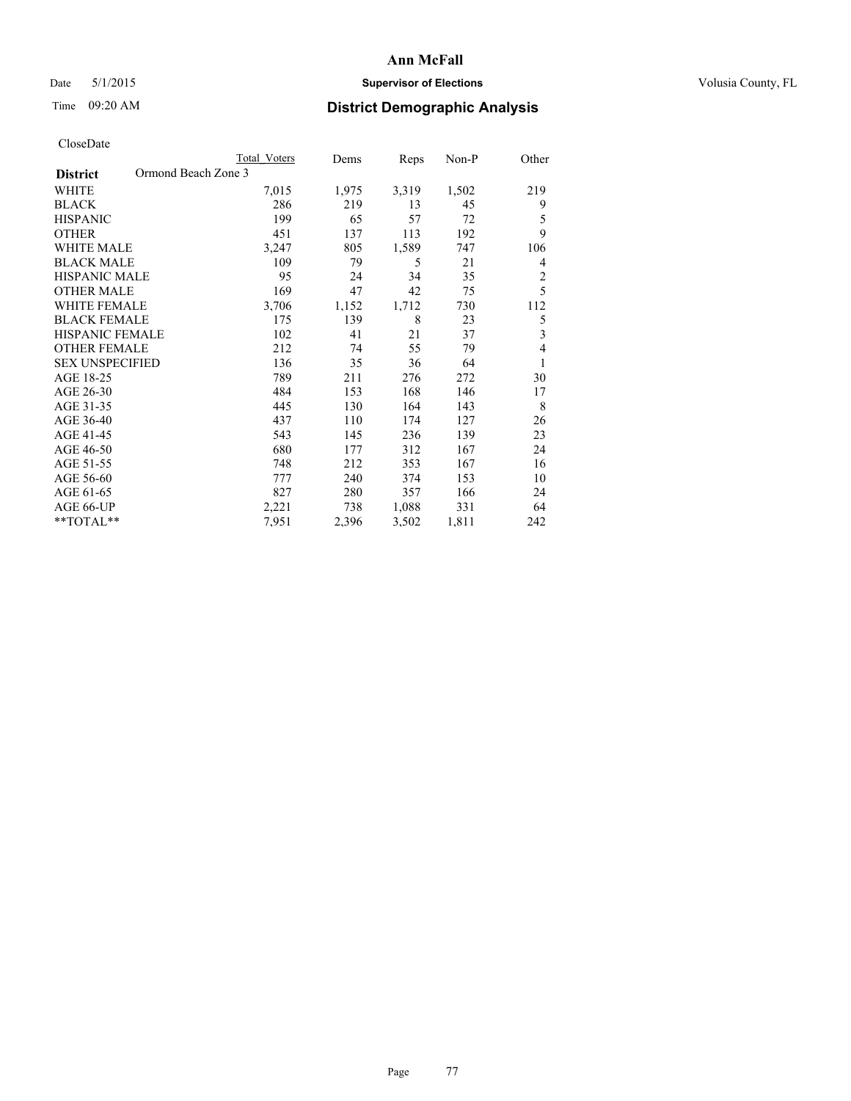## Date 5/1/2015 **Supervisor of Elections Supervisor of Elections** Volusia County, FL

# Time 09:20 AM **District Demographic Analysis**

|                                        | <b>Total Voters</b> | Dems  | Reps  | Non-P | Other                   |
|----------------------------------------|---------------------|-------|-------|-------|-------------------------|
| Ormond Beach Zone 3<br><b>District</b> |                     |       |       |       |                         |
| WHITE                                  | 7,015               | 1,975 | 3,319 | 1,502 | 219                     |
| <b>BLACK</b>                           | 286                 | 219   | 13    | 45    | 9                       |
| <b>HISPANIC</b>                        | 199                 | 65    | 57    | 72    | 5                       |
| <b>OTHER</b>                           | 451                 | 137   | 113   | 192   | 9                       |
| <b>WHITE MALE</b>                      | 3,247               | 805   | 1,589 | 747   | 106                     |
| <b>BLACK MALE</b>                      | 109                 | 79    | 5     | 21    | 4                       |
| HISPANIC MALE                          | 95                  | 24    | 34    | 35    | $\overline{c}$          |
| <b>OTHER MALE</b>                      | 169                 | 47    | 42    | 75    | 5                       |
| <b>WHITE FEMALE</b>                    | 3,706               | 1,152 | 1,712 | 730   | 112                     |
| <b>BLACK FEMALE</b>                    | 175                 | 139   | 8     | 23    | 5                       |
| <b>HISPANIC FEMALE</b>                 | 102                 | 41    | 21    | 37    | $\overline{\mathbf{3}}$ |
| <b>OTHER FEMALE</b>                    | 212                 | 74    | 55    | 79    | 4                       |
| <b>SEX UNSPECIFIED</b>                 | 136                 | 35    | 36    | 64    | 1                       |
| AGE 18-25                              | 789                 | 211   | 276   | 272   | 30                      |
| AGE 26-30                              | 484                 | 153   | 168   | 146   | 17                      |
| AGE 31-35                              | 445                 | 130   | 164   | 143   | 8                       |
| AGE 36-40                              | 437                 | 110   | 174   | 127   | 26                      |
| AGE 41-45                              | 543                 | 145   | 236   | 139   | 23                      |
| AGE 46-50                              | 680                 | 177   | 312   | 167   | 24                      |
| AGE 51-55                              | 748                 | 212   | 353   | 167   | 16                      |
| AGE 56-60                              | 777                 | 240   | 374   | 153   | 10                      |
| AGE 61-65                              | 827                 | 280   | 357   | 166   | 24                      |
| AGE 66-UP                              | 2,221               | 738   | 1,088 | 331   | 64                      |
| **TOTAL**                              | 7,951               | 2,396 | 3,502 | 1,811 | 242                     |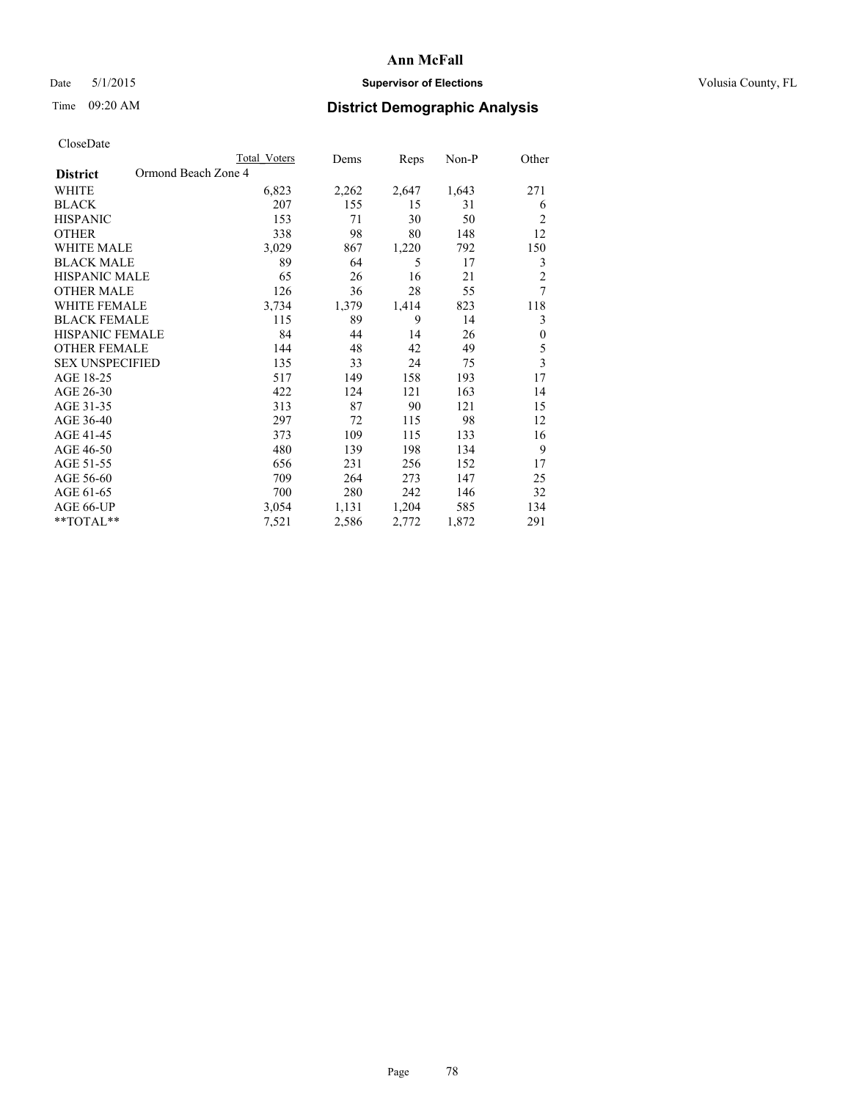## Date 5/1/2015 **Supervisor of Elections Supervisor of Elections** Volusia County, FL

## Time 09:20 AM **District Demographic Analysis**

|                                        | <b>Total Voters</b> | Dems  | Reps  | Non-P | Other            |
|----------------------------------------|---------------------|-------|-------|-------|------------------|
| Ormond Beach Zone 4<br><b>District</b> |                     |       |       |       |                  |
| WHITE                                  | 6,823               | 2,262 | 2,647 | 1,643 | 271              |
| <b>BLACK</b>                           | 207                 | 155   | 15    | 31    | 6                |
| <b>HISPANIC</b>                        | 153                 | 71    | 30    | 50    | $\overline{2}$   |
| <b>OTHER</b>                           | 338                 | 98    | 80    | 148   | 12               |
| <b>WHITE MALE</b>                      | 3,029               | 867   | 1,220 | 792   | 150              |
| <b>BLACK MALE</b>                      | 89                  | 64    | 5     | 17    | 3                |
| HISPANIC MALE                          | 65                  | 26    | 16    | 21    | $\overline{2}$   |
| <b>OTHER MALE</b>                      | 126                 | 36    | 28    | 55    | 7                |
| <b>WHITE FEMALE</b>                    | 3,734               | 1,379 | 1,414 | 823   | 118              |
| <b>BLACK FEMALE</b>                    | 115                 | 89    | 9     | 14    | 3                |
| <b>HISPANIC FEMALE</b>                 | 84                  | 44    | 14    | 26    | $\boldsymbol{0}$ |
| <b>OTHER FEMALE</b>                    | 144                 | 48    | 42    | 49    | 5                |
| <b>SEX UNSPECIFIED</b>                 | 135                 | 33    | 24    | 75    | $\overline{3}$   |
| AGE 18-25                              | 517                 | 149   | 158   | 193   | 17               |
| AGE 26-30                              | 422                 | 124   | 121   | 163   | 14               |
| AGE 31-35                              | 313                 | 87    | 90    | 121   | 15               |
| AGE 36-40                              | 297                 | 72    | 115   | 98    | 12               |
| AGE 41-45                              | 373                 | 109   | 115   | 133   | 16               |
| AGE 46-50                              | 480                 | 139   | 198   | 134   | 9                |
| AGE 51-55                              | 656                 | 231   | 256   | 152   | 17               |
| AGE 56-60                              | 709                 | 264   | 273   | 147   | 25               |
| AGE 61-65                              | 700                 | 280   | 242   | 146   | 32               |
| AGE 66-UP                              | 3,054               | 1,131 | 1,204 | 585   | 134              |
| **TOTAL**                              | 7,521               | 2,586 | 2,772 | 1,872 | 291              |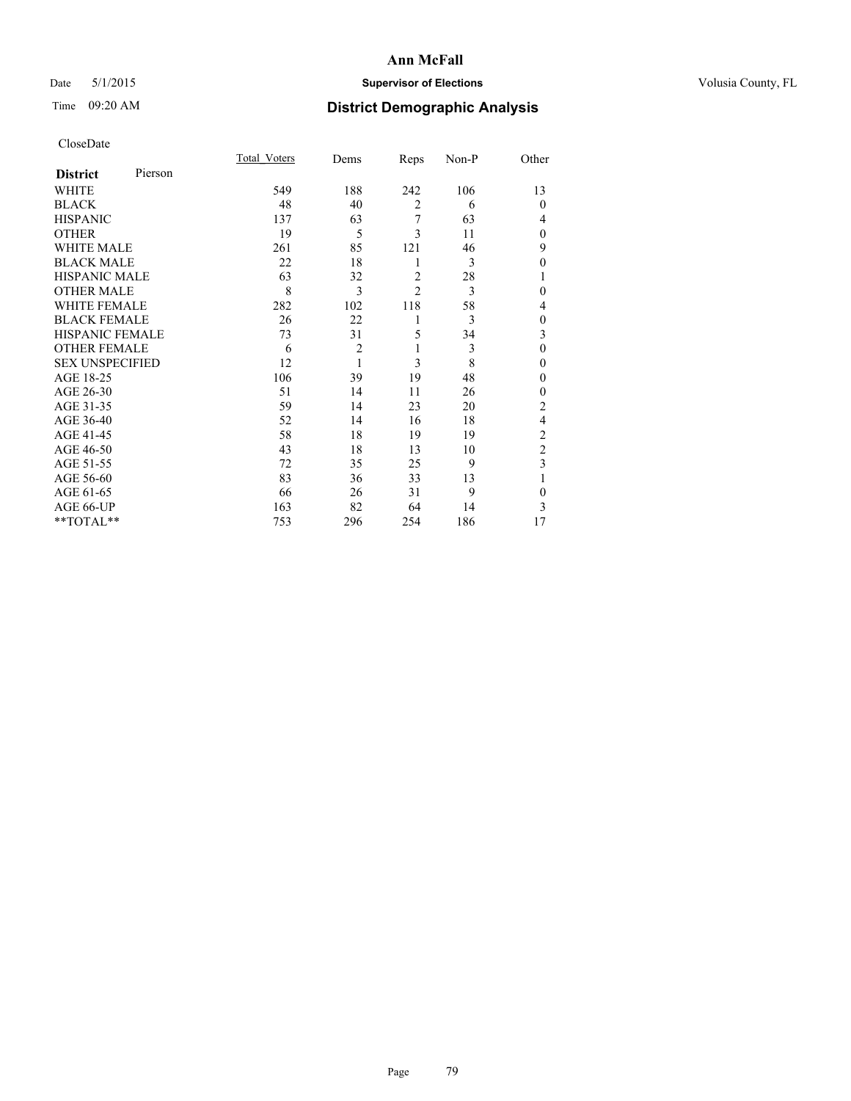## Date 5/1/2015 **Supervisor of Elections Supervisor of Elections** Volusia County, FL

# Time 09:20 AM **District Demographic Analysis**

|                        |         | Total Voters | Dems           | Reps           | Non-P | Other          |
|------------------------|---------|--------------|----------------|----------------|-------|----------------|
| <b>District</b>        | Pierson |              |                |                |       |                |
| WHITE                  |         | 549          | 188            | 242            | 106   | 13             |
| <b>BLACK</b>           |         | 48           | 40             | $\overline{2}$ | 6     | $\theta$       |
| <b>HISPANIC</b>        |         | 137          | 63             | 7              | 63    | 4              |
| <b>OTHER</b>           |         | 19           | 5              | 3              | 11    | $\theta$       |
| WHITE MALE             |         | 261          | 85             | 121            | 46    | 9              |
| <b>BLACK MALE</b>      |         | 22           | 18             | 1              | 3     | $\theta$       |
| <b>HISPANIC MALE</b>   |         | 63           | 32             | $\overline{2}$ | 28    | 1              |
| <b>OTHER MALE</b>      |         | 8            | 3              | $\overline{c}$ | 3     | 0              |
| WHITE FEMALE           |         | 282          | 102            | 118            | 58    | 4              |
| <b>BLACK FEMALE</b>    |         | 26           | 22             | 1              | 3     | $\theta$       |
| HISPANIC FEMALE        |         | 73           | 31             | 5              | 34    | 3              |
| <b>OTHER FEMALE</b>    |         | 6            | $\overline{2}$ | 1              | 3     | $\theta$       |
| <b>SEX UNSPECIFIED</b> |         | 12           | 1              | 3              | 8     | $\theta$       |
| AGE 18-25              |         | 106          | 39             | 19             | 48    | 0              |
| AGE 26-30              |         | 51           | 14             | 11             | 26    | 0              |
| AGE 31-35              |         | 59           | 14             | 23             | 20    | $\overline{c}$ |
| AGE 36-40              |         | 52           | 14             | 16             | 18    | 4              |
| AGE 41-45              |         | 58           | 18             | 19             | 19    | $\overline{c}$ |
| AGE 46-50              |         | 43           | 18             | 13             | 10    | $\overline{2}$ |
| AGE 51-55              |         | 72           | 35             | 25             | 9     | 3              |
| AGE 56-60              |         | 83           | 36             | 33             | 13    | 1              |
| AGE 61-65              |         | 66           | 26             | 31             | 9     | $\mathbf{0}$   |
| AGE 66-UP              |         | 163          | 82             | 64             | 14    | 3              |
| $*$ TOTAL $**$         |         | 753          | 296            | 254            | 186   | 17             |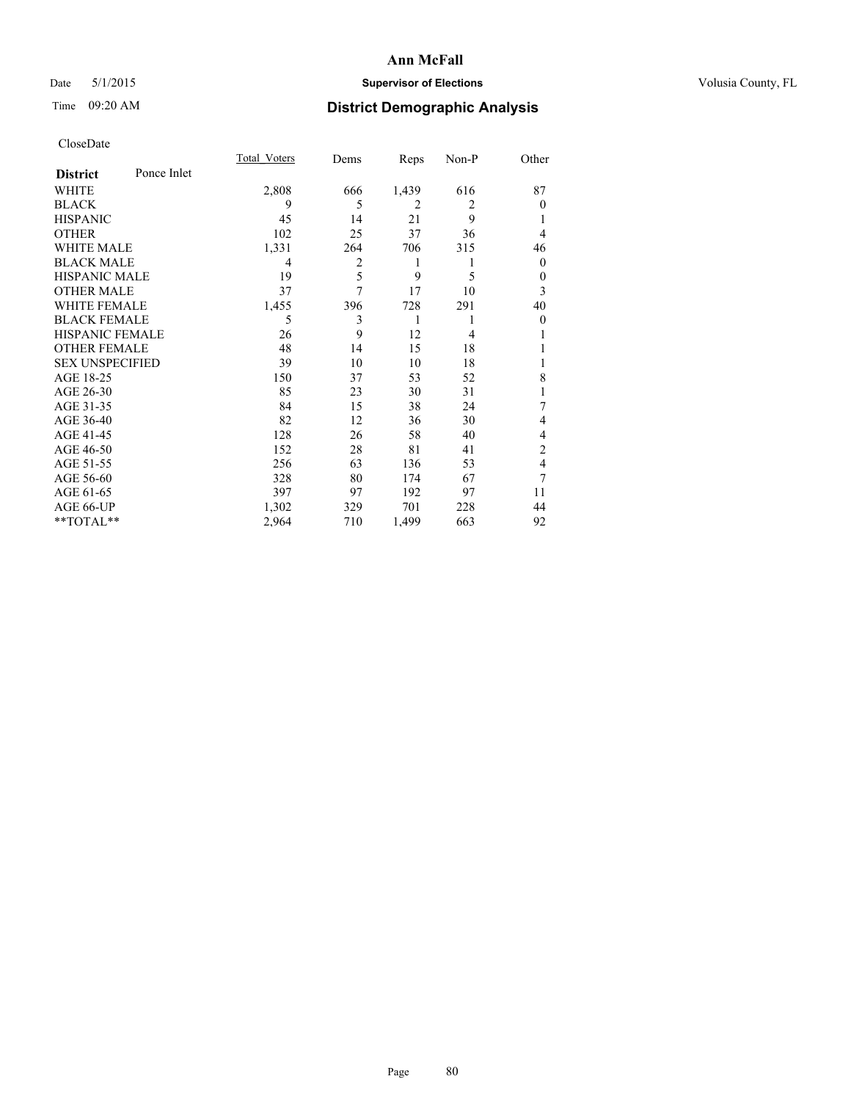## Date 5/1/2015 **Supervisor of Elections Supervisor of Elections** Volusia County, FL

## Time 09:20 AM **District Demographic Analysis**

|                        |             | <b>Total Voters</b> | Dems | Reps           | Non-P          | Other    |
|------------------------|-------------|---------------------|------|----------------|----------------|----------|
| <b>District</b>        | Ponce Inlet |                     |      |                |                |          |
| WHITE                  |             | 2,808               | 666  | 1,439          | 616            | 87       |
| <b>BLACK</b>           |             | 9                   | 5    | $\overline{2}$ | $\overline{2}$ | $\theta$ |
| <b>HISPANIC</b>        |             | 45                  | 14   | 21             | 9              |          |
| <b>OTHER</b>           |             | 102                 | 25   | 37             | 36             | 4        |
| WHITE MALE             |             | 1,331               | 264  | 706            | 315            | 46       |
| <b>BLACK MALE</b>      |             | 4                   | 2    | 1              | 1              | $\theta$ |
| <b>HISPANIC MALE</b>   |             | 19                  | 5    | 9              | 5              | $\theta$ |
| <b>OTHER MALE</b>      |             | 37                  | 7    | 17             | 10             | 3        |
| <b>WHITE FEMALE</b>    |             | 1,455               | 396  | 728            | 291            | 40       |
| <b>BLACK FEMALE</b>    |             | 5                   | 3    | 1              | 1              | $\theta$ |
| <b>HISPANIC FEMALE</b> |             | 26                  | 9    | 12             | 4              |          |
| <b>OTHER FEMALE</b>    |             | 48                  | 14   | 15             | 18             |          |
| <b>SEX UNSPECIFIED</b> |             | 39                  | 10   | 10             | 18             |          |
| AGE 18-25              |             | 150                 | 37   | 53             | 52             | 8        |
| AGE 26-30              |             | 85                  | 23   | 30             | 31             | 1        |
| AGE 31-35              |             | 84                  | 15   | 38             | 24             | 7        |
| AGE 36-40              |             | 82                  | 12   | 36             | 30             | 4        |
| AGE 41-45              |             | 128                 | 26   | 58             | 40             | 4        |
| AGE 46-50              |             | 152                 | 28   | 81             | 41             | 2        |
| AGE 51-55              |             | 256                 | 63   | 136            | 53             | 4        |
| AGE 56-60              |             | 328                 | 80   | 174            | 67             | 7        |
| AGE 61-65              |             | 397                 | 97   | 192            | 97             | 11       |
| AGE 66-UP              |             | 1,302               | 329  | 701            | 228            | 44       |
| **TOTAL**              |             | 2,964               | 710  | 1,499          | 663            | 92       |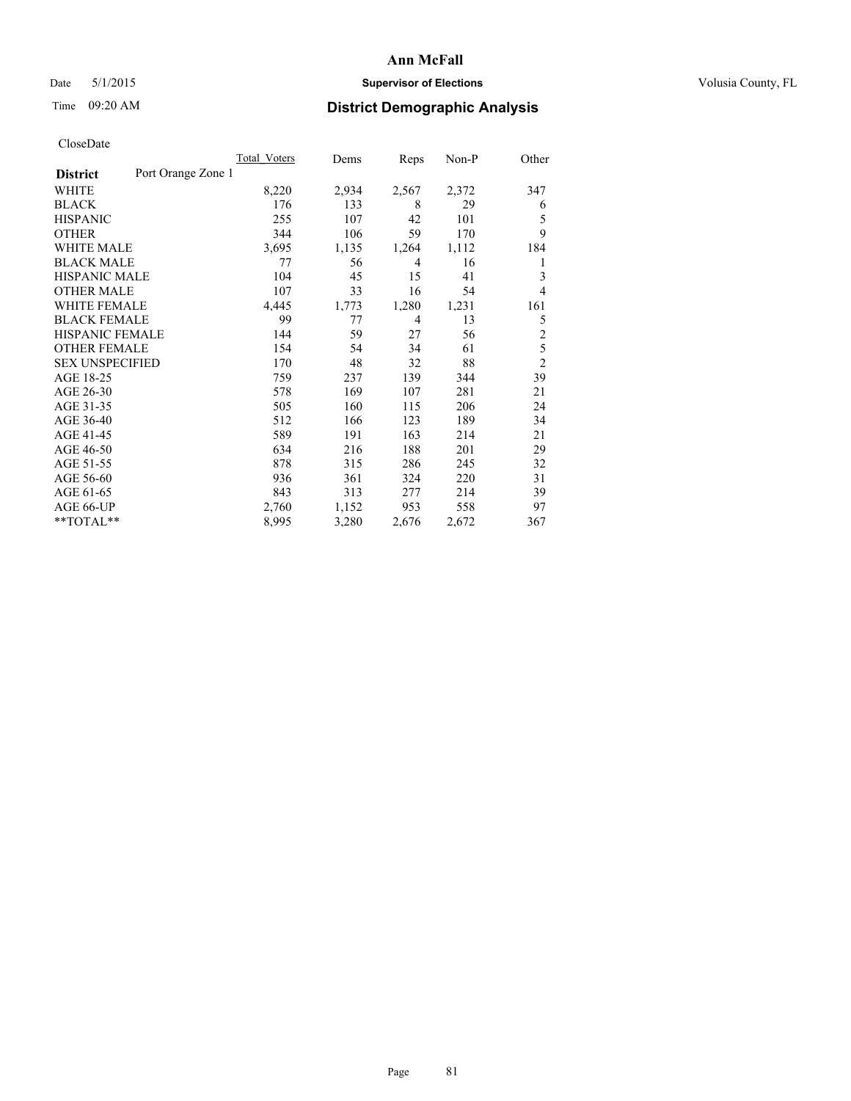## Date 5/1/2015 **Supervisor of Elections Supervisor of Elections** Volusia County, FL

# Time 09:20 AM **District Demographic Analysis**

| Total Voters | Dems               | Reps  | Non-P | Other          |
|--------------|--------------------|-------|-------|----------------|
|              |                    |       |       |                |
| 8,220        | 2,934              | 2,567 | 2,372 | 347            |
| 176          | 133                | 8     | 29    | 6              |
| 255          | 107                | 42    | 101   | 5              |
| 344          | 106                | 59    | 170   | 9              |
| 3,695        | 1,135              | 1,264 | 1,112 | 184            |
| 77           | 56                 | 4     | 16    | 1              |
| 104          | 45                 | 15    | 41    | 3              |
| 107          | 33                 | 16    | 54    | 4              |
| 4,445        | 1,773              | 1,280 | 1,231 | 161            |
| 99           | 77                 | 4     | 13    | 5              |
| 144          | 59                 | 27    | 56    | $\overline{c}$ |
| 154          | 54                 | 34    | 61    | 5              |
| 170          | 48                 | 32    | 88    | $\overline{c}$ |
| 759          | 237                | 139   | 344   | 39             |
| 578          | 169                | 107   | 281   | 21             |
| 505          | 160                | 115   | 206   | 24             |
| 512          | 166                | 123   | 189   | 34             |
| 589          | 191                | 163   | 214   | 21             |
| 634          | 216                | 188   | 201   | 29             |
| 878          | 315                | 286   | 245   | 32             |
| 936          | 361                | 324   | 220   | 31             |
| 843          | 313                | 277   | 214   | 39             |
| 2,760        | 1,152              | 953   | 558   | 97             |
| 8,995        | 3,280              | 2,676 | 2,672 | 367            |
|              | Port Orange Zone 1 |       |       |                |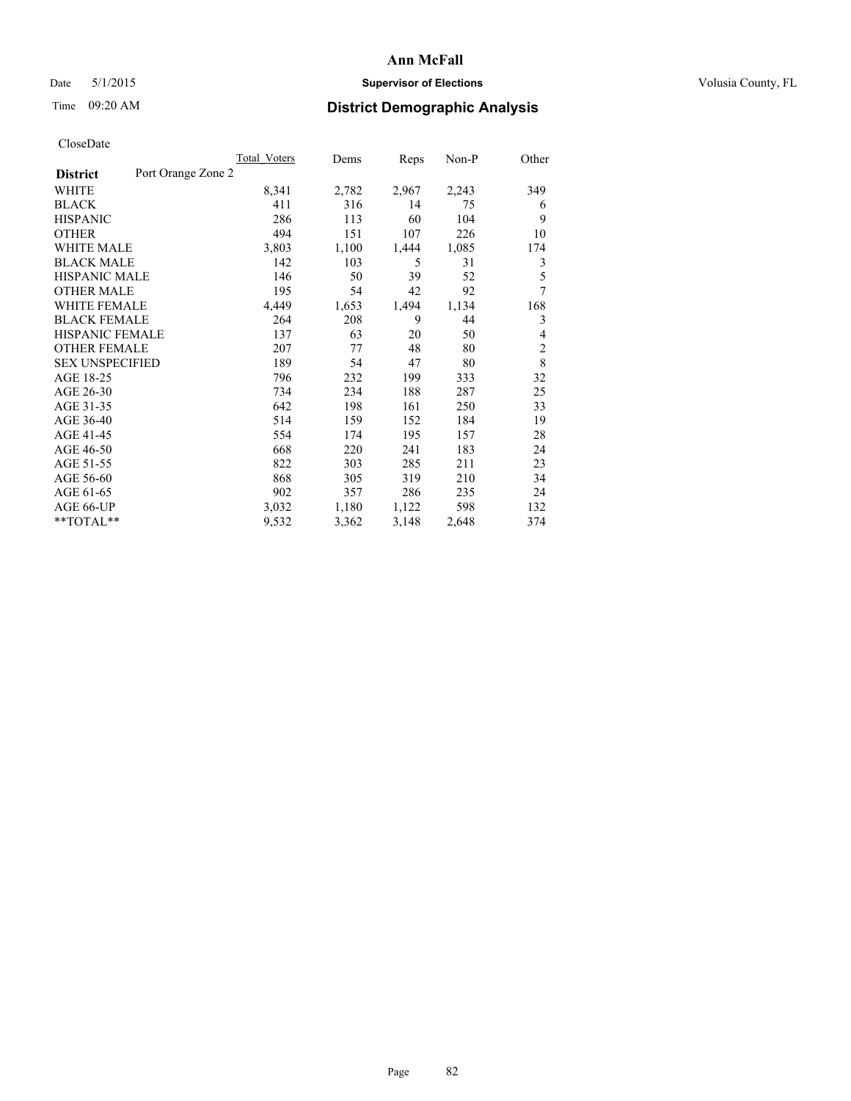## Date 5/1/2015 **Supervisor of Elections Supervisor of Elections** Volusia County, FL

## Time 09:20 AM **District Demographic Analysis**

|                        |                    | <b>Total Voters</b> | Dems  | Reps  | Non-P | Other          |
|------------------------|--------------------|---------------------|-------|-------|-------|----------------|
| <b>District</b>        | Port Orange Zone 2 |                     |       |       |       |                |
| WHITE                  |                    | 8,341               | 2,782 | 2,967 | 2,243 | 349            |
| <b>BLACK</b>           |                    | 411                 | 316   | 14    | 75    | 6              |
| <b>HISPANIC</b>        |                    | 286                 | 113   | 60    | 104   | 9              |
| <b>OTHER</b>           |                    | 494                 | 151   | 107   | 226   | 10             |
| WHITE MALE             |                    | 3,803               | 1,100 | 1,444 | 1,085 | 174            |
| <b>BLACK MALE</b>      |                    | 142                 | 103   | 5     | 31    | 3              |
| <b>HISPANIC MALE</b>   |                    | 146                 | 50    | 39    | 52    | 5              |
| <b>OTHER MALE</b>      |                    | 195                 | 54    | 42    | 92    | 7              |
| <b>WHITE FEMALE</b>    |                    | 4,449               | 1,653 | 1,494 | 1,134 | 168            |
| <b>BLACK FEMALE</b>    |                    | 264                 | 208   | 9     | 44    | 3              |
| <b>HISPANIC FEMALE</b> |                    | 137                 | 63    | 20    | 50    | 4              |
| <b>OTHER FEMALE</b>    |                    | 207                 | 77    | 48    | 80    | $\overline{2}$ |
| <b>SEX UNSPECIFIED</b> |                    | 189                 | 54    | 47    | 80    | 8              |
| AGE 18-25              |                    | 796                 | 232   | 199   | 333   | 32             |
| AGE 26-30              |                    | 734                 | 234   | 188   | 287   | 25             |
| AGE 31-35              |                    | 642                 | 198   | 161   | 250   | 33             |
| AGE 36-40              |                    | 514                 | 159   | 152   | 184   | 19             |
| AGE 41-45              |                    | 554                 | 174   | 195   | 157   | 28             |
| AGE 46-50              |                    | 668                 | 220   | 241   | 183   | 24             |
| AGE 51-55              |                    | 822                 | 303   | 285   | 211   | 23             |
| AGE 56-60              |                    | 868                 | 305   | 319   | 210   | 34             |
| AGE 61-65              |                    | 902                 | 357   | 286   | 235   | 24             |
| AGE 66-UP              |                    | 3,032               | 1,180 | 1,122 | 598   | 132            |
| **TOTAL**              |                    | 9,532               | 3,362 | 3,148 | 2,648 | 374            |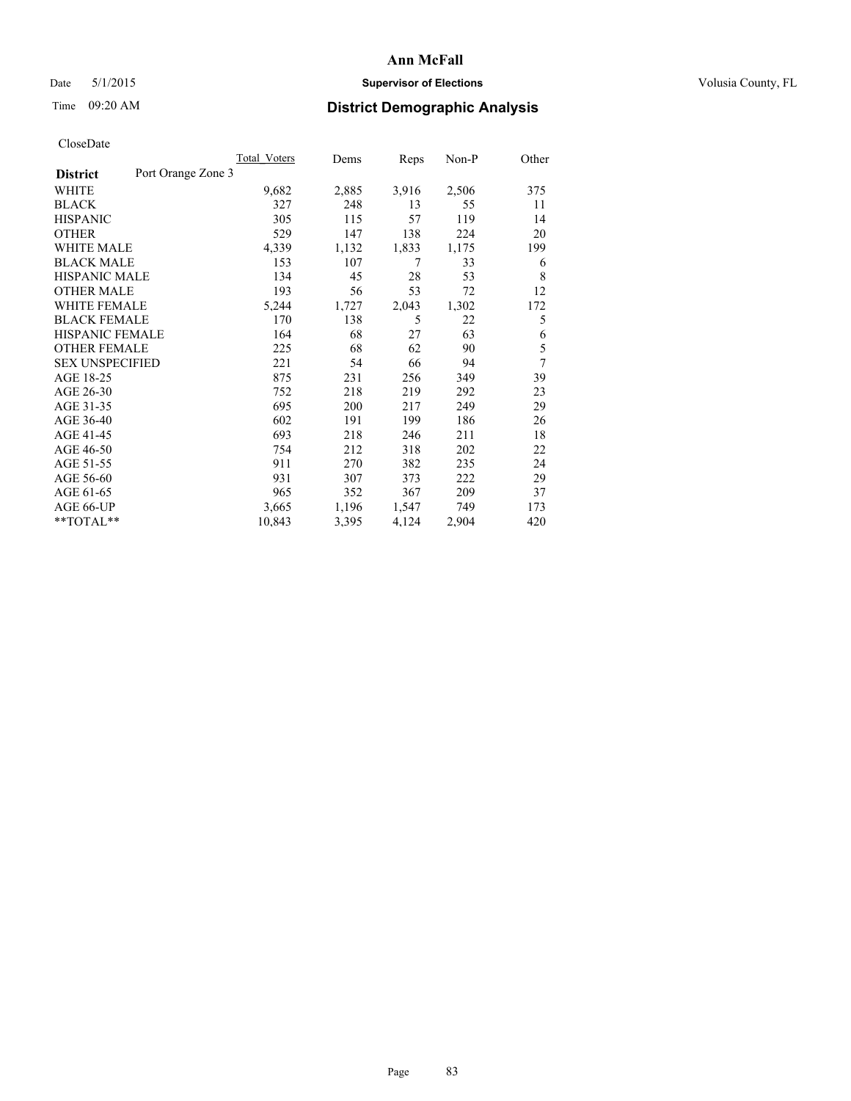## Date 5/1/2015 **Supervisor of Elections Supervisor of Elections** Volusia County, FL

# Time 09:20 AM **District Demographic Analysis**

|                        |                    | Total Voters | Dems  | Reps  | Non-P | Other            |
|------------------------|--------------------|--------------|-------|-------|-------|------------------|
| <b>District</b>        | Port Orange Zone 3 |              |       |       |       |                  |
| WHITE                  |                    | 9,682        | 2,885 | 3,916 | 2,506 | 375              |
| <b>BLACK</b>           |                    | 327          | 248   | 13    | 55    | 11               |
| <b>HISPANIC</b>        |                    | 305          | 115   | 57    | 119   | 14               |
| <b>OTHER</b>           |                    | 529          | 147   | 138   | 224   | 20               |
| WHITE MALE             |                    | 4,339        | 1,132 | 1,833 | 1,175 | 199              |
| <b>BLACK MALE</b>      |                    | 153          | 107   | 7     | 33    | 6                |
| <b>HISPANIC MALE</b>   |                    | 134          | 45    | 28    | 53    | 8                |
| <b>OTHER MALE</b>      |                    | 193          | 56    | 53    | 72    | 12               |
| <b>WHITE FEMALE</b>    |                    | 5,244        | 1,727 | 2,043 | 1,302 | 172              |
| <b>BLACK FEMALE</b>    |                    | 170          | 138   | 5     | 22    | 5                |
| <b>HISPANIC FEMALE</b> |                    | 164          | 68    | 27    | 63    | 6                |
| <b>OTHER FEMALE</b>    |                    | 225          | 68    | 62    | 90    | 5                |
| <b>SEX UNSPECIFIED</b> |                    | 221          | 54    | 66    | 94    | $\boldsymbol{7}$ |
| AGE 18-25              |                    | 875          | 231   | 256   | 349   | 39               |
| AGE 26-30              |                    | 752          | 218   | 219   | 292   | 23               |
| AGE 31-35              |                    | 695          | 200   | 217   | 249   | 29               |
| AGE 36-40              |                    | 602          | 191   | 199   | 186   | 26               |
| AGE 41-45              |                    | 693          | 218   | 246   | 211   | 18               |
| AGE 46-50              |                    | 754          | 212   | 318   | 202   | 22               |
| AGE 51-55              |                    | 911          | 270   | 382   | 235   | 24               |
| AGE 56-60              |                    | 931          | 307   | 373   | 222   | 29               |
| AGE 61-65              |                    | 965          | 352   | 367   | 209   | 37               |
| AGE 66-UP              |                    | 3,665        | 1,196 | 1,547 | 749   | 173              |
| **TOTAL**              |                    | 10,843       | 3,395 | 4,124 | 2,904 | 420              |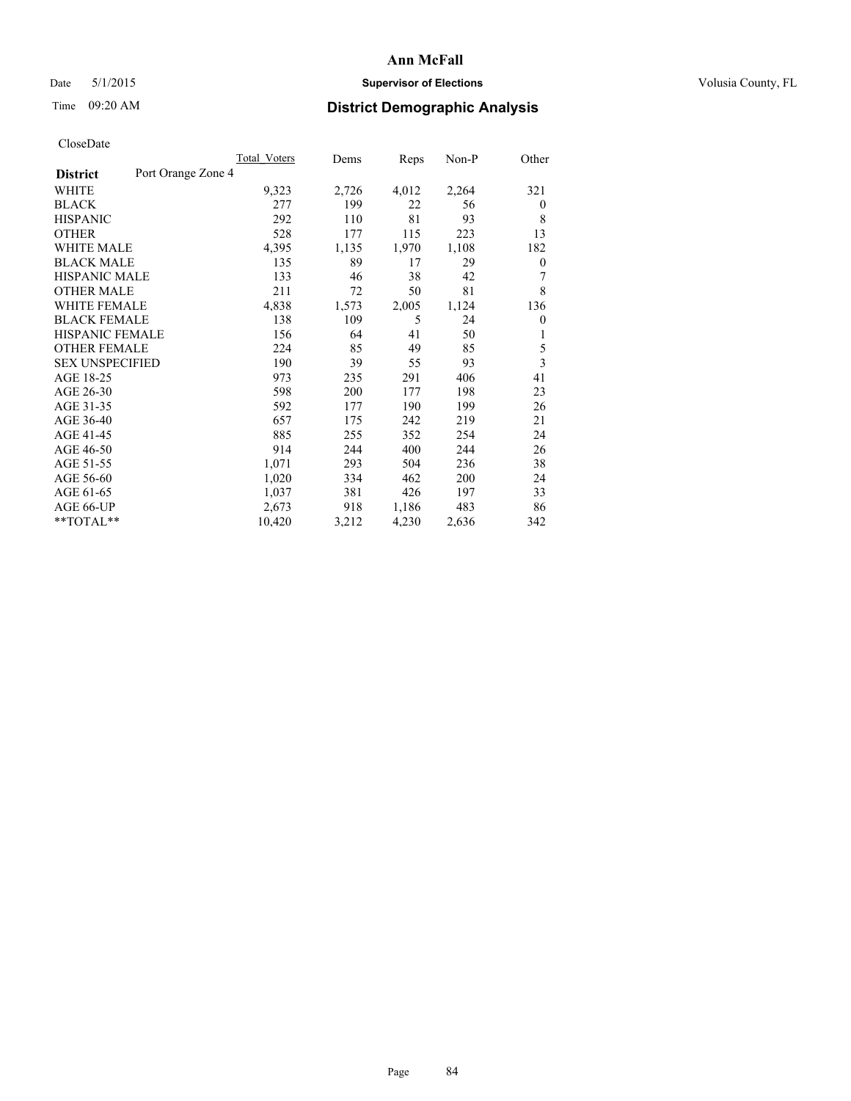## Date 5/1/2015 **Supervisor of Elections Supervisor of Elections** Volusia County, FL

## Time 09:20 AM **District Demographic Analysis**

|                        |                    | <b>Total Voters</b> | Dems  | Reps  | Non-P | Other    |
|------------------------|--------------------|---------------------|-------|-------|-------|----------|
| <b>District</b>        | Port Orange Zone 4 |                     |       |       |       |          |
| WHITE                  |                    | 9,323               | 2,726 | 4,012 | 2,264 | 321      |
| <b>BLACK</b>           |                    | 277                 | 199   | 22    | 56    | $\theta$ |
| <b>HISPANIC</b>        |                    | 292                 | 110   | 81    | 93    | 8        |
| <b>OTHER</b>           |                    | 528                 | 177   | 115   | 223   | 13       |
| WHITE MALE             |                    | 4,395               | 1,135 | 1,970 | 1,108 | 182      |
| <b>BLACK MALE</b>      |                    | 135                 | 89    | 17    | 29    | 0        |
| <b>HISPANIC MALE</b>   |                    | 133                 | 46    | 38    | 42    | 7        |
| <b>OTHER MALE</b>      |                    | 211                 | 72    | 50    | 81    | 8        |
| <b>WHITE FEMALE</b>    |                    | 4,838               | 1,573 | 2,005 | 1,124 | 136      |
| <b>BLACK FEMALE</b>    |                    | 138                 | 109   | 5     | 24    | $\theta$ |
| <b>HISPANIC FEMALE</b> |                    | 156                 | 64    | 41    | 50    | 1        |
| <b>OTHER FEMALE</b>    |                    | 224                 | 85    | 49    | 85    | 5        |
| <b>SEX UNSPECIFIED</b> |                    | 190                 | 39    | 55    | 93    | 3        |
| AGE 18-25              |                    | 973                 | 235   | 291   | 406   | 41       |
| AGE 26-30              |                    | 598                 | 200   | 177   | 198   | 23       |
| AGE 31-35              |                    | 592                 | 177   | 190   | 199   | 26       |
| AGE 36-40              |                    | 657                 | 175   | 242   | 219   | 21       |
| AGE 41-45              |                    | 885                 | 255   | 352   | 254   | 24       |
| AGE 46-50              |                    | 914                 | 244   | 400   | 244   | 26       |
| AGE 51-55              |                    | 1,071               | 293   | 504   | 236   | 38       |
| AGE 56-60              |                    | 1,020               | 334   | 462   | 200   | 24       |
| AGE 61-65              |                    | 1,037               | 381   | 426   | 197   | 33       |
| AGE 66-UP              |                    | 2,673               | 918   | 1,186 | 483   | 86       |
| **TOTAL**              |                    | 10,420              | 3,212 | 4,230 | 2,636 | 342      |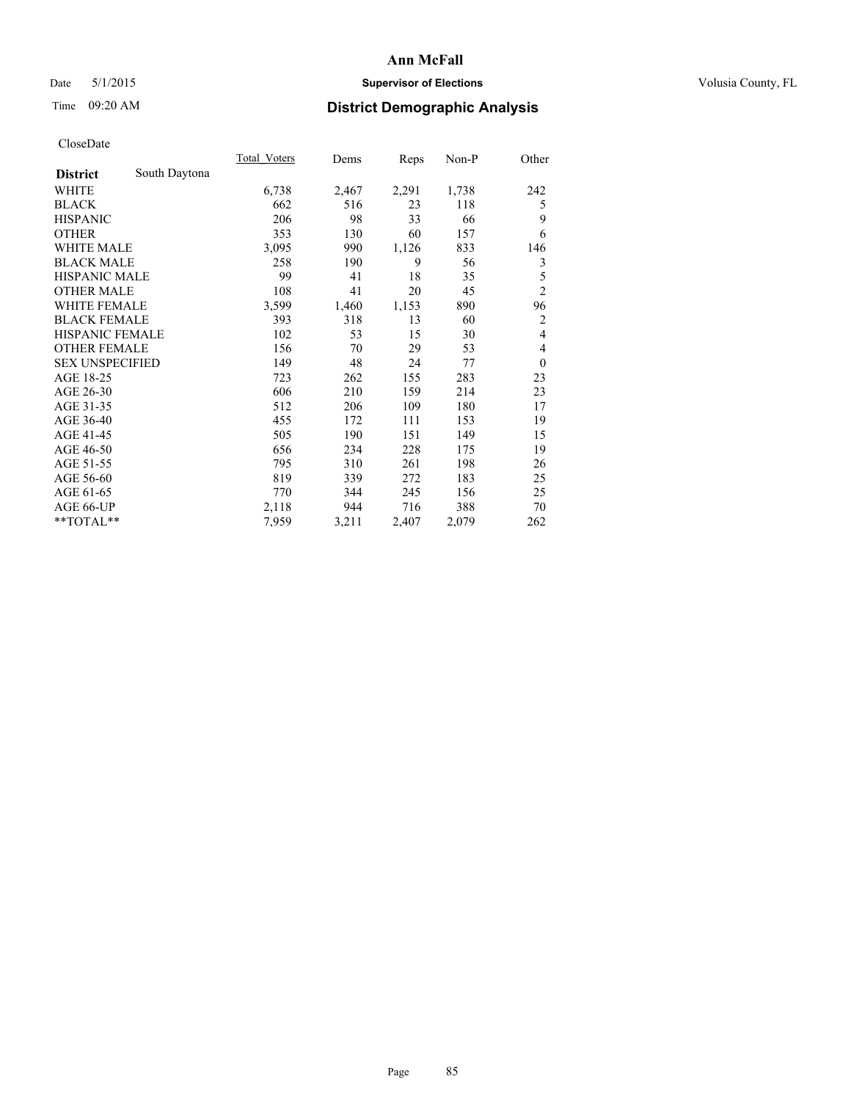## Date 5/1/2015 **Supervisor of Elections Supervisor of Elections** Volusia County, FL

## Time 09:20 AM **District Demographic Analysis**

|                        |               | Total Voters | Dems  | Reps  | Non-P | Other          |
|------------------------|---------------|--------------|-------|-------|-------|----------------|
| <b>District</b>        | South Daytona |              |       |       |       |                |
| WHITE                  |               | 6,738        | 2,467 | 2,291 | 1,738 | 242            |
| <b>BLACK</b>           |               | 662          | 516   | 23    | 118   | 5              |
| <b>HISPANIC</b>        |               | 206          | 98    | 33    | 66    | 9              |
| <b>OTHER</b>           |               | 353          | 130   | 60    | 157   | 6              |
| <b>WHITE MALE</b>      |               | 3,095        | 990   | 1,126 | 833   | 146            |
| <b>BLACK MALE</b>      |               | 258          | 190   | 9     | 56    | 3              |
| <b>HISPANIC MALE</b>   |               | 99           | 41    | 18    | 35    | 5              |
| <b>OTHER MALE</b>      |               | 108          | 41    | 20    | 45    | $\overline{c}$ |
| <b>WHITE FEMALE</b>    |               | 3,599        | 1,460 | 1,153 | 890   | 96             |
| <b>BLACK FEMALE</b>    |               | 393          | 318   | 13    | 60    | 2              |
| <b>HISPANIC FEMALE</b> |               | 102          | 53    | 15    | 30    | $\overline{4}$ |
| <b>OTHER FEMALE</b>    |               | 156          | 70    | 29    | 53    | 4              |
| <b>SEX UNSPECIFIED</b> |               | 149          | 48    | 24    | 77    | $\overline{0}$ |
| AGE 18-25              |               | 723          | 262   | 155   | 283   | 23             |
| AGE 26-30              |               | 606          | 210   | 159   | 214   | 23             |
| AGE 31-35              |               | 512          | 206   | 109   | 180   | 17             |
| AGE 36-40              |               | 455          | 172   | 111   | 153   | 19             |
| AGE 41-45              |               | 505          | 190   | 151   | 149   | 15             |
| AGE 46-50              |               | 656          | 234   | 228   | 175   | 19             |
| AGE 51-55              |               | 795          | 310   | 261   | 198   | 26             |
| AGE 56-60              |               | 819          | 339   | 272   | 183   | 25             |
| AGE 61-65              |               | 770          | 344   | 245   | 156   | 25             |
| AGE 66-UP              |               | 2,118        | 944   | 716   | 388   | 70             |
| **TOTAL**              |               | 7,959        | 3,211 | 2,407 | 2,079 | 262            |